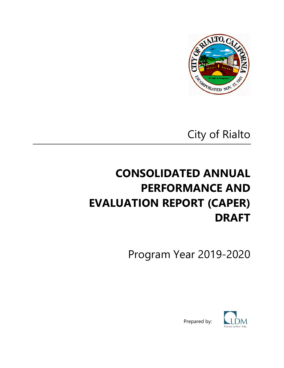

City of Rialto

# **CONSOLIDATED ANNUAL PERFORMANCE AND EVALUATION REPORT (CAPER) DRAFT**

Program Year 2019-2020



Prepared by: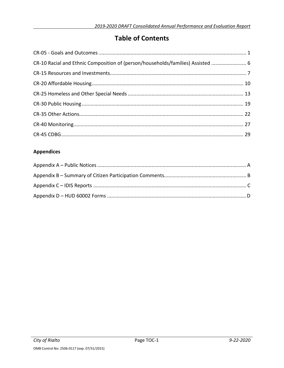### **Table of Contents**

| CR-10 Racial and Ethnic Composition of (person/households/families) Assisted  6 |  |
|---------------------------------------------------------------------------------|--|
|                                                                                 |  |
|                                                                                 |  |
|                                                                                 |  |
|                                                                                 |  |
|                                                                                 |  |
|                                                                                 |  |
|                                                                                 |  |

### **Appendices**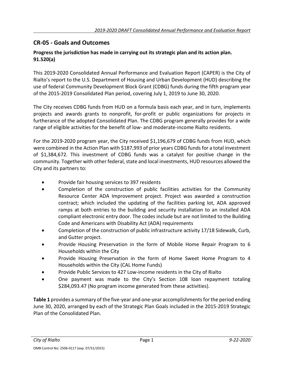### **CR-05 - Goals and Outcomes**

### **Progress the jurisdiction has made in carrying out its strategic plan and its action plan. 91.520(a)**

This 2019-2020 Consolidated Annual Performance and Evaluation Report (CAPER) is the City of Rialto's report to the U.S. Department of Housing and Urban Development (HUD) describing the use of federal Community Development Block Grant (CDBG) funds during the fifth program year of the 2015-2019 Consolidated Plan period, covering July 1, 2019 to June 30, 2020.

The City receives CDBG funds from HUD on a formula basis each year, and in turn, implements projects and awards grants to nonprofit, for-profit or public organizations for projects in furtherance of the adopted Consolidated Plan. The CDBG program generally provides for a wide range of eligible activities for the benefit of low- and moderate-income Rialto residents.

For the 2019-2020 program year, the City received \$1,196,679 of CDBG funds from HUD, which were combined in the Action Plan with \$187,993 of prior years CDBG funds for a total investment of \$1,384,672. This investment of CDBG funds was a catalyst for positive change in the community. Together with other federal, state and local investments, HUD resources allowed the City and its partners to:

- Provide fair housing services to 397 residents
- Completion of the construction of public facilities activities for the Community Resource Center ADA Improvement project. Project was awarded a construction contract; which included the updating of the facilities parking lot, ADA approved ramps at both entries to the building and security installation to an installed ADA compliant electronic entry door. The codes include but are not limited to the Building Code and Americans with Disability Act (ADA) requirements
- Completion of the construction of public infrastructure activity 17/18 Sidewalk, Curb, and Gutter project.
- Provide Housing Preservation in the form of Mobile Home Repair Program to 6 Households within the City
- Provide Housing Preservation in the form of Home Sweet Home Program to 4 Households within the City (CAL Home Funds)
- Provide Public Services to 427 Low-income residents in the City of Rialto
- One payment was made to the City's Section 108 loan repayment totaling \$284,093.47 (No program income generated from these activities).

**Table 1** provides a summary of the five-year and one-year accomplishments for the period ending June 30, 2020, arranged by each of the Strategic Plan Goals included in the 2015-2019 Strategic Plan of the Consolidated Plan.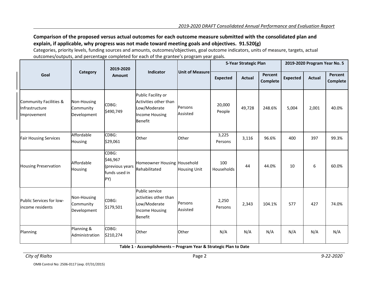### **Comparison of the proposed versus actual outcomes for each outcome measure submitted with the consolidated plan and explain, if applicable, why progress was not made toward meeting goals and objectives. 91.520(g)**

Categories, priority levels, funding sources and amounts, outcomes/objectives, goal outcome indicators, units of measure, targets, actual outcomes/outputs, and percentage completed for each of the grantee's program year goals.

|                                                         |                                         | 2019-2020                                                    |                                                                                                        |                            |                   | 5-Year Strategic Plan |                            |                 | 2019-2020 Program Year No. 5 |                     |
|---------------------------------------------------------|-----------------------------------------|--------------------------------------------------------------|--------------------------------------------------------------------------------------------------------|----------------------------|-------------------|-----------------------|----------------------------|-----------------|------------------------------|---------------------|
| Goal                                                    | Category                                | <b>Amount</b>                                                | Indicator                                                                                              | <b>Unit of Measure</b>     | <b>Expected</b>   | <b>Actual</b>         | <b>Percent</b><br>Complete | <b>Expected</b> | <b>Actual</b>                | Percent<br>Complete |
| Community Facilities &<br>Infrastructure<br>Improvement | Non-Housing<br>Community<br>Development | CDBG:<br>\$490,749                                           | Public Facility or<br>Activities other than<br>Low/Moderate<br><b>Income Housing</b><br><b>Benefit</b> | Persons<br>Assisted        | 20,000<br>People  | 49,728                | 248.6%                     | 5,004           | 2,001                        | 40.0%               |
| <b>Fair Housing Services</b>                            | Affordable<br>Housing                   | CDBG:<br>\$29,061                                            | Other                                                                                                  | Other                      | 3,225<br>Persons  | 3,116                 | 96.6%                      | 400             | 397                          | 99.3%               |
| <b>Housing Preservation</b>                             | Affordable<br><b>Housing</b>            | CDBG:<br>\$46,967<br>(previous years<br>funds used in<br>PY) | Homeowner Housing Household<br>Rehabilitated                                                           | <b>Housing Unit</b>        | 100<br>Households | 44                    | 44.0%                      | 10              | 6                            | 60.0%               |
| Public Services for low-<br>lincome residents           | Non-Housing<br>Community<br>Development | CDBG:<br>\$179,501                                           | Public service<br>lactivities other than<br>Low/Moderate<br><b>Income Housing</b><br><b>Benefit</b>    | <b>Persons</b><br>Assisted | 2,250<br>Persons  | 2,343                 | 104.1%                     | 577             | 427                          | 74.0%               |
| Planning                                                | Planning &<br>Administration            | CDBG:<br>\$210,274                                           | Other                                                                                                  | Other                      | N/A               | N/A                   | N/A                        | N/A             | N/A                          | N/A                 |

**Table 1 - Accomplishments – Program Year & Strategic Plan to Date**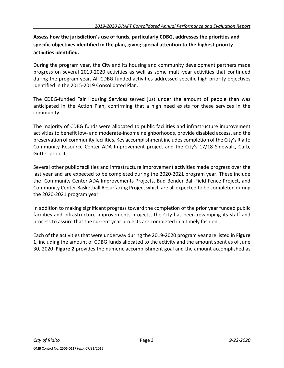### **Assess how the jurisdiction's use of funds, particularly CDBG, addresses the priorities and specific objectives identified in the plan, giving special attention to the highest priority activities identified.**

During the program year, the City and its housing and community development partners made progress on several 2019-2020 activities as well as some multi-year activities that continued during the program year. All CDBG funded activities addressed specific high priority objectives identified in the 2015-2019 Consolidated Plan.

The CDBG-funded Fair Housing Services served just under the amount of people than was anticipated in the Action Plan, confirming that a high need exists for these services in the community.

The majority of CDBG funds were allocated to public facilities and infrastructure improvement activities to benefit low- and moderate-income neighborhoods, provide disabled access, and the preservation of community facilities. Key accomplishment includes completion of the City's Rialto Community Resource Center ADA Improvement project and the City's 17/18 Sidewalk, Curb, Gutter project.

Several other public facilities and infrastructure improvement activities made progress over the last year and are expected to be completed during the 2020-2021 program year. These include the Community Center ADA Improvements Projects, Bud Bender Ball Field Fence Project, and Community Center Basketball Resurfacing Project which are all expected to be completed during the 2020-2021 program year.

In addition to making significant progress toward the completion of the prior year funded public facilities and infrastructure improvements projects, the City has been revamping its staff and process to assure that the current year projects are completed in a timely fashion.

Each of the activities that were underway during the 2019-2020 program year are listed in **Figure 1**, including the amount of CDBG funds allocated to the activity and the amount spent as of June 30, 2020. **Figure 2** provides the numeric accomplishment goal and the amount accomplished as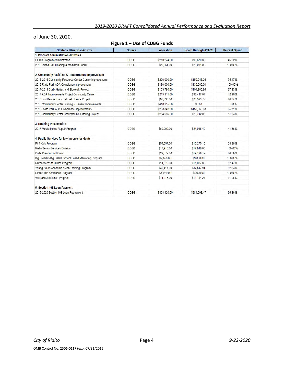### of June 30, 2020.

#### **Figure 1 – Use of CDBG Funds**

| <b>Strategic Plan Goal/Activity</b>                     | <b>Source</b> | <b>Allocation</b> | Spent through 6/30/20 | <b>Percent Spent</b> |
|---------------------------------------------------------|---------------|-------------------|-----------------------|----------------------|
| 1. Program Administration Activities                    |               |                   |                       |                      |
| CDBG Program Administration                             | CDBG          | \$210,274.00      | \$98,670.83           | 46.92%               |
| 2019 Inland Fair Housing & Mediation Board              | CDBG          | \$29,061.00       | \$29,061.00           | 100.00%              |
| 2. Community Facilities & Infrastructure Improvement    |               |                   |                       |                      |
| 2015-2016 Community Resource Center Center Improvements | CDBG          | \$200,000.00      | \$150,943.26          | 75.47%               |
| 2016 Rialto Park ADA Compliance Improvements            | CDBG          | \$130,000.00      | \$130,000.00          | 100.00%              |
| 2017-2018 Curb, Gutter, and Sidewalk Project            | CDBG          | \$153,780.00      | \$104,306.96          | 67.83%               |
| 2017 ADA Improvements Project Community Center          | CDBG          | \$215,111.00      | \$92,417.07           | 42.96%               |
| 2018 Bud Bender Park Ball Field Fence Project           | CDBG          | \$96,638.00       | \$23,523.77           | 24.34%               |
| 2018 Community Center Building & Tenant Improvements    | CDBG          | \$410,215.00      | \$0.00                | 0.00%                |
| 2018 Rialto Park ADA Compliance Improvements            | CDBG          | \$233,842.00      | \$153,666.98          | 65.71%               |
| 2018 Community Center Basketball Resurfacing Project    | CDBG          | \$264,686.00      | \$29,712.06           | 11.23%               |
| 3. Housing Preservation                                 |               |                   |                       |                      |
| 2017 Mobile Home Repair Program                         | CDBG          | \$60,000.00       | \$24,938.49           | 41.56%               |
| 4. Public Services for low-income residents             |               |                   |                       |                      |
| Fit 4 Kids Program                                      | CDBG          | \$54,057.00       | \$15,275.10           | 28.26%               |
| Rialto Senior Services Division                         | CDBG          | \$17,916.00       | \$17,916.00           | 100.00%              |
| Pride Platoon Boot Camp                                 | CDBG          | \$29,572.00       | \$19,128.12           | 64.68%               |
| Big Brothers/Big Sisters School Based Mentoring Program | CDBG          | \$9,858.00        | \$9,858.00            | 100.00%              |
| Rural Access to Justice Program                         | CDBG          | \$11,376.00       | \$11,087.80           | 97.47%               |
| Young Adults Academic & Job Training Program            | CDBG          | \$40,417.00       | \$37,517.91           | 92.83%               |
| Rialto Child Assistance Program                         | <b>CDBG</b>   | \$4,929.00        | \$4,929.00            | 100.00%              |
| Veterans Assistance Program                             | CDBG          | \$11,376.00       | \$11,144.24           | 97.96%               |
| 5. Section 108 Loan Payment                             |               |                   |                       |                      |
| 2019-2020 Section 108 Loan Repayment                    | CDBG          | \$428,120.00      | \$284.093.47          | 66.36%               |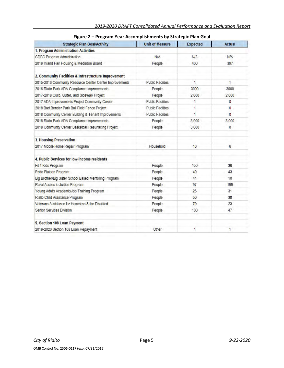| <b>Strategic Plan Goal/Activity</b>                     | <b>Unit of Measure</b>   | <b>Expected</b> | <b>Actual</b> |
|---------------------------------------------------------|--------------------------|-----------------|---------------|
| 1. Program Administration Activities                    |                          |                 |               |
| CDBG Program Administration                             | <b>N/A</b>               | <b>N/A</b>      | <b>N/A</b>    |
| 2019 Inland Fair Housing & Mediation Board              | People                   | 400             | 397           |
| 2. Community Facilities & Infrastructure Improvement    |                          |                 |               |
| 2015-2016 Community Resource Center Center Improvements | <b>Public Facilities</b> | 1               | 1             |
| 2016 Rialto Park ADA Compliance Improvements            | People                   | 3000            | 3000          |
| 2017-2018 Curb, Gutter, and Sidewalk Project            | People                   | 2,000           | 2,000         |
| 2017 ADA Improvements Project Community Center          | <b>Public Facilities</b> | 1               | $\bf{0}$      |
| 2018 Bud Bender Park Ball Field Fence Project           | <b>Public Facilities</b> | 1.              | 0             |
| 2018 Community Center Building & Tenant Improvements    | <b>Public Facilities</b> | 1               | $\Omega$      |
| 2018 Rialto Park ADA Compliance Improvements            | People                   | 3,000           | 3,000         |
| 2018 Community Center Basketball Resurfacing Project    | People                   | 3,000           | $\bf{0}$      |
| 3. Housing Preservation                                 |                          |                 |               |
| 2017 Mobile Home Repair Program                         | Household                | 10              | 6             |
| 4. Public Services for low-income residents             |                          |                 |               |
| Fit 4 Kids Program                                      | People                   | 150             | 36            |
| Pride Platoon Program                                   | People                   | 40              | 43            |
| Big Brother/Big Sister School Based Mentoring Program   | People                   | 44              | 10            |
| Rural Access to Justice Program                         | People                   | 97              | 199           |
| Young Adults Academic/Job Training Program              | People                   | 26              | 31            |
| Rialto Child Assistance Program                         | People                   | 50              | 38            |
| Veterans Assistance for Homeless & the Disabled         | People                   | 70              | 23            |
| Senior Services Division                                | People                   | 100             | 47            |
| 5. Section 108 Loan Payment                             |                          |                 |               |
| 2019-2020 Section 108 Loan Repayment                    | Other                    | 1               | 1             |

|  |  | Figure 2 – Program Year Accomplishments by Strategic Plan Goal |  |
|--|--|----------------------------------------------------------------|--|
|--|--|----------------------------------------------------------------|--|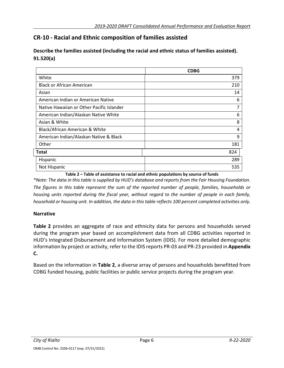### **CR-10 - Racial and Ethnic composition of families assisted**

### **Describe the families assisted (including the racial and ethnic status of families assisted). 91.520(a)**

|                                           | <b>CDBG</b> |
|-------------------------------------------|-------------|
| White                                     | 379         |
| <b>Black or African American</b>          | 210         |
| Asian                                     | 14          |
| American Indian or American Native        | 6           |
| Native Hawaiian or Other Pacific Islander | 7           |
| American Indian/Alaskan Native White      | 6           |
| Asian & White                             | 8           |
| Black/African American & White            | 4           |
| American Indian/Alaskan Native & Black    | 9           |
| Other                                     | 181         |
| <b>Total</b>                              | 824         |
| Hispanic                                  | 289         |
| Not Hispanic                              | 535         |

**Table 2 – Table of assistance to racial and ethnic populations by source of funds**

*\*Note: The data in this table is supplied by HUD's database and reports from the Fair Housing Foundation. The figures in this table represent the sum of the reported number of people, families, households or housing units reported during the fiscal year, without regard to the number of people in each family, household or housing unit. In addition, the data in this table reflects 100 percent completed activities only.*

### **Narrative**

**Table 2** provides an aggregate of race and ethnicity data for persons and households served during the program year based on accomplishment data from all CDBG activities reported in HUD's Integrated Disbursement and Information System (IDIS). For more detailed demographic information by project or activity, refer to the IDIS reports PR-03 and PR-23 provided in **Appendix C.**

Based on the information in **Table 2**, a diverse array of persons and households benefitted from CDBG funded housing, public facilities or public service projects during the program year.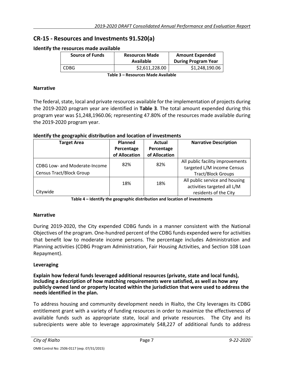### **CR-15 - Resources and Investments 91.520(a)**

| ie resources made available |                                    |                                                      |  |
|-----------------------------|------------------------------------|------------------------------------------------------|--|
| <b>Source of Funds</b>      | <b>Resources Made</b><br>Available | <b>Amount Expended</b><br><b>During Program Year</b> |  |
|                             |                                    |                                                      |  |
| CDBG                        | \$2,611,228.00                     | \$1,248,190.06                                       |  |
|                             |                                    |                                                      |  |

#### **Identify the resources made available**

**Table 3 – Resources Made Available**

#### **Narrative**

The federal, state, local and private resources available for the implementation of projects during the 2019-2020 program year are identified in **Table 3**. The total amount expended during this program year was \$1,248,1960.06; representing 47.80% of the resources made available during the 2019-2020 program year.

| Identify the geographic distribution and location of investments |  |
|------------------------------------------------------------------|--|
|------------------------------------------------------------------|--|

| <b>Target Area</b>                                               | <b>Planned</b><br>Percentage<br>of Allocation | Actual<br>Percentage<br>of Allocation | <b>Narrative Description</b>                                                                |
|------------------------------------------------------------------|-----------------------------------------------|---------------------------------------|---------------------------------------------------------------------------------------------|
| CDBG Low- and Moderate-Income<br><b>Census Tract/Block Group</b> | 82%                                           | 82%                                   | All public facility improvements<br>targeted L/M income Census<br><b>Tract/Block Groups</b> |
| Citywide                                                         | 18%                                           | 18%                                   | All public service and housing<br>activities targeted all L/M<br>residents of the City      |

**Table 4 – Identify the geographic distribution and location of investments**

### **Narrative**

During 2019-2020, the City expended CDBG funds in a manner consistent with the National Objectives of the program. One-hundred percent of the CDBG funds expended were for activities that benefit low to moderate income persons. The percentage includes Administration and Planning activities (CDBG Program Administration, Fair Housing Activities, and Section 108 Loan Repayment).

### **Leveraging**

**Explain how federal funds leveraged additional resources (private, state and local funds), including a description of how matching requirements were satisfied, as well as how any publicly owned land or property located within the jurisdiction that were used to address the needs identified in the plan.**

To address housing and community development needs in Rialto, the City leverages its CDBG entitlement grant with a variety of funding resources in order to maximize the effectiveness of available funds such as appropriate state, local and private resources. The City and its subrecipients were able to leverage approximately \$48,227 of additional funds to address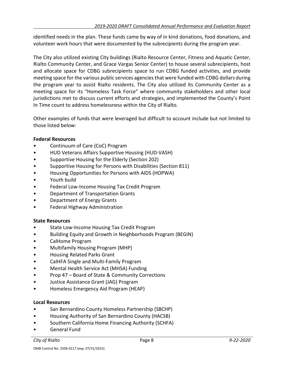identified needs in the plan. These funds came by way of in kind donations, food donations, and volunteer work hours that were documented by the subrecipients during the program year.

The City also utilized existing City buildings (Rialto Resource Center, Fitness and Aquatic Center, Rialto Community Center, and Grace Vargas Senior Center) to house several subrecipients, host and allocate space for CDBG subrecipients space to run CDBG funded activities, and provide meeting space for the various public services agencies that were funded with CDBG dollars during the program year to assist Rialto residents. The City also utilized its Community Center as a meeting space for its "Homeless Task Force" where community stakeholders and other local jurisdictions met to discuss current efforts and strategies, and implemented the County's Point In Time count to address homelessness within the City of Rialto.

Other examples of funds that were leveraged but difficult to account include but not limited to those listed below:

### **Federal Resources**

- Continuum of Care (CoC) Program
- HUD Veterans Affairs Supportive Housing (HUD-VASH)
- Supportive Housing for the Elderly (Section 202)
- Supportive Housing for Persons with Disabilities (Section 811)
- Housing Opportunities for Persons with AIDS (HOPWA)
- Youth build
- Federal Low-Income Housing Tax Credit Program
- Department of Transportation Grants
- Department of Energy Grants
- Federal Highway Administration

### **State Resources**

- State Low-Income Housing Tax Credit Program
- Building Equity and Growth in Neighborhoods Program (BEGIN)
- CalHome Program
- Multifamily Housing Program (MHP)
- Housing Related Parks Grant
- CalHFA Single and Multi-Family Program
- Mental Health Service Act (MHSA) Funding
- Prop 47 Board of State & Community Corrections
- Justice Assistance Grant (JAG) Program
- Homeless Emergency Aid Program (HEAP)

### **Local Resources**

- San Bernardino County Homeless Partnership (SBCHP)
- Housing Authority of San Bernardino County (HACSB)
- Southern California Home Financing Authority (SCHFA)
- General Fund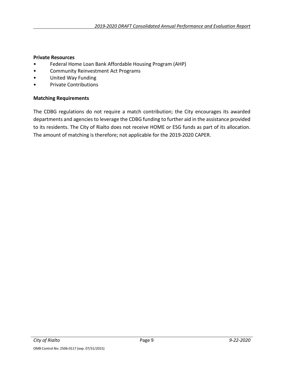### **Private Resources**

- Federal Home Loan Bank Affordable Housing Program (AHP)
- Community Reinvestment Act Programs
- United Way Funding
- Private Contributions

### **Matching Requirements**

The CDBG regulations do not require a match contribution; the City encourages its awarded departments and agencies to leverage the CDBG funding to further aid in the assistance provided to its residents. The City of Rialto does not receive HOME or ESG funds as part of its allocation. The amount of matching is therefore; not applicable for the 2019-2020 CAPER.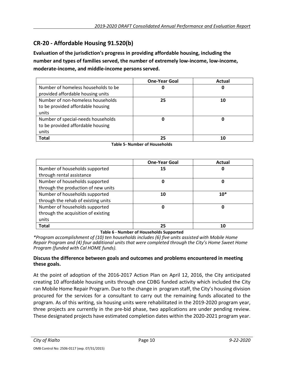### **CR-20 - Affordable Housing 91.520(b)**

**Evaluation of the jurisdiction's progress in providing affordable housing, including the number and types of families served, the number of extremely low-income, low-income, moderate-income, and middle-income persons served.**

|                                     | <b>One-Year Goal</b> | Actual |
|-------------------------------------|----------------------|--------|
| Number of homeless households to be | O                    | O      |
| provided affordable housing units   |                      |        |
| Number of non-homeless households   | 25                   | 10     |
| to be provided affordable housing   |                      |        |
| units                               |                      |        |
| Number of special-needs households  |                      |        |
| to be provided affordable housing   |                      |        |
| units                               |                      |        |
| <b>Total</b>                        | フら                   | 10     |

| Table 5- Number of Households |
|-------------------------------|
|-------------------------------|

|                                     | <b>One-Year Goal</b> | Actual |
|-------------------------------------|----------------------|--------|
| Number of households supported      | 15                   | 0      |
| through rental assistance           |                      |        |
| Number of households supported      | 0                    | 0      |
| through the production of new units |                      |        |
| Number of households supported      | 10                   | $10*$  |
| through the rehab of existing units |                      |        |
| Number of households supported      | 0                    | 0      |
| through the acquisition of existing |                      |        |
| units                               |                      |        |
| <b>Total</b>                        | 25                   | 10     |

**Table 6 - Number of Households Supported**

*\*Program accomplishment of (10) ten households includes (6) five units assisted with Mobile Home Repair Program and (4) four additional units that were completed through the City's Home Sweet Home Program (funded with Cal HOME funds).*

### **Discuss the difference between goals and outcomes and problems encountered in meeting these goals.**

At the point of adoption of the 2016-2017 Action Plan on April 12, 2016, the City anticipated creating 10 affordable housing units through one CDBG funded activity which included the City ran Mobile Home Repair Program. Due to the change in program staff, the City's housing division procured for the services for a consultant to carry out the remaining funds allocated to the program. As of this writing, six housing units were rehabilitated in the 2019-2020 program year, three projects are currently in the pre-bid phase, two applications are under pending review. These designated projects have estimated completion dates within the 2020-2021 program year.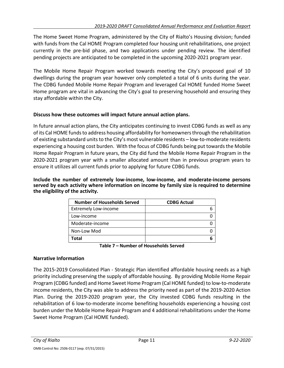The Home Sweet Home Program, administered by the City of Rialto's Housing division; funded with funds from the Cal HOME Program completed four housing unit rehabilitations, one project currently in the pre-bid phase, and two applications under pending review. The identified pending projects are anticipated to be completed in the upcoming 2020-2021 program year.

The Mobile Home Repair Program worked towards meeting the City's proposed goal of 10 dwellings during the program year however only completed a total of 6 units during the year. The CDBG funded Mobile Home Repair Program and leveraged Cal HOME funded Home Sweet Home program are vital in advancing the City's goal to preserving household and ensuring they stay affordable within the City.

### **Discuss how these outcomes will impact future annual action plans.**

In future annual action plans, the City anticipates continuing to invest CDBG funds as well as any of its Cal HOME funds to address housing affordability for homeowners through the rehabilitation of existing substandard units to the City's most vulnerable residents – low-to-moderate residents experiencing a housing cost burden. With the focus of CDBG funds being put towards the Mobile Home Repair Program in future years, the City did fund the Mobile Home Repair Program in the 2020-2021 program year with a smaller allocated amount than in previous program years to ensure it utilizes all current funds prior to applying for future CDBG funds.

**Include the number of extremely low-income, low-income, and moderate-income persons served by each activity where information on income by family size is required to determine the eligibility of the activity.**

| <b>Number of Households Served</b> | <b>CDBG Actual</b> |
|------------------------------------|--------------------|
| <b>Extremely Low-income</b>        |                    |
| Low-income                         |                    |
| Moderate-income                    |                    |
| Non-Low Mod                        |                    |
| Total                              |                    |

#### **Table 7 – Number of Households Served**

### **Narrative Information**

The 2015-2019 Consolidated Plan - Strategic Plan identified affordable housing needs as a high priority including preserving the supply of affordable housing. By providing Mobile Home Repair Program (CDBG funded) and Home Sweet Home Program (Cal HOME funded) to low-to-moderate income residents, the City was able to address the priority need as part of the 2019-2020 Action Plan. During the 2019-2020 program year, the City invested CDBG funds resulting in the rehabilitation of 6 low-to-moderate income benefiting households experiencing a housing cost burden under the Mobile Home Repair Program and 4 additional rehabilitations under the Home Sweet Home Program (Cal HOME funded).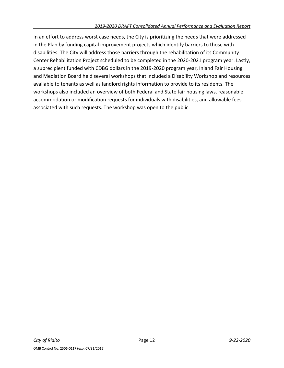In an effort to address worst case needs, the City is prioritizing the needs that were addressed in the Plan by funding capital improvement projects which identify barriers to those with disabilities. The City will address those barriers through the rehabilitation of its Community Center Rehabilitation Project scheduled to be completed in the 2020-2021 program year. Lastly, a subrecipient funded with CDBG dollars in the 2019-2020 program year, Inland Fair Housing and Mediation Board held several workshops that included a Disability Workshop and resources available to tenants as well as landlord rights information to provide to its residents. The workshops also included an overview of both Federal and State fair housing laws, reasonable accommodation or modification requests for individuals with disabilities, and allowable fees associated with such requests. The workshop was open to the public.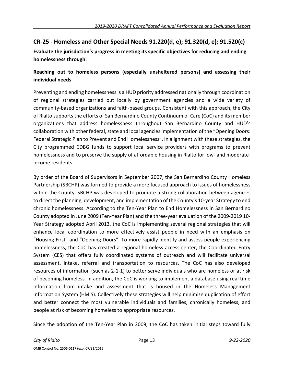### **CR-25 - Homeless and Other Special Needs 91.220(d, e); 91.320(d, e); 91.520(c)**

**Evaluate the jurisdiction's progress in meeting its specific objectives for reducing and ending homelessness through:**

### **Reaching out to homeless persons (especially unsheltered persons) and assessing their individual needs**

Preventing and ending homelessness is a HUD priority addressed nationally through coordination of regional strategies carried out locally by government agencies and a wide variety of community-based organizations and faith-based groups. Consistent with this approach, the City of Rialto supports the efforts of San Bernardino County Continuum of Care (CoC) and its member organizations that address homelessness throughout San Bernardino County and HUD's collaboration with other federal, state and local agencies implementation of the "Opening Doors: Federal Strategic Plan to Prevent and End Homelessness". In alignment with these strategies, the City programmed CDBG funds to support local service providers with programs to prevent homelessness and to preserve the supply of affordable housing in Rialto for low- and moderateincome residents.

By order of the Board of Supervisors in September 2007, the San Bernardino County Homeless Partnership (SBCHP) was formed to provide a more focused approach to issues of homelessness within the County. SBCHP was developed to promote a strong collaboration between agencies to direct the planning, development, and implementation of the County's 10-year Strategy to end chronic homelessness. According to the Ten-Year Plan to End Homelessness in San Bernardino County adopted in June 2009 (Ten-Year Plan) and the three-year evaluation of the 2009-2019 10- Year Strategy adopted April 2013, the CoC is implementing several regional strategies that will enhance local coordination to more effectively assist people in need with an emphasis on "Housing First" and "Opening Doors". To more rapidly identify and assess people experiencing homelessness, the CoC has created a regional homeless access center, the Coordinated Entry System (CES) that offers fully coordinated systems of outreach and will facilitate universal assessment, intake, referral and transportation to resources. The CoC has also developed resources of information (such as 2-1-1) to better serve individuals who are homeless or at risk of becoming homeless. In addition, the CoC is working to implement a database using real time information from intake and assessment that is housed in the Homeless Management Information System (HMIS). Collectively these strategies will help minimize duplication of effort and better connect the most vulnerable individuals and families, chronically homeless, and people at risk of becoming homeless to appropriate resources.

Since the adoption of the Ten-Year Plan in 2009, the CoC has taken initial steps toward fully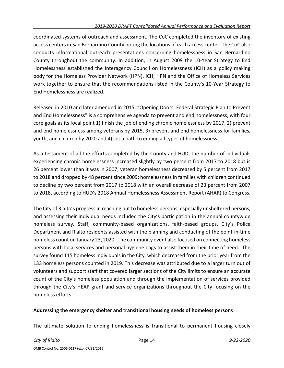coordinated systems of outreach and assessment. The CoC completed the inventory of existing access centers in San Bernardino County noting the locations of each access center. The CoC also conducts informational outreach presentations concerning homelessness in San Bernardino County throughout the community. In addition, in August 2009 the 10-Year Strategy to End Homelessness established the Interagency Council on Homelessness (ICH) as a policy making body for the Homeless Provider Network (HPN). ICH, HPN and the Office of Homeless Services work together to ensure that the recommendations listed in the County's 10-Year Strategy to End Homelessness are realized.

Released in 2010 and later amended in 2015, "Opening Doors: Federal Strategic Plan to Prevent and End Homelessness" is a comprehensive agenda to prevent and end homelessness, with four core goals as its focal point 1) finish the job of ending chronic homelessness by 2017, 2) prevent and end homelessness among veterans by 2015, 3) prevent and end homelessness for families, youth, and children by 2020 and 4) set a path to ending all types of homelessness.

As a testament of all the efforts completed by the County and HUD, the number of individuals experiencing chronic homelessness increased slightly by two percent from 2017 to 2018 but is 26 percent lower than it was in 2007; veteran homelessness decreased by 5 percent from 2017 to 2018 and dropped by 48 percent since 2009; homelessness in families with children continued to decline by two percent from 2017 to 2018 with an overall decrease of 23 percent from 2007 to 2018, according to HUD's 2018 Annual Homelessness Assessment Report (AHAR) to Congress.

The City of Rialto's progress in reaching out to homeless persons, especially unsheltered persons, and assessing their individual needs included the City's participation in the annual countywide homeless survey. Staff, community-based organizations, faith-based groups, City's Police Department and Rialto residents assisted with the planning and conducting of the point-in-time homeless count on January 23, 2020. The community event also focused on connecting homeless persons with local services and personal hygiene bags to assist them in their time of need. The survey found 115 homeless individuals in the City, which decreased from the prior year from the 133 homeless persons counted in 2019. This decrease was attributed due to a larger turn out of volunteers and support staff that covered larger sections of the City limits to ensure an accurate count of the City's homeless population and through the implementation of services provided through the City's HEAP grant and service organizations throughout the City focusing on the homeless efforts.

### **Addressing the emergency shelter and transitional housing needs of homeless persons**

The ultimate solution to ending homelessness is transitional to permanent housing closely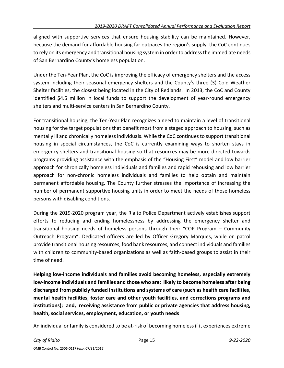aligned with supportive services that ensure housing stability can be maintained. However, because the demand for affordable housing far outpaces the region's supply, the CoC continues to rely on its emergency and transitional housing system in order to address the immediate needs of San Bernardino County's homeless population.

Under the Ten-Year Plan, the CoC is improving the efficacy of emergency shelters and the access system including their seasonal emergency shelters and the County's three (3) Cold Weather Shelter facilities, the closest being located in the City of Redlands. In 2013, the CoC and County identified \$4.5 million in local funds to support the development of year-round emergency shelters and multi-service centers in San Bernardino County.

For transitional housing, the Ten-Year Plan recognizes a need to maintain a level of transitional housing for the target populations that benefit most from a staged approach to housing, such as mentally ill and chronically homeless individuals. While the CoC continues to support transitional housing in special circumstances, the CoC is currently examining ways to shorten stays in emergency shelters and transitional housing so that resources may be more directed towards programs providing assistance with the emphasis of the "Housing First" model and low barrier approach for chronically homeless individuals and families and rapid rehousing and low barrier approach for non-chronic homeless individuals and families to help obtain and maintain permanent affordable housing. The County further stresses the importance of increasing the number of permanent supportive housing units in order to meet the needs of those homeless persons with disabling conditions.

During the 2019-2020 program year, the Rialto Police Department actively establishes support efforts to reducing and ending homelessness by addressing the emergency shelter and transitional housing needs of homeless persons through their "COP Program – Community Outreach Program". Dedicated officers are led by Officer Gregory Marques, while on patrol provide transitional housing resources, food bank resources, and connect individuals and families with children to community-based organizations as well as faith-based groups to assist in their time of need.

**Helping low-income individuals and families avoid becoming homeless, especially extremely low-income individuals and families and those who are: likely to become homeless after being discharged from publicly funded institutions and systems of care (such as health care facilities, mental health facilities, foster care and other youth facilities, and corrections programs and institutions); and, receiving assistance from public or private agencies that address housing, health, social services, employment, education, or youth needs**

An individual or family is considered to be at-risk of becoming homeless if it experiences extreme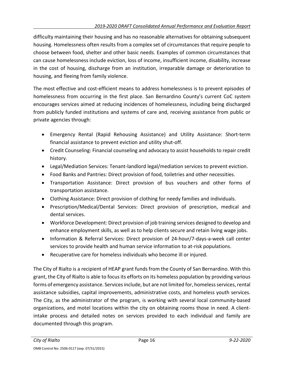difficulty maintaining their housing and has no reasonable alternatives for obtaining subsequent housing. Homelessness often results from a complex set of circumstances that require people to choose between food, shelter and other basic needs. Examples of common circumstances that can cause homelessness include eviction, loss of income, insufficient income, disability, increase in the cost of housing, discharge from an institution, irreparable damage or deterioration to housing, and fleeing from family violence.

The most effective and cost-efficient means to address homelessness is to prevent episodes of homelessness from occurring in the first place. San Bernardino County's current CoC system encourages services aimed at reducing incidences of homelessness, including being discharged from publicly funded institutions and systems of care and, receiving assistance from public or private agencies through:

- Emergency Rental (Rapid Rehousing Assistance) and Utility Assistance: Short-term financial assistance to prevent eviction and utility shut-off.
- Credit Counseling: Financial counseling and advocacy to assist households to repair credit history.
- Legal/Mediation Services: Tenant-landlord legal/mediation services to prevent eviction.
- Food Banks and Pantries: Direct provision of food, toiletries and other necessities.
- Transportation Assistance: Direct provision of bus vouchers and other forms of transportation assistance.
- Clothing Assistance: Direct provision of clothing for needy families and individuals.
- Prescription/Medical/Dental Services: Direct provision of prescription, medical and dental services.
- Workforce Development: Direct provision of job training services designed to develop and enhance employment skills, as well as to help clients secure and retain living wage jobs.
- Information & Referral Services: Direct provision of 24-hour/7-days-a-week call center services to provide health and human service information to at-risk populations.
- Recuperative care for homeless individuals who become ill or injured.

The City of Rialto is a recipient of HEAP grant funds from the County of San Bernardino. With this grant, the City of Rialto is able to focus its efforts on its homeless population by providing various forms of emergency assistance. Services include, but are not limited for, homeless services, rental assistance subsidies, capital improvements, administrative costs, and homeless youth services. The City, as the administrator of the program, is working with several local community-based organizations, and motel locations within the city on obtaining rooms those in need. A clientintake process and detailed notes on services provided to each individual and family are documented through this program.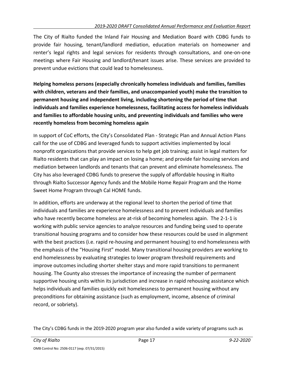The City of Rialto funded the Inland Fair Housing and Mediation Board with CDBG funds to provide fair housing, tenant/landlord mediation, education materials on homeowner and renter's legal rights and legal services for residents through consultations, and one-on-one meetings where Fair Housing and landlord/tenant issues arise. These services are provided to prevent undue evictions that could lead to homelessness.

**Helping homeless persons (especially chronically homeless individuals and families, families with children, veterans and their families, and unaccompanied youth) make the transition to permanent housing and independent living, including shortening the period of time that individuals and families experience homelessness, facilitating access for homeless individuals and families to affordable housing units, and preventing individuals and families who were recently homeless from becoming homeless again**

In support of CoC efforts, the City's Consolidated Plan - Strategic Plan and Annual Action Plans call for the use of CDBG and leveraged funds to support activities implemented by local nonprofit organizations that provide services to help get job training; assist in legal matters for Rialto residents that can play an impact on losing a home; and provide fair housing services and mediation between landlords and tenants that can prevent and eliminate homelessness. The City has also leveraged CDBG funds to preserve the supply of affordable housing in Rialto through Rialto Successor Agency funds and the Mobile Home Repair Program and the Home Sweet Home Program through Cal HOME funds.

In addition, efforts are underway at the regional level to shorten the period of time that individuals and families are experience homelessness and to prevent individuals and families who have recently become homeless are at-risk of becoming homeless again. The 2-1-1 is working with public service agencies to analyze resources and funding being used to operate transitional housing programs and to consider how these resources could be used in alignment with the best practices (i.e. rapid re-housing and permanent housing) to end homelessness with the emphasis of the "Housing First" model. Many transitional housing providers are working to end homelessness by evaluating strategies to lower program threshold requirements and improve outcomes including shorter shelter stays and more rapid transitions to permanent housing. The County also stresses the importance of increasing the number of permanent supportive housing units within its jurisdiction and increase in rapid rehousing assistance which helps individuals and families quickly exit homelessness to permanent housing without any preconditions for obtaining assistance (such as employment, income, absence of criminal record, or sobriety).

The City's CDBG funds in the 2019-2020 program year also funded a wide variety of programs such as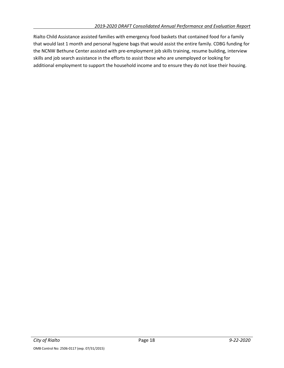Rialto Child Assistance assisted families with emergency food baskets that contained food for a family that would last 1 month and personal hygiene bags that would assist the entire family. CDBG funding for the NCNW Bethune Center assisted with pre-employment job skills training, resume building, interview skills and job search assistance in the efforts to assist those who are unemployed or looking for additional employment to support the household income and to ensure they do not lose their housing.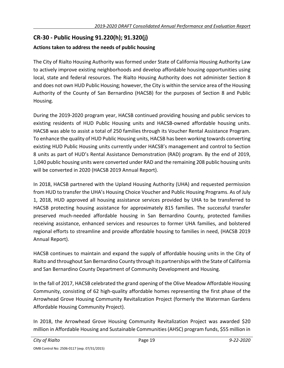### **CR-30 - Public Housing 91.220(h); 91.320(j)**

### **Actions taken to address the needs of public housing**

The City of Rialto Housing Authority was formed under State of California Housing Authority Law to actively improve existing neighborhoods and develop affordable housing opportunities using local, state and federal resources. The Rialto Housing Authority does not administer Section 8 and does not own HUD Public Housing; however, the City is within the service area of the Housing Authority of the County of San Bernardino (HACSB) for the purposes of Section 8 and Public Housing.

During the 2019-2020 program year, HACSB continued providing housing and public services to existing residents of HUD Public Housing units and HACSB-owned affordable housing units. HACSB was able to assist a total of 250 families through its Voucher Rental Assistance Program. To enhance the quality of HUD Public Housing units, HACSB has been working towards converting existing HUD Public Housing units currently under HACSB's management and control to Section 8 units as part of HUD's Rental Assistance Demonstration (RAD) program. By the end of 2019, 1,040 public housing units were converted under RAD and the remaining 208 public housing units will be converted in 2020 (HACSB 2019 Annual Report).

In 2018, HACSB partnered with the Upland Housing Authority (UHA) and requested permission from HUD to transfer the UHA's Housing Choice Voucher and Public Housing Programs. As of July 1, 2018, HUD approved all housing assistance services provided by UHA to be transferred to HACSB protecting housing assistance for approximately 815 families. The successful transfer preserved much-needed affordable housing in San Bernardino County, protected families receiving assistance, enhanced services and resources to former UHA families, and bolstered regional efforts to streamline and provide affordable housing to families in need, (HACSB 2019 Annual Report).

HACSB continues to maintain and expand the supply of affordable housing units in the City of Rialto and throughout San Bernardino County through its partnerships with the State of California and San Bernardino County Department of Community Development and Housing.

In the fall of 2017, HACSB celebrated the grand opening of the Olive Meadow Affordable Housing Community, consisting of 62 high-quality affordable homes representing the first phase of the Arrowhead Grove Housing Community Revitalization Project (formerly the Waterman Gardens Affordable Housing Community Project).

In 2018, the Arrowhead Grove Housing Community Revitalization Project was awarded \$20 million in Affordable Housing and Sustainable Communities (AHSC) program funds, \$55 million in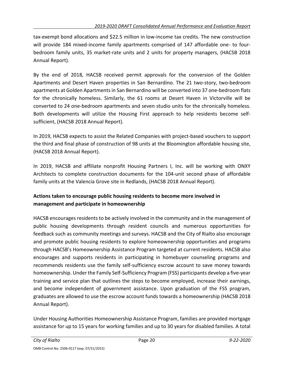tax-exempt bond allocations and \$22.5 million in low-income tax credits. The new construction will provide 184 mixed-income family apartments comprised of 147 affordable one- to fourbedroom family units, 35 market-rate units and 2 units for property managers, (HACSB 2018 Annual Report).

By the end of 2018, HACSB received permit approvals for the conversion of the Golden Apartments and Desert Haven properties in San Bernardino. The 21 two-story, two-bedroom apartments at Golden Apartments in San Bernardino will be converted into 37 one-bedroom flats for the chronically homeless. Similarly, the 61 rooms at Desert Haven in Victorville will be converted to 24 one-bedroom apartments and seven studio units for the chronically homeless. Both developments will utilize the Housing First approach to help residents become selfsufficient, (HACSB 2018 Annual Report).

In 2019, HACSB expects to assist the Related Companies with project-based vouchers to support the third and final phase of construction of 98 units at the Bloomington affordable housing site, (HACSB 2018 Annual Report).

In 2019, HACSB and affiliate nonprofit Housing Partners I, Inc. will be working with ONXY Architects to complete construction documents for the 104-unit second phase of affordable family units at the Valencia Grove site in Redlands, (HACSB 2018 Annual Report).

### **Actions taken to encourage public housing residents to become more involved in management and participate in homeownership**

HACSB encourages residents to be actively involved in the community and in the management of public housing developments through resident councils and numerous opportunities for feedback such as community meetings and surveys. HACSB and the City of Rialto also encourage and promote public housing residents to explore homeownership opportunities and programs through HACSB's Homeownership Assistance Program targeted at current residents. HACSB also encourages and supports residents in participating in homebuyer counseling programs and recommends residents use the family self-sufficiency escrow account to save money towards homeownership. Under the Family Self-Sufficiency Program (FSS) participants develop a five-year training and service plan that outlines the steps to become employed, increase their earnings, and become independent of government assistance. Upon graduation of the FSS program, graduates are allowed to use the escrow account funds towards a homeownership (HACSB 2018 Annual Report).

Under Housing Authorities Homeownership Assistance Program, families are provided mortgage assistance for up to 15 years for working families and up to 30 years for disabled families. A total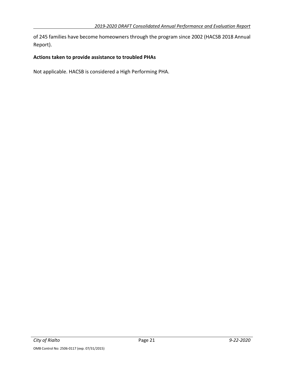of 245 families have become homeowners through the program since 2002 (HACSB 2018 Annual Report).

### **Actions taken to provide assistance to troubled PHAs**

Not applicable. HACSB is considered a High Performing PHA.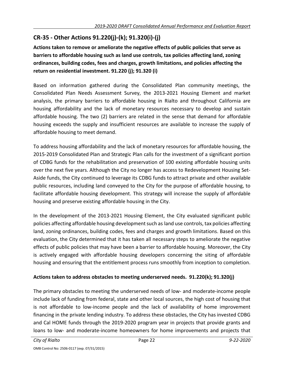### **CR-35 - Other Actions 91.220(j)-(k); 91.320(i)-(j)**

**Actions taken to remove or ameliorate the negative effects of public policies that serve as barriers to affordable housing such as land use controls, tax policies affecting land, zoning ordinances, building codes, fees and charges, growth limitations, and policies affecting the return on residential investment. 91.220 (j); 91.320 (i)**

Based on information gathered during the Consolidated Plan community meetings, the Consolidated Plan Needs Assessment Survey, the 2013-2021 Housing Element and market analysis, the primary barriers to affordable housing in Rialto and throughout California are housing affordability and the lack of monetary resources necessary to develop and sustain affordable housing. The two (2) barriers are related in the sense that demand for affordable housing exceeds the supply and insufficient resources are available to increase the supply of affordable housing to meet demand.

To address housing affordability and the lack of monetary resources for affordable housing, the 2015-2019 Consolidated Plan and Strategic Plan calls for the investment of a significant portion of CDBG funds for the rehabilitation and preservation of 100 existing affordable housing units over the next five years. Although the City no longer has access to Redevelopment Housing Set-Aside funds, the City continued to leverage its CDBG funds to attract private and other available public resources, including land conveyed to the City for the purpose of affordable housing, to facilitate affordable housing development. This strategy will increase the supply of affordable housing and preserve existing affordable housing in the City.

In the development of the 2013-2021 Housing Element, the City evaluated significant public policies affecting affordable housing development such as land use controls, tax policies affecting land, zoning ordinances, building codes, fees and charges and growth limitations. Based on this evaluation, the City determined that it has taken all necessary steps to ameliorate the negative effects of public policies that may have been a barrier to affordable housing. Moreover, the City is actively engaged with affordable housing developers concerning the siting of affordable housing and ensuring that the entitlement process runs smoothly from inception to completion.

### **Actions taken to address obstacles to meeting underserved needs. 91.220(k); 91.320(j)**

The primary obstacles to meeting the underserved needs of low- and moderate-income people include lack of funding from federal, state and other local sources, the high cost of housing that is not affordable to low-income people and the lack of availability of home improvement financing in the private lending industry. To address these obstacles, the City has invested CDBG and Cal HOME funds through the 2019-2020 program year in projects that provide grants and loans to low- and moderate-income homeowners for home improvements and projects that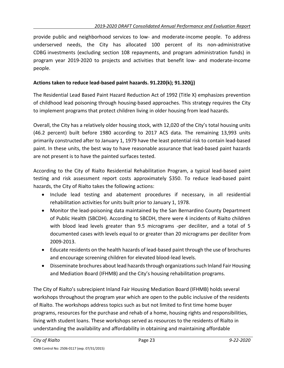provide public and neighborhood services to low- and moderate-income people. To address underserved needs, the City has allocated 100 percent of its non-administrative CDBG investments (excluding section 108 repayments, and program administration funds) in program year 2019-2020 to projects and activities that benefit low- and moderate-income people.

### **Actions taken to reduce lead-based paint hazards. 91.220(k); 91.320(j)**

The Residential Lead Based Paint Hazard Reduction Act of 1992 (Title X) emphasizes prevention of childhood lead poisoning through housing-based approaches. This strategy requires the City to implement programs that protect children living in older housing from lead hazards.

Overall, the City has a relatively older housing stock, with 12,020 of the City's total housing units (46.2 percent) built before 1980 according to 2017 ACS data. The remaining 13,993 units primarily constructed after to January 1, 1979 have the least potential risk to contain lead-based paint. In these units, the best way to have reasonable assurance that lead-based paint hazards are not present is to have the painted surfaces tested.

According to the City of Rialto Residential Rehabilitation Program, a typical lead-based paint testing and risk assessment report costs approximately \$350. To reduce lead-based paint hazards, the City of Rialto takes the following actions:

- Include lead testing and abatement procedures if necessary, in all residential rehabilitation activities for units built prior to January 1, 1978.
- Monitor the lead-poisoning data maintained by the San Bernardino County Department of Public Health (SBCDH). According to SBCDH, there were 4 incidents of Rialto children with blood lead levels greater than 9.5 micrograms -per deciliter, and a total of 5 documented cases with levels equal to or greater than 20 micrograms per deciliter from 2009-2013.
- Educate residents on the health hazards of lead-based paint through the use of brochures and encourage screening children for elevated blood-lead levels.
- Disseminate brochures about lead hazards through organizations such Inland Fair Housing and Mediation Board (IFHMB) and the City's housing rehabilitation programs.

The City of Rialto's subrecipient Inland Fair Housing Mediation Board (IFHMB) holds several workshops throughout the program year which are open to the public inclusive of the residents of Rialto. The workshops address topics such as but not limited to first time home buyer programs, resources for the purchase and rehab of a home, housing rights and responsibilities, living with student loans. These workshops served as resources to the residents of Rialto in understanding the availability and affordability in obtaining and maintaining affordable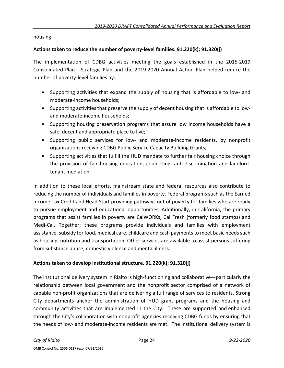housing.

### **Actions taken to reduce the number of poverty-level families. 91.220(k); 91.320(j)**

The implementation of CDBG activities meeting the goals established in the 2015-2019 Consolidated Plan - Strategic Plan and the 2019-2020 Annual Action Plan helped reduce the number of poverty-level families by:

- Supporting activities that expand the supply of housing that is affordable to low- and moderate-income households;
- Supporting activities that preserve the supply of decent housing that is affordable to lowand moderate-income households;
- Supporting housing preservation programs that assure low income households have a safe, decent and appropriate place to live;
- Supporting public services for low- and moderate-income residents, by nonprofit organizations receiving CDBG Public Service Capacity Building Grants;
- Supporting activities that fulfill the HUD mandate to further fair housing choice through the provision of fair housing education, counseling, anti-discrimination and landlordtenant mediation.

In addition to these local efforts, mainstream state and federal resources also contribute to reducing the number of individuals and families in poverty. Federal programs such as the Earned Income Tax Credit and Head Start providing pathways out of poverty for families who are ready to pursue employment and educational opportunities. Additionally, in California, the primary programs that assist families in poverty are CalWORKs, Cal Fresh (formerly food stamps) and Medi-Cal. Together; these programs provide individuals and families with employment assistance, subsidy for food, medical care, childcare and cash payments to meet basic needs such as housing, nutrition and transportation. Other services are available to assist persons suffering from substance abuse, domestic violence and mental illness.

### **Actions taken to develop institutional structure. 91.220(k); 91.320(j)**

The institutional delivery system in Rialto is high-functioning and collaborative—particularly the relationship between local government and the nonprofit sector comprised of a network of capable non-profit organizations that are delivering a full range of services to residents. Strong City departments anchor the administration of HUD grant programs and the housing and community activities that are implemented in the City. These are supported and enhanced through the City's collaboration with nonprofit agencies receiving CDBG funds by ensuring that the needs of low- and moderate-income residents are met. The institutional delivery system is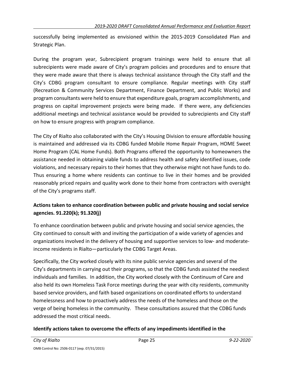successfully being implemented as envisioned within the 2015-2019 Consolidated Plan and Strategic Plan.

During the program year, Subrecipient program trainings were held to ensure that all subrecipients were made aware of City's program policies and procedures and to ensure that they were made aware that there is always technical assistance through the City staff and the City's CDBG program consultant to ensure compliance. Regular meetings with City staff (Recreation & Community Services Department, Finance Department, and Public Works) and program consultants were held to ensure that expenditure goals, program accomplishments, and progress on capital improvement projects were being made. If there were, any deficiencies additional meetings and technical assistance would be provided to subrecipients and City staff on how to ensure progress with program compliance.

The City of Rialto also collaborated with the City's Housing Division to ensure affordable housing is maintained and addressed via its CDBG funded Mobile Home Repair Program, HOME Sweet Home Program (CAL Home Funds). Both Programs offered the opportunity to homeowners the assistance needed in obtaining viable funds to address health and safety identified issues, code violations, and necessary repairs to their homes that they otherwise might not have funds to do. Thus ensuring a home where residents can continue to live in their homes and be provided reasonably priced repairs and quality work done to their home from contractors with oversight of the City's programs staff.

### **Actions taken to enhance coordination between public and private housing and social service agencies. 91.220(k); 91.320(j)**

To enhance coordination between public and private housing and social service agencies, the City continued to consult with and inviting the participation of a wide variety of agencies and organizations involved in the delivery of housing and supportive services to low- and moderateincome residents in Rialto—particularly the CDBG Target Areas.

Specifically, the City worked closely with its nine public service agencies and several of the City's departments in carrying out their programs, so that the CDBG funds assisted the neediest individuals and families. In addition, the City worked closely with the Continuum of Care and also held its own Homeless Task Force meetings during the year with city residents, community based service providers, and faith based organizations on coordinated efforts to understand homelessness and how to proactively address the needs of the homeless and those on the verge of being homeless in the community. These consultations assured that the CDBG funds addressed the most critical needs.

### **Identify actions taken to overcome the effects of any impediments identified in the**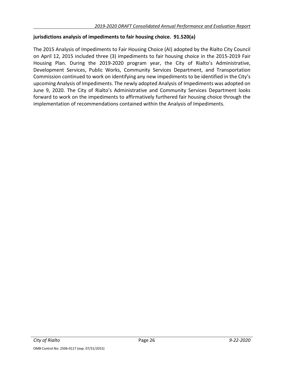### **jurisdictions analysis of impediments to fair housing choice. 91.520(a)**

The 2015 Analysis of Impediments to Fair Housing Choice (AI) adopted by the Rialto City Council on April 12, 2015 included three (3) impediments to fair housing choice in the 2015-2019 Fair Housing Plan. During the 2019-2020 program year, the City of Rialto's Administrative, Development Services, Public Works, Community Services Department, and Transportation Commission continued to work on identifying any new impediments to be identified in the City's upcoming Analysis of Impediments. The newly adopted Analysis of Impediments was adopted on June 9, 2020. The City of Rialto's Administrative and Community Services Department looks forward to work on the impediments to affirmatively furthered fair housing choice through the implementation of recommendations contained within the Analysis of Impediments.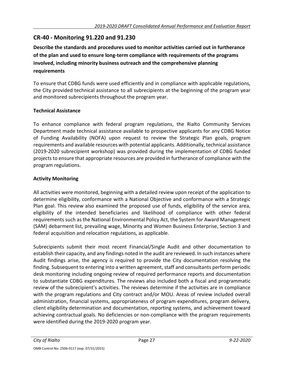### **CR-40 - Monitoring 91.220 and 91.230**

**Describe the standards and procedures used to monitor activities carried out in furtherance of the plan and used to ensure long-term compliance with requirements of the programs involved, including minority business outreach and the comprehensive planning requirements**

To ensure that CDBG funds were used efficiently and in compliance with applicable regulations, the City provided technical assistance to all subrecipients at the beginning of the program year and monitored subrecipients throughout the program year.

### **Technical Assistance**

To enhance compliance with federal program regulations, the Rialto Community Services Department made technical assistance available to prospective applicants for any CDBG Notice of Funding Availability (NOFA) upon request to review the Strategic Plan goals, program requirements and available resources with potential applicants. Additionally, technical assistance (2019-2020 subrecipient workshop) was provided during the implementation of CDBG funded projects to ensure that appropriate resources are provided in furtherance of compliance with the program regulations.

### **Activity Monitoring**

All activities were monitored, beginning with a detailed review upon receipt of the application to determine eligibility, conformance with a National Objective and conformance with a Strategic Plan goal. This review also examined the proposed use of funds, eligibility of the service area, eligibility of the intended beneficiaries and likelihood of compliance with other federal requirements such as the National Environmental Policy Act, the System for Award Management (SAM) debarment list, prevailing wage, Minority and Women Business Enterprise, Section 3 and federal acquisition and relocation regulations, as applicable.

Subrecipients submit their most recent Financial/Single Audit and other documentation to establish their capacity, and any findings noted in the audit are reviewed. In such instances where Audit findings arise, the agency is required to provide the City documentation resolving the finding. Subsequent to entering into a written agreement, staff and consultants perform periodic desk monitoring including ongoing review of required performance reports and documentation to substantiate CDBG expenditures. The reviews also included both a fiscal and programmatic review of the subrecipient's activities. The reviews determine if the activities are in compliance with the program regulations and City contract and/or MOU. Areas of review included overall administration, financial systems, appropriateness of program expenditures, program delivery, client eligibility determination and documentation, reporting systems, and achievement toward achieving contractual goals. No deficiencies or non-compliance with the program requirements were identified during the 2019-2020 program year.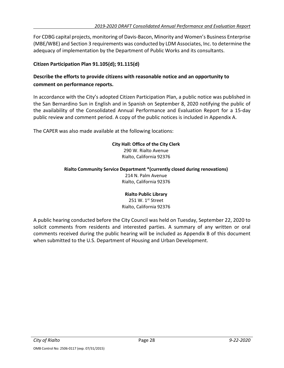For CDBG capital projects, monitoring of Davis-Bacon, Minority and Women's Business Enterprise (MBE/WBE) and Section 3 requirements was conducted by LDM Associates, Inc. to determine the adequacy of implementation by the Department of Public Works and its consultants.

### **Citizen Participation Plan 91.105(d); 91.115(d)**

### **Describe the efforts to provide citizens with reasonable notice and an opportunity to comment on performance reports.**

In accordance with the City's adopted Citizen Participation Plan, a public notice was published in the San Bernardino Sun in English and in Spanish on September 8, 2020 notifying the public of the availability of the Consolidated Annual Performance and Evaluation Report for a 15-day public review and comment period. A copy of the public notices is included in Appendix A.

The CAPER was also made available at the following locations:

### **City Hall: Office of the City Clerk**

290 W. Rialto Avenue Rialto, California 92376

#### **Rialto Community Service Department \*(currently closed during renovations)**

214 N. Palm Avenue Rialto, California 92376

### **Rialto Public Library**

251 W. 1<sup>st</sup> Street Rialto, California 92376

A public hearing conducted before the City Council was held on Tuesday, September 22, 2020 to solicit comments from residents and interested parties. A summary of any written or oral comments received during the public hearing will be included as Appendix B of this document when submitted to the U.S. Department of Housing and Urban Development.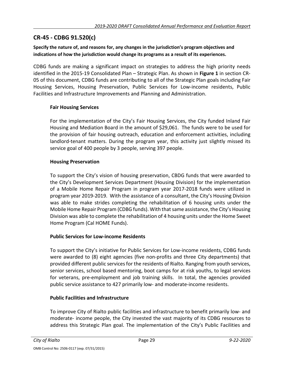### **CR-45 - CDBG 91.520(c)**

### **Specify the nature of, and reasons for, any changes in the jurisdiction's program objectives and indications of how the jurisdiction would change its programs as a result of its experiences.**

CDBG funds are making a significant impact on strategies to address the high priority needs identified in the 2015-19 Consolidated Plan – Strategic Plan. As shown in **Figure 1** in section CR-05 of this document, CDBG funds are contributing to all of the Strategic Plan goals including Fair Housing Services, Housing Preservation, Public Services for Low-income residents, Public Facilities and Infrastructure Improvements and Planning and Administration.

### **Fair Housing Services**

For the implementation of the City's Fair Housing Services, the City funded Inland Fair Housing and Mediation Board in the amount of \$29,061. The funds were to be used for the provision of fair housing outreach, education and enforcement activities, including landlord-tenant matters. During the program year, this activity just slightly missed its service goal of 400 people by 3 people, serving 397 people.

### **Housing Preservation**

To support the City's vision of housing preservation, CBDG funds that were awarded to the City's Development Services Department (Housing Division) for the implementation of a Mobile Home Repair Program in program year 2017-2018 funds were utilized in program year 2019-2019. With the assistance of a consultant, the City's Housing Division was able to make strides completing the rehabilitation of 6 housing units under the Mobile Home Repair Program (CDBG funds). With that same assistance, the City's Housing Division was able to complete the rehabilitation of 4 housing units under the Home Sweet Home Program (Cal HOME Funds).

### **Public Services for Low-income Residents**

To support the City's initiative for Public Services for Low-income residents, CDBG funds were awarded to (8) eight agencies (five non-profits and three City departments) that provided different public services for the residents of Rialto. Ranging from youth services, senior services, school based mentoring, boot camps for at risk youths, to legal services for veterans, pre-employment and job training skills. In total, the agencies provided public service assistance to 427 primarily low- and moderate-income residents.

### **Public Facilities and Infrastructure**

To improve City of Rialto public facilities and infrastructure to benefit primarily low- and moderate- income people, the City invested the vast majority of its CDBG resources to address this Strategic Plan goal. The implementation of the City's Public Facilities and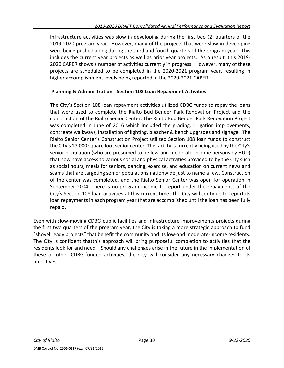Infrastructure activities was slow in developing during the first two (2) quarters of the 2019-2020 program year. However, many of the projects that were slow in developing were being pushed along during the third and fourth quarters of the program year. This includes the current year projects as well as prior year projects. As a result, this 2019- 2020 CAPER shows a number of activities currently in progress. However, many of these projects are scheduled to be completed in the 2020-2021 program year, resulting in higher accomplishment levels being reported in the 2020-2021 CAPER.

### **Planning & Administration - Section 108 Loan Repayment Activities**

The City's Section 108 loan repayment activities utilized CDBG funds to repay the loans that were used to complete the Rialto Bud Bender Park Renovation Project and the construction of the Rialto Senior Center. The Rialto Bud Bender Park Renovation Project was completed in June of 2016 which included the grading, irrigation improvements, concreate walkways, installation of lighting, bleacher & bench upgrades and signage. The Rialto Senior Center's Construction Project utilized Section 108 loan funds to construct the City's 17,000 square foot senior center. The facility is currently being used by the City's senior population (who are presumed to be low-and moderate-income persons by HUD) that now have access to various social and physical activities provided to by the City such as social hours, meals for seniors, dancing, exercise, and education on current news and scams that are targeting senior populations nationwide just to name a few. Construction of the center was completed, and the Rialto Senior Center was open for operation in September 2004. There is no program income to report under the repayments of the City's Section 108 loan activities at this current time. The City will continue to report its loan repayments in each program year that are accomplished until the loan has been fully repaid.

Even with slow-moving CDBG public facilities and infrastructure improvements projects during the first two quarters of the program year, the City is taking a more strategic approach to fund "shovel ready projects" that benefit the community and its low-and moderate-income residents. The City is confident thatthis approach will bring purposeful completion to activities that the residents look for and need. Should any challenges arise in the future in the implementation of these or other CDBG-funded activities, the City will consider any necessary changes to its objectives.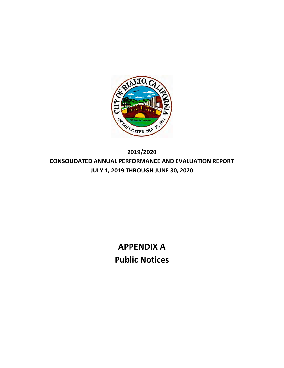

**2019/2020 CONSOLIDATED ANNUAL PERFORMANCE AND EVALUATION REPORT JULY 1, 2019 THROUGH JUNE 30, 2020**

> **APPENDIX A Public Notices**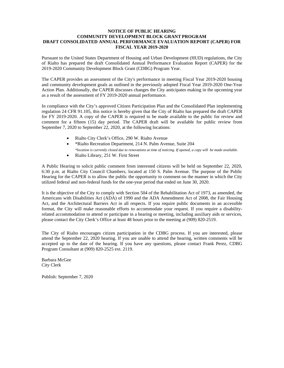#### **NOTICE OF PUBLIC HEARING COMMUNITY DEVELOPMENT BLOCK GRANT PROGRAM DRAFT CONSOLIDATED ANNUAL PERFORMANCE EVALUATION REPORT (CAPER) FOR FISCAL YEAR 2019-2020**

Pursuant to the United States Department of Housing and Urban Development (HUD) regulations, the City of Rialto has prepared the draft Consolidated Annual Performance Evaluation Report (CAPER) for the 2019-2020 Community Development Block Grant (CDBG) Program Year.

The CAPER provides an assessment of the City's performance in meeting Fiscal Year 2019-2020 housing and community development goals as outlined in the previously adopted Fiscal Year 2019-2020 One-Year Action Plan. Additionally, the CAPER discusses changes the City anticipates making in the upcoming year as a result of the assessment of FY 2019-2020 annual performance.

In compliance with the City's approved Citizen Participation Plan and the Consolidated Plan implementing regulation 24 CFR 91.105, this notice is hereby given that the City of Rialto has prepared the draft CAPER for FY 2019-2020. A copy of the CAPER is required to be made available to the public for review and comment for a fifteen (15) day period. The CAPER draft will be available for public review from September 7, 2020 to September 22, 2020, at the following locations:

- Rialto City Clerk's Office, 290 W. Rialto Avenue
- \*Rialto Recreation Department, 214 N. Palm Avenue, Suite 204 *\*location is currently closed due to renovations at time of noticing. If opened, a copy will be made available.*
- Rialto Library, 251 W. First Street

A Public Hearing to solicit public comment from interested citizens will be held on September 22, 2020, 6:30 p.m. at Rialto City Council Chambers, located at 150 S. Palm Avenue. The purpose of the Public Hearing for the CAPER is to allow the public the opportunity to comment on the manner in which the City utilized federal and non-federal funds for the one-year period that ended on June 30, 2020.

It is the objective of the City to comply with Section 504 of the Rehabilitation Act of 1973, as amended, the Americans with Disabilities Act (ADA) of 1990 and the ADA Amendment Act of 2008, the Fair Housing Act, and the Architectural Barriers Act in all respects. If you require public documents in an accessible format, the City will make reasonable efforts to accommodate your request. If you require a disabilityrelated accommodation to attend or participate in a hearing or meeting, including auxiliary aids or services, please contact the City Clerk's Office at least 48 hours prior to the meeting at (909) 820-2519.

The City of Rialto encourages citizen participation in the CDBG process. If you are interested, please attend the September 22, 2020 hearing. If you are unable to attend the hearing, written comments will be accepted up to the date of the hearing. If you have any questions, please contact Frank Perez, CDBG Program Consultant at (909) 820-2525 ext. 2119.

Barbara McGee City Clerk

Publish: September 7, 2020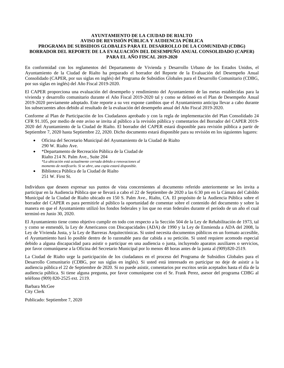#### **AYUNTAMIENTO DE LA CIUDAD DE RIALTO AVISO DE REVISIÓN PÚBLICA Y AUDIENCIA PÚBLICA PROGRAMA DE SUBSIDIOS GLOBALES PARA EL DESARROLLO DE LA COMUNIDAD (CDBG) BORRADOR DEL REPORTE DE LA EVALUACIÓN DEL DESEMPEÑO ANUAL CONSOLIDADO (CAPER) PARA EL AÑO FISCAL 2019-2020**

En conformidad con los reglamentos del Departamento de Vivienda y Desarrollo Urbano de los Estados Unidos, el Ayuntamiento de la Ciudad de Rialto ha preparado el borrador del Reporte de la Evaluación del Desempeño Anual Consolidado (CAPER, por sus siglas en inglés) del Programa de Subsidios Globales para el Desarrollo Comunitario (CDBG, por sus siglas en inglés) del Año Fiscal 2019-2020.

El CAPER proporciona una evaluación del desempeño y rendimiento del Ayuntamiento de las metas establecidas para la vivienda y desarrollo comunitario durante el Año Fiscal 2019-2020 tal y como se delineó en el Plan de Desempeño Anual 2019-2020 previamente adoptado. Este reporte a su vez expone cambios que el Ayuntamiento anticipa llevar a cabo durante los subsecuentes años debido al resultado de la evaluación del desempeño anual del Año Fiscal 2019-2020.

Conforme al Plan de Participación de los Ciudadanos aprobado y con la regla de implementación del Plan Consolidado 24 CFR 91.105, por medio de este aviso se invita al público a la revisión pública y comentarios del Borrador del CAPER 2019- 2020 del Ayuntamiento de la Ciudad de Rialto. El borrador del CAPER estará disponible para revisión pública a partir de Septiembre 7, 2020 hasta Septiembre 22, 2020. Dicho documento estará disponible para su revisión en los siguientes lugares:

- Oficina del Secretario Municipal del Ayuntamiento de la Ciudad de Rialto 290 W. Rialto Ave.
- \*Departamento de Recreación Pública de la Ciudad de Rialto 214 N. Palm Ave., Suite 204 *\*La ubicación está actualmente cerrada debido a renovaciones al momento de notificarlo. Si se abre, una copia estará disponible.*
- Biblioteca Pública de la Ciudad de Rialto 251 W. First St.

Individuos que deseen expresar sus puntos de vista concernientes al documento referido anteriormente se les invita a participar en la Audiencia Pública que se llevará a cabo el 22 de Septiembre de 2020 a las 6:30 pm en la Cámara del Cabildo Municipal de la Ciudad de Rialto ubicado en 150 S. Palm Ave., Rialto, CA. El propósito de la Audiencia Pública sobre el borrador del CAPER es para permitirle al público la oportunidad de comentar sobre el contenido del documento y sobre la manera en que el Ayuntamiento utilizó los fondos federales y los que no eran federales durante el período de un año el cual terminó en Junio 30, 2020.

El Ayuntamiento tiene como objetivo cumplir en todo con respecto a la Sección 504 de la Ley de Rehabilitación de 1973, tal y como se enmendó, la Ley de Americanos con Discapacidades (ADA) de 1990 y la Ley de Enmienda a ADA del 2008, la Ley de Vivienda Justa, y la Ley de Barreras Arquitectónicas. Si usted necesita documentos públicos en un formato accesible, el Ayuntamiento hará lo posible dentro de lo razonable para dar cabida a su petición. Si usted requiere acomodo especial debido a alguna discapacidad para asistir o participar en una audiencia o junta, incluyendo aparatos auxiliares o servicios, por favor comuníquese a la Oficina del Secretario Municipal por lo menos 48 horas antes de la junta al (909)820-2519.

La Ciudad de Rialto urge la participación de los ciudadanos en el proceso del Programa de Subsidios Globales para el Desarrollo Comunitario (CDBG, por sus siglas en inglés). Si usted está interesado en participar no deje de asistir a la audiencia pública el 22 de Septiembre de 2020. Si no puede asistir, comentarios por escritos serán aceptados hasta el día de la audiencia pública. Si tiene alguna pregunta, por favor comuníquese con el Sr. Frank Perez, asesor del programa CDBG al teléfono (909) 820-2525 ext. 2119.

Barbara McGee City Clerk

Publicado: Septiembre 7, 2020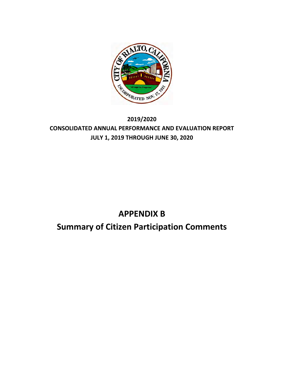

### **2019/2020 CONSOLIDATED ANNUAL PERFORMANCE AND EVALUATION REPORT JULY 1, 2019 THROUGH JUNE 30, 2020**

# **APPENDIX B**

## **Summary of Citizen Participation Comments**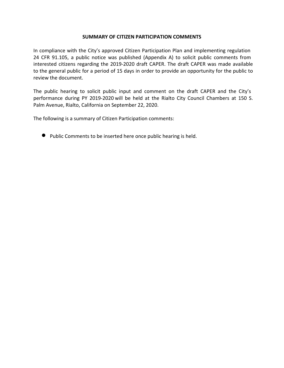## **SUMMARY OF CITIZEN PARTICIPATION COMMENTS**

In compliance with the City's approved Citizen Participation Plan and implementing regulation 24 CFR 91.105, a public notice was published (Appendix A) to solicit public comments from interested citizens regarding the 2019‐2020 draft CAPER. The draft CAPER was made available to the general public for a period of 15 days in order to provide an opportunity for the public to review the document.

The public hearing to solicit public input and comment on the draft CAPER and the City's performance during PY 2019-2020 will be held at the Rialto City Council Chambers at 150 S. Palm Avenue, Rialto, California on September 22, 2020.

The following is a summary of Citizen Participation comments:

• Public Comments to be inserted here once public hearing is held.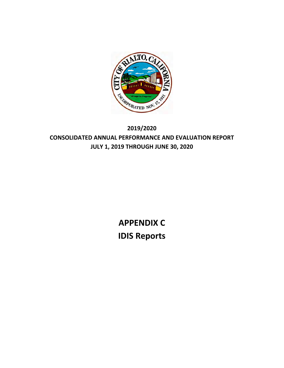

# **2019/2020 CONSOLIDATED ANNUAL PERFORMANCE AND EVALUATION REPORT JULY 1, 2019 THROUGH JUNE 30, 2020**

**APPENDIX C IDIS Reports**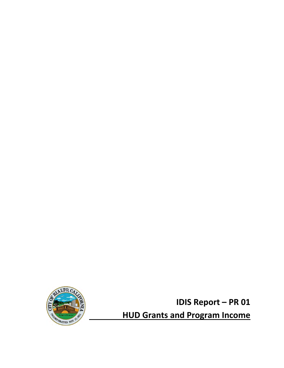

**IDIS Report – PR 01 HUD Grants and Program Income**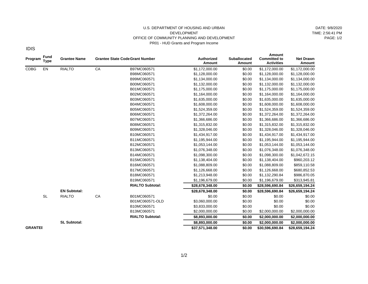#### U.S. DEPARTMENT OF HOUSING AND URBAN DEVELOPMENT OFFICE OF COMMUNITY PLANNING AND DEVELOPMENT PR01 - HUD Grants and Program Income

DATE: 9/8/2020 TIME: 2:56:41 PM PAGE: 1/2

IDIS

| Program        | <b>Fund</b><br><b>Type</b> | <b>Grantee Name</b> |    | <b>Grantee State Code Grant Number</b> | <b>Authorized</b><br>Amount | <b>Suballocated</b><br>Amount | Amount<br><b>Committed to</b><br><b>Activities</b> | <b>Net Drawn</b><br>Amount |
|----------------|----------------------------|---------------------|----|----------------------------------------|-----------------------------|-------------------------------|----------------------------------------------------|----------------------------|
| <b>CDBG</b>    | EN                         | <b>RIALTO</b>       | CA | B97MC060571                            | \$1,172,000.00              | \$0.00                        | \$1,172,000.00                                     | \$1,172,000.00             |
|                |                            |                     |    | B98MC060571                            | \$1,128,000.00              | \$0.00                        | \$1,128,000.00                                     | \$1,128,000.00             |
|                |                            |                     |    | B99MC060571                            | \$1,134,000.00              | \$0.00                        | \$1,134,000.00                                     | \$1,134,000.00             |
|                |                            |                     |    | B00MC060571                            | \$1,132,000.00              | \$0.00                        | \$1,132,000.00                                     | \$1,132,000.00             |
|                |                            |                     |    | B01MC060571                            | \$1,175,000.00              | \$0.00                        | \$1,175,000.00                                     | \$1,175,000.00             |
|                |                            |                     |    | B02MC060571                            | \$1,164,000.00              | \$0.00                        | \$1,164,000.00                                     | \$1,164,000.00             |
|                |                            |                     |    | B03MC060571                            | \$1,635,000.00              | \$0.00                        | \$1,635,000.00                                     | \$1,635,000.00             |
|                |                            |                     |    | B04MC060571                            | \$1,608,000.00              | \$0.00                        | \$1,608,000.00                                     | \$1,608,000.00             |
|                |                            |                     |    | B05MC060571                            | \$1,524,359.00              | \$0.00                        | \$1,524,359.00                                     | \$1,524,359.00             |
|                |                            |                     |    | B06MC060571                            | \$1,372,264.00              | \$0.00                        | \$1,372,264.00                                     | \$1,372,264.00             |
|                |                            |                     |    | B07MC060571                            | \$1,366,686.00              | \$0.00                        | \$1,366,686.00                                     | \$1,366,686.00             |
|                |                            |                     |    | B08MC060571                            | \$1,315,832.00              | \$0.00                        | \$1,315,832.00                                     | \$1,315,832.00             |
|                |                            |                     |    | B09MC060571                            | \$1,328,046.00              | \$0.00                        | \$1,328,046.00                                     | \$1,328,046.00             |
|                |                            |                     |    | B10MC060571                            | \$1,434,917.00              | \$0.00                        | \$1,434,917.00                                     | \$1,434,917.00             |
|                |                            |                     |    | B11MC060571                            | \$1,195,944.00              | \$0.00                        | \$1,195,944.00                                     | \$1,195,944.00             |
|                |                            |                     |    | B12MC060571                            | \$1,053,144.00              | \$0.00                        | \$1,053,144.00                                     | \$1,053,144.00             |
|                |                            |                     |    | B13MC060571                            | \$1,076,348.00              | \$0.00                        | \$1,076,348.00                                     | \$1,076,348.00             |
|                |                            |                     |    | B14MC060571                            | \$1,098,300.00              | \$0.00                        | \$1,098,300.00                                     | \$1,042,672.15             |
|                |                            |                     |    | B15MC060571                            | \$1,138,404.00              | \$0.00                        | \$1,138,404.00                                     | \$960,203.12               |
|                |                            |                     |    | B16MC060571                            | \$1,088,809.00              | \$0.00                        | \$1,088,809.00                                     | \$859,110.58               |
|                |                            |                     |    | B17MC060571                            | \$1,126,668.00              | \$0.00                        | \$1,126,668.00                                     | \$680,852.53               |
|                |                            |                     |    | B18MC060571                            | \$1,213,948.00              | \$0.00                        | \$1,132,290.84                                     | \$986,870.05               |
|                |                            |                     |    | B19MC060571                            | \$1,196,679.00              | \$0.00                        | \$1,196,679.00                                     | \$313,945.81               |
|                |                            |                     |    | <b>RIALTO Subtotal:</b>                | \$28,678,348.00             | \$0.00                        | \$28,596,690.84                                    | \$26,659,194.24            |
|                |                            | <b>EN Subtotal:</b> |    |                                        | \$28,678,348.00             | \$0.00                        | \$28,596,690.84                                    | \$26,659,194.24            |
|                | <b>SL</b>                  | <b>RIALTO</b>       | CA | B01MC060571                            | \$0.00                      | \$0.00                        | \$0.00                                             | \$0.00                     |
|                |                            |                     |    | B01MC060571-OLD                        | \$3,060,000.00              | \$0.00                        | \$0.00                                             | \$0.00                     |
|                |                            |                     |    | B10MC060571                            | \$3,833,000.00              | \$0.00                        | \$0.00                                             | \$0.00                     |
|                |                            |                     |    | B13MC060571                            | \$2,000,000.00              | \$0.00                        | \$2,000,000.00                                     | \$2,000,000.00             |
|                |                            |                     |    | <b>RIALTO Subtotal:</b>                | \$8,893,000.00              | \$0.00                        | \$2,000,000.00                                     | \$2,000,000.00             |
|                |                            | <b>SL Subtotal:</b> |    |                                        | \$8,893,000.00              | \$0.00                        | \$2,000,000.00                                     | \$2,000,000.00             |
| <b>GRANTEE</b> |                            |                     |    |                                        | \$37,571,348.00             | \$0.00                        | \$30,596,690.84                                    | \$28,659,194.24            |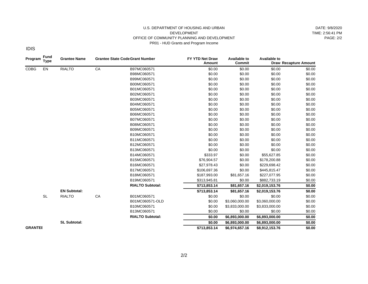#### U.S. DEPARTMENT OF HOUSING AND URBAN DEVELOPMENT OFFICE OF COMMUNITY PLANNING AND DEVELOPMENT PR01 - HUD Grants and Program Income

DATE: 9/8/2020 TIME: 2:56:41 PM PAGE: 2/2

IDIS

| Program        | <b>Fund</b><br><b>Grantee Name</b><br><b>Grantee State Code Grant Number</b><br><b>Type</b> |                     |    | FY YTD Net Draw<br>Amount | <b>Available to</b><br>Commit | <b>Available to</b> | <b>Draw Recapture Amount</b> |        |  |
|----------------|---------------------------------------------------------------------------------------------|---------------------|----|---------------------------|-------------------------------|---------------------|------------------------------|--------|--|
| <b>CDBG</b>    | EN                                                                                          | <b>RIALTO</b>       | CA | B97MC060571               | \$0.00                        | \$0.00              | \$0.00                       | \$0.00 |  |
|                |                                                                                             |                     |    | B98MC060571               | \$0.00                        | \$0.00              | \$0.00                       | \$0.00 |  |
|                |                                                                                             |                     |    | B99MC060571               | \$0.00                        | \$0.00              | \$0.00                       | \$0.00 |  |
|                |                                                                                             |                     |    | B00MC060571               | \$0.00                        | \$0.00              | \$0.00                       | \$0.00 |  |
|                |                                                                                             |                     |    | B01MC060571               | \$0.00                        | \$0.00              | \$0.00                       | \$0.00 |  |
|                |                                                                                             |                     |    | B02MC060571               | \$0.00                        | \$0.00              | \$0.00                       | \$0.00 |  |
|                |                                                                                             |                     |    | B03MC060571               | \$0.00                        | \$0.00              | \$0.00                       | \$0.00 |  |
|                |                                                                                             |                     |    | B04MC060571               | \$0.00                        | \$0.00              | \$0.00                       | \$0.00 |  |
|                |                                                                                             |                     |    | B05MC060571               | \$0.00                        | \$0.00              | \$0.00                       | \$0.00 |  |
|                |                                                                                             |                     |    | B06MC060571               | \$0.00                        | \$0.00              | \$0.00                       | \$0.00 |  |
|                |                                                                                             |                     |    | B07MC060571               | \$0.00                        | \$0.00              | \$0.00                       | \$0.00 |  |
|                |                                                                                             |                     |    | B08MC060571               | \$0.00                        | \$0.00              | \$0.00                       | \$0.00 |  |
|                |                                                                                             |                     |    | B09MC060571               | \$0.00                        | \$0.00              | \$0.00                       | \$0.00 |  |
|                |                                                                                             |                     |    | B10MC060571               | \$0.00                        | \$0.00              | \$0.00                       | \$0.00 |  |
|                |                                                                                             |                     |    | B11MC060571               | \$0.00                        | \$0.00              | \$0.00                       | \$0.00 |  |
|                |                                                                                             |                     |    | B12MC060571               | \$0.00                        | \$0.00              | \$0.00                       | \$0.00 |  |
|                |                                                                                             |                     |    | B13MC060571               | \$0.00                        | \$0.00              | \$0.00                       | \$0.00 |  |
|                |                                                                                             |                     |    | B14MC060571               | \$333.97                      | \$0.00              | \$55,627.85                  | \$0.00 |  |
|                |                                                                                             |                     |    | B15MC060571               | \$76,904.57                   | \$0.00              | \$178,200.88                 | \$0.00 |  |
|                |                                                                                             |                     |    | B16MC060571               | \$27,978.43                   | \$0.00              | \$229,698.42                 | \$0.00 |  |
|                |                                                                                             |                     |    | B17MC060571               | \$106,697.36                  | \$0.00              | \$445,815.47                 | \$0.00 |  |
|                |                                                                                             |                     |    | B18MC060571               | \$187,993.00                  | \$81,657.16         | \$227,077.95                 | \$0.00 |  |
|                |                                                                                             |                     |    | B19MC060571               | \$313,945.81                  | \$0.00              | \$882,733.19                 | \$0.00 |  |
|                |                                                                                             |                     |    | <b>RIALTO Subtotal:</b>   | \$713,853.14                  | \$81,657.16         | \$2,019,153.76               | \$0.00 |  |
|                |                                                                                             | <b>EN Subtotal:</b> |    |                           | \$713,853.14                  | \$81,657.16         | \$2,019,153.76               | \$0.00 |  |
|                | <b>SL</b>                                                                                   | <b>RIALTO</b>       | CA | B01MC060571               | \$0.00                        | \$0.00              | \$0.00                       | \$0.00 |  |
|                |                                                                                             |                     |    | B01MC060571-OLD           | \$0.00                        | \$3,060,000.00      | \$3,060,000.00               | \$0.00 |  |
|                |                                                                                             |                     |    | B10MC060571               | \$0.00                        | \$3,833,000.00      | \$3,833,000.00               | \$0.00 |  |
|                |                                                                                             |                     |    | B13MC060571               | \$0.00                        | \$0.00              | \$0.00                       | \$0.00 |  |
|                |                                                                                             |                     |    | <b>RIALTO Subtotal:</b>   | \$0.00                        | \$6,893,000.00      | \$6,893,000.00               | \$0.00 |  |
|                |                                                                                             | <b>SL Subtotal:</b> |    |                           | \$0.00                        | \$6,893,000.00      | \$6,893,000.00               | \$0.00 |  |
| <b>GRANTEE</b> |                                                                                             |                     |    |                           | \$713,853.14                  | \$6,974,657.16      | \$8,912,153.76               | \$0.00 |  |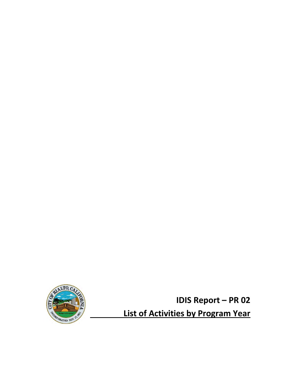

**IDIS Report – PR 02 List of Activities by Program Year**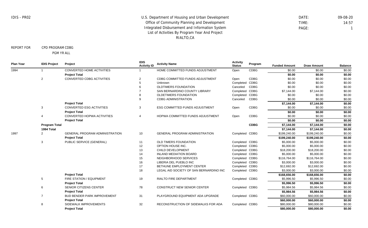DATE: 09-08-20 TIME: 14:57 PAGE: 1

REPORT FOR CPD PROGRAM CDBG

PGM YR ALL

| CONVERTED HOME ACTIVITIES<br><b>CDBG</b><br>HOME COMMITTED FUNDS ADJUSTMENT<br>\$0.00<br>1994<br>\$0.00<br>\$0.00<br>Open<br><b>Project Total</b><br>\$0.00<br>\$0.00<br>\$0.00<br>\$0.00<br>2<br>CONVERTED CDBG ACTIVITIES<br><b>CDBG</b><br>\$0.00<br>\$0.00<br>2<br>CDBG COMMITTED FUNDS ADJUSTMENT<br>Open<br>Completed CDBG<br>\$0.00<br>\$0.00<br>\$0.00<br>Unknown<br>5<br><b>OLDTIMERS FOUNDATION</b><br><b>CDBG</b><br>\$0.00<br>\$0.00<br>\$0.00<br>Canceled<br>Completed CDBG<br>\$0.00<br>SAN BERNARDINO COUNTY LIBRARY<br>\$7,144.00<br>\$7,144.00<br>CDBG<br>\$0.00<br><b>OLDETIMERS FOUNDATION</b><br>Completed<br>\$0.00<br>\$0.00<br><b>CDBG</b><br><b>CDBG ADMINISTRATION</b><br>Canceled<br>\$0.00<br>\$0.00<br>\$0.00<br>9<br><b>Project Total</b><br>\$7,144.00<br>\$7,144.00<br>\$0.00<br><b>CDBG</b><br>\$0.00<br>\$0.00<br>\$0.00<br>3<br>CONVERTED ESG ACTIVITIES<br>3<br>ESG COMMITTED FUNDS ADJUSTMENT<br>Open<br>\$0.00<br><b>Project Total</b><br>\$0.00<br>\$0.00<br>CONVERTED HOPWA ACTIVITIES<br><b>CDBG</b><br>\$0.00<br>\$0.00<br>HOPWA COMMITTED FUNDS ADJUSTMENT<br>\$0.00<br>$\overline{4}$<br>4<br>Open<br>\$0.00<br>\$0.00<br>\$0.00<br><b>Project Total</b><br><b>CDBG</b><br><b>Program Total</b><br>\$7,144.00<br>\$7,144.00<br>\$0.00<br>1994 Total<br>\$7,144.00<br>\$7,144.00<br>\$0.00<br>\$199,240.00<br>\$0.00<br>1997<br>2<br><b>GENERAL PROGRAM ADMINISTRATION</b><br>10<br>GENERAL PROGRAM ADMINISTRATION<br>Completed CDBG<br>\$199,240.00<br>\$0.00<br><b>Project Total</b><br>\$199,240.00<br>\$199,240.00<br>\$0.00<br>PUBLIC SERVICE (GENERAL)<br>OLD TIMERS FOUNDATION<br>Completed CDBG<br>\$5,000.00<br>3<br>\$5,000.00<br>11<br>Completed CDBG<br>\$5,000.00<br>\$0.00<br>12<br>OPTION HOUSE INC.<br>\$5,000.00<br>Completed CDBG<br>\$0.00<br>13<br>CHILD DEVELOPMENT<br>\$18,200.00<br>\$18,200.00<br>\$0.00<br><b>INLAND MEDIATION BOARD</b><br>Completed CDBG<br>\$5,000.00<br>\$5,000.00<br>14<br>Completed CDBG<br>\$116,764.00<br>\$0.00<br>15<br>NEIGHBORHOOD SERVICES<br>\$116,764.00<br>16<br>Completed CDBG<br>\$3,000.00<br>\$0.00<br>LIBERIA DEL PUEBLO INC<br>\$3,000.00<br>\$0.00<br>17<br>BETHUNE EMPLOYMENT CENTER<br>Completed CDBG<br>\$12,692.00<br>\$12,692.00<br>18<br>LEGAL AID SOCIETY OF SAN BERNARDINO INC<br>Completed CDBG<br>\$3,000.00<br>\$3,000.00<br>\$0.00<br><b>Project Total</b><br>\$0.00<br>\$168,656.00<br>\$168,656.00<br>5<br>FIRE STATION / EQUIPMENT<br>19<br><b>RIALTO FIRE DEPARTMENT</b><br>Completed CDBG<br>\$5,996.50<br>\$5,996.50<br>\$0.00<br>\$5,996.50<br>\$0.00<br><b>Project Total</b><br>\$5,996.50<br>SENIOR CITIZENS CENTER<br>78<br><b>CONSTRUCT NEW SENIOR CENTER</b><br>Completed CDBG<br>\$5,984.56<br>\$5,984.56<br>\$0.00<br>6<br>\$5,984.56<br>\$5,984.56<br>\$0.00<br><b>Project Total</b><br><b>BUD BENDER PARK IMPROVEMENT</b><br>31<br>PLAYGROUND EQUIPMENT ADA UPGRADE<br>Completed CDBG<br>\$60,000.00<br>\$60,000.00<br>\$0.00<br>$\overline{7}$<br><b>Project Total</b><br>\$0.00<br>\$60,000.00<br>\$60,000.00<br>8<br>SIDEWALK IMPROVEMENTS<br>32<br>RECONSTRUCTION OF SIDEWALKS FOR ADA<br>Completed CDBG<br>\$80,000.00<br>\$80,000.00<br>\$0.00<br><b>Project Total</b><br>\$80,000.00<br>\$80,000.00<br>\$0.00 | <b>Plan Year</b> | <b>IDIS Project</b> | Project | <b>IDIS</b><br><b>Activity ID</b> | <b>Activity Name</b> | <b>Activity</b><br><b>Status</b> | Program | <b>Funded Amount</b> | <b>Draw Amount</b> | <b>Balance</b> |
|------------------------------------------------------------------------------------------------------------------------------------------------------------------------------------------------------------------------------------------------------------------------------------------------------------------------------------------------------------------------------------------------------------------------------------------------------------------------------------------------------------------------------------------------------------------------------------------------------------------------------------------------------------------------------------------------------------------------------------------------------------------------------------------------------------------------------------------------------------------------------------------------------------------------------------------------------------------------------------------------------------------------------------------------------------------------------------------------------------------------------------------------------------------------------------------------------------------------------------------------------------------------------------------------------------------------------------------------------------------------------------------------------------------------------------------------------------------------------------------------------------------------------------------------------------------------------------------------------------------------------------------------------------------------------------------------------------------------------------------------------------------------------------------------------------------------------------------------------------------------------------------------------------------------------------------------------------------------------------------------------------------------------------------------------------------------------------------------------------------------------------------------------------------------------------------------------------------------------------------------------------------------------------------------------------------------------------------------------------------------------------------------------------------------------------------------------------------------------------------------------------------------------------------------------------------------------------------------------------------------------------------------------------------------------------------------------------------------------------------------------------------------------------------------------------------------------------------------------------------------------------------------------------------------------------------------------------------------------------------------------------------------------------------------------------------------------------------------------------------------------------------------------------------------------------------------------------------------------------------------------------|------------------|---------------------|---------|-----------------------------------|----------------------|----------------------------------|---------|----------------------|--------------------|----------------|
|                                                                                                                                                                                                                                                                                                                                                                                                                                                                                                                                                                                                                                                                                                                                                                                                                                                                                                                                                                                                                                                                                                                                                                                                                                                                                                                                                                                                                                                                                                                                                                                                                                                                                                                                                                                                                                                                                                                                                                                                                                                                                                                                                                                                                                                                                                                                                                                                                                                                                                                                                                                                                                                                                                                                                                                                                                                                                                                                                                                                                                                                                                                                                                                                                                                            |                  |                     |         |                                   |                      |                                  |         |                      |                    |                |
|                                                                                                                                                                                                                                                                                                                                                                                                                                                                                                                                                                                                                                                                                                                                                                                                                                                                                                                                                                                                                                                                                                                                                                                                                                                                                                                                                                                                                                                                                                                                                                                                                                                                                                                                                                                                                                                                                                                                                                                                                                                                                                                                                                                                                                                                                                                                                                                                                                                                                                                                                                                                                                                                                                                                                                                                                                                                                                                                                                                                                                                                                                                                                                                                                                                            |                  |                     |         |                                   |                      |                                  |         |                      |                    |                |
|                                                                                                                                                                                                                                                                                                                                                                                                                                                                                                                                                                                                                                                                                                                                                                                                                                                                                                                                                                                                                                                                                                                                                                                                                                                                                                                                                                                                                                                                                                                                                                                                                                                                                                                                                                                                                                                                                                                                                                                                                                                                                                                                                                                                                                                                                                                                                                                                                                                                                                                                                                                                                                                                                                                                                                                                                                                                                                                                                                                                                                                                                                                                                                                                                                                            |                  |                     |         |                                   |                      |                                  |         |                      |                    |                |
|                                                                                                                                                                                                                                                                                                                                                                                                                                                                                                                                                                                                                                                                                                                                                                                                                                                                                                                                                                                                                                                                                                                                                                                                                                                                                                                                                                                                                                                                                                                                                                                                                                                                                                                                                                                                                                                                                                                                                                                                                                                                                                                                                                                                                                                                                                                                                                                                                                                                                                                                                                                                                                                                                                                                                                                                                                                                                                                                                                                                                                                                                                                                                                                                                                                            |                  |                     |         |                                   |                      |                                  |         |                      |                    |                |
|                                                                                                                                                                                                                                                                                                                                                                                                                                                                                                                                                                                                                                                                                                                                                                                                                                                                                                                                                                                                                                                                                                                                                                                                                                                                                                                                                                                                                                                                                                                                                                                                                                                                                                                                                                                                                                                                                                                                                                                                                                                                                                                                                                                                                                                                                                                                                                                                                                                                                                                                                                                                                                                                                                                                                                                                                                                                                                                                                                                                                                                                                                                                                                                                                                                            |                  |                     |         |                                   |                      |                                  |         |                      |                    |                |
|                                                                                                                                                                                                                                                                                                                                                                                                                                                                                                                                                                                                                                                                                                                                                                                                                                                                                                                                                                                                                                                                                                                                                                                                                                                                                                                                                                                                                                                                                                                                                                                                                                                                                                                                                                                                                                                                                                                                                                                                                                                                                                                                                                                                                                                                                                                                                                                                                                                                                                                                                                                                                                                                                                                                                                                                                                                                                                                                                                                                                                                                                                                                                                                                                                                            |                  |                     |         |                                   |                      |                                  |         |                      |                    |                |
|                                                                                                                                                                                                                                                                                                                                                                                                                                                                                                                                                                                                                                                                                                                                                                                                                                                                                                                                                                                                                                                                                                                                                                                                                                                                                                                                                                                                                                                                                                                                                                                                                                                                                                                                                                                                                                                                                                                                                                                                                                                                                                                                                                                                                                                                                                                                                                                                                                                                                                                                                                                                                                                                                                                                                                                                                                                                                                                                                                                                                                                                                                                                                                                                                                                            |                  |                     |         |                                   |                      |                                  |         |                      |                    |                |
|                                                                                                                                                                                                                                                                                                                                                                                                                                                                                                                                                                                                                                                                                                                                                                                                                                                                                                                                                                                                                                                                                                                                                                                                                                                                                                                                                                                                                                                                                                                                                                                                                                                                                                                                                                                                                                                                                                                                                                                                                                                                                                                                                                                                                                                                                                                                                                                                                                                                                                                                                                                                                                                                                                                                                                                                                                                                                                                                                                                                                                                                                                                                                                                                                                                            |                  |                     |         |                                   |                      |                                  |         |                      |                    |                |
|                                                                                                                                                                                                                                                                                                                                                                                                                                                                                                                                                                                                                                                                                                                                                                                                                                                                                                                                                                                                                                                                                                                                                                                                                                                                                                                                                                                                                                                                                                                                                                                                                                                                                                                                                                                                                                                                                                                                                                                                                                                                                                                                                                                                                                                                                                                                                                                                                                                                                                                                                                                                                                                                                                                                                                                                                                                                                                                                                                                                                                                                                                                                                                                                                                                            |                  |                     |         |                                   |                      |                                  |         |                      |                    |                |
|                                                                                                                                                                                                                                                                                                                                                                                                                                                                                                                                                                                                                                                                                                                                                                                                                                                                                                                                                                                                                                                                                                                                                                                                                                                                                                                                                                                                                                                                                                                                                                                                                                                                                                                                                                                                                                                                                                                                                                                                                                                                                                                                                                                                                                                                                                                                                                                                                                                                                                                                                                                                                                                                                                                                                                                                                                                                                                                                                                                                                                                                                                                                                                                                                                                            |                  |                     |         |                                   |                      |                                  |         |                      |                    |                |
|                                                                                                                                                                                                                                                                                                                                                                                                                                                                                                                                                                                                                                                                                                                                                                                                                                                                                                                                                                                                                                                                                                                                                                                                                                                                                                                                                                                                                                                                                                                                                                                                                                                                                                                                                                                                                                                                                                                                                                                                                                                                                                                                                                                                                                                                                                                                                                                                                                                                                                                                                                                                                                                                                                                                                                                                                                                                                                                                                                                                                                                                                                                                                                                                                                                            |                  |                     |         |                                   |                      |                                  |         |                      |                    |                |
|                                                                                                                                                                                                                                                                                                                                                                                                                                                                                                                                                                                                                                                                                                                                                                                                                                                                                                                                                                                                                                                                                                                                                                                                                                                                                                                                                                                                                                                                                                                                                                                                                                                                                                                                                                                                                                                                                                                                                                                                                                                                                                                                                                                                                                                                                                                                                                                                                                                                                                                                                                                                                                                                                                                                                                                                                                                                                                                                                                                                                                                                                                                                                                                                                                                            |                  |                     |         |                                   |                      |                                  |         |                      |                    |                |
|                                                                                                                                                                                                                                                                                                                                                                                                                                                                                                                                                                                                                                                                                                                                                                                                                                                                                                                                                                                                                                                                                                                                                                                                                                                                                                                                                                                                                                                                                                                                                                                                                                                                                                                                                                                                                                                                                                                                                                                                                                                                                                                                                                                                                                                                                                                                                                                                                                                                                                                                                                                                                                                                                                                                                                                                                                                                                                                                                                                                                                                                                                                                                                                                                                                            |                  |                     |         |                                   |                      |                                  |         |                      |                    |                |
|                                                                                                                                                                                                                                                                                                                                                                                                                                                                                                                                                                                                                                                                                                                                                                                                                                                                                                                                                                                                                                                                                                                                                                                                                                                                                                                                                                                                                                                                                                                                                                                                                                                                                                                                                                                                                                                                                                                                                                                                                                                                                                                                                                                                                                                                                                                                                                                                                                                                                                                                                                                                                                                                                                                                                                                                                                                                                                                                                                                                                                                                                                                                                                                                                                                            |                  |                     |         |                                   |                      |                                  |         |                      |                    |                |
|                                                                                                                                                                                                                                                                                                                                                                                                                                                                                                                                                                                                                                                                                                                                                                                                                                                                                                                                                                                                                                                                                                                                                                                                                                                                                                                                                                                                                                                                                                                                                                                                                                                                                                                                                                                                                                                                                                                                                                                                                                                                                                                                                                                                                                                                                                                                                                                                                                                                                                                                                                                                                                                                                                                                                                                                                                                                                                                                                                                                                                                                                                                                                                                                                                                            |                  |                     |         |                                   |                      |                                  |         |                      |                    |                |
|                                                                                                                                                                                                                                                                                                                                                                                                                                                                                                                                                                                                                                                                                                                                                                                                                                                                                                                                                                                                                                                                                                                                                                                                                                                                                                                                                                                                                                                                                                                                                                                                                                                                                                                                                                                                                                                                                                                                                                                                                                                                                                                                                                                                                                                                                                                                                                                                                                                                                                                                                                                                                                                                                                                                                                                                                                                                                                                                                                                                                                                                                                                                                                                                                                                            |                  |                     |         |                                   |                      |                                  |         |                      |                    |                |
|                                                                                                                                                                                                                                                                                                                                                                                                                                                                                                                                                                                                                                                                                                                                                                                                                                                                                                                                                                                                                                                                                                                                                                                                                                                                                                                                                                                                                                                                                                                                                                                                                                                                                                                                                                                                                                                                                                                                                                                                                                                                                                                                                                                                                                                                                                                                                                                                                                                                                                                                                                                                                                                                                                                                                                                                                                                                                                                                                                                                                                                                                                                                                                                                                                                            |                  |                     |         |                                   |                      |                                  |         |                      |                    |                |
|                                                                                                                                                                                                                                                                                                                                                                                                                                                                                                                                                                                                                                                                                                                                                                                                                                                                                                                                                                                                                                                                                                                                                                                                                                                                                                                                                                                                                                                                                                                                                                                                                                                                                                                                                                                                                                                                                                                                                                                                                                                                                                                                                                                                                                                                                                                                                                                                                                                                                                                                                                                                                                                                                                                                                                                                                                                                                                                                                                                                                                                                                                                                                                                                                                                            |                  |                     |         |                                   |                      |                                  |         |                      |                    |                |
|                                                                                                                                                                                                                                                                                                                                                                                                                                                                                                                                                                                                                                                                                                                                                                                                                                                                                                                                                                                                                                                                                                                                                                                                                                                                                                                                                                                                                                                                                                                                                                                                                                                                                                                                                                                                                                                                                                                                                                                                                                                                                                                                                                                                                                                                                                                                                                                                                                                                                                                                                                                                                                                                                                                                                                                                                                                                                                                                                                                                                                                                                                                                                                                                                                                            |                  |                     |         |                                   |                      |                                  |         |                      |                    |                |
|                                                                                                                                                                                                                                                                                                                                                                                                                                                                                                                                                                                                                                                                                                                                                                                                                                                                                                                                                                                                                                                                                                                                                                                                                                                                                                                                                                                                                                                                                                                                                                                                                                                                                                                                                                                                                                                                                                                                                                                                                                                                                                                                                                                                                                                                                                                                                                                                                                                                                                                                                                                                                                                                                                                                                                                                                                                                                                                                                                                                                                                                                                                                                                                                                                                            |                  |                     |         |                                   |                      |                                  |         |                      |                    |                |
|                                                                                                                                                                                                                                                                                                                                                                                                                                                                                                                                                                                                                                                                                                                                                                                                                                                                                                                                                                                                                                                                                                                                                                                                                                                                                                                                                                                                                                                                                                                                                                                                                                                                                                                                                                                                                                                                                                                                                                                                                                                                                                                                                                                                                                                                                                                                                                                                                                                                                                                                                                                                                                                                                                                                                                                                                                                                                                                                                                                                                                                                                                                                                                                                                                                            |                  |                     |         |                                   |                      |                                  |         |                      |                    |                |
|                                                                                                                                                                                                                                                                                                                                                                                                                                                                                                                                                                                                                                                                                                                                                                                                                                                                                                                                                                                                                                                                                                                                                                                                                                                                                                                                                                                                                                                                                                                                                                                                                                                                                                                                                                                                                                                                                                                                                                                                                                                                                                                                                                                                                                                                                                                                                                                                                                                                                                                                                                                                                                                                                                                                                                                                                                                                                                                                                                                                                                                                                                                                                                                                                                                            |                  |                     |         |                                   |                      |                                  |         |                      |                    |                |
|                                                                                                                                                                                                                                                                                                                                                                                                                                                                                                                                                                                                                                                                                                                                                                                                                                                                                                                                                                                                                                                                                                                                                                                                                                                                                                                                                                                                                                                                                                                                                                                                                                                                                                                                                                                                                                                                                                                                                                                                                                                                                                                                                                                                                                                                                                                                                                                                                                                                                                                                                                                                                                                                                                                                                                                                                                                                                                                                                                                                                                                                                                                                                                                                                                                            |                  |                     |         |                                   |                      |                                  |         |                      |                    |                |
|                                                                                                                                                                                                                                                                                                                                                                                                                                                                                                                                                                                                                                                                                                                                                                                                                                                                                                                                                                                                                                                                                                                                                                                                                                                                                                                                                                                                                                                                                                                                                                                                                                                                                                                                                                                                                                                                                                                                                                                                                                                                                                                                                                                                                                                                                                                                                                                                                                                                                                                                                                                                                                                                                                                                                                                                                                                                                                                                                                                                                                                                                                                                                                                                                                                            |                  |                     |         |                                   |                      |                                  |         |                      |                    |                |
|                                                                                                                                                                                                                                                                                                                                                                                                                                                                                                                                                                                                                                                                                                                                                                                                                                                                                                                                                                                                                                                                                                                                                                                                                                                                                                                                                                                                                                                                                                                                                                                                                                                                                                                                                                                                                                                                                                                                                                                                                                                                                                                                                                                                                                                                                                                                                                                                                                                                                                                                                                                                                                                                                                                                                                                                                                                                                                                                                                                                                                                                                                                                                                                                                                                            |                  |                     |         |                                   |                      |                                  |         |                      |                    |                |
|                                                                                                                                                                                                                                                                                                                                                                                                                                                                                                                                                                                                                                                                                                                                                                                                                                                                                                                                                                                                                                                                                                                                                                                                                                                                                                                                                                                                                                                                                                                                                                                                                                                                                                                                                                                                                                                                                                                                                                                                                                                                                                                                                                                                                                                                                                                                                                                                                                                                                                                                                                                                                                                                                                                                                                                                                                                                                                                                                                                                                                                                                                                                                                                                                                                            |                  |                     |         |                                   |                      |                                  |         |                      |                    |                |
|                                                                                                                                                                                                                                                                                                                                                                                                                                                                                                                                                                                                                                                                                                                                                                                                                                                                                                                                                                                                                                                                                                                                                                                                                                                                                                                                                                                                                                                                                                                                                                                                                                                                                                                                                                                                                                                                                                                                                                                                                                                                                                                                                                                                                                                                                                                                                                                                                                                                                                                                                                                                                                                                                                                                                                                                                                                                                                                                                                                                                                                                                                                                                                                                                                                            |                  |                     |         |                                   |                      |                                  |         |                      |                    |                |
|                                                                                                                                                                                                                                                                                                                                                                                                                                                                                                                                                                                                                                                                                                                                                                                                                                                                                                                                                                                                                                                                                                                                                                                                                                                                                                                                                                                                                                                                                                                                                                                                                                                                                                                                                                                                                                                                                                                                                                                                                                                                                                                                                                                                                                                                                                                                                                                                                                                                                                                                                                                                                                                                                                                                                                                                                                                                                                                                                                                                                                                                                                                                                                                                                                                            |                  |                     |         |                                   |                      |                                  |         |                      |                    |                |
|                                                                                                                                                                                                                                                                                                                                                                                                                                                                                                                                                                                                                                                                                                                                                                                                                                                                                                                                                                                                                                                                                                                                                                                                                                                                                                                                                                                                                                                                                                                                                                                                                                                                                                                                                                                                                                                                                                                                                                                                                                                                                                                                                                                                                                                                                                                                                                                                                                                                                                                                                                                                                                                                                                                                                                                                                                                                                                                                                                                                                                                                                                                                                                                                                                                            |                  |                     |         |                                   |                      |                                  |         |                      |                    |                |
|                                                                                                                                                                                                                                                                                                                                                                                                                                                                                                                                                                                                                                                                                                                                                                                                                                                                                                                                                                                                                                                                                                                                                                                                                                                                                                                                                                                                                                                                                                                                                                                                                                                                                                                                                                                                                                                                                                                                                                                                                                                                                                                                                                                                                                                                                                                                                                                                                                                                                                                                                                                                                                                                                                                                                                                                                                                                                                                                                                                                                                                                                                                                                                                                                                                            |                  |                     |         |                                   |                      |                                  |         |                      |                    |                |
|                                                                                                                                                                                                                                                                                                                                                                                                                                                                                                                                                                                                                                                                                                                                                                                                                                                                                                                                                                                                                                                                                                                                                                                                                                                                                                                                                                                                                                                                                                                                                                                                                                                                                                                                                                                                                                                                                                                                                                                                                                                                                                                                                                                                                                                                                                                                                                                                                                                                                                                                                                                                                                                                                                                                                                                                                                                                                                                                                                                                                                                                                                                                                                                                                                                            |                  |                     |         |                                   |                      |                                  |         |                      |                    |                |
|                                                                                                                                                                                                                                                                                                                                                                                                                                                                                                                                                                                                                                                                                                                                                                                                                                                                                                                                                                                                                                                                                                                                                                                                                                                                                                                                                                                                                                                                                                                                                                                                                                                                                                                                                                                                                                                                                                                                                                                                                                                                                                                                                                                                                                                                                                                                                                                                                                                                                                                                                                                                                                                                                                                                                                                                                                                                                                                                                                                                                                                                                                                                                                                                                                                            |                  |                     |         |                                   |                      |                                  |         |                      |                    |                |
|                                                                                                                                                                                                                                                                                                                                                                                                                                                                                                                                                                                                                                                                                                                                                                                                                                                                                                                                                                                                                                                                                                                                                                                                                                                                                                                                                                                                                                                                                                                                                                                                                                                                                                                                                                                                                                                                                                                                                                                                                                                                                                                                                                                                                                                                                                                                                                                                                                                                                                                                                                                                                                                                                                                                                                                                                                                                                                                                                                                                                                                                                                                                                                                                                                                            |                  |                     |         |                                   |                      |                                  |         |                      |                    |                |
|                                                                                                                                                                                                                                                                                                                                                                                                                                                                                                                                                                                                                                                                                                                                                                                                                                                                                                                                                                                                                                                                                                                                                                                                                                                                                                                                                                                                                                                                                                                                                                                                                                                                                                                                                                                                                                                                                                                                                                                                                                                                                                                                                                                                                                                                                                                                                                                                                                                                                                                                                                                                                                                                                                                                                                                                                                                                                                                                                                                                                                                                                                                                                                                                                                                            |                  |                     |         |                                   |                      |                                  |         |                      |                    |                |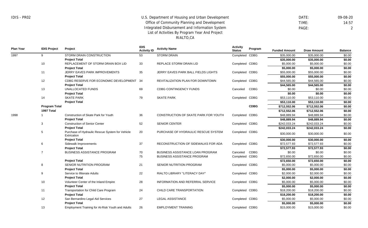DATE: 09-08-20 TIME: 14:57 PAGE: 2

\$15,000.00 \$15,000.00 \$0.00

**Plan Year IDIS Project Project IDIS Activity ID Activity Name Activity Status Program** Metrics **Funded Amount Draw Amount Balance** 1997 1998 9 10 11 12 13 14 **Program Total 1997 Total** 1 3 5 6 7 8 9 10 11 12 STORM DRAIN CONSTRUCTION **Project Total** REPLACEMENT OF STORM DRAIN BOX LID **Project Total** JERRY EAVES PARK IMPROVEMENTS **Project Total** CDBG RESERVE FOR ECONOMIC DEVELOPMENT 34 **Project Total** UNALLOCATED FUNDS **Project Total** SKATE PARK **Project Total** Construction of Skate Park for Youth **Project Total** Construction of Senior Center **Project Total** Purchase of Hydraulic Rescue System for Vehicle **Extrication Project Total** Sidewalk Improvements **Project Total** BUSINESS ASSISTANCE PROGRAM **Project Total** SENIOR NUTRITION PROGRAM **Project Total** Service to Illiterate Adults **Project Total** Volunteer Center of the Inland Empire **Project Total** Transportation for Child Care Program **Project Total** San Bernardino Legal Aid Services **Project Total** 53 33 35 69 79 36 52 20 37 70 75 21 22 28 24 27 STORM DRAIN REPLACE STORM DRAIN LID JERRY EAVES PARK BALL FIELDS LIGHTS REVITALIZATION PLAN FOR DOWNTOWN CDBG CONTINGENCY FUNDS SKATE PARK CONSTRUCTION OF SKATE PARK FOR YOUTH SENIOR CENTER PURCHASE OF HYDRAULIC RESCUE SYSTEM RECONSTRUCTION OF SIDEWALKS FOR ADA BUSINESS ASSISTANCE LOAN PROGRAM BUSINESS ASSISTANCE PROGRAM SENIOR NUTRITION PROGRAM RIALTO LIBRARY "LITERACY DAY" INFORMATION AND REFERRAL SERVICE CHILD CARE TRANSPORTATION LEGAL ASSISTANCE Completed CDBG Completed CDBG Completed CDBG Completed CDBG Canceled Completed CDBG Completed CDBG Completed CDBG Completed CDBG Completed CDBG Canceled Completed CDBG Completed CDBG Completed CDBG Completed CDBG Completed CDBG Completed CDBG CDBG **CDBG** CDBG \$35,000.00 \$35,000.00 \$0.00 **\$35,000.00 \$35,000.00 \$0.00** \$5,000.00 \$5,000.00 \$0.00 **\$5,000.00 \$5,000.00 \$0.00** \$55,000.00 \$55,000.00 \$0.00 **\$55,000.00 \$55,000.00 \$0.00** \$44,565.00 \$44,565.00 \$0.00 **\$44,565.00 \$44,565.00 \$0.00** \$0.00 \$0.00 \$0.00 **\$0.00 \$0.00 \$0.00** \$53,110.00 \$53,110.00 \$0.00 **\$53,110.00 \$53,110.00 \$0.00 \$712,552.06 \$712,552.06 \$0.00 \$712,552.06 \$712,552.06 \$0.00** \$48,889.94 \$48,889.94 \$0.00 **\$48,889.94 \$48,889.94 \$0.00** \$242,033.24 \$242,033.24 \$0.00 **\$242,033.24 \$242,033.24 \$0.00**  $$30,000.00$   $$30,000.00$   $$0.00$ **\$30,000.00 \$30,000.00 \$0.00** \$72,577.93 \$72,577.93 \$0.00 **\$72,577.93 \$72,577.93 \$0.00** \$0.00 \$0.00 \$0.00 \$72,650.00 \$72,650.00 \$0.00 **\$72,650.00 \$72,650.00 \$0.00** \$5,000.00 \$5,000.00 \$0.00 **\$5,000.00 \$5,000.00 \$0.00** \$2,000.00 \$2,000.00 \$0.00 **\$2,000.00 \$2,000.00 \$0.00** \$5,000.00 \$5,000.00 \$0.00 **\$5,000.00 \$5,000.00 \$0.00** \$18,200.00 \$18,200.00 \$0.00 **\$18,200.00 \$18,200.00 \$0.00** \$5,000.00 \$5,000.00 \$0.00 **\$5,000.00 \$5,000.00 \$0.00**

EMPLOYMENT TRAINING

Completed CDBG

13

Employment Training for At-Risk Youth and Adults

26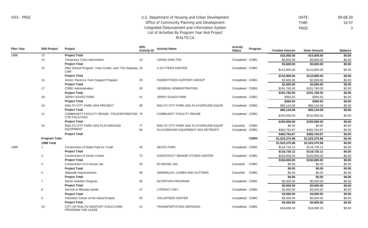PROGRAM VAN LEASE

## U.S. Department of Housing and Urban Development Office of Community Planning and Development Integrated Disbursement and Information System List of Activities By Program Year And Project RIALTO,CA

 DATE: 09-08-20 TIME: 14:57 PAGE: 3

| <b>Plan Year</b> | <b>IDIS Project</b>  | Project                                                                | <b>IDIS</b><br><b>Activity ID</b> | <b>Activity Name</b>                   | <b>Activity</b><br><b>Status</b> | Program     | <b>Funded Amount</b> | <b>Draw Amount</b> | <b>Balance</b> |
|------------------|----------------------|------------------------------------------------------------------------|-----------------------------------|----------------------------------------|----------------------------------|-------------|----------------------|--------------------|----------------|
| 1998             | 13                   | <b>Project Total</b>                                                   |                                   |                                        |                                  |             | \$15,000.00          | \$15,000.00        | \$0.00         |
|                  | 14                   | Temporary Crisis Intervention                                          | 23                                | <b>CRISIS SHELTER</b>                  | Completed CDBG                   |             | \$5,600.00           | \$5,600.00         | \$0.00         |
|                  |                      | <b>Project Total</b>                                                   |                                   |                                        |                                  |             | \$5,600.00           | \$5,600.00         | \$0.00         |
|                  | 15                   | After School Program, Teen Center, and "The Getaway 25<br>Cafe"        |                                   | A.S.P./TEEN CENTER                     | Completed CDBG                   |             | \$110,800.00         | \$110,800.00       | \$0.00         |
|                  |                      | <b>Project Total</b>                                                   |                                   |                                        |                                  |             | \$110,800.00         | \$110,800.00       | \$0.00         |
|                  | 16                   | Action: Parent & Teen Support Program                                  | 29                                | PARENT/TEEN SUPPORT GROUP              | Completed CDBG                   |             | \$2,600.00           | \$2,600.00         | \$0.00         |
|                  |                      | <b>Project Total</b>                                                   |                                   |                                        |                                  |             | \$2,600.00           | \$2,600.00         | \$0.00         |
|                  | 17                   | <b>CDBG Administration</b>                                             | 30                                | <b>GENERAL ADMINISTRATION</b>          | Completed CDBG                   |             | \$191,760.00         | \$191,760.00       | \$0.00         |
|                  |                      | <b>Project Total</b>                                                   |                                   |                                        |                                  |             | \$191,760.00         | \$191,760.00       | \$0.00         |
|                  | 18                   | <b>JERRY EAVES PARK</b>                                                | 51                                | <b>JERRY EAVES PARK</b>                | Completed CDBG                   |             | \$365.92             | \$365.92           | \$0.00         |
|                  |                      | <b>Project Total</b>                                                   |                                   |                                        |                                  |             | \$365.92             | \$365.92           | \$0.00         |
|                  | 19                   | RIALTO CITY PARK ADA PROJECT                                           | 68                                | RIALTO CITY PARK ADA PLAYGROUND EQUIP. | Completed CDBG                   |             | \$85,134.08          | \$85,134.08        | \$0.00         |
|                  |                      | <b>Project Total</b>                                                   |                                   |                                        |                                  |             | \$85,134.08          | \$85,134.08        | \$0.00         |
|                  | 21                   | COMMUNITY FACILITY REHAB - POLICE/FIRE/COM 76<br><b>CTR FACILITIES</b> |                                   | <b>COMMUNITY FACILITY REHAB</b>        | Completed CDBG                   |             | \$150,000.00         | \$150,000.00       | \$0.00         |
|                  |                      | <b>Project Total</b>                                                   |                                   |                                        |                                  |             | \$150,000.00         | \$150,000.00       | \$0.00         |
|                  | 22                   | RIALTO CITY PARK ADA PLAYGROUND                                        | 77                                | RIALTO CITY PARK ADA PLAYGROUND EQUIP  | Canceled                         | <b>CDBG</b> | \$0.00               | \$0.00             | \$0.00         |
|                  |                      | <b>EQUIPMENT</b>                                                       | 94                                | PLAYGROUND EQUIPMENT ADA RETROFIT      | Completed CDBG                   |             | \$460,764.87         | \$460,764.87       | \$0.00         |
|                  |                      | <b>Project Total</b>                                                   |                                   |                                        |                                  |             | \$460,764.87         | \$460,764.87       | \$0.00         |
|                  | <b>Program Total</b> |                                                                        |                                   |                                        |                                  | <b>CDBG</b> | \$1,523,375.98       | \$1,523,375.98     | \$0.00         |
|                  | 1998 Total           |                                                                        |                                   |                                        |                                  |             | \$1,523,375.98       | \$1,523,375.98     | \$0.00         |
| 1999             | -1                   | Construction of Skate Park for Youth                                   | 43                                | <b>SKATE PARK</b>                      | Completed CDBG                   |             | \$118,726.12         | \$118,726.12       | \$0.00         |
|                  |                      | <b>Project Total</b>                                                   |                                   |                                        |                                  |             | \$118,726.12         | \$118,726.12       | \$0.00         |
|                  | 3                    | <b>Construction of Senior Center</b>                                   | 72                                | CONSTRUCT SENIOR CITIZEN CENTER        | Completed CDBG                   |             | \$150,000.00         | \$150,000.00       | \$0.00         |
|                  |                      | <b>Project Total</b>                                                   |                                   |                                        |                                  |             | \$150,000.00         | \$150,000.00       | \$0.00         |
|                  | 4                    | Construction of In-House Jail                                          | 42                                | IN HOUSE JAIL                          | Canceled                         | <b>CDBG</b> | \$0.00               | \$0.00             | \$0.00         |
|                  |                      | <b>Project Total</b>                                                   |                                   |                                        |                                  |             | \$0.00               | \$0.00             | \$0.00         |
|                  | 5                    | Sidewalk Improvements                                                  | 48                                | SIDEWALKS, CURBS AND GUTTERS           | Canceled                         | <b>CDBG</b> | \$0.00               | \$0.00             | \$0.00         |
|                  |                      | <b>Project Total</b>                                                   |                                   |                                        |                                  |             | \$0.00               | \$0.00             | \$0.00         |
|                  | $\overline{7}$       | Senior Nutrition Program                                               | 46                                | <b>NUTRITION PROGRAM</b>               | Completed                        | CDBG        | \$5,000.00           | \$5,000.00         | \$0.00         |
|                  |                      | <b>Project Total</b>                                                   |                                   |                                        |                                  |             | \$5,000.00           | \$5,000.00         | \$0.00         |
|                  | 8                    | Service to Illiterate Adults                                           | 47                                | <b>LITERACY DAY</b>                    | Completed CDBG                   |             | \$3,000.00           | \$3,000.00         | \$0.00         |
|                  |                      | <b>Project Total</b>                                                   |                                   |                                        |                                  |             | \$3,000.00           | \$3,000.00         | \$0.00         |
|                  | 9                    | Volunteer Center of the Inland Empire                                  | 50                                | <b>VOLUNTEER CENTER</b>                | Completed CDBG                   |             | \$5,000.00           | \$5,000.00         | \$0.00         |
|                  |                      | <b>Project Total</b>                                                   |                                   |                                        |                                  |             | \$5,000.00           | \$5,000.00         | \$0.00         |
|                  | 10                   | CITY OF RIALTO KIDSTUFF CHILD CARE<br>DDOCD AM VANTEACE                | 41                                | <b>TRANSPORTATION SERVICES</b>         | Completed CDBG                   |             | \$18,099.19          | \$18,099.19        | \$0.00         |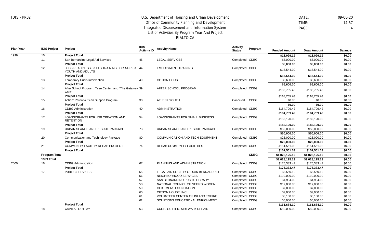DATE: 09-08-20 TIME: 14:57 PAGE: 4

**Plan Year IDIS Project Project IDIS Activity ID Activity Name Activity Status Program** Metrics **Funded Amount Draw Amount Balance** 1999 2000 10 11 12 13 14 15 16 17 19 20 21 **Program Total 1999 Total** 16 17 18 **Project Total** San Bernardino Legal Aid Services **Project Total** JOBS READINESS SKILLS TRAINING FOR AT-RISK 44 YOUTH AND ADULTS **Project Total** Temporary Crisis Intervention **Project Total** After School Program, Teen Center, and "The Getaway 39 Cafe" **Project Total** Action: Parent & Teen Support Program **Project Total** CDBG Administration **Project Total** LOANS/GRANTS FOR JOB CREATION AND **RETENTION Project Total** URBAN SEARCH AND RESCUE PACKAGE **Project Total** Communication and Technology Package **Project Total** COMMUNITY FACILITY REHAB PROJECT **Project Total** CDBG Administration **Project Total** PUBLIC SERVICES **Project Total** CAPITAL OUTLAY 45 49 38 40 54 73 80 74 67 55 56 57 58 59 60 61 62 63 LEGAL SERVICES EMPLOYMENT TRAINING OPTION HOUSE AFTER SCHOOL PROGRAM AT RISK YOUTH ADMINISTRATION LOANS/GRANTS FOR SMALL BUSINESS URBAN SEARCH AND RESCUE PACKAGE COMMUNICATION AND TECH EQUIPMENT REHAB COMMUNITY FACILITIES PLANNING AND ADMINISTRATION LEGAL AID SOCIETY OF SAN BERNARDINO NEIGHBORHOOD SERVICES SAN BERNARDINO PUBLIC LIBRARY NATIONAL COUNICL OF NEGRO WOMEN OLDTIMERS FOUNDATION OPTION HOUSE, INC. VOLUNTEER CENTER OF INLAND EMPIRE SOLUTIONS EDUCATIONAL ENRICHMENT CURB, GUTTER, SIDEWALK REPAIR Completed CDBG Completed CDBG Completed CDBG Completed CDBG Canceled Completed CDBG Completed CDBG Completed CDBG Completed CDBG Completed Completed CDBG Completed CDBG Completed CDBG Completed CDBG Completed CDBG Completed CDBG Completed CDBG Completed CDBG Completed CDBG CDBG CDBG **CDBG \$18,099.19 \$18,099.19 \$0.00** \$5,000.00 \$5,000.00 \$0.00 **\$5,000.00 \$5,000.00 \$0.00** \$15,544.00 \$15,544.00 \$0.00 **\$15,544.00 \$15,544.00 \$0.00** \$5,600.00 \$5,600.00 \$0.00 **\$5,600.00 \$5,600.00 \$0.00** \$108,765.43 \$108,765.43 \$0.00 **\$108,765.43 \$108,765.43 \$0.00**  $$0.00$   $$0.00$   $$0.00$ **\$0.00 \$0.00 \$0.00** \$184,709.42 \$184,709.42 \$0.00 **\$184,709.42 \$184,709.42 \$0.00** \$182,120.00 \$182,120.00 \$0.00 **\$182,120.00 \$182,120.00 \$0.00**  $$50.000.00$   $$50.000.00$   $$0.00$ **\$50,000.00 \$50,000.00 \$0.00** \$25,000.00 \$25,000.00 \$0.00 **\$25,000.00 \$25,000.00 \$0.00** \$151,561.03 \$151,561.03 \$0.00 **\$151,561.03 \$151,561.03 \$0.00 \$1,028,125.19 \$1,028,125.19 \$0.00 \$1,028,125.19 \$1,028,125.19 \$0.00** \$175,333.47 \$175,333.47 \$0.00 **\$175,333.47 \$175,333.47 \$0.00** \$3,550.10 \$3,550.10 \$0.00 \$110,000.00 \$110,000.00 \$0.00 \$4,984.00 \$4,984.00 \$0.00 \$17,000.00 \$17,000.00 \$0.00 \$7,000.00 \$7,000.00 \$0.00 \$9,000.00 \$9,000.00 \$0.00 \$5,150.00 \$5,150.00 \$0.00 \$5,000.00 \$5,000.00 \$0.00 **\$161,684.10 \$161,684.10 \$0.00**  $$50,000.00$   $$50,000.00$   $$0.00$ 

Completed CDBG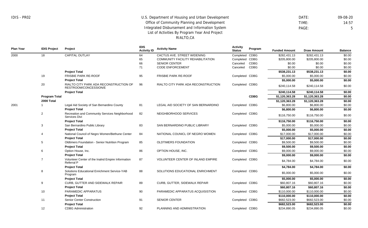DATE: 09-08-20 TIME: 14:57 PAGE: 5

| <b>CAPITAL OUTLAY</b><br>CACTUS AVE. STREET WIDENING<br>Completed CDBG<br>\$0.00<br>\$282,431.13<br>\$282,431.13<br>2000<br>18<br>64<br>CDBG<br>\$0.00<br>65<br>COMMUNITY FACILITY REHABILITATION<br>Completed<br>\$205,800.00<br>\$205,800.00<br><b>CDBG</b><br>\$0.00<br>\$0.00<br>66<br><b>SENIOR CENTER</b><br>Canceled<br>\$0.00<br><b>CDBG</b><br>\$0.00<br>\$0.00<br>71<br><b>CODE ENFORCEMENT</b><br>Canceled<br>\$0.00<br><b>Project Total</b><br>\$538,231.13<br>\$538,231.13<br>\$0.00<br>19<br><b>FRISBIE PARK RE-ROOF</b><br>Completed CDBG<br>\$5,000.00<br>\$0.00<br>95<br><b>FRISBIE PARK RE-ROOF</b><br>\$5,000.00<br><b>Project Total</b><br>\$5,000.00<br>\$5,000.00<br>\$0.00<br>20<br>RIALTO CITY PARK ADA RECONSTRUCTION OF<br>96<br>RIALTO CITY PARK ADA RECONSTRUCTION<br>Completed CDBG<br>\$0.00<br>\$240,114.58<br>\$240,114.58<br>RESTROOM/CONCESSION/E<br><b>Project Total</b><br>\$240,114.58<br>\$240,114.58<br>\$0.00<br><b>CDBG</b><br>Program Total<br>\$1,120,363.28<br>\$1,120,363.28<br>\$0.00<br>2000 Total<br>\$0.00<br>\$1,120,363.28<br>\$1,120,363.28<br>2001<br>Legal Aid Society of San Bernardino County<br>81<br>LEGAL AID SOCIETY OF SAN BERNARDINO<br>Completed CDBG<br>\$6,800.00<br>\$6,800.00<br>\$0.00<br><b>Project Total</b><br>\$0.00<br>\$6,800.00<br>\$6,800.00<br>2<br>Recreation and Community Services Neighborhood<br>82<br>NEIGHBORHOOD SERVICES<br>Completed CDBG<br>\$0.00<br>\$116,750.00<br>\$116,750.00<br>Services Divi<br><b>Project Total</b><br>\$116,750.00<br>\$0.00<br>\$116,750.00<br>3<br>\$5,000.00<br>\$0.00<br>San Bernardino Public Library<br>83<br>SAN BERNARDINO PUBLIC LIBRARY<br>Completed CDBG<br>\$5,000.00<br><b>Project Total</b><br>\$0.00<br>\$5,000.00<br>\$5,000.00<br>National Council of Negro Women/Bethune Center<br>Completed CDBG<br>\$17,000.00<br>\$17,000.00<br>\$0.00<br>84<br>NATIONAL COUNICL OF NEGRO WOMEN<br>$\overline{4}$<br><b>Project Total</b><br>\$0.00<br>\$17,000.00<br>\$17,000.00<br>5<br>Oldtimers Foundation - Senior Nutrition Program<br>\$9,500.00<br>\$9,500.00<br>\$0.00<br>85<br>OLDTIMERS FOUNDATION<br>Completed CDBG<br>\$0.00<br><b>Project Total</b><br>\$9,500.00<br>\$9,500.00<br>\$9,000.00<br>\$9,000.00<br>\$0.00<br>6<br>Option House, Inc.<br>86<br>OPTION HOUSE, INC.<br>Completed<br>CDBG<br><b>Project Total</b><br>\$0.00<br>\$9,000.00<br>\$9,000.00<br>$\overline{7}$<br>87<br><b>VOLUNTEER CENTER OF INLAND EMPIRE</b><br>Volunteer Center of the Inalnd Empire Information<br>Completed CDBG<br>\$0.00<br>\$4,784.00<br>\$4,784.00<br>Referral P<br><b>Project Total</b><br>\$0.00<br>\$4,784.00<br>\$4,784.00<br>8<br>Solutions Educational Enrichment Service-YAB<br>88<br>SOLUTIONS EDUCATIONAL ENRICHMENT<br>Completed CDBG<br>\$0.00<br>\$5,000.00<br>\$5,000.00<br>Program<br><b>Project Total</b><br>\$0.00<br>\$5,000.00<br>\$5,000.00<br>9<br>CURB, GUTTER AND SIDEWALK REPAIR<br>\$60,807.16<br>\$60,807.16<br>\$0.00<br>89<br>CURB, GUTTER, SIDEWALK REPAIR<br>Completed CDBG<br><b>Project Total</b><br>\$0.00<br>\$60,807.16<br>\$60,807.16<br>10<br>PARAMEDIC APPARATUS<br>PARAMEDIC APPARATUS ACQUISISTION<br>\$110,000.00<br>\$110,000.00<br>\$0.00<br>90<br>Completed CDBG<br><b>Project Total</b><br>\$0.00<br>\$110,000.00<br>\$110,000.00<br>\$682,523.00<br>\$682,523.00<br>11<br><b>Senior Center Construction</b><br><b>SENIOR CENTER</b><br>Completed CDBG<br>\$0.00<br>91<br><b>Project Total</b><br>\$682,523.00<br>\$0.00<br>\$682,523.00<br>PLANNING AND ADMINISTRATION<br>\$0.00<br>12<br><b>CDBG</b> Administration<br>92<br>Completed CDBG<br>\$234,890.05<br>\$234,890.05 | <b>Plan Year</b> | <b>IDIS Project</b> | <b>Project</b> | <b>IDIS</b><br><b>Activity ID</b> | <b>Activity Name</b> | <b>Activity</b><br><b>Status</b> | Program | <b>Funded Amount</b> | <b>Draw Amount</b> | <b>Balance</b> |
|-------------------------------------------------------------------------------------------------------------------------------------------------------------------------------------------------------------------------------------------------------------------------------------------------------------------------------------------------------------------------------------------------------------------------------------------------------------------------------------------------------------------------------------------------------------------------------------------------------------------------------------------------------------------------------------------------------------------------------------------------------------------------------------------------------------------------------------------------------------------------------------------------------------------------------------------------------------------------------------------------------------------------------------------------------------------------------------------------------------------------------------------------------------------------------------------------------------------------------------------------------------------------------------------------------------------------------------------------------------------------------------------------------------------------------------------------------------------------------------------------------------------------------------------------------------------------------------------------------------------------------------------------------------------------------------------------------------------------------------------------------------------------------------------------------------------------------------------------------------------------------------------------------------------------------------------------------------------------------------------------------------------------------------------------------------------------------------------------------------------------------------------------------------------------------------------------------------------------------------------------------------------------------------------------------------------------------------------------------------------------------------------------------------------------------------------------------------------------------------------------------------------------------------------------------------------------------------------------------------------------------------------------------------------------------------------------------------------------------------------------------------------------------------------------------------------------------------------------------------------------------------------------------------------------------------------------------------------------------------------------------------------------------------------------------------------------------------------------------------------------------------------------------------------------------------------------------------------------------------------------------------------------------------------------------------------------------------------------------------------------------------------------------------------------------------------------------------------------------------------------------------------------------------------------------------------------------------------------------------------------------------------------------------|------------------|---------------------|----------------|-----------------------------------|----------------------|----------------------------------|---------|----------------------|--------------------|----------------|
|                                                                                                                                                                                                                                                                                                                                                                                                                                                                                                                                                                                                                                                                                                                                                                                                                                                                                                                                                                                                                                                                                                                                                                                                                                                                                                                                                                                                                                                                                                                                                                                                                                                                                                                                                                                                                                                                                                                                                                                                                                                                                                                                                                                                                                                                                                                                                                                                                                                                                                                                                                                                                                                                                                                                                                                                                                                                                                                                                                                                                                                                                                                                                                                                                                                                                                                                                                                                                                                                                                                                                                                                                                                             |                  |                     |                |                                   |                      |                                  |         |                      |                    |                |
|                                                                                                                                                                                                                                                                                                                                                                                                                                                                                                                                                                                                                                                                                                                                                                                                                                                                                                                                                                                                                                                                                                                                                                                                                                                                                                                                                                                                                                                                                                                                                                                                                                                                                                                                                                                                                                                                                                                                                                                                                                                                                                                                                                                                                                                                                                                                                                                                                                                                                                                                                                                                                                                                                                                                                                                                                                                                                                                                                                                                                                                                                                                                                                                                                                                                                                                                                                                                                                                                                                                                                                                                                                                             |                  |                     |                |                                   |                      |                                  |         |                      |                    |                |
|                                                                                                                                                                                                                                                                                                                                                                                                                                                                                                                                                                                                                                                                                                                                                                                                                                                                                                                                                                                                                                                                                                                                                                                                                                                                                                                                                                                                                                                                                                                                                                                                                                                                                                                                                                                                                                                                                                                                                                                                                                                                                                                                                                                                                                                                                                                                                                                                                                                                                                                                                                                                                                                                                                                                                                                                                                                                                                                                                                                                                                                                                                                                                                                                                                                                                                                                                                                                                                                                                                                                                                                                                                                             |                  |                     |                |                                   |                      |                                  |         |                      |                    |                |
|                                                                                                                                                                                                                                                                                                                                                                                                                                                                                                                                                                                                                                                                                                                                                                                                                                                                                                                                                                                                                                                                                                                                                                                                                                                                                                                                                                                                                                                                                                                                                                                                                                                                                                                                                                                                                                                                                                                                                                                                                                                                                                                                                                                                                                                                                                                                                                                                                                                                                                                                                                                                                                                                                                                                                                                                                                                                                                                                                                                                                                                                                                                                                                                                                                                                                                                                                                                                                                                                                                                                                                                                                                                             |                  |                     |                |                                   |                      |                                  |         |                      |                    |                |
|                                                                                                                                                                                                                                                                                                                                                                                                                                                                                                                                                                                                                                                                                                                                                                                                                                                                                                                                                                                                                                                                                                                                                                                                                                                                                                                                                                                                                                                                                                                                                                                                                                                                                                                                                                                                                                                                                                                                                                                                                                                                                                                                                                                                                                                                                                                                                                                                                                                                                                                                                                                                                                                                                                                                                                                                                                                                                                                                                                                                                                                                                                                                                                                                                                                                                                                                                                                                                                                                                                                                                                                                                                                             |                  |                     |                |                                   |                      |                                  |         |                      |                    |                |
|                                                                                                                                                                                                                                                                                                                                                                                                                                                                                                                                                                                                                                                                                                                                                                                                                                                                                                                                                                                                                                                                                                                                                                                                                                                                                                                                                                                                                                                                                                                                                                                                                                                                                                                                                                                                                                                                                                                                                                                                                                                                                                                                                                                                                                                                                                                                                                                                                                                                                                                                                                                                                                                                                                                                                                                                                                                                                                                                                                                                                                                                                                                                                                                                                                                                                                                                                                                                                                                                                                                                                                                                                                                             |                  |                     |                |                                   |                      |                                  |         |                      |                    |                |
|                                                                                                                                                                                                                                                                                                                                                                                                                                                                                                                                                                                                                                                                                                                                                                                                                                                                                                                                                                                                                                                                                                                                                                                                                                                                                                                                                                                                                                                                                                                                                                                                                                                                                                                                                                                                                                                                                                                                                                                                                                                                                                                                                                                                                                                                                                                                                                                                                                                                                                                                                                                                                                                                                                                                                                                                                                                                                                                                                                                                                                                                                                                                                                                                                                                                                                                                                                                                                                                                                                                                                                                                                                                             |                  |                     |                |                                   |                      |                                  |         |                      |                    |                |
|                                                                                                                                                                                                                                                                                                                                                                                                                                                                                                                                                                                                                                                                                                                                                                                                                                                                                                                                                                                                                                                                                                                                                                                                                                                                                                                                                                                                                                                                                                                                                                                                                                                                                                                                                                                                                                                                                                                                                                                                                                                                                                                                                                                                                                                                                                                                                                                                                                                                                                                                                                                                                                                                                                                                                                                                                                                                                                                                                                                                                                                                                                                                                                                                                                                                                                                                                                                                                                                                                                                                                                                                                                                             |                  |                     |                |                                   |                      |                                  |         |                      |                    |                |
|                                                                                                                                                                                                                                                                                                                                                                                                                                                                                                                                                                                                                                                                                                                                                                                                                                                                                                                                                                                                                                                                                                                                                                                                                                                                                                                                                                                                                                                                                                                                                                                                                                                                                                                                                                                                                                                                                                                                                                                                                                                                                                                                                                                                                                                                                                                                                                                                                                                                                                                                                                                                                                                                                                                                                                                                                                                                                                                                                                                                                                                                                                                                                                                                                                                                                                                                                                                                                                                                                                                                                                                                                                                             |                  |                     |                |                                   |                      |                                  |         |                      |                    |                |
|                                                                                                                                                                                                                                                                                                                                                                                                                                                                                                                                                                                                                                                                                                                                                                                                                                                                                                                                                                                                                                                                                                                                                                                                                                                                                                                                                                                                                                                                                                                                                                                                                                                                                                                                                                                                                                                                                                                                                                                                                                                                                                                                                                                                                                                                                                                                                                                                                                                                                                                                                                                                                                                                                                                                                                                                                                                                                                                                                                                                                                                                                                                                                                                                                                                                                                                                                                                                                                                                                                                                                                                                                                                             |                  |                     |                |                                   |                      |                                  |         |                      |                    |                |
|                                                                                                                                                                                                                                                                                                                                                                                                                                                                                                                                                                                                                                                                                                                                                                                                                                                                                                                                                                                                                                                                                                                                                                                                                                                                                                                                                                                                                                                                                                                                                                                                                                                                                                                                                                                                                                                                                                                                                                                                                                                                                                                                                                                                                                                                                                                                                                                                                                                                                                                                                                                                                                                                                                                                                                                                                                                                                                                                                                                                                                                                                                                                                                                                                                                                                                                                                                                                                                                                                                                                                                                                                                                             |                  |                     |                |                                   |                      |                                  |         |                      |                    |                |
|                                                                                                                                                                                                                                                                                                                                                                                                                                                                                                                                                                                                                                                                                                                                                                                                                                                                                                                                                                                                                                                                                                                                                                                                                                                                                                                                                                                                                                                                                                                                                                                                                                                                                                                                                                                                                                                                                                                                                                                                                                                                                                                                                                                                                                                                                                                                                                                                                                                                                                                                                                                                                                                                                                                                                                                                                                                                                                                                                                                                                                                                                                                                                                                                                                                                                                                                                                                                                                                                                                                                                                                                                                                             |                  |                     |                |                                   |                      |                                  |         |                      |                    |                |
|                                                                                                                                                                                                                                                                                                                                                                                                                                                                                                                                                                                                                                                                                                                                                                                                                                                                                                                                                                                                                                                                                                                                                                                                                                                                                                                                                                                                                                                                                                                                                                                                                                                                                                                                                                                                                                                                                                                                                                                                                                                                                                                                                                                                                                                                                                                                                                                                                                                                                                                                                                                                                                                                                                                                                                                                                                                                                                                                                                                                                                                                                                                                                                                                                                                                                                                                                                                                                                                                                                                                                                                                                                                             |                  |                     |                |                                   |                      |                                  |         |                      |                    |                |
|                                                                                                                                                                                                                                                                                                                                                                                                                                                                                                                                                                                                                                                                                                                                                                                                                                                                                                                                                                                                                                                                                                                                                                                                                                                                                                                                                                                                                                                                                                                                                                                                                                                                                                                                                                                                                                                                                                                                                                                                                                                                                                                                                                                                                                                                                                                                                                                                                                                                                                                                                                                                                                                                                                                                                                                                                                                                                                                                                                                                                                                                                                                                                                                                                                                                                                                                                                                                                                                                                                                                                                                                                                                             |                  |                     |                |                                   |                      |                                  |         |                      |                    |                |
|                                                                                                                                                                                                                                                                                                                                                                                                                                                                                                                                                                                                                                                                                                                                                                                                                                                                                                                                                                                                                                                                                                                                                                                                                                                                                                                                                                                                                                                                                                                                                                                                                                                                                                                                                                                                                                                                                                                                                                                                                                                                                                                                                                                                                                                                                                                                                                                                                                                                                                                                                                                                                                                                                                                                                                                                                                                                                                                                                                                                                                                                                                                                                                                                                                                                                                                                                                                                                                                                                                                                                                                                                                                             |                  |                     |                |                                   |                      |                                  |         |                      |                    |                |
|                                                                                                                                                                                                                                                                                                                                                                                                                                                                                                                                                                                                                                                                                                                                                                                                                                                                                                                                                                                                                                                                                                                                                                                                                                                                                                                                                                                                                                                                                                                                                                                                                                                                                                                                                                                                                                                                                                                                                                                                                                                                                                                                                                                                                                                                                                                                                                                                                                                                                                                                                                                                                                                                                                                                                                                                                                                                                                                                                                                                                                                                                                                                                                                                                                                                                                                                                                                                                                                                                                                                                                                                                                                             |                  |                     |                |                                   |                      |                                  |         |                      |                    |                |
|                                                                                                                                                                                                                                                                                                                                                                                                                                                                                                                                                                                                                                                                                                                                                                                                                                                                                                                                                                                                                                                                                                                                                                                                                                                                                                                                                                                                                                                                                                                                                                                                                                                                                                                                                                                                                                                                                                                                                                                                                                                                                                                                                                                                                                                                                                                                                                                                                                                                                                                                                                                                                                                                                                                                                                                                                                                                                                                                                                                                                                                                                                                                                                                                                                                                                                                                                                                                                                                                                                                                                                                                                                                             |                  |                     |                |                                   |                      |                                  |         |                      |                    |                |
|                                                                                                                                                                                                                                                                                                                                                                                                                                                                                                                                                                                                                                                                                                                                                                                                                                                                                                                                                                                                                                                                                                                                                                                                                                                                                                                                                                                                                                                                                                                                                                                                                                                                                                                                                                                                                                                                                                                                                                                                                                                                                                                                                                                                                                                                                                                                                                                                                                                                                                                                                                                                                                                                                                                                                                                                                                                                                                                                                                                                                                                                                                                                                                                                                                                                                                                                                                                                                                                                                                                                                                                                                                                             |                  |                     |                |                                   |                      |                                  |         |                      |                    |                |
|                                                                                                                                                                                                                                                                                                                                                                                                                                                                                                                                                                                                                                                                                                                                                                                                                                                                                                                                                                                                                                                                                                                                                                                                                                                                                                                                                                                                                                                                                                                                                                                                                                                                                                                                                                                                                                                                                                                                                                                                                                                                                                                                                                                                                                                                                                                                                                                                                                                                                                                                                                                                                                                                                                                                                                                                                                                                                                                                                                                                                                                                                                                                                                                                                                                                                                                                                                                                                                                                                                                                                                                                                                                             |                  |                     |                |                                   |                      |                                  |         |                      |                    |                |
|                                                                                                                                                                                                                                                                                                                                                                                                                                                                                                                                                                                                                                                                                                                                                                                                                                                                                                                                                                                                                                                                                                                                                                                                                                                                                                                                                                                                                                                                                                                                                                                                                                                                                                                                                                                                                                                                                                                                                                                                                                                                                                                                                                                                                                                                                                                                                                                                                                                                                                                                                                                                                                                                                                                                                                                                                                                                                                                                                                                                                                                                                                                                                                                                                                                                                                                                                                                                                                                                                                                                                                                                                                                             |                  |                     |                |                                   |                      |                                  |         |                      |                    |                |
|                                                                                                                                                                                                                                                                                                                                                                                                                                                                                                                                                                                                                                                                                                                                                                                                                                                                                                                                                                                                                                                                                                                                                                                                                                                                                                                                                                                                                                                                                                                                                                                                                                                                                                                                                                                                                                                                                                                                                                                                                                                                                                                                                                                                                                                                                                                                                                                                                                                                                                                                                                                                                                                                                                                                                                                                                                                                                                                                                                                                                                                                                                                                                                                                                                                                                                                                                                                                                                                                                                                                                                                                                                                             |                  |                     |                |                                   |                      |                                  |         |                      |                    |                |
|                                                                                                                                                                                                                                                                                                                                                                                                                                                                                                                                                                                                                                                                                                                                                                                                                                                                                                                                                                                                                                                                                                                                                                                                                                                                                                                                                                                                                                                                                                                                                                                                                                                                                                                                                                                                                                                                                                                                                                                                                                                                                                                                                                                                                                                                                                                                                                                                                                                                                                                                                                                                                                                                                                                                                                                                                                                                                                                                                                                                                                                                                                                                                                                                                                                                                                                                                                                                                                                                                                                                                                                                                                                             |                  |                     |                |                                   |                      |                                  |         |                      |                    |                |
|                                                                                                                                                                                                                                                                                                                                                                                                                                                                                                                                                                                                                                                                                                                                                                                                                                                                                                                                                                                                                                                                                                                                                                                                                                                                                                                                                                                                                                                                                                                                                                                                                                                                                                                                                                                                                                                                                                                                                                                                                                                                                                                                                                                                                                                                                                                                                                                                                                                                                                                                                                                                                                                                                                                                                                                                                                                                                                                                                                                                                                                                                                                                                                                                                                                                                                                                                                                                                                                                                                                                                                                                                                                             |                  |                     |                |                                   |                      |                                  |         |                      |                    |                |
|                                                                                                                                                                                                                                                                                                                                                                                                                                                                                                                                                                                                                                                                                                                                                                                                                                                                                                                                                                                                                                                                                                                                                                                                                                                                                                                                                                                                                                                                                                                                                                                                                                                                                                                                                                                                                                                                                                                                                                                                                                                                                                                                                                                                                                                                                                                                                                                                                                                                                                                                                                                                                                                                                                                                                                                                                                                                                                                                                                                                                                                                                                                                                                                                                                                                                                                                                                                                                                                                                                                                                                                                                                                             |                  |                     |                |                                   |                      |                                  |         |                      |                    |                |
|                                                                                                                                                                                                                                                                                                                                                                                                                                                                                                                                                                                                                                                                                                                                                                                                                                                                                                                                                                                                                                                                                                                                                                                                                                                                                                                                                                                                                                                                                                                                                                                                                                                                                                                                                                                                                                                                                                                                                                                                                                                                                                                                                                                                                                                                                                                                                                                                                                                                                                                                                                                                                                                                                                                                                                                                                                                                                                                                                                                                                                                                                                                                                                                                                                                                                                                                                                                                                                                                                                                                                                                                                                                             |                  |                     |                |                                   |                      |                                  |         |                      |                    |                |
|                                                                                                                                                                                                                                                                                                                                                                                                                                                                                                                                                                                                                                                                                                                                                                                                                                                                                                                                                                                                                                                                                                                                                                                                                                                                                                                                                                                                                                                                                                                                                                                                                                                                                                                                                                                                                                                                                                                                                                                                                                                                                                                                                                                                                                                                                                                                                                                                                                                                                                                                                                                                                                                                                                                                                                                                                                                                                                                                                                                                                                                                                                                                                                                                                                                                                                                                                                                                                                                                                                                                                                                                                                                             |                  |                     |                |                                   |                      |                                  |         |                      |                    |                |
|                                                                                                                                                                                                                                                                                                                                                                                                                                                                                                                                                                                                                                                                                                                                                                                                                                                                                                                                                                                                                                                                                                                                                                                                                                                                                                                                                                                                                                                                                                                                                                                                                                                                                                                                                                                                                                                                                                                                                                                                                                                                                                                                                                                                                                                                                                                                                                                                                                                                                                                                                                                                                                                                                                                                                                                                                                                                                                                                                                                                                                                                                                                                                                                                                                                                                                                                                                                                                                                                                                                                                                                                                                                             |                  |                     |                |                                   |                      |                                  |         |                      |                    |                |
|                                                                                                                                                                                                                                                                                                                                                                                                                                                                                                                                                                                                                                                                                                                                                                                                                                                                                                                                                                                                                                                                                                                                                                                                                                                                                                                                                                                                                                                                                                                                                                                                                                                                                                                                                                                                                                                                                                                                                                                                                                                                                                                                                                                                                                                                                                                                                                                                                                                                                                                                                                                                                                                                                                                                                                                                                                                                                                                                                                                                                                                                                                                                                                                                                                                                                                                                                                                                                                                                                                                                                                                                                                                             |                  |                     |                |                                   |                      |                                  |         |                      |                    |                |
|                                                                                                                                                                                                                                                                                                                                                                                                                                                                                                                                                                                                                                                                                                                                                                                                                                                                                                                                                                                                                                                                                                                                                                                                                                                                                                                                                                                                                                                                                                                                                                                                                                                                                                                                                                                                                                                                                                                                                                                                                                                                                                                                                                                                                                                                                                                                                                                                                                                                                                                                                                                                                                                                                                                                                                                                                                                                                                                                                                                                                                                                                                                                                                                                                                                                                                                                                                                                                                                                                                                                                                                                                                                             |                  |                     |                |                                   |                      |                                  |         |                      |                    |                |
|                                                                                                                                                                                                                                                                                                                                                                                                                                                                                                                                                                                                                                                                                                                                                                                                                                                                                                                                                                                                                                                                                                                                                                                                                                                                                                                                                                                                                                                                                                                                                                                                                                                                                                                                                                                                                                                                                                                                                                                                                                                                                                                                                                                                                                                                                                                                                                                                                                                                                                                                                                                                                                                                                                                                                                                                                                                                                                                                                                                                                                                                                                                                                                                                                                                                                                                                                                                                                                                                                                                                                                                                                                                             |                  |                     |                |                                   |                      |                                  |         |                      |                    |                |
|                                                                                                                                                                                                                                                                                                                                                                                                                                                                                                                                                                                                                                                                                                                                                                                                                                                                                                                                                                                                                                                                                                                                                                                                                                                                                                                                                                                                                                                                                                                                                                                                                                                                                                                                                                                                                                                                                                                                                                                                                                                                                                                                                                                                                                                                                                                                                                                                                                                                                                                                                                                                                                                                                                                                                                                                                                                                                                                                                                                                                                                                                                                                                                                                                                                                                                                                                                                                                                                                                                                                                                                                                                                             |                  |                     |                |                                   |                      |                                  |         |                      |                    |                |
|                                                                                                                                                                                                                                                                                                                                                                                                                                                                                                                                                                                                                                                                                                                                                                                                                                                                                                                                                                                                                                                                                                                                                                                                                                                                                                                                                                                                                                                                                                                                                                                                                                                                                                                                                                                                                                                                                                                                                                                                                                                                                                                                                                                                                                                                                                                                                                                                                                                                                                                                                                                                                                                                                                                                                                                                                                                                                                                                                                                                                                                                                                                                                                                                                                                                                                                                                                                                                                                                                                                                                                                                                                                             |                  |                     |                |                                   |                      |                                  |         |                      |                    |                |
|                                                                                                                                                                                                                                                                                                                                                                                                                                                                                                                                                                                                                                                                                                                                                                                                                                                                                                                                                                                                                                                                                                                                                                                                                                                                                                                                                                                                                                                                                                                                                                                                                                                                                                                                                                                                                                                                                                                                                                                                                                                                                                                                                                                                                                                                                                                                                                                                                                                                                                                                                                                                                                                                                                                                                                                                                                                                                                                                                                                                                                                                                                                                                                                                                                                                                                                                                                                                                                                                                                                                                                                                                                                             |                  |                     |                |                                   |                      |                                  |         |                      |                    |                |
|                                                                                                                                                                                                                                                                                                                                                                                                                                                                                                                                                                                                                                                                                                                                                                                                                                                                                                                                                                                                                                                                                                                                                                                                                                                                                                                                                                                                                                                                                                                                                                                                                                                                                                                                                                                                                                                                                                                                                                                                                                                                                                                                                                                                                                                                                                                                                                                                                                                                                                                                                                                                                                                                                                                                                                                                                                                                                                                                                                                                                                                                                                                                                                                                                                                                                                                                                                                                                                                                                                                                                                                                                                                             |                  |                     |                |                                   |                      |                                  |         |                      |                    |                |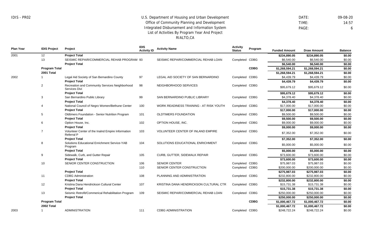DATE: 09-08-20 TIME: 14:57 PAGE: 6

| Plan Year | <b>IDIS Project</b>  | Project                                                                | <b>IDIS</b><br><b>Activity ID</b> | <b>Activity Name</b>                     | <b>Activity</b><br><b>Status</b> | Program     | <b>Funded Amount</b> | <b>Draw Amount</b> | <b>Balance</b> |
|-----------|----------------------|------------------------------------------------------------------------|-----------------------------------|------------------------------------------|----------------------------------|-------------|----------------------|--------------------|----------------|
| 2001      | 12                   | <b>Project Total</b>                                                   |                                   |                                          |                                  |             | \$234,890.05         | \$234,890.05       | \$0.00         |
|           | 13                   | SEISMIC REPAIR/COMMERCIAL REHAB PROGRAM 93                             |                                   | SEISMIC REPAIR/COMMERCIAL REHAB LOAN     | Completed CDBG                   |             | \$6,540.00           | \$6,540.00         | \$0.00         |
|           |                      | <b>Project Total</b>                                                   |                                   |                                          |                                  |             | \$6,540.00           | \$6,540.00         | \$0.00         |
|           | <b>Program Total</b> |                                                                        |                                   |                                          |                                  | <b>CDBG</b> | \$1,268,594.21       | \$1,268,594.21     | \$0.00         |
|           | 2001 Total           |                                                                        |                                   |                                          |                                  |             | \$1,268,594.21       | \$1,268,594.21     | \$0.00         |
| 2002      |                      | Legal Aid Society of San Bernardino County                             | 97                                | LEGAL AID SOCIETY OF SAN BERNARDINO      | Completed                        | CDBG        | \$4,439.79           | \$4,439.79         | \$0.00         |
|           |                      | <b>Project Total</b>                                                   |                                   |                                          |                                  |             | \$4,439.79           | \$4,439.79         | \$0.00         |
|           | $\overline{2}$       | Recreation and Community Services Neighborhood<br>Services Divi        | 98                                | NEIGHBORHOOD SERVICES                    | Completed CDBG                   |             | \$95,679.12          | \$95,679.12        | \$0.00         |
|           |                      | <b>Project Total</b>                                                   |                                   |                                          |                                  |             | \$95,679.12          | \$95,679.12        | \$0.00         |
|           | 3                    | San Bernardino Public Library                                          | 99                                | SAN BERNARDINO PUBLIC LIBRARY            | Completed CDBG                   |             | \$4,378.40           | \$4,378.40         | \$0.00         |
|           |                      | <b>Project Total</b>                                                   |                                   |                                          |                                  |             | \$4,378.40           | \$4,378.40         | \$0.00         |
|           |                      | National Council of Negro Women/Bethune Center                         | 100                               | WORK READINESS TRAINING - AT RISK YOUTH  | Completed CDBG                   |             | \$17,000.00          | \$17,000.00        | \$0.00         |
|           |                      | <b>Project Total</b>                                                   |                                   |                                          |                                  |             | \$17,000.00          | \$17,000.00        | \$0.00         |
|           | 5                    | Oldtimers Foundation - Senior Nutrition Program                        | 101                               | OLDTIMERS FOUNDATION                     | Completed CDBG                   |             | \$9,500.00           | \$9,500.00         | \$0.00         |
|           |                      | <b>Project Total</b>                                                   |                                   |                                          |                                  |             | \$9,500.00           | \$9,500.00         | \$0.00         |
|           | 6                    | Option House, Inc.                                                     | 102                               | OPTION HOUSE, INC.                       | Completed CDBG                   |             | \$9,000.00           | \$9,000.00         | \$0.00         |
|           |                      | <b>Project Total</b>                                                   |                                   |                                          |                                  |             | \$9,000.00           | \$9,000.00         | \$0.00         |
|           |                      | Volunteer Center of the Inalnd Empire Information<br><b>Referral P</b> | 103                               | <b>VOLUNTEER CENTER OF INLAND EMPIRE</b> | Completed CDBG                   |             | \$7,352.00           | \$7,352.00         | \$0.00         |
|           |                      | <b>Project Total</b>                                                   |                                   |                                          |                                  |             | \$7,352.00           | \$7,352.00         | \$0.00         |
|           | 8                    | Solutions Educational Enrichment Service-YAB<br>Program                | 104                               | SOLUTIONS EDUCATIONAL ENRICHMENT         | Completed CDBG                   |             | \$5,000.00           | \$5,000.00         | \$0.00         |
|           |                      | <b>Project Total</b>                                                   |                                   |                                          |                                  |             | \$5,000.00           | \$5,000.00         | \$0.00         |
|           | 9                    | Sidewalk, Curb, and Gutter Repair                                      | 105                               | CURB, GUTTER, SIDEWALK REPAIR            | Completed CDBG                   |             | \$73,600.00          | \$73,600.00        | \$0.00         |
|           |                      | <b>Project Total</b>                                                   |                                   |                                          |                                  |             | \$73,600.00          | \$73,600.00        | \$0.00         |
|           | 10                   | SENIOR CENTER CONSTRUCTION                                             | 106                               | <b>SENIOR CENTER</b>                     | Completed CDBG                   |             | \$75,987.03          | \$75,987.03        | \$0.00         |
|           |                      |                                                                        | 110                               | SENIOR CENTER CONSTRUCTION               | Completed CDBG                   |             | \$200,000.00         | \$200,000.00       | \$0.00         |
|           |                      | <b>Project Total</b>                                                   |                                   |                                          |                                  |             | \$275,987.03         | \$275,987.03       | \$0.00         |
|           | 11                   | <b>CDBG</b> Administration                                             | 108                               | PLANNING AND ADMINISTRATION              | Completed CDBG                   |             | \$232,800.00         | \$232,800.00       | \$0.00         |
|           |                      | <b>Project Total</b>                                                   |                                   |                                          |                                  |             | \$232,800.00         | \$232,800.00       | \$0.00         |
|           | 12                   | Kristina Dana Hendrickson Cultural Center                              | 107                               | KRISTINA DANA HENDRICKSON CULTURAL CTR   | Completed                        | CDBG        | \$15,731.38          | \$15,731.38        | \$0.00         |
|           |                      | <b>Project Total</b>                                                   |                                   |                                          |                                  |             | \$15,731.38          | \$15,731.38        | \$0.00         |
|           | 13                   | Seismic Retrofit/Commerical Rehabilitation Program                     | 109                               | SEISMIC REPAIR/COMMERCIAL REHAB LOAN     | Completed CDBG                   |             | \$250,000.00         | \$250,000.00       | \$0.00         |
|           |                      | <b>Project Total</b>                                                   |                                   |                                          |                                  |             | \$250,000.00         | \$250,000.00       | \$0.00         |
|           | <b>Program Total</b> |                                                                        |                                   |                                          |                                  | <b>CDBG</b> | \$1,000,467.72       | \$1,000,467.72     | \$0.00         |
|           | 2002 Total           |                                                                        |                                   |                                          |                                  |             | \$1,000,467.72       | \$1,000,467.72     | \$0.00         |
| 2003      |                      | <b>ADMINISTRATION</b>                                                  | 111                               | <b>CDBG ADMINISTRATION</b>               | Completed CDBG                   |             | \$248.722.24         | \$248.722.24       | \$0.00         |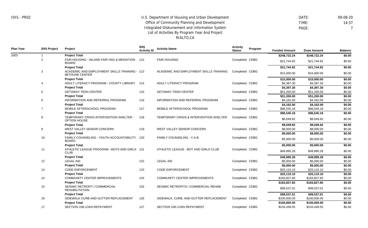DATE: 09-08-20 TIME: 14:57 PAGE: 7

**Plan Year IDIS Project Project IDIS Activity ID Activity Name Activity Status Program** Metrics **Funded Amount Draw Amount Balance** 2003 1 2 3 4 5 6 7 8 9 10 11 12 13 14 15 16 17 **Project Total** FAIR HOUSING - INLAND FAIR HSG & MEDIATION 112 BOARD **Project Total** ACADEMIC AND EMPLOYMENT SKILLS TRAINING - 113 BETHUNE CENTER **Project Total** ADULT LITERACY PROGRAM - COUNTY LIBRARY 114 **Project Total** GETAWAY TEEN CENTER **Project Total** INFORMATION AND REFERRAL PROGRAM **Project Total** MOBILE AFTERSCHOOL PROGRAM **Project Total** TEMPORARY CRISIS INTERVENTION SHELTER - OPTION HOUSE **Project Total** WEST VALLEY SENIOR CONCERN **Project Total** FAMILY COUNSELING - YOUTH ACCOUNTABILITY 120 BOARD **Project Total** ATHLETIC LEAGUE PROGRAM - BOYS AND GIRLS 121 CLUB **Project Total** LEGAL AID **Project Total** CODE ENFORCEMENT **Project Total** COMMUNITY CENTER IMPROVEMENTS **Project Total** SEISMIC RETROFIT / COMMERCIAL REHABILITATION **Project Total** SIDEWALK CURB AND GUTTER REPLACEMENT **Project Total** SECTION 108 LOAN REPAYMENT 115 116 117 118 119 122 123 124 125 126 127 FAIR HOUSING ACADEMIC AND EMPLOYMENT SKILLS TRAINING ADULT LITERACY PROGRAM GETAWAY TEEN CENTER INFORMATION AND REFERRAL PROGRAM MOBILE AFTERSCHOOL PROGRAM TEMPORARY CRISIS & INTERVENTION SHELTER WEST VALLEY SENIOR CONCERN FAMILY COUNSELING - Y.A.B. ATHLETIC LEAGUE - BOY AND GIRLS CLUB LEGAL AID CODE ENFORCEMENT COMMUNITY CENTER IMPROVEMENTS SEISMIC RETROFITS / COMMERCIAL REHAB SIDEWALK, CURB, AND GUTTER REPLACEMENT SECTION 108 LOAN REPAYMENT Completed CDBG Completed CDBG Completed CDBG Completed CDBG Completed CDBG Completed CDBG Completed CDBG Completed CDBG Completed CDBG Completed CDBG Completed CDBG Completed CDBG Completed CDBG Completed CDBG Completed CDBG Completed CDBG **\$248,722.24 \$248,722.24 \$0.00** \$21,744.92 \$21,744.92 \$0.00 **\$21,744.92 \$21,744.92 \$0.00** \$15,000.00 \$15,000.00 \$0.00 **\$15,000.00 \$15,000.00 \$0.00** \$4,397.30 \$4,397.30 \$0.00 **\$4,397.30 \$4,397.30 \$0.00** \$51,200.00 \$51,200.00 \$0.00 **\$51,200.00 \$51,200.00 \$0.00** \$4,162.00 \$4,162.00 \$0.00 **\$4,162.00 \$4,162.00 \$0.00** \$86,545.18 \$86,545.18 \$0.00 **\$86,545.18 \$86,545.18 \$0.00** \$8,049.82 \$8,049.82 \$0.00 **\$8,049.82 \$8,049.82 \$0.00** \$8,000.00 \$8,000.00 \$0.00 **\$8,000.00 \$8,000.00 \$0.00** \$5,000.00 \$5,000.00 \$0.00 **\$5,000.00 \$5,000.00 \$0.00** \$49,995.28 \$49,995.28 \$0.00 **\$49,995.28 \$49,995.28 \$0.00** \$6,000.00 \$6,000.00 \$0.00 **\$6,000.00 \$6,000.00 \$0.00** \$25,110.10 \$25,110.10 \$0.00 **\$25,110.10 \$25,110.10 \$0.00** \$183,827.60 \$183,827.60 \$0.00 **\$183,827.60 \$183,827.60 \$0.00** \$99,537.01 \$99,537.01 \$0.00 **\$99,537.01 \$99,537.01 \$0.00** \$100,000.00 \$100,000.00 \$0.00 **\$100,000.00 \$100,000.00 \$0.00** \$234,449.55 \$234,449.55 \$0.00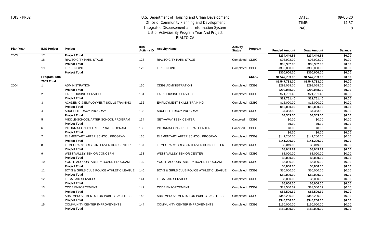**Project Total**

## U.S. Department of Housing and Urban Development Office of Community Planning and Development Integrated Disbursement and Information System List of Activities By Program Year And Project RIALTO,CA

 DATE: 09-08-20 TIME: 14:57 PAGE: 8

**\$150,000.00 \$150,000.00 \$0.00**

| <b>Plan Year</b> | <b>IDIS Project</b>  | Project                                  | <b>IDIS</b><br><b>Activity ID</b> | <b>Activity Name</b>                     | <b>Activity</b><br><b>Status</b> | Program     | <b>Funded Amount</b> | <b>Draw Amount</b> | <b>Balance</b> |
|------------------|----------------------|------------------------------------------|-----------------------------------|------------------------------------------|----------------------------------|-------------|----------------------|--------------------|----------------|
| 2003             | 17                   | <b>Project Total</b>                     |                                   |                                          |                                  |             | \$234,449.55         | \$234,449.55       | \$0.00         |
|                  | 18                   | RIALTO CITY PARK STAGE                   | 128                               | <b>RIALTO CITY PARK STAGE</b>            | Completed                        | CDBG        | \$95,992.00          | \$95,992.00        | \$0.00         |
|                  |                      | <b>Project Total</b>                     |                                   |                                          |                                  |             | \$95,992.00          | \$95,992.00        | \$0.00         |
|                  | 19                   | <b>FIRE ENGINE</b>                       | 129                               | <b>FIRE ENGINE</b>                       | Completed                        | CDBG        | \$300,000.00         | \$300,000.00       | \$0.00         |
|                  |                      | <b>Project Total</b>                     |                                   |                                          |                                  |             | \$300,000.00         | \$300,000,00       | \$0.00         |
|                  | <b>Program Total</b> |                                          |                                   |                                          |                                  | <b>CDBG</b> | \$1,547,733.00       | \$1,547,733.00     | \$0.00         |
|                  | 2003 Total           |                                          |                                   |                                          |                                  |             | \$1,547,733.00       | \$1,547,733.00     | \$0.00         |
| 2004             | $\mathbf 1$          | <b>ADMINISTRATION</b>                    | 130                               | <b>CDBG ADMINISTRATION</b>               | Completed                        | <b>CDBG</b> | \$299,058.00         | \$299,058.00       | \$0.00         |
|                  |                      | <b>Project Total</b>                     |                                   |                                          |                                  |             | \$299,058.00         | \$299,058.00       | \$0.00         |
|                  | $\overline{2}$       | FAIR HOUSING SERVICES                    | 131                               | <b>FAIR HOUSING SERVICES</b>             | Completed                        | <b>CDBG</b> | \$21,761.40          | \$21,761.40        | \$0.00         |
|                  |                      | <b>Project Total</b>                     |                                   |                                          |                                  |             | \$21,761.40          | \$21,761.40        | \$0.00         |
|                  | 3                    | ACADEMIC & EMPLOYMENT SKILLS TRAINING    | 132                               | <b>EMPLOYMENT SKILLS TRAINING</b>        | Completed                        | <b>CDBG</b> | \$15,000.00          | \$15,000.00        | \$0.00         |
|                  |                      | <b>Project Total</b>                     |                                   |                                          |                                  |             | \$15,000.00          | \$15,000.00        | \$0.00         |
|                  | 4                    | ADULT LITERACY PROGRAM                   | 133                               | ADULT LITERACY PROGRAM                   | Completed                        | <b>CDBG</b> | \$4,353.50           | \$4,353.50         | \$0.00         |
|                  |                      | <b>Project Total</b>                     |                                   |                                          |                                  |             | \$4,353.50           | \$4,353.50         | \$0.00         |
|                  | 5                    | MIDDLE-SCHOOL AFTER SCHOOL PROGRAM       | 134                               | <b>GET-AWAY TEEN CENTER</b>              | Canceled                         | <b>CDBG</b> | \$0.00               | \$0.00             | \$0.00         |
|                  |                      | <b>Project Total</b>                     |                                   |                                          |                                  |             | \$0.00               | \$0.00             | \$0.00         |
|                  | 6                    | INFORMATION AND REFERRAL PROGRAM         | 135                               | <b>INFORMATION &amp; REFERRAL CENTER</b> | Canceled                         | <b>CDBG</b> | \$0.00               | \$0.00             | \$0.00         |
|                  |                      | <b>Project Total</b>                     |                                   |                                          |                                  |             | \$0.00               | \$0.00             | \$0.00         |
|                  | $\overline{7}$       | ELEMENTARY AFTER SCHOOL PROGRAM          | 136                               | ELEMENTARY AFTER SCHOOL PROGRAM          | Completed                        | CDBG        | \$141,200.00         | \$141,200.00       | \$0.00         |
|                  |                      | <b>Project Total</b>                     |                                   |                                          |                                  |             | \$141,200.00         | \$141,200.00       | \$0.00         |
|                  | 8                    | TEMPORARY CRISIS INTERVENTION CENTER     | 137                               | TEMPORARY CRISIS INTERVENTION SHELTER    | Completed CDBG                   |             | \$8,049.83           | \$8,049.83         | \$0.00         |
|                  |                      | <b>Project Total</b>                     |                                   |                                          |                                  |             | \$8,049.83           | \$8,049.83         | \$0.00         |
|                  | 9                    | WEST VALLEY SENIOR CONCERN               | 138                               | WEST VALLEY SENIOR CENTER                | Completed CDBG                   |             | \$8,000.00           | \$8,000.00         | \$0.00         |
|                  |                      | <b>Project Total</b>                     |                                   |                                          |                                  |             | \$8,000.00           | \$8,000.00         | \$0.00         |
|                  | 10                   | YOUTH ACCOUNTABILITY BOARD PROGRAM       | 139                               | YOUTH ACCOUNTABILITY BOARD PROGRAM       | Completed CDBG                   |             | \$5,000.00           | \$5,000.00         | \$0.00         |
|                  |                      | <b>Project Total</b>                     |                                   |                                          |                                  |             | \$5,000.00           | \$5,000.00         | \$0.00         |
|                  | 11                   | BOYS & GIRLS CLUB POLICE ATHLETIC LEAGUE | 140                               | BOYS & GIRLS CLUB POLICE ATHLETIC LEAGUE | Completed CDBG                   |             | \$50,000.00          | \$50,000.00        | \$0.00         |
|                  |                      | <b>Project Total</b>                     |                                   |                                          |                                  |             | \$50,000.00          | \$50,000.00        | \$0.00         |
|                  | 12                   | <b>LEGAL AID SERVICES</b>                | 141                               | <b>LEGAL AID SERVICES</b>                | Completed CDBG                   |             | \$6,000.00           | \$6,000.00         | \$0.00         |
|                  |                      | <b>Project Total</b>                     |                                   |                                          |                                  |             | \$6,000.00           | \$6,000.00         | \$0.00         |
|                  | 13                   | <b>CODE ENFORCEMENT</b>                  | 142                               | <b>CODE ENFORCEMENT</b>                  | Completed CDBG                   |             | \$83,500.69          | \$83,500.69        | \$0.00         |
|                  |                      | <b>Project Total</b>                     |                                   |                                          |                                  |             | \$83,500.69          | \$83,500.69        | \$0.00         |
|                  | 14                   | ADA IMPROVEMENTS FOR PUBLIC FACILITIES   | 143                               | ADA IMPROVEMENTS FOR PUBLIC FACILITIES   | Completed CDBG                   |             | \$345,200.00         | \$345,200.00       | \$0.00         |
|                  |                      | <b>Project Total</b>                     |                                   |                                          |                                  |             | \$345,200.00         | \$345,200.00       | \$0.00         |
|                  | 15                   | COMMUNITY CENTER IMPROVEMENTS            | 144                               | <b>COMMUNITY CENTER IMPROVEMENTS</b>     | Completed CDBG                   |             | \$150,000.00         | \$150,000.00       | \$0.00         |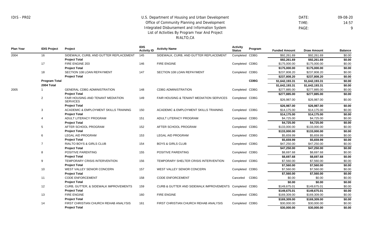DATE: 09-08-20 TIME: 14:57 PAGE: 9

| <b>Plan Year</b> | <b>IDIS Project</b>  | Project                                              | <b>IDIS</b><br><b>Activity ID</b> | <b>Activity Name</b>                                   | <b>Activity</b><br><b>Status</b> | Program     | <b>Funded Amount</b> | <b>Draw Amount</b> | <b>Balance</b> |
|------------------|----------------------|------------------------------------------------------|-----------------------------------|--------------------------------------------------------|----------------------------------|-------------|----------------------|--------------------|----------------|
| 2004             | 16                   | SIDEWALK, CURB, AND GUTTER REPLACEMENT               | 145                               | SIDEWALK, CURB, AND GUTTER REPLACEMENT                 | Completed CDBG                   |             | \$92,261.69          | \$92,261.69        | \$0.00         |
|                  |                      | <b>Project Total</b>                                 |                                   |                                                        |                                  |             | \$92.261.69          | \$92,261.69        | \$0.00         |
|                  | 17                   | FIRE ENGINE 203                                      | 146                               | <b>FIRE ENGINE</b>                                     | Completed CDBG                   |             | \$175,000.00         | \$175,000.00       | \$0.00         |
|                  |                      | <b>Project Total</b>                                 |                                   |                                                        |                                  |             | \$175,000.00         | \$175,000.00       | \$0.00         |
|                  | 18                   | SECTION 108 LOAN REPAYMENT                           | 147                               | SECTION 108 LOAN REPAYMENT                             | Completed CDBG                   |             | \$237,808.20         | \$237,808.20       | \$0.00         |
|                  |                      | <b>Project Total</b>                                 |                                   |                                                        |                                  |             | \$237.808.20         | \$237,808.20       | \$0.00         |
|                  | <b>Program Total</b> |                                                      |                                   |                                                        |                                  | <b>CDBG</b> | \$1,642,193.31       | \$1,642,193.31     | \$0.00         |
|                  | 2004 Total           |                                                      |                                   |                                                        |                                  |             | \$1,642,193.31       | \$1,642,193.31     | \$0.00         |
| 2005             |                      | <b>GENERAL CDBG ADMINISTRATION</b>                   | 148                               | <b>CDBG ADMINISTRATION</b>                             | Completed CDBG                   |             | \$277,885.00         | \$277,885.00       | \$0.00         |
|                  |                      | <b>Project Total</b>                                 |                                   |                                                        |                                  |             | \$277,885.00         | \$277,885.00       | \$0.00         |
|                  | $\overline{2}$       | FAIR HOUSING AND TENANT MEDIATION<br><b>SERVICES</b> | 149                               | FAIR HOUSING & TENANT MEDIATION SERVICES               | Completed CDBG                   |             | \$26,987.00          | \$26,987.00        | \$0.00         |
|                  |                      | <b>Project Total</b>                                 |                                   |                                                        |                                  |             | \$26,987.00          | \$26,987.00        | \$0.00         |
|                  | 3                    | ACADEMIC & EMPLOYMENT SKILLS TRAINING                | 150                               | ACADEMIC & EMPLOYMENT SKILLS TRAINING                  | Completed CDBG                   |             | \$14,175.00          | \$14,175.00        | \$0.00         |
|                  |                      | <b>Project Total</b>                                 |                                   |                                                        |                                  |             | \$14,175.00          | \$14,175.00        | \$0.00         |
|                  | 4                    | ADULT LITERACY PROGRAM                               | 151                               | ADULT LITERACY PROGRAM                                 | Completed CDBG                   |             | \$4,725.00           | \$4,725.00         | \$0.00         |
|                  |                      | <b>Project Total</b>                                 |                                   |                                                        |                                  |             | \$4,725.00           | \$4,725.00         | \$0.00         |
|                  | 5                    | AFTER SCHOOL PROGRAM                                 | 152                               | AFTER SCHOOL PROGRAM                                   | Completed CDBG                   |             | \$133,000.00         | \$133,000.00       | \$0.00         |
|                  |                      | <b>Project Total</b>                                 |                                   |                                                        |                                  |             | \$133,000.00         | \$133,000.00       | \$0.00         |
|                  | 6                    | <b>LEGAL AID PROGRAM</b>                             | 153                               | <b>LEGAL AID PROGRAM</b>                               | Completed CDBG                   |             | \$5,659.99           | \$5,659.99         | \$0.00         |
|                  |                      | <b>Project Total</b>                                 |                                   |                                                        |                                  |             | \$5,659.99           | \$5,659.99         | \$0.00         |
|                  | 7                    | RIALTO BOYS & GIRLS CLUB                             | 154                               | <b>BOYS &amp; GIRLS CLUB</b>                           | Completed CDBG                   |             | \$47,250.00          | \$47,250.00        | \$0.00         |
|                  |                      | <b>Project Total</b>                                 |                                   |                                                        |                                  |             | \$47,250.00          | \$47,250.00        | \$0.00         |
|                  | 8                    | POSITIVE PARENTING                                   | 155                               | POSITIVE PARENTING                                     | Completed CDBG                   |             | \$8,697.68           | \$8,697.68         | \$0.00         |
|                  |                      | <b>Project Total</b>                                 |                                   |                                                        |                                  |             | \$8,697.68           | \$8,697.68         | \$0.00         |
|                  | 9                    | TEMPORARY CRISIS INTERVENTION                        | 156                               | TEMPORARY SHELTER CRISIS INTERVENTION                  | Completed CDBG                   |             | \$7,560.00           | \$7,560.00         | \$0.00         |
|                  |                      | <b>Project Total</b>                                 |                                   |                                                        |                                  |             | \$7,560.00           | \$7,560.00         | \$0.00         |
|                  | 10                   | WEST VALLEY SENIOR CONCERN                           | 157                               | WEST VALLEY SENIOR CONCERN                             | Completed CDBG                   |             | \$7,560.00           | \$7,560.00         | \$0.00         |
|                  |                      | <b>Project Total</b>                                 |                                   |                                                        |                                  |             | \$7,560.00           | \$7,560.00         | \$0.00         |
|                  | 11                   | <b>CODE ENFORCEMENT</b>                              | 158                               | <b>CODE ENFORCEMENT</b>                                | Canceled                         | <b>CDBG</b> | \$0.00               | \$0.00             | \$0.00         |
|                  |                      | <b>Project Total</b>                                 |                                   |                                                        |                                  |             | \$0.00               | \$0.00             | \$0.00         |
|                  | 12                   | <b>CURB, GUTTER, &amp; SIDEWALK IMPROVEMENTS</b>     | 159                               | CURB & GUTTER AND SIDEWALK IMPROVEMENTS Completed CDBG |                                  |             | \$149,675.01         | \$149,675.01       | \$0.00         |
|                  |                      | <b>Project Total</b>                                 |                                   |                                                        |                                  |             | \$149,675.01         | \$149,675.01       | \$0.00         |
|                  | 13                   | <b>FIRE ENGINE</b>                                   | 160                               | <b>FIRE ENGINE</b>                                     | Completed CDBG                   |             | \$169,309.00         | \$169,309.00       | \$0.00         |
|                  |                      | <b>Project Total</b>                                 |                                   |                                                        |                                  |             | \$169,309.00         | \$169,309.00       | \$0.00         |
|                  | 14                   | FIRST CHRISTIAN CHURCH REHAB ANALYSIS                | 161                               | FIRST CHRISTIAN CHURCH REHAB ANALYSIS                  | Completed CDBG                   |             | \$30,000.00          | \$30,000.00        | \$0.00         |
|                  |                      | <b>Project Total</b>                                 |                                   |                                                        |                                  |             | \$30,000.00          | \$30,000.00        | \$0.00         |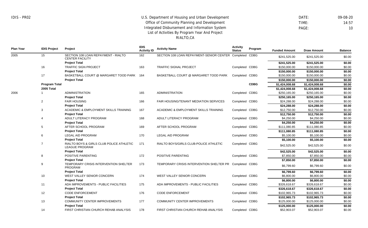#### RIALTO,CA

 DATE: 09-08-20 TIME: 14:57 PAGE: 10

**Plan Year IDIS Project Project IDIS Activity ID Activity Name Activity Status Program** Metrics **Funded Amount Draw Amount Balance** 2005 2006 15 16 17 **Program Total 2005 Total** 1 2 3 4 5 6 7 8 9 10 11 12 13 14 SECTION 108 LOAN REPAYMENT - RIALTO CENTER FACILITY **Project Total** TRAFFIC SIGN PROJECT **Project Total** BASKETBALL COURT @ MARGARET TOOD PARK 164 **Project Total** ADMINISTRATION **Project Total** FAIR HOUSING **Project Total** ACADEMIC & EMPLOYMENT SKILLS TRAINING **Project Total** ADULT LITERACY PROGRAM **Project Total** AFTER SCHOOL PROGRAM **Project Total** LEGAL AID PROGRAM **Project Total** RIALTO BOYS & GIRLS CLUB POLICE ATHLETIC LEAGUE PROGRAM **Project Total** POSITIVE PARENTING **Project Total** TEMPORARY CRISIS INTERVENTION SHELTER PROGRAM **Project Total** WEST VALLEY SENIOR CONCERN **Project Total** ADA IMPROVEMENTS - PUBLIC FACILITIES **Project Total** CODE ENFORCEMENT **Project Total** COMMUNITY CENTER IMPROVEMENTS **Project Total** FIRST CHRISTIAN CHURCH REHAB ANALYSIS 162 163 165 166 167 168 169 170 171 172 173 174 175 176 177 178 SECTION 108 LOAN REPAYMENT-SENIOR CENTER Completed CDBG TRAFFIC SIGNAL PROJECT BASKETBALL COURT @ MARGARET TOOD PARK ADMINISTRATION FAIR HOUSING/TENANT MEDIATION SERVICES ACADEMIC & EMPLOYMENT SKILLS TRAINING ADULT LITERACY PROGRAM AFTER SCHOOL PROGRAM LEGAL AID PROGRAM RIALTO BOYS/GIRLS CLUB-POLICE ATHLETIC POSITIVE PARENTING TEMPORARY CRISIS INTERVENTION SHELTER PR WEST VALLEY SENIOR CONCERN ADA IMPROVEMENTS - PUBLIC FACILITIES CODE ENFORCEMENT COMMUNITY CENTER IMPROVEMENTS FIRST CHRISTIAN CHURCH REHAB ANALYSIS Completed CDBG Completed CDBG Completed CDBG Completed CDBG Completed CDBG Completed CDBG Completed CDBG Completed CDBG Completed CDBG Completed CDBG Completed CDBG Completed CDBG Completed CDBG Completed CDBG Completed CDBG Completed CDBG **CDBG** \$241,525.00 \$241,525.00 \$0.00 **\$241,525.00 \$241,525.00 \$0.00** \$150,000.00 \$150,000.00 \$0.00 **\$150,000.00 \$150,000.00 \$0.00** \$150,000.00 \$150,000.00 \$0.00 **\$150,000.00 \$150,000.00 \$0.00 \$1,424,008.68 \$1,424,008.68 \$0.00 \$1,424,008.68 \$1,424,008.68 \$0.00** \$250,165.00 \$250,165.00 \$0.00 **\$250,165.00 \$250,165.00 \$0.00** \$24,288.00 \$24,288.00 \$0.00 **\$24,288.00 \$24,288.00 \$0.00** \$12,750.00 \$12,750.00 \$0.00 **\$12,750.00 \$12,750.00 \$0.00** \$4,250.00 \$4,250.00 \$0.00 **\$4,250.00 \$4,250.00 \$0.00** \$111,080.85 \$111,080.85 \$0.00 **\$111,080.85 \$111,080.85 \$0.00** \$5,100.00 \$5,100.00 \$0.00 **\$5,100.00 \$5,100.00 \$0.00** \$42,525.00 \$42,525.00 \$0.00 **\$42,525.00 \$42,525.00 \$0.00** \$7,850.00 \$7,850.00 \$0.00 **\$7,850.00 \$7,850.00 \$0.00** \$6,799.60 \$6,799.60 \$0.00 **\$6,799.60 \$6,799.60 \$0.00** \$6,800.00 \$6,800.00 \$0.00 **\$6,800.00 \$6,800.00 \$0.00** \$326,618.67 \$326,618.67 \$0.00 **\$326,618.67 \$326,618.67 \$0.00** \$102,965.73 \$102,965.73 \$0.00 **\$102,965.73 \$102,965.73 \$0.00** \$125,000.00 \$125,000.00 \$0.00 **\$125,000.00 \$125,000.00 \$0.00**  $$52,903.07$   $$52,903.07$   $$0.00$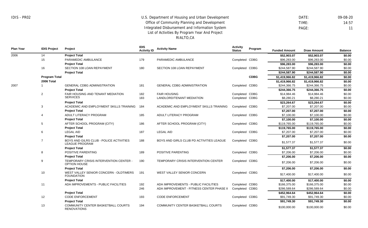RENOVATIONS

## U.S. Department of Housing and Urban Development Office of Community Planning and Development Integrated Disbursement and Information System List of Activities By Program Year And Project RIALTO,CA

 DATE: 09-08-20 TIME: 14:57 PAGE: 11

**Plan Year IDIS Project Project IDIS Activity ID Activity Name Activity Status Program** Metrics **Funded Amount Draw Amount Balance** 2006 2007 14 15 16 **Program Total 2006 Total** 1 2 3 4 5 6 7 8 9 10 11 12 13 **Project Total** PARAMEDIC AMBULANCE **Project Total** SECTION 108 LOAN REPAYMENT **Project Total** GENERAL CDBG ADMINISTRATION **Project Total** FAIR HOUSING AND TENANT MEDIATION **SERVICES Project Total** ACADEMIC AND EMPLOYMENT SKILLS TRAINING **Project Total** ADULT LITERACY PROGRAM **Project Total** AFTER SCHOOL PROGRAM (CITY) **Project Total** LEGAL AID **Project Total** BOYS AND GILRS CLUB - POLICE ACTIVITIES LEAGUE PROGRAM **Project Total** POSITIVE PARENTING **Project Total** TEMPORARY CRISIS INTERVENTION CENTER - OPTION HOUSE **Project Total** WEST VALLEY SENIOR CONCERN - OLDTIMERS FOUNDATION **Project Total** ADA IMPROVEMENTS - PUBLIC FACILITIES **Project Total** CODE ENFORCEMENT **Project Total** COMMUNITY CENTER BASKETBALL COURTS 179 180 181 182 183 184 185 186 187 188 189 190 191 192 246 193 194 PARAMEDIC AMBULANCE SECTION 108 LOAN REPAYMENT GENERAL CDBG ADMINISTRATION FAIR HOUSING LANDLORD/TENANT MEDIATION ACADEMIC AND EMPLOYMENT SKILLS TRAINING ADULT LITERACY PROGRAM AFTER SCHOOL PROGRAM (CITY) LEGAL AID BOYS AND GIRLS CLUB PD ACTIVITIES LEAGUE POSITIVE PARENTING TEMPORARY CRISIS INTERVENTION CENTER WEST VALLEY SENIOR CONCERN ADA IMPROVEMENTS - PUBLIC FACILITIES ADA IMPROVEMENT - FITNESS CENTER PHASE II CODE ENFORCEMENT COMMUNITY CENTER BASKETBALL COURTS Completed CDBG Completed CDBG Completed CDBG Completed CDBG Completed CDBG Completed CDBG Completed CDBG Completed CDBG Completed CDBG Completed CDBG Completed CDBG Completed CDBG Completed CDBG Completed CDBG Completed CDBG Completed CDBG Completed CDBG **CDBG \$52,903.07 \$52,903.07 \$0.00** \$96,283.00 \$96,283.00 \$0.00 **\$96,283.00 \$96,283.00 \$0.00** \$244,587.90 \$244,587.90 \$0.00 **\$244,587.90 \$244,587.90 \$0.00 \$1,419,966.82 \$1,419,966.82 \$0.00 \$1,419,966.82 \$1,419,966.82 \$0.00** \$244,366.75 \$244,366.75 \$0.00 **\$244,366.75 \$244,366.75 \$0.00** \$14,984.46 \$14,984.46 \$0.00 \$8,280.21 \$8,280.21 \$0.00 **\$23,264.67 \$23,264.67 \$0.00** \$7,207.00 \$7,207.00 \$0.00 **\$7,207.00 \$7,207.00 \$0.00** \$7,100.00 \$7,100.00 \$0.00 **\$7,100.00 \$7,100.00 \$0.00** \$119,765.00 \$119,765.00 \$0.00 **\$119,765.00 \$119,765.00 \$0.00** \$7,207.00 \$7,207.00 \$0.00 **\$7,207.00 \$7,207.00 \$0.00** \$1,577.37 \$0.00 **\$1,577.37 \$1,577.37 \$0.00** \$7,206.00 \$7,206.00 \$0.00 **\$7,206.00 \$7,206.00 \$0.00** \$7,206.00 \$7,206.00 \$0.00 **\$7,206.00 \$7,206.00 \$0.00** \$17,400.00 \$17,400.00 \$0.00 **\$17,400.00 \$17,400.00 \$0.00** \$166,375.00 \$166,375.00 \$0.00 \$286,589.64 \$286,589.64 \$0.00 **\$452,964.64 \$452,964.64 \$0.00** \$91,749.30 \$91,749.30 \$0.00 **\$91,749.30 \$91,749.30 \$0.00** \$100,000.00 \$100,000.00 \$0.00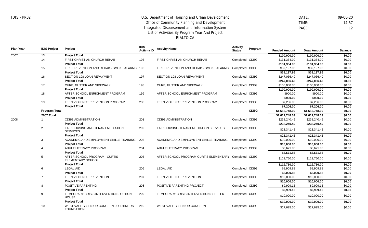DATE: 09-08-20 TIME: 14:57 PAGE: 12

**Plan Year IDIS Project Project IDIS Activity ID Activity Name Activity Status Program** Metrics **Funded Amount Draw Amount Balance** 2007 2008 13 14 15 16 17 18 19 **Program Total 2007 Total** 1 2 3 4 5 6 7 8 9 10 **Project Total** FIRST CHRISTIAN CHURCH REHAB **Project Total** FIRE PREVENTION AND REHAB - SMOKE ALARMS 196 **Project Total** SECTION 108 LOAN REPAYMENT **Project Total** CURB, GUTTER AND SIDEWALK **Project Total** AFTER SCHOOL ENRICHMENT PROGRAM **Project Total** TEEN VIOLENCE PREVENTION PROGRAM **Project Total** CDBG ADMINISTRATION **Project Total** FAIR HOUSING AND TENANT MEDIATION SERVICES **Project Total** ACADEMIC AND EMPLOYMENT SKILLS TRAINING **Project Total** ADULT LITERACY PROGRAM **Project Total** AFTER SCHOOL PROGRAM - CURTIS ELEMENTARY SCHOOL **Project Total** LEGAL AID **Project Total** TEEN VIOLENCE PREVENTION **Project Total** POSITIVE PARENTING **Project Total** TEMPORARY CRISIS INTERVENTION - OPTION **HOUSE Project Total** WEST VALLEY SENIOR CONCERN - OLDTIMERS FOUNDATION 195 197 198 199 200 201 202 203 204 205 206 207 208 209 210 FIRST CHRISTIAN CHURCH REHAB FIRE PREVENTION AND REHAB - SMOKE ALARMS SECTION 108 LOAN REPAYMENT CURB, GUTTER AND SIDEWALK AFTER SCHOOL ENRICHMENT PROGRAM TEEN VIOLENCE PREVENTION PROGRAM CDBG ADMINISTRATION FAIR HOUSING-TENANT MEDIATION SERVICES ACADEMIC AND EMPLOYMENT SKILLS TRAINING ADULT LITERACY PROGRAM AFTER SCHOOL PROGRAM-CURTIS ELEMENTARY Completed CDBG LEGAL AID TEEN VIOLENCE PREVENTION POSITIVE PARENTING PROJECT TEMPORARY CRISIS INTERVENTION SHELTER WEST VALLEY SENIOR CONCERN Completed CDBG Completed CDBG Completed CDBG Completed CDBG Completed CDBG Completed CDBG Completed CDBG Completed CDBG Completed CDBG Completed CDBG Completed CDBG Completed CDBG Completed CDBG Completed CDBG Completed CDBG **CDBG \$100,000.00 \$100,000.00 \$0.00** \$131,364.00 \$131,364.00 \$0.00 **\$131,364.00 \$131,364.00 \$0.00**  $$39.197.96$   $$39.197.96$   $$0.00$ **\$39,197.96 \$39,197.96 \$0.00** \$247,066,40 \$247,066,40 \$0.00 **\$247,066.40 \$247,066.40 \$0.00** \$100,000.00 \$100,000.00 \$0.00 **\$100,000.00 \$100,000.00 \$0.00** \$900.00 \$900.00 \$0.00 **\$900.00 \$900.00 \$0.00** \$7,206.00 \$7,206.00 \$0.00 **\$7,206.00 \$7,206.00 \$0.00 \$1,612,748.09 \$1,612,748.09 \$0.00 \$1,612,748.09 \$1,612,748.09 \$0.00** \$238,240.49 \$238,240.49 \$0.00 **\$238,240.49 \$238,240.49 \$0.00** \$23,341.42 \$23,341.42 \$0.00 **\$23,341.42 \$23,341.42 \$0.00** \$10,000.00 \$10,000.00 \$0.00 **\$10,000.00 \$10,000.00 \$0.00** \$6,671.86 \$6,671.86 \$0.00 **\$6,671.86 \$6,671.86 \$0.00** \$119,750.00 \$119,750.00 \$0.00 **\$119,750.00 \$119,750.00 \$0.00** \$8,909.88 \$8,909.88 \$0.00 **\$8,909.88 \$8,909.88 \$0.00** \$10,000.00 \$10,000.00 \$0.00 **\$10,000.00 \$10,000.00 \$0.00** \$9,999.15 \$9,999.15 \$0.00 **\$9,999.15 \$9,999.15 \$0.00** \$10,000.00 \$10,000.00 \$0.00 **\$10,000.00 \$10,000.00 \$0.00** \$17,625.00 \$17,625.00 \$0.00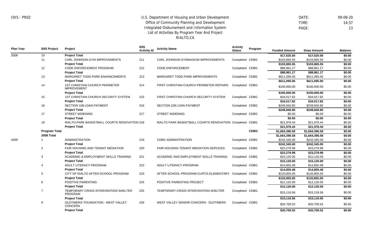DATE: 09-08-20 TIME: 14:57 PAGE: 13

| <b>Plan Year</b> | <b>IDIS Project</b>  | Project                                                        | <b>IDIS</b><br><b>Activity ID</b> | <b>Activity Name</b>                               | <b>Activity</b><br><b>Status</b> | Program     | <b>Funded Amount</b> | <b>Draw Amount</b> | <b>Balance</b> |
|------------------|----------------------|----------------------------------------------------------------|-----------------------------------|----------------------------------------------------|----------------------------------|-------------|----------------------|--------------------|----------------|
| 2008             | 10 <sup>°</sup>      | <b>Project Total</b>                                           |                                   |                                                    |                                  |             | \$17,625.00          | \$17,625.00        | \$0.00         |
|                  | 11                   | CARL JOHNSON GYM IMPROVEMENTS                                  | 211                               | CARL JOHNSON GYMNASIUM IMPROVEMENTS                | Completed CDBG                   |             | \$103,865.55         | \$103,865.55       | \$0.00         |
|                  |                      | <b>Project Total</b>                                           |                                   |                                                    |                                  |             | \$103,865.55         | \$103,865.55       | \$0.00         |
|                  | 12                   | <b>CODE ENFORCEMENT PROGRAM</b>                                | 212                               | <b>CODE ENFORCEMENT</b>                            | Completed CDBG                   |             | \$88,961.17          | \$88,961.17        | \$0.00         |
|                  |                      | <b>Project Total</b>                                           |                                   |                                                    |                                  |             | \$88,961.17          | \$88,961.17        | \$0.00         |
|                  | 13                   | MARGARET TODD PARK ENHANCEMENTS                                | 213                               | MARGARET TODD PARK IMPROVEMENTS                    | Completed CDBG                   |             | \$611,095.00         | \$611,095.00       | \$0.00         |
|                  |                      | <b>Project Total</b>                                           |                                   |                                                    |                                  |             | \$611,095.00         | \$611,095.00       | \$0.00         |
|                  | 14                   | <b>1ST CHRISTIAN CHURCH PERIMETER</b><br><b>IMPROVEMENT</b>    | 214                               | FIRST CHRISTIAN CHURCH PERIMETER REPAIRS           | Completed CDBG                   |             | \$100,000.00         | \$100,000.00       | \$0.00         |
|                  |                      | <b>Project Total</b>                                           |                                   |                                                    |                                  |             | \$100,000.00         | \$100,000.00       | \$0.00         |
|                  | 15                   | <b>1ST CHRISTIAN CHURCH SECURITY SYSTEM</b>                    | 215                               | FIRST CHRISTIAN CHURCH SECURITY SYSTEM             | Completed CDBG                   |             | \$34,017.82          | \$34,017.82        | \$0.00         |
|                  |                      | <b>Project Total</b>                                           |                                   |                                                    |                                  |             | \$34,017.82          | \$34,017.82        | \$0.00         |
|                  | 16                   | SECTION 108 LOAN PAYMENT                                       | 216                               | SECTION 108 LOAN PAYMENT                           | Completed CDBG                   |             | \$249,940.80         | \$249,940.80       | \$0.00         |
|                  |                      | <b>Project Total</b>                                           |                                   |                                                    |                                  |             | \$249,940.80         | \$249,940.80       | \$0.00         |
|                  | 17                   | <b>STREET WIDENING</b>                                         | 217                               | <b>STREET WIDENING</b>                             | Completed CDBG                   |             | \$0.00               | \$0.00             | \$0.00         |
|                  |                      | <b>Project Total</b>                                           |                                   |                                                    |                                  |             | \$0.00               | \$0.00             | \$0.00         |
|                  | 18                   | RIALTO PARK BASKETBALL COURTS RENOVATION 218                   |                                   | RIALTO PARK BASKETBALL COURTS RENOVATION Completed |                                  | CDBG        | \$21,978.44          | \$21,978.44        | \$0.00         |
|                  |                      | <b>Project Total</b>                                           |                                   |                                                    |                                  |             | \$21,978.44          | \$21,978.44        | \$0.00         |
|                  | <b>Program Total</b> |                                                                |                                   |                                                    |                                  | <b>CDBG</b> | \$1,664,396.58       | \$1,664,396.58     | \$0.00         |
|                  | 2008 Total           |                                                                |                                   |                                                    |                                  |             | \$1,664,396.58       | \$1,664,396.58     | \$0.00         |
| 2009             |                      | <b>ADMINISTRATION</b>                                          | 219                               | <b>CDBG ADMINISTRATION</b>                         | Completed CDBG                   |             | \$242,345.00         | \$242,345.00       | \$0.00         |
|                  |                      | <b>Project Total</b>                                           |                                   |                                                    |                                  |             | \$242,345.00         | \$242,345.00       | \$0.00         |
|                  | $\overline{2}$       | <b>FAIR HOUSING AND TENANT MEDIATION</b>                       | 220                               | FAIR HOUSING-TENANT MEDIATION SERVICES             | Completed CDBG                   |             | \$23,279.98          | \$23,279.98        | \$0.00         |
|                  |                      | <b>Project Total</b>                                           |                                   |                                                    |                                  |             | \$23,279.98          | \$23,279.98        | \$0.00         |
|                  | 3                    | ACADEMIC & EMPLOYMENT SKILLS TRAINING                          | 221                               | ACADEMIC AND EMPLOYMENT SKILLS TRAINING            | Completed CDBG                   |             | \$15,120.00          | \$15,120.00        | \$0.00         |
|                  |                      | <b>Project Total</b>                                           |                                   |                                                    |                                  |             | \$15,120.00          | \$15,120.00        | \$0.00         |
|                  |                      | ADULT LITERACY PROGRAM                                         | 222                               | ADULT LITERACY PROGRAM                             | Completed                        | CDBG        | \$14,855.48          | \$14,855.48        | \$0.00         |
|                  |                      | <b>Project Total</b>                                           |                                   |                                                    |                                  |             | \$14,855.48          | \$14,855.48        | \$0.00         |
|                  | 5                    | CITY OF RIALTO AFTER-SCHOOL PROGRAM                            | 223                               | AFTER SCHOOL PROGRAM-CURTIS ELEMENTARY             | Completed CDBG                   |             | \$120,855.00         | \$120,855.00       | \$0.00         |
|                  |                      | <b>Project Total</b>                                           |                                   |                                                    |                                  |             | \$120,855.00         | \$120,855.00       | \$0.00         |
|                  | 6                    | POSITIVE PARENTING                                             | 224                               | POSITIVE PARENTING PROJECT                         | Completed CDBG                   |             | \$12,120.00          | \$12,120.00        | \$0.00         |
|                  |                      | <b>Project Total</b>                                           |                                   |                                                    |                                  |             | \$12,120.00          | \$12,120.00        | \$0.00         |
|                  | 7                    | <b>TEMPORARY CRISIS INTERVENTION SHELTER</b><br><b>PROGRAM</b> | 225                               | TEMPORARY CRISIS INTERVENTION SHELTER              | Completed CDBG                   |             | \$15,116.56          | \$15,116.56        | \$0.00         |
|                  |                      | <b>Project Total</b>                                           |                                   |                                                    |                                  |             | \$15,116.56          | \$15,116.56        | \$0.00         |
|                  | 8                    | OLDTIMERS' FOUNDATION - WEST VALLEY<br><b>CONCERN</b>          | 226                               | WEST VALLEY SENIOR CONCERN - OLDTIMERS             | Completed CDBG                   |             | \$20,700.52          | \$20,700.52        | \$0.00         |
|                  |                      | <b>Project Total</b>                                           |                                   |                                                    |                                  |             | \$20.700.52          | \$20,700.52        | \$0.00         |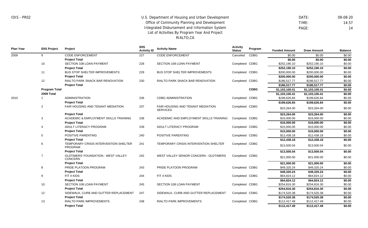DATE: 09-08-20 TIME: 14:57 PAGE: 14

**Plan Year IDIS Project Project IDIS Activity ID Activity Name Activity Status Program** Metrics **Funded Amount Draw Amount Balance** 2009 2010 9 10 11 12 **Program Total 2009 Total** 1 2 3 4 5 6 7 8 9 10 12 13 CODE ENFORCEMENT **Project Total** SECTION 108 LOAN PAYMENT **Project Total** BUS STOP SHELTER IMPROVEMENTS **Project Total** RIALTO PARK SNACK BAR RENOVATION **Project Total** ADMINISTRATION **Project Total** FAIR HOUSING AND TENANT MEDIATION **Project Total** ACADEMIC & EMPLOYMENT SKILLS TRAINING **Project Total** ADULT LITERACY PROGRAM **Project Total** POSITIVE PARENTING **Project Total** TEMPORARY CRISIS INTERVENTION SHELTER PROGRAM **Project Total** OLDTIMERS' FOUNDATION - WEST VALLEY CONCERN **Project Total** PRIDE PLATOON PROGRAM **Project Total** FIT 4 KIDS **Project Total** SECTION 108 LOAN PAYMENT **Project Total** SIDEWALK, CURB AND GUTTER REPLACEMENT **Project Total** RIALTO PARK IMPROVEMENTS **Project Total** 227 228 229 230 236 237 238 239 240 241 242 243 244 245 247 248 CODE ENFORCEMENT SECTION 108 LOAN PAYMENT BUS STOP SHELTER IMPROVEMENTS RIALTO PARK SNACK BAR RENOVATION CDBG ADMINISTRATION FAIR HOUSING AND TENANT MEDIATION **SERVICES** ACADEMIC AND EMPLOYMENT SKILLS TRAINING ADULT LITERACY PROGRAM POSITIVE PARENTING TEMPORARY CRISIS INTERVENTION SHELTER WEST VALLEY SENIOR CONCERN - OLDTIMERS PRIDE PLATOON PROGRAM FIT 4 KIDS SECTION 108 LOAN PAYMENT SIDEWALK, CURB AND GUTTER REPLACEMENT RIALTO PARK IMPROVEMENTS Canceled Completed CDBG Completed CDBG Completed CDBG Completed CDBG Completed CDBG Completed CDBG Completed CDBG Completed CDBG Completed CDBG Completed CDBG Completed CDBG Completed CDBG Completed CDBG Completed CDBG Completed CDBG CDBG **CDBG** \$0.00 \$0.00 \$0.00 **\$0.00 \$0.00 \$0.00** \$252,190.10 \$252,190.10 \$0.00 **\$252,190.10 \$252,190.10 \$0.00** \$200,000.00 \$200,000.00 \$0.00 **\$200,000.00 \$200,000.00 \$0.00** \$186,517.77 \$186,517.77 \$0.00 **\$186,517.77 \$186,517.77 \$0.00 \$1,103,100.41 \$1,103,100.41 \$0.00 \$1,103,100.41 \$1,103,100.41 \$0.00** \$199,626.84 \$199,626.84 \$0.00 **\$199,626.84 \$199,626.84 \$0.00** \$23,264.00 \$23,264.00 \$0.00 **\$23,264.00 \$23,264.00 \$0.00** \$16,000.00 \$16,000.00 \$0.00 **\$16,000.00 \$16,000.00 \$0.00** \$15,000.00 \$15,000.00 \$0.00 **\$15,000.00 \$15,000.00 \$0.00** \$12,438.18 \$12,438.18 \$0.00 **\$12,438.18 \$12,438.18 \$0.00** \$13,500.04 \$13,500.04 \$0.00 **\$13,500.04 \$13,500.04 \$0.00** \$21,000.00 \$21,000.00 \$0.00 **\$21,000.00 \$21,000.00 \$0.00** \$49,320.24 \$49,320.24 \$0.00 **\$49,320.24 \$49,320.24 \$0.00** \$64,824.12 \$64,824.12 \$0.00 **\$64,824.12 \$64,824.12 \$0.00** \$254,816.30 \$254,816.30 \$0.00 **\$254,816.30 \$254,816.30 \$0.00** \$174,520.38 \$174,520.38 \$0.00 **\$174,520.38 \$174,520.38 \$0.00** \$112,417.49 \$112,417.49 \$0.00 **\$112,417.49 \$112,417.49 \$0.00**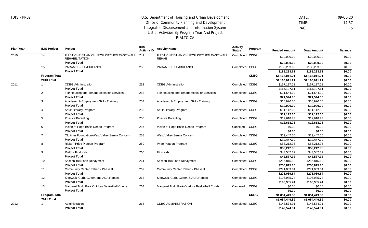RIALTO,CA

| DATF: | 09-08-20 |
|-------|----------|
| TIMF: | 14:57    |
| PAGE: | 15       |

| <b>Plan Year</b> | <b>IDIS Project</b>  | Project                                                           | <b>IDIS</b><br><b>Activity ID</b> | <b>Activity Name</b>                                     | <b>Activity</b><br><b>Status</b> | Program     | <b>Funded Amount</b> | <b>Draw Amount</b> | <b>Balance</b> |
|------------------|----------------------|-------------------------------------------------------------------|-----------------------------------|----------------------------------------------------------|----------------------------------|-------------|----------------------|--------------------|----------------|
| 2010             | 14                   | FIRST CHRISTIAN CHURCH KITCHEN EAST WALL<br><b>REHABILITATION</b> | 249                               | FIRST CHRISTIAN CHURCH KITCHEN EAST WALL<br><b>REHAB</b> | Completed CDBG                   |             | \$20,000.00          | \$20,000.00        | \$0.00         |
|                  |                      | <b>Project Total</b>                                              |                                   |                                                          |                                  |             | \$20,000.00          | \$20,000.00        | \$0.00         |
|                  | 15                   | PARAMEDIC AMBULANCE                                               | 250                               | PARAMEDIC AMBULANCE                                      | Completed CDBG                   |             | \$188,283.62         | \$188,283.62       | \$0.00         |
|                  |                      | <b>Project Total</b>                                              |                                   |                                                          |                                  |             | \$188,283.62         | \$188,283.62       | \$0.00         |
|                  | <b>Program Total</b> |                                                                   |                                   |                                                          |                                  | <b>CDBG</b> | \$1,165,011.21       | \$1,165,011.21     | \$0.00         |
|                  | 2010 Total           |                                                                   |                                   |                                                          |                                  |             | \$1,165,011.21       | \$1,165,011.21     | \$0.00         |
| 2011             |                      | <b>CDBG</b> Administration                                        | 252                               | <b>CDBG Administration</b>                               | Completed CDBG                   |             | \$157,137.11         | \$157,137.11       | \$0.00         |
|                  |                      | <b>Project Total</b>                                              |                                   |                                                          |                                  |             | \$157,137.11         | \$157,137.11       | \$0.00         |
|                  | $\overline{2}$       | Fair Housing and Tenant Mediation Services                        | 253                               | Fair Housing and Tenant Mediation Services               | Completed CDBG                   |             | \$21,544.00          | \$21,544.00        | \$0.00         |
|                  |                      | <b>Project Total</b>                                              |                                   |                                                          |                                  |             | \$21,544.00          | \$21,544.00        | \$0.00         |
|                  | 3                    | Academic & Employment Skills Training                             | 254                               | Academic & Employment Skills Training                    | Completed CDBG                   |             | \$10,920.00          | \$10,920.00        | \$0.00         |
|                  |                      | <b>Project Total</b>                                              |                                   |                                                          |                                  |             | \$10,920.00          | \$10,920.00        | \$0.00         |
|                  | $\overline{4}$       | Adult Literacy Program                                            | 255                               | Adult Literacy Program                                   | Completed CDBG                   |             | \$11,112.00          | \$11,112.00        | \$0.00         |
|                  |                      | <b>Project Total</b>                                              |                                   |                                                          |                                  |             | \$11,112.00          | \$11,112.00        | \$0.00         |
|                  | 5                    | <b>Positive Parenting</b>                                         | 256                               | <b>Positive Parenting</b>                                | Completed CDBG                   |             | \$12,618.73          | \$12,618.73        | \$0.00         |
|                  |                      | <b>Project Total</b>                                              |                                   |                                                          |                                  |             | \$12,618.73          | \$12,618.73        | \$0.00         |
|                  | 6                    | Vision of Hope Basic Needs Program                                | 257                               | Vision of Hope Basic Needs Program                       | Canceled                         | CDBG        | \$0.00               | \$0.00             | \$0.00         |
|                  |                      | <b>Project Total</b>                                              |                                   |                                                          |                                  |             | \$0.00               | \$0.00             | \$0.00         |
|                  | $\overline{7}$       | Oldtimer Foundation-West Valley Senior Concern                    | 258                               | West Valley Senior Concern                               | Completed CDBG                   |             | \$19,447.00          | \$19,447.00        | \$0.00         |
|                  |                      | <b>Project Total</b>                                              |                                   |                                                          |                                  |             | \$19,447.00          | \$19,447.00        | \$0.00         |
|                  | 8                    | Rialto - Pride Platoon Program                                    | 259                               | Pride Platoon Program                                    | Completed CDBG                   |             | \$53,212.95          | \$53,212.95        | \$0.00         |
|                  |                      | <b>Project Total</b>                                              |                                   |                                                          |                                  |             | \$53,212.95          | \$53,212.95        | \$0.00         |
|                  | 9                    | Rialto - Fit 4 Kids                                               | 260                               | Fit 4 Kids                                               | Completed CDBG                   |             | \$43,587.32          | \$43,587.32        | \$0.00         |
|                  |                      | <b>Project Total</b>                                              |                                   |                                                          |                                  |             | \$43,587.32          | \$43,587.32        | \$0.00         |
|                  | 10                   | Section 108 Loan Repayment                                        | 261                               | Section 108 Loan Repayment                               | Completed CDBG                   |             | \$256,815.10         | \$256,815.10       | \$0.00         |
|                  |                      | <b>Project Total</b>                                              |                                   |                                                          |                                  |             | \$256,815.10         | \$256,815.10       | \$0.00         |
|                  | 11                   | Community Center Rehab - Phase II                                 | 262                               | Community Center Rehab - Phase II                        | Completed CDBG                   |             | \$271,069.64         | \$271,069.64       | \$0.00         |
|                  |                      | <b>Project Total</b>                                              |                                   |                                                          |                                  |             | \$271.069.64         | \$271,069.64       | \$0.00         |
|                  | 12                   | Sidewalk, Curb, Gutter, and ADA Ramps                             | 263                               | Sidewalk, Curb, Gutter, & ADA Ramps                      | Completed CDBG                   |             | \$196,985.74         | \$196,985.74       | \$0.00         |
|                  |                      | <b>Project Total</b>                                              |                                   |                                                          |                                  |             | \$196,985.74         | \$196,985.74       | \$0.00         |
|                  | 13                   | Margaret Todd Park Outdoor Basketball Courts                      | 264                               | Margaret Todd Park-Outdoor Basketball Courts             | Canceled                         | <b>CDBG</b> | \$0.00               | \$0.00             | \$0.00         |
|                  |                      | <b>Project Total</b>                                              |                                   |                                                          |                                  |             | \$0.00               | \$0.00             | \$0.00         |
|                  | <b>Program Total</b> |                                                                   |                                   |                                                          |                                  | <b>CDBG</b> | \$1,054,449.59       | \$1,054,449.59     | \$0.00         |
|                  | 2011 Total           |                                                                   |                                   |                                                          |                                  |             | \$1,054,449.59       | \$1,054,449.59     | \$0.00         |
| 2012             |                      | Administration                                                    | 265                               | <b>CDBG ADMINISTRATION</b>                               | Completed                        | CDBG        | \$143,574.91         | \$143,574.91       | \$0.00         |
|                  |                      | <b>Project Total</b>                                              |                                   |                                                          |                                  |             | \$143,574.91         | \$143,574.91       | \$0.00         |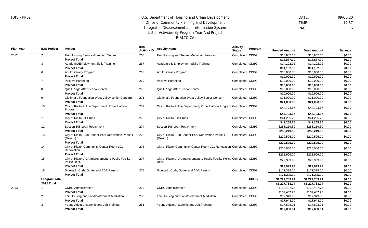**Project Total**

## U.S. Department of Housing and Urban Development Office of Community Planning and Development Integrated Disbursement and Information System List of Activities By Program Year And Project RIALTO,CA

 DATE: 09-08-20 TIME: 14:57 PAGE: 16

**\$17,808.01 \$17,808.01 \$0.00**

**Plan Year IDIS Project Project IDIS Activity Name Activity Name Activity Activity Activity Activity Activity Activity Activity Activity Activity Activity Activity Activity Activity Activity Activity Activity Activity Ac Program Funded Amount Draw Amount Balance** 2012 2013 2 3 6 7 8 9 10 11 12 13 14 15 16 **Program Total 2012 Total** 1 2 3 Fair Housing Services/Landlord Tenant **Project Total** Adademic/Employment Skills Training **Project Total** Adult Literacy Program **Project Total** Positive Parenting **Project Total** Quail Ridge After School Center **Project Total** Oldtimer's Foundation-West Valley senior Concern **Project Total** City of Rialto Police Department: Pride Platoon Program **Project Total** City of Rialto:Fit 4 Kids **Project Total** Section 108 Loan Repayment **Project Total** City of Rialto: Bud Bender Park Renovation Phase I (Design) **Project Total** City of Rialto: Community Center Room 101 Renovation **Project Total** City of Rialto: ADA Improvement to Public Facility-Police Dept. **Project Total** Sidewalk, Curb, Gutter and ADA Ramps **Project Total** CDBG Administration **Project Total** Fair Housing and Landlord/Tenant Mediation **Project Total** Young Adults Academic and Job Training 266 267 268 269 270 271 272 273 274 275 276 277 278 279 280 281 Fair Housing and Tenant Mediation Services Academic & Employment Skills Training Adult Literacy Program Positive Parenting Quail Ridge After School Center Oldtimer's Foundation-West Valley Senior Concern City of Rialto Police Department; Pride Platoon Program Completed CDBG City of Rialto: Fit 4 Kids Section 108 Loan Repayment City of Rialto: Bud Bender Park Renovation Phase I (Design) City of Rialto: Community Center Room 101 Renovation Completed CDBG City of Rialto: ADA Improvement to Public Facility-Police Completed CDBG Dept. Sidewalk, Curb, Gutter and ADA Ramps CDBG Administration Fair Housing and Landlord/Tenant Mediation Young Adults Academic and Job Training Completed CDBG Completed CDBG Completed CDBG Completed CDBG Completed CDBG Completed CDBG Completed CDBG Completed CDBG Completed CDBG Completed CDBG Completed CDBG Completed CDBG Completed CDBG **CDBG** \$18,887.00 \$18,887.00 \$0.00 **\$18,887.00 \$18,887.00 \$0.00** \$14,192.92 \$14,192.92 \$0.00 **\$14,192.92 \$14,192.92 \$0.00** \$10,000.00 \$10,000.00 \$0.00 **\$10,000.00 \$10,000.00 \$0.00** \$10,000.00 \$10,000.00 \$0.00 **\$10,000.00 \$10,000.00 \$0.00** \$10,000.00 \$10,000.00 \$0.00 **\$10,000.00 \$10,000.00 \$0.00** \$21,000.00 \$21,000.00 \$0.00 **\$21,000.00 \$21,000.00 \$0.00** \$44,793.67 \$44,793.67 \$0.00 **\$44,793.67 \$44,793.67 \$0.00** \$41,265.75 \$41,265.75 \$0.00 **\$41,265.75 \$41,265.75 \$0.00** \$258,219.50 \$258,219.50 \$0.00 **\$258,219.50 \$258,219.50 \$0.00** \$229,525.00 \$229,525.00 \$0.00 **\$229,525.00 \$229,525.00 \$0.00** \$225,000.00 \$225,000.00 \$0.00 **\$225,000.00 \$225,000.00 \$0.00** \$29,999.99 \$29,999.99 \$0.00 **\$29,999.99 \$29,999.99 \$0.00** \$171,325.00 \$171,325.00 \$0.00 **\$171,325.00 \$171,325.00 \$0.00 \$1,227,783.74 \$1,227,783.74 \$0.00 \$1,227,783.74 \$1,227,783.74 \$0.00** \$132,487.75 \$132,487.75 \$0.00 **\$132,487.75 \$132,487.75 \$0.00** \$17,943.00 \$17,943.00 \$0.00 **\$17,943.00 \$17,943.00 \$0.00** \$17,808.01 \$17,808.01 \$0.00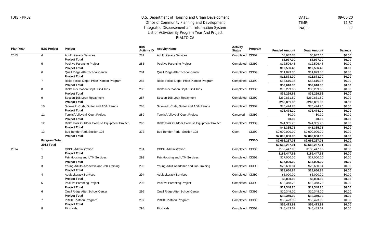8

Fit 4 Kids

## U.S. Department of Housing and Urban Development Office of Community Planning and Development Integrated Disbursement and Information System List of Activities By Program Year And Project RIALTO,CA

 DATE: 09-08-20 TIME: 14:57 PAGE: 17

\$46,483.67 \$46,483.67 \$0.00

**Plan Year IDIS Project Project IDIS Activity ID Activity Name Activity Status Program** Metrics **Funded Amount Draw Amount Balance** 2013 2014 4 5 6 7 8 9 10 11 12 13 **Program Total 2013 Total** 1 2 3 4 5 6 7 Adult Literacy Services **Project Total** Positive Parenting Project **Project Total** Quail Ridge After School Center **Project Total** Rialto Police Dept.: Pride Platoon Program **Project Total** Rialto Recreation Dept.: Fit 4 Kids **Project Total** Section 108 Loan Repayment **Project Total** Sidewalk, Curb, Gutter and ADA Ramps **Project Total** Tennis/Volleyball Court Project **Project Total** Rialto Park Outdoor Exercise Equipment Project **Project Total** Bud Bender Park Section 108 **Project Total** CDBG Administration **Project Total** Fair Housing and LTM Services **Project Total** Young Adults Academic and Job Training **Project Total** Adult Literacy Services **Project Total** Positive Parenting Project **Project Total** Quail Ridge After School Center **Project Total** PRIDE Platoon Program **Project Total** 282 283 284 285 286 287 288 289 290 372 291 292 293 294 295 296 297 Adult Literacy Services Positive Parenting Project Quail Ridge After School Center Rialto Police Dept.: Pride Platoon Program Rialto Recreation Dept.: Fit 4 Kids Section 108 Loan Repayment Sidewalk, Curb, Gutter and ADA Ramps Tennis/Volleyball Court Project Rialto Park Outdoor Exercise Equipment Project Bud Bender Park - Section 108 CDBG Administration Fair Housing and LTM Services Young Adult Academic and Job Training Adult Literacy Services Positive Parenting Project Quail Ridge After School Center PRIDE Platoon Program Completed CDBG Completed CDBG Completed CDBG Completed CDBG Completed CDBG Completed CDBG Completed CDBG Canceled Completed CDBG Open Completed CDBG Completed CDBG Completed CDBG Completed CDBG Completed CDBG Completed CDBG Completed CDBG CDBG CDBG **CDBG** \$5,937.00 \$5,937.00 \$0.00 **\$5,937.00 \$5,937.00 \$0.00** \$12,596.48 \$12,596.48 \$0.00 **\$12,596.48 \$12,596.48 \$0.00** \$11,873.00 \$11,873.00 \$0.00 **\$11,873.00 \$11,873.00 \$0.00** \$53,610.36 \$53,610.36 \$0.00 **\$53,610.36 \$53,610.36 \$0.00**  $$35,299.66$   $$35,299.66$   $$0.00$ **\$35,299.66 \$35,299.66 \$0.00** \$260,861.80 \$260,861.80 \$0.00 **\$260,861.80 \$260,861.80 \$0.00** \$76,474.20 \$76,474.20 \$0.00 **\$76,474.20 \$76,474.20 \$0.00** \$0.00 \$0.00 \$0.00 **\$0.00 \$0.00 \$0.00** \$41,365.75 \$41,365.75 \$0.00 **\$41,365.75 \$41,365.75 \$0.00** \$2,000,000.00 \$2,000,000.00 \$0.00 **\$2,000,000.00 \$2,000,000.00 \$0.00 \$2,666,257.01 \$2,666,257.01 \$0.00 \$2,666,257.01 \$2,666,257.01 \$0.00** \$186,447.68 \$186,447.68 \$0.00 **\$186,447.68 \$186,447.68 \$0.00** \$17,000.00 \$17,000.00 \$0.00 **\$17,000.00 \$17,000.00 \$0.00** \$28,650.84 \$28,650.84 \$0.00 **\$28,650.84 \$28,650.84 \$0.00** \$5,000.00 \$5,000.00 \$0.00 **\$5,000.00 \$5,000.00 \$0.00** \$12,348.75 \$12,348.75 \$0.00 **\$12,348.75 \$12,348.75 \$0.00** \$10,349.00 \$10,349.00 \$0.00 **\$10,349.00 \$10,349.00 \$0.00** \$55,473.92 \$55,473.92 \$0.00 **\$55,473.92 \$55,473.92 \$0.00**

Completed CDBG

298

Fit 4 Kids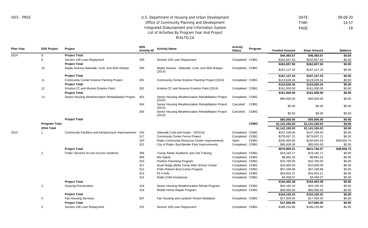DATE: 09-08-20 TIME: 14:57 PAGE: 18

**Plan Year IDIS Project Project IDIS Activity ID Activity Name Activity Status Program** Metrics **Funded Amount Draw Amount Balance** 2014 2015 8 9 10 11 12 13 **Program Total 2014 Total** 1 2 3 4 5 **Project Total** Section 108 Loan Repayment **Project Total** Maple Avenue-Sidewalk, Curb, and ADA Ramps **Project Total** Community Center Exterior Painting Project **Project Total** Kristina CC and Musem Exterior Paint **Project Total** Senior Housing Weatherization Rehabilitation Project **Project Total** Community Facilities and Infrastructure Improvements 316 **Project Total** Public Services for low-income residents **Project Total** Housing Preservation **Project Total** Fair Housing Services **Project Total** Section 108 Loan Repayment 299 300 301 302 303 304 305 317 320 321 308 309 310 311 312 313 314 318 319 307 315 Section 108 Loan Repayment Maple Avenue - Sidewalk, Curb, and ADA Ramps (2014) Community Center Exterior Painting Project (2014) Kristina CC and Museum Exterior Paint (2014) Senior Housing Weatherization Rehabilitation Project (2014) Senior Housing Weatherization Rehabilitation Project (2014) Senior Housing Weatherization Rehabilitation Project (2014) Sidewalk Curb and Gutter - 2015/16 Community Center Fence Project Rialto Community Resource Center Improvements City of Rialto: Bud Bender Park Improvements Young Adults Academic and Job Training We Salute Positive Parenting Program Quail Ridge (Bella Terra) After School Center Pride Platoon Boot Camp Program Fit 4 Kids Rialto Child Assistance Senior Housing Weatherization Rehab Program Mobile Home Repair Program Fair Housing and Landord Tenant Mediation Section 108 Loan Repayment Completed CDBG Completed CDBG Completed CDBG Completed CDBG Completed Canceled Canceled Completed Completed CDBG Open Completed CDBG Completed CDBG Completed CDBG Completed CDBG Completed CDBG Completed CDBG Completed CDBG Completed CDBG Completed CDBG Completed CDBG Completed CDBG Completed CDBG CDBG CDBG CDBG **CDBG** CDBG CDBG **\$46,483.67 \$46,483.67 \$0.00** \$262,657.50 \$262,657.50 \$0.00 **\$262,657.50 \$262,657.50 \$0.00** \$167,127.33 \$167,127.33 \$0.00 **\$167,127.33 \$167,127.33 \$0.00** \$123,626.34 \$123,626.34 \$0.00 **\$123,626.34 \$123,626.34 \$0.00** \$161,000.00 \$161,000.00 \$0.00 **\$161,000.00 \$161,000.00 \$0.00** \$65,000.00 \$65,000.00 \$0.00 \$0.00 \$0.00 \$0.00 \$0.00 \$0.00 \$0.00 **\$65,000.00 \$65,000.00 \$0.00 \$1,141,165.03 \$1,141,165.03 \$0.00 \$1,141,165.03 \$1,141,165.03 \$0.00** \$107,108.00 \$107,108.00 \$0.00 \$278,697.21 \$278,697.21 \$0.00 \$200,000,00 \$150,943.26 \$49,056.74 \$85,000.00 \$85,000.00 \$0.00 **\$670,805.21 \$621,748.47 \$49,056.74** \$19,182.17 \$19,182.17 \$0.00 \$8,882.25 \$8,882.25 \$0.00 \$10,760.00 \$10,760.00 \$0.00 \$10,000.00 \$10,000.00 \$0.00 \$57,338.68 \$57,338.68 \$0.00 \$43,842.21 \$43,842.21 \$0.00 \$4,458.07 \$4,458.07 \$0.00 **\$154,463.38 \$154,463.38 \$0.00** \$44,165.43 \$44,165.43 \$0.00  $$60,000,00$   $$60,000,00$   $$0,00$ **\$104,165.43 \$104,165.43 \$0.00** \$17,000.00 \$17,000.00 \$0.00 **\$17,000.00 \$17,000.00 \$0.00** \$186,216.80 \$186,216.80 \$0.00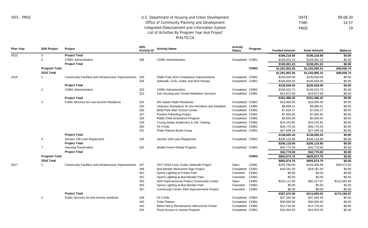DATE: 09-08-20 TIME: 14:57 PAGE: 19

\$10,354.35 \$10,354.35 \$0.00

**Plan Year IDIS Project Project IDIS Activity ID Activity Name Activity Status Program** Metrics **Funded Amount Draw Amount Balance** 2015 2016 2017 5 6 **Program Total 2015 Total** 1 2 4 5 7 **Program Total 2016 Total** 1 2 **Project Total** CDBG Administration **Project Total** Community Facilities and Infrastructure Improvements **Project Total** CDBG Administration **Project Total** Public Services for Low-Income Residents **Project Total** Section 108 Loan Repayment **Project Total** Housing Preservation **Project Total** Community Facilities and Infrastructure Improvements **Project Total** Public Services for low-income residents 306 333 334 322 323 324 325 326 327 328 329 330 331 335 332 347 348 351 352 353 354 367 339 340 341 CDBG Administration Rialto Park ADA Compliance Improvements Sidewalk, Curb, Gutter and ADA Ramps CDBG Administration Fair Housing and Tenant Mediation Services We Salute Rialto Residents Veterans Assistance for the Homeless and Disabled Bella Park After School Center Positive Parenting Project Rialto Child Assistance Program Young Adults Academics & Job Training Fit 4 Kids Pride Platoon Booth Camp Section 108 Loan Repayment Mobile Home Rehab Program 2017-2018 Curb, Gutter Sidewalk Project Bud Bender Monument Sign Project Sports Lighting at Frisbie Park Sports Lighting at Bud Bender Park ADA Improvements Project Community Center Sports Lighting at Bud Bender Park Community Center ADA Improvements Project Fit 4 Kids Pride Platoon Bella Park & Renaissance Afterschool Center Completed CDBG Completed CDBG Completed CDBG Completed CDBG Completed CDBG Completed CDBG Completed CDBG Completed CDBG Completed CDBG Completed CDBG Completed CDBG Completed CDBG Completed CDBG Completed CDBG Completed CDBG Open Completed Canceled Canceled Open Canceled Canceled Completed CDBG Completed CDBG Completed CDBG **CDBG CDBG** CDBG CDBG CDBG CDBG CDBG CDBG CDBG **\$186,216.80 \$186,216.80 \$0.00** \$159,301.23 \$159,301.23 \$0.00 **\$159,301.23 \$159,301.23 \$0.00 \$1,291,952.05 \$1,242,895.31 \$49,056.74 \$1,291,952.05 \$1,242,895.31 \$49,056.74** \$130,000,00 \$130,000,00 \$0.00 \$106,839.00 \$106,839.00 \$0.00 **\$236,839.00 \$236,839.00 \$0.00** \$156,523.73 \$156,523.73 \$0.00 \$24,972.69 \$24,972.69 \$0.00 **\$181,496.42 \$181,496.42 \$0.00** \$10,000.00 \$10,000.00 \$0.00  $$9.996.51$   $$9.996.51$   $$0.00$ \$7,626.27 \$7,626.27 \$0.00 \$7,605.62 \$7,605.62 \$0.00 \$5,000.00 \$5,000.00 \$0.00 \$24,242.82 \$24,242.82 \$0.00 \$46,770.03 \$46,770.03 \$0.00 \$27,409.18 \$27,409.18 \$0.00 **\$138,650.43 \$138,650.43 \$0.00** \$206,118.90 \$206,118.90 \$0.00 **\$206,118.90 \$206,118.90 \$0.00** \$42,770.00 \$42,770.00 \$0.00 **\$42,770.00 \$42,770.00 \$0.00 \$805,874.75 \$805,874.75 \$0.00 \$805,874.75 \$805,874.75 \$0.00** \$153,780.00 \$104,306.96 \$49,473.04 \$18,181.00 \$18,181.00 \$0.00 \$0.00 \$0.00 \$0.00 \$0.00 \$0.00 \$0.00 \$215,111.00 \$92,417.07 \$122,693.93 \$0.00 \$0.00 \$0.00 \$0.00 \$0.00 \$0.00 **\$387,072.00 \$214,905.03 \$172,166.97** \$37,284.36 \$37,284.36 \$0.00 \$30,000.00 \$30,000.00 \$0.00 \$12,710.00 \$12,710.00 \$0.00

Completed CDBG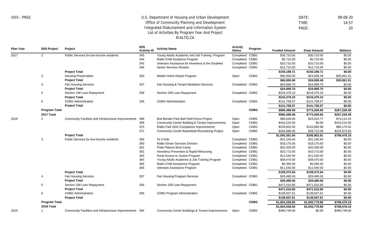DATE: 09-08-20 TIME: 14:57 PAGE: 20

| <b>Plan Year</b> | <b>IDIS Project</b>  | Project                                                  | <b>IDIS</b><br><b>Activity ID</b> | <b>Activity Name</b>                                        | <b>Activity</b><br><b>Status</b> | Program     | <b>Funded Amount</b> | <b>Draw Amount</b> | <b>Balance</b> |
|------------------|----------------------|----------------------------------------------------------|-----------------------------------|-------------------------------------------------------------|----------------------------------|-------------|----------------------|--------------------|----------------|
| 2017             | $\overline{2}$       | Public Services for low-income residents                 | 343                               | Young Adults Academic and Job Training Program              | Completed CDBG                   |             | \$30,710.00          | \$30,710.00        | \$0.00         |
|                  |                      |                                                          | 344                               | Rialto Child Assitance Program                              | Completed CDBG                   |             | \$5,710.00           | \$5,710.00         | \$0.00         |
|                  |                      |                                                          | 345                               | Veterans Assistance for Homeless & the Disabled             | Completed CDBG                   |             | \$10,710.00          | \$10,710.00        | \$0.00         |
|                  |                      |                                                          | 346                               | <b>Senior Services Division</b>                             | Completed CDBG                   |             | \$12,710.00          | \$12,710.00        | \$0.00         |
|                  |                      | <b>Project Total</b>                                     |                                   |                                                             |                                  |             | \$150,188.71         | \$150,188.71       | \$0.00         |
|                  | 3                    | <b>Housing Preservation</b>                              | 350                               | Mobile Home Repair Program                                  | Open                             | <b>CDBG</b> | \$60,000.00          | \$24,938.49        | \$35,061.51    |
|                  |                      | <b>Project Total</b>                                     |                                   |                                                             |                                  |             | \$60,000.00          | \$24,938.49        | \$35,061.51    |
|                  | 4                    | <b>Fair Housing Services</b>                             | 337                               | Fair Housing & Tenant Mediation Services                    | Completed CDBG                   |             | \$24,999.70          | \$24,999.70        | \$0.00         |
|                  |                      | <b>Project Total</b>                                     |                                   |                                                             |                                  |             | \$24,999.70          | \$24,999.70        | \$0.00         |
|                  | 5                    | Section 108 Loan Repayment                               | 338                               | Section 108 Loan Repayment                                  | Completed CDBG                   |             | \$216,479.10         | \$216,479.10       | \$0.00         |
|                  |                      | <b>Project Total</b>                                     |                                   |                                                             |                                  |             | \$216,479.10         | \$216,479.10       | \$0.00         |
|                  | 6                    | <b>CDBG</b> Administration                               | 336                               | <b>CDBG Administration</b>                                  | Completed CDBG                   |             | \$141,758.57         | \$141,758.57       | \$0.00         |
|                  |                      | <b>Project Total</b>                                     |                                   |                                                             |                                  |             | \$141,758.57         | \$141,758.57       | \$0.00         |
|                  | <b>Program Total</b> |                                                          |                                   |                                                             |                                  | <b>CDBG</b> | \$980,498.08         | \$773,269.60       | \$207,228.48   |
|                  | 2017 Total           |                                                          |                                   |                                                             |                                  |             | \$980,498.08         | \$773,269.60       | \$207,228.48   |
| 2018             | 2                    | Community Facilities and Infrastructure Improvements     | 368                               | Bud Bender Park Ball Field Fence Project                    | Open                             | <b>CDBG</b> | \$96,638.00          | \$23,523.77        | \$73,114.23    |
|                  |                      |                                                          | 369                               | Community Center Building & Tenant Improvements             | Open                             | CDBG        | \$410,215.00         | \$0.00             | \$410,215.00   |
|                  |                      |                                                          | 370                               | Rialto Park ADA Compliance Improvements                     | Open                             | <b>CDBG</b> | \$233,842.00         | \$153,666.98       | \$80,175.02    |
|                  |                      |                                                          | 371                               | Community Center Basketball Resurfacing Project             | Open                             | <b>CDBG</b> | \$264,686.00         | \$29,712.06        | \$234,973.94   |
|                  |                      | <b>Project Total</b>                                     |                                   |                                                             |                                  |             | \$1,005,381.00       | \$206,902.81       | \$798,478.19   |
|                  | 3                    | Public Services for low-income residents                 | 359                               | Fit 4 Kids                                                  | Completed CDBG                   |             | \$31,150.64          | \$31,150.64        | \$0.00         |
|                  |                      |                                                          | 360                               | <b>Rialto Senior Services Division</b>                      | Completed CDBG                   |             | \$18,175.00          | \$18,175.00        | \$0.00         |
|                  |                      |                                                          | 361                               | Pride Platoon Boot Camp                                     | Completed CDBG                   |             | \$32,330.00          | \$32,330.00        | \$0.00         |
|                  |                      |                                                          | 362                               | Homeless Prevention & Rapid Rehousing                       | Completed CDBG                   |             | \$10,772.00          | \$10,772.00        | \$0.00         |
|                  |                      |                                                          | 363                               | Rural Access to Justice Program                             | Completed CDBG                   |             | \$11,540.00          | \$11,540.00        | \$0.00         |
|                  |                      |                                                          | 364                               | Young Adults Academic & Job Training Program                | Completed CDBG                   |             | \$38,475.00          | \$38,475.00        | \$0.00         |
|                  |                      |                                                          | 365                               | Rialto Child Assistance Program                             | Completed CDBG                   |             | \$5,390.00           | \$5,390.00         | \$0.00         |
|                  |                      |                                                          | 366                               | Veterans Assistance Program                                 | Completed CDBG                   |             | \$11,540.00          | \$11,540.00        | \$0.00         |
|                  |                      | <b>Project Total</b>                                     |                                   |                                                             |                                  |             | \$159,372.64         | \$159,372.64       | \$0.00         |
|                  | $\overline{4}$       | <b>Fair Housing Services</b>                             | 357                               | Fair Housing Program Services                               | Completed CDBG                   |             | \$29,480.00          | \$29,480.00        | \$0.00         |
|                  |                      | <b>Project Total</b>                                     |                                   |                                                             |                                  |             | \$29,480.00          | \$29,480.00        | \$0.00         |
|                  | 5                    | Section 108 Loan Repayment                               | 358                               | Section 108 Loan Repayment                                  | Completed CDBG                   |             | \$471,516.80         | \$471,516.80       | \$0.00         |
|                  |                      | <b>Project Total</b>                                     |                                   |                                                             |                                  |             | \$471,516.80         | \$471,516.80       | \$0.00         |
|                  | 6                    | <b>CDBG</b> Administration                               | 356                               | <b>CDBG Program Administration</b>                          | Completed CDBG                   |             | \$138,507.61         | \$138,507.61       | \$0.00         |
|                  |                      | <b>Project Total</b>                                     |                                   |                                                             |                                  |             | \$138,507.61         | \$138,507.61       | \$0.00         |
|                  | <b>Program Total</b> |                                                          |                                   |                                                             |                                  | <b>CDBG</b> | \$1,804,258.05       | \$1,005,779.86     | \$798,478.19   |
|                  | 2018 Total           |                                                          |                                   |                                                             |                                  |             | \$1,804,258.05       | \$1,005,779.86     | \$798,478.19   |
| 2019             | $\mathbf{1}$         | Community Facilities and Infrastructure Improvements 384 |                                   | <b>Community Center Buildings &amp; Tenant Improvements</b> | Open                             | <b>CDBG</b> | \$490.749.00         | \$0.00             | \$490.749.00   |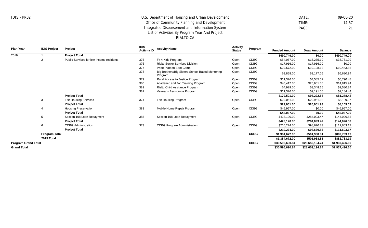DATE: 09-08-20 TIME: 14:57 PAGE: 21

| <b>Plan Year</b>           | <b>IDIS Project</b>  | Project                                  | <b>IDIS</b><br><b>Activity ID</b> | <b>Activity Name</b>                                       | <b>Activity</b><br><b>Status</b> | Program     | <b>Funded Amount</b> | <b>Draw Amount</b> | <b>Balance</b> |
|----------------------------|----------------------|------------------------------------------|-----------------------------------|------------------------------------------------------------|----------------------------------|-------------|----------------------|--------------------|----------------|
| 2019                       |                      | <b>Project Total</b>                     |                                   |                                                            |                                  |             | \$490,749.00         | \$0.00             | \$490,749.00   |
|                            |                      | Public Services for low-income residents | 375                               | Fit 4 Kids Program                                         | Open                             | <b>CDBG</b> | \$54,057.00          | \$15,275.10        | \$38,781.90    |
|                            |                      |                                          | 376                               | <b>Rialto Senior Services Division</b>                     | Open                             | <b>CDBG</b> | \$17,916.00          | \$17,916.00        | \$0.00         |
|                            |                      |                                          | 377                               | Pride Platoon Boot Camp                                    | Open                             | <b>CDBG</b> | \$29,572.00          | \$19,128.12        | \$10,443.88    |
|                            |                      |                                          | 378                               | Big Brothers/Big Sisters School Based Mentoring<br>Program | Open                             | CDBG        | \$9,858.00           | \$3,177.06         | \$6,680.94     |
|                            |                      |                                          | 379                               | Rural Access to Justice Program                            | Open                             | <b>CDBG</b> | \$11,376.00          | \$4,585.52         | \$6,790.48     |
|                            |                      |                                          | 380                               | Academic and Job Training Program                          | Open                             | <b>CDBG</b> | \$40,417.00          | \$25,601.06        | \$14,815.94    |
|                            |                      |                                          | 381                               | Rialto Child Assitance Program                             | Open                             | <b>CDBG</b> | \$4,929.00           | \$3,348.16         | \$1,580.84     |
|                            |                      |                                          | 382                               | Veterans Assistance Program                                | Open                             | <b>CDBG</b> | \$11,376.00          | \$9,191.56         | \$2,184.44     |
|                            |                      | <b>Project Total</b>                     |                                   |                                                            |                                  |             | \$179,501.00         | \$98,222.58        | \$81,278.42    |
|                            | 3                    | <b>Fair Housing Services</b>             | 374                               | Fair Housing Program                                       | Open                             | CDBG        | \$29,061.00          | \$20,951.93        | \$8,109.07     |
|                            |                      | <b>Project Total</b>                     |                                   |                                                            |                                  |             | \$29,061.00          | \$20,951.93        | \$8,109.07     |
|                            |                      | <b>Housing Preservation</b>              | 383                               | Mobile Home Repair Program                                 | Open                             | CDBG        | \$46,967.00          | \$0.00             | \$46,967.00    |
|                            |                      | <b>Project Total</b>                     |                                   |                                                            |                                  |             | \$46,967.00          | \$0.00             | \$46,967.00    |
|                            | 5                    | Section 108 Loan Repayment               | 385                               | Section 108 Loan Repayment                                 | Open                             | <b>CDBG</b> | \$428,120.00         | \$284,093.47       | \$144,026.53   |
|                            |                      | <b>Project Total</b>                     |                                   |                                                            |                                  |             | \$428,120.00         | \$284,093.47       | \$144,026.53   |
|                            | 6                    | <b>CDBG Administration</b>               | 373                               | <b>CDBG Program Administration</b>                         | Open                             | <b>CDBG</b> | \$210,274.00         | \$98,670.83        | \$111,603.17   |
|                            |                      | <b>Project Total</b>                     |                                   |                                                            |                                  |             | \$210,274.00         | \$98,670.83        | \$111,603.17   |
|                            | <b>Program Total</b> |                                          |                                   |                                                            |                                  | <b>CDBG</b> | \$1,384,672.00       | \$501,938.81       | \$882,733.19   |
|                            | 2019 Total           |                                          |                                   |                                                            |                                  |             | \$1,384,672.00       | \$501,938.81       | \$882,733.19   |
| <b>Program Grand Total</b> |                      |                                          |                                   |                                                            |                                  | <b>CDBG</b> | \$30,596,690.84      | \$28,659,194.24    | \$1,937,496.60 |
| <b>Grand Total</b>         |                      |                                          |                                   |                                                            |                                  |             | \$30,596,690.84      | \$28,659,194.24    | \$1,937,496.60 |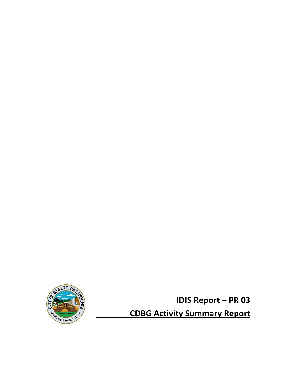

**IDIS Report – PR 03**

**CDBG Activity Summary Report**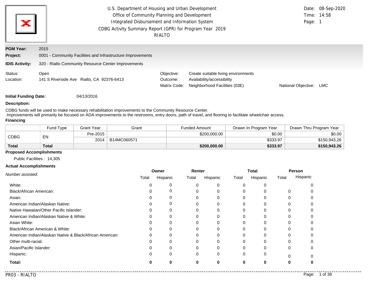| ×                                                     | U.S. Department of Housing and Urban Development<br>Office of Community Planning and Development<br>Integrated Disbursement and Information System<br>CDBG Activity Summary Report (GPR) for Program Year 2019<br>RIALTO | Page: 1                                | Date: 08-Sep-2020<br>Time: 14:58                                                                   |                     |     |
|-------------------------------------------------------|--------------------------------------------------------------------------------------------------------------------------------------------------------------------------------------------------------------------------|----------------------------------------|----------------------------------------------------------------------------------------------------|---------------------|-----|
| <b>PGM Year:</b><br>Project:<br><b>IDIS Activity:</b> | 2015<br>0001 - Community Facilities and Infrastructure Improvements<br>320 - Rialto Community Resource Center Improvements                                                                                               |                                        |                                                                                                    |                     |     |
| Status:<br>Location:                                  | Open<br>141 S Riverside Ave Rialto, CA 92376-6413                                                                                                                                                                        | Objective:<br>Outcome:<br>Matrix Code: | Create suitable living environments<br>Availability/accessibility<br>Neighborhood Facilities (03E) | National Objective: | LMC |

**Initial Funding Date:** 04/13/2016

#### **Description:**

CDBG funds will be used to make necessary rehabilitation improvements to the Community Resource Center. Improvements will primarily be focused on ADA improvements to the restrooms, entry doors, path of travel, and flooring to facilitate wheelchair access. **Financing**

|              | Fund Tvpe | Grant Year | Grant       | Funded Amount | Drawn In Program Year | Drawn Thru Program Year |
|--------------|-----------|------------|-------------|---------------|-----------------------|-------------------------|
|              | EN        | Pre-2015   |             | \$200,000,00  | \$0.00                | \$0.00                  |
| <b>CDBG</b>  |           | 2014       | B14MC060571 |               | \$333.97              | \$150,943.26            |
| <b>Total</b> | Total     |            |             | \$200,000.00  | \$333.97              | \$150,943.26            |

### **Proposed Accomplishments**

Public Facilities : 14,305

#### **Actual Accomplishments**

|                                                          | Owner |          | Renter |          | <b>Total</b> |          | Person |          |
|----------------------------------------------------------|-------|----------|--------|----------|--------------|----------|--------|----------|
| Number assisted:                                         | Total | Hispanic | Total  | Hispanic | Total        | Hispanic | Total  | Hispanic |
| White:                                                   |       |          |        | 0        |              |          |        |          |
| <b>Black/African American:</b>                           |       | υ        |        | $\Omega$ |              |          | ∩      |          |
| Asian:                                                   |       |          |        | 0        |              |          |        |          |
| American Indian/Alaskan Native:                          |       |          |        | 0        |              |          |        |          |
| Native Hawaiian/Other Pacific Islander:                  |       |          |        | 0        |              |          |        |          |
| American Indian/Alaskan Native & White:                  |       |          |        | 0        |              |          |        |          |
| Asian White:                                             |       |          |        |          |              |          |        |          |
| Black/African American & White:                          |       |          |        | 0        |              |          |        |          |
| American Indian/Alaskan Native & Black/African American: |       |          |        |          |              |          |        |          |
| Other multi-racial:                                      |       |          |        |          |              |          |        |          |
| Asian/Pacific Islander:                                  |       | 0        |        | $\Omega$ |              |          | 0      |          |
| Hispanic:                                                |       | 0        | 0      | $\Omega$ |              |          |        |          |
| Total:                                                   | O     | 0        | 0      | 0        |              |          | 0      |          |
|                                                          |       |          |        |          |              |          |        |          |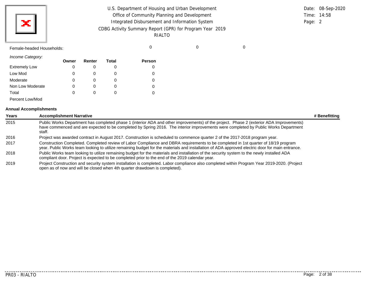| U.S. Department of Housing and Urban Development         |             | Date: 08-Sep-2020 |
|----------------------------------------------------------|-------------|-------------------|
| Office of Community Planning and Development             | Time: 14:58 |                   |
| Integrated Disbursement and Information System           | Page: 2     |                   |
| CDBG Activity Summary Report (GPR) for Program Year 2019 |             |                   |
| RIALTO                                                   |             |                   |
|                                                          |             |                   |

Female-headed Households: 0 0 0

*Income Category:*

|                      | Owner | Renter | <b>Total</b> | <b>Person</b> |
|----------------------|-------|--------|--------------|---------------|
| <b>Extremely Low</b> | 0     | 0      | O            | O             |
| Low Mod              | 0     |        |              | 0             |
| Moderate             | 0     | 0      | O            | 0             |
| Non Low Moderate     | 0     | 0      | O            | 0             |
| Total                | 0     | 0      | O            | 0             |
| Percent Low/Mod      |       |        |              |               |

#### **Annual Accomplishments**

| Years | <b>Accomplishment Narrative</b>                                                                                                                                                                                                                                                          | # Benefitting |
|-------|------------------------------------------------------------------------------------------------------------------------------------------------------------------------------------------------------------------------------------------------------------------------------------------|---------------|
| 2015  | Public Works Department has completed phase 1 (interior ADA and other improvements) of the project. Phase 2 (exterior ADA Improvements)<br>have commenced and are expected to be completed by Spring 2016. The interior improvements were completed by Public Works Department<br>staff. |               |
| 2016  | Project was awarded contract in August 2017. Construction is scheduled to commence quarter 2 of the 2017-2018 program year.                                                                                                                                                              |               |
| 2017  | Construction Completed. Completed review of Labor Compliance and DBRA requirements to be completed in 1st quarter of 18/19 program<br>year. Public Works team looking to utilize remaining budget for the materials and installation of ADA approved electric door for main entrance.    |               |
| 2018  | Public Works team looking to utilize remaining budget for the materials and installation of the security system to the newly installed ADA<br>compliant door. Project is expected to be completed prior to the end of the 2019 calendar year.                                            |               |
| 2019  | Project Construction and security system installation is completed. Labor compliance also completed within Program Year 2019-2020. (Project<br>open as of now and will be closed when 4th quarter drawdown is completed).                                                                |               |

. . . . . . . . . . . . .

. . . . . . . . . . .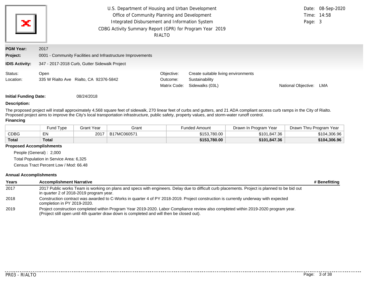| ж                            | U.S. Department of Housing and Urban Development<br>Office of Community Planning and Development<br>Integrated Disbursement and Information System<br>CDBG Activity Summary Report (GPR) for Program Year 2019<br>RIALTO | Page: 3                                | Date: 08-Sep-2020<br>Time: 14:58                                         |                     |     |
|------------------------------|--------------------------------------------------------------------------------------------------------------------------------------------------------------------------------------------------------------------------|----------------------------------------|--------------------------------------------------------------------------|---------------------|-----|
| <b>PGM Year:</b><br>Project: | 2017<br>0001 - Community Facilities and Infrastructure Improvements                                                                                                                                                      |                                        |                                                                          |                     |     |
| <b>IDIS Activity:</b>        | 347 - 2017-2018 Curb, Gutter Sidewalk Project                                                                                                                                                                            |                                        |                                                                          |                     |     |
| Status:<br>Location:         | Open<br>335 W Rialto Ave Rialto, CA 92376-5842                                                                                                                                                                           | Objective:<br>Outcome:<br>Matrix Code: | Create suitable living environments<br>Sustainability<br>Sidewalks (03L) | National Objective: | LMA |

**Initial Funding Date:** 08/24/2018

#### **Description:**

The proposed project will install approximately 4,568 square feet of sidewalk, 270 linear feet of curbs and gutters, and 21 ADA compliant access curb ramps in the City of Rialto. Proposed project aims to improve the City's local transportation infrastructure, public safety, property values, and storm-water runoff control.

#### **Financing**

|              | Fund Type | Grant Year | Grant       | <b>Funded Amount</b> | Drawn In Program Year | Drawn Thru Program Year |
|--------------|-----------|------------|-------------|----------------------|-----------------------|-------------------------|
| CDBG         | EN        | 2017       | B17MC060571 | \$153,780.00         | \$101,847.36          | \$104,306.96            |
| <b>Total</b> | Total     |            |             | \$153,780.00         | \$101,847.36          | \$104,306.96            |

#### **Proposed Accomplishments**

People (General) : 2,000 Total Population in Service Area: 6,325 Census Tract Percent Low / Mod: 66.48

#### **Annual Accomplishments**

| Years | <b>Accomplishment Narrative</b>                                                                                                                                                                                                   | # Benefitting |
|-------|-----------------------------------------------------------------------------------------------------------------------------------------------------------------------------------------------------------------------------------|---------------|
| 2017  | 2017 Public works Team is working on plans and specs with engineers. Delay due to difficult curb placements. Project is planned to be bid out<br>in quarter 2 of 2018-2019 program year.                                          |               |
| 2018  | Construction contract was awarded to C-Works in quarter 4 of PY 2018-2019. Project construction is currently underway with expected<br>completion in PY 2019-2020.                                                                |               |
| 2019  | Project construction completed within Program Year 2019-2020. Labor Compliance review also completed within 2019-2020 program year.<br>(Project still open until 4th quarter draw down is completed and will then be closed out). |               |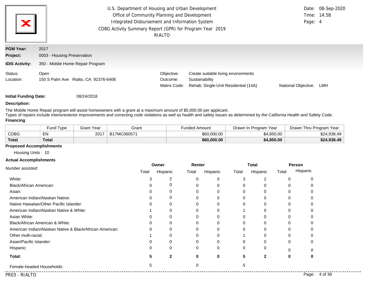| ×                            | U.S. Department of Housing and Urban Development<br>Office of Community Planning and Development<br>Integrated Disbursement and Information System<br>CDBG Activity Summary Report (GPR) for Program Year 2019<br>RIALTO | Page: 4                                | Date: 08-Sep-2020<br>Time: 14:58                                                              |                     |     |
|------------------------------|--------------------------------------------------------------------------------------------------------------------------------------------------------------------------------------------------------------------------|----------------------------------------|-----------------------------------------------------------------------------------------------|---------------------|-----|
| <b>PGM Year:</b><br>Project: | 2017<br>0003 - Housing Preservation                                                                                                                                                                                      |                                        |                                                                                               |                     |     |
| <b>IDIS Activity:</b>        | 350 - Mobile Home Repair Program                                                                                                                                                                                         |                                        |                                                                                               |                     |     |
| Status:<br>Location:         | Open<br>150 S Palm Ave Rialto, CA 92376-6406                                                                                                                                                                             | Objective:<br>Outcome:<br>Matrix Code: | Create suitable living environments<br>Sustainability<br>Rehab: Single-Unit Residential (14A) | National Objective: | LMH |

**Initial Funding Date:** 08/24/2018

#### **Description:**

The Mobile Home Repair program will assist homeowners with a grant at a maximum amount of \$5,000.00 per applicant.

Types of repairs include interiorexterior improvements and correcting code violations as well as health and safety issues as determined by the California Health and Safety Code. **Financing**

|              | <b>Fund Type</b> | Grant Year | Grant       | Funded Amount | Drawn In Program Year | Drawn Thru Program Year |
|--------------|------------------|------------|-------------|---------------|-----------------------|-------------------------|
| <b>CDBG</b>  | EN               | 2017       | B17MC060571 | \$60,000.00   | \$4.850.00            | \$24,938.49             |
| <b>Total</b> | <b>Total</b>     |            |             | \$60,000.00   | \$4,850.00            | \$24,938.49             |

### **Proposed Accomplishments**

Housing Units : 10

#### **Actual Accomplishments**

| Number assisted:                                         | Owner |          | Renter |          | Total |               | Person       |          |
|----------------------------------------------------------|-------|----------|--------|----------|-------|---------------|--------------|----------|
|                                                          | Total | Hispanic | Total  | Hispanic | Total | Hispanic      | Total        | Hispanic |
| White:                                                   |       | 2        |        |          |       | $\mathcal{P}$ | $\left($     |          |
| Black/African American:                                  |       | 0        |        |          |       |               |              |          |
| Asian:                                                   |       |          |        |          |       |               |              |          |
| American Indian/Alaskan Native:                          |       | 0        |        |          |       |               | O            |          |
| Native Hawaiian/Other Pacific Islander:                  |       | O        |        |          |       |               | $\mathbf{C}$ |          |
| American Indian/Alaskan Native & White:                  |       |          |        |          |       |               |              |          |
| Asian White:                                             |       |          |        |          |       |               |              |          |
| Black/African American & White:                          |       | O        |        |          |       |               | $\mathbf{C}$ |          |
| American Indian/Alaskan Native & Black/African American: |       | 0        |        |          |       |               |              |          |
| Other multi-racial:                                      |       |          |        |          |       |               |              |          |
| Asian/Pacific Islander:                                  |       | ი        |        |          |       |               | 0            |          |
| Hispanic:                                                |       | 0        | 0      | 0        | 0     | O             |              |          |
| Total:                                                   |       | 2        |        | $\bf{0}$ | 5     | $\mathbf{2}$  | 0            |          |
| Female-headed Households:                                | b     |          |        |          | 5     |               |              |          |

. . . . . . . . . . . . .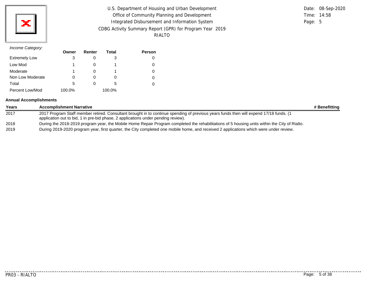

| U.S. Department of Housing and Urban Development         |         | Date: 08-Sep-2020 |
|----------------------------------------------------------|---------|-------------------|
| Office of Community Planning and Development             |         | Time: 14:58       |
| Integrated Disbursement and Information System           | Page: 5 |                   |
| CDBG Activity Summary Report (GPR) for Program Year 2019 |         |                   |
| RIALTO                                                   |         |                   |

## *Income Category:*

|                      | Owner  | Renter | Total  | <b>Person</b> |
|----------------------|--------|--------|--------|---------------|
| <b>Extremely Low</b> | 3      |        | 3      |               |
| Low Mod              |        |        |        |               |
| Moderate             |        |        |        |               |
| Non Low Moderate     |        |        |        |               |
| Total                | 5      |        | 5      |               |
| Percent Low/Mod      | 100.0% |        | 100.0% |               |

### **Annual Accomplishments**

| Years | <b>Accomplishment Narrative</b>                                                                                                                                                                                             | # Benefitting |
|-------|-----------------------------------------------------------------------------------------------------------------------------------------------------------------------------------------------------------------------------|---------------|
| 2017  | 2017 Program Staff member retired. Consultant brought in to continue spending of previous years funds then will expend 17/18 funds. (1<br>application out to bid, 1 in pre-bid phase, 2 applications under pending review). |               |
| 2018  | During the 2018-2019 program year, the Mobile Home Repair Program completed the rehabilitations of 5 housing units within the City of Rialto.                                                                               |               |
| 2019  | During 2019-2020 program year, first quarter, the City completed one mobile home, and received 2 applications which were under review.                                                                                      |               |

. . . . . . . . . . . .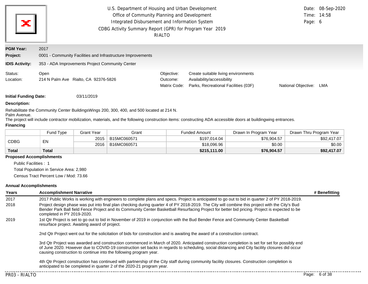| ×                                   | U.S. Department of Housing and Urban Development<br>Office of Community Planning and Development<br>Integrated Disbursement and Information System<br>CDBG Activity Summary Report (GPR) for Program Year 2019<br>RIALTO |                                        |                                                                                                           |                     |     |  |  |
|-------------------------------------|--------------------------------------------------------------------------------------------------------------------------------------------------------------------------------------------------------------------------|----------------------------------------|-----------------------------------------------------------------------------------------------------------|---------------------|-----|--|--|
| <b>PGM Year:</b><br><b>Project:</b> | 2017<br>0001 - Community Facilities and Infrastructure Improvements                                                                                                                                                      |                                        |                                                                                                           |                     |     |  |  |
| <b>IDIS Activity:</b>               | 353 - ADA Improvements Project Community Center                                                                                                                                                                          |                                        |                                                                                                           |                     |     |  |  |
| Status:<br>Location:                | Open<br>214 N Palm Ave Rialto, CA 92376-5826                                                                                                                                                                             | Objective:<br>Outcome:<br>Matrix Code: | Create suitable living environments<br>Availability/accessibility<br>Parks, Recreational Facilities (03F) | National Objective: | LMA |  |  |
|                                     | <b>Initial Funding Date:</b><br>03/11/2019                                                                                                                                                                               |                                        |                                                                                                           |                     |     |  |  |

## **Description:**

Rehabilitate the Community Center BuildingsWings 200, 300, 400, and 500 located at 214 N. Palm Avenue.

The project will include contractor mobilization, materials, and the following construction items: constructing ADA accessible doors at buildingwing entrances.

#### **Financing**

|              | <b>Fund Type</b> | <b>Grant Year</b> | Grant       | Funded Amount | Drawn In Program Year | Drawn Thru Program Year |
|--------------|------------------|-------------------|-------------|---------------|-----------------------|-------------------------|
| <b>CDBG</b>  | EN               | 2015              | B15MC060571 | \$197,014.04  | \$76,904.57           | \$92,417.07             |
|              |                  | 2016              | B16MC060571 | \$18,096.96   | \$0.00                | \$0.00                  |
| <b>Total</b> | Total            |                   |             | \$215,111.00  | \$76,904.57           | \$92,417.07             |

#### **Proposed Accomplishments**

Public Facilities : 1

Total Population in Service Area: 2,980

Census Tract Percent Low / Mod: 73.66

#### **Annual Accomplishments**

| Years | <b>Accomplishment Narrative</b>                                                                                                                                                                                                                                                                                                                                    | # Benefitting |
|-------|--------------------------------------------------------------------------------------------------------------------------------------------------------------------------------------------------------------------------------------------------------------------------------------------------------------------------------------------------------------------|---------------|
| 2017  | 2017 Public Works is working with engineers to complete plans and specs. Project is anticipated to go out to bid in quarter 2 of PY 2018-2019.                                                                                                                                                                                                                     |               |
| 2018  | Project design phase was put into final plan checking during quarter 4 of PY 2018-2019. The City will combine this project with the City's Bud<br>Bender Park Ball field Fence Project and its Community Center Basketball Resurfacing Project for better bid pricing. Project is expected to be<br>completed in PY 2019-2020.                                     |               |
| 2019  | 1st Qtr Project is set to go out to bid in November of 2019 in conjunction with the Bud Bender Fence and Community Center Basketball<br>resurface project. Awaiting award of project.                                                                                                                                                                              |               |
|       | 2nd Qtr Project went out for the solicitation of bids for construction and is awaiting the award of a construction contract.                                                                                                                                                                                                                                       |               |
|       | 3rd Qtr Project was awarded and construction commenced in March of 2020. Anticipated construction completion is set for set for possibly end<br>of June 2020. However due to COVID-19 construction set backs in regards to scheduling, social distancing and City facility closures did occur<br>causing construction to continue into the following program year. |               |
|       | 4th Qtr Project construction has continued with partnership of the City staff during community facility closures. Construction completion is<br>anticipated to be completed in quarter 2 of the 2020-21 program year.                                                                                                                                              |               |

. . . . . .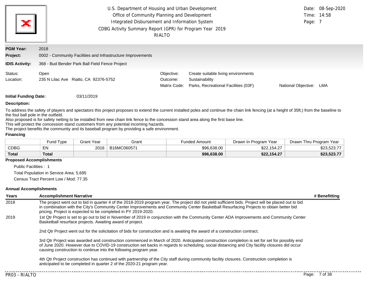| Ж                     | U.S. Department of Housing and Urban Development<br>Office of Community Planning and Development<br>Integrated Disbursement and Information System<br>CDBG Activity Summary Report (GPR) for Program Year 2019<br>RIALTO |                                        |                                                                                               |                     |     |
|-----------------------|--------------------------------------------------------------------------------------------------------------------------------------------------------------------------------------------------------------------------|----------------------------------------|-----------------------------------------------------------------------------------------------|---------------------|-----|
| <b>PGM Year:</b>      | 2018                                                                                                                                                                                                                     |                                        |                                                                                               |                     |     |
| <b>Project:</b>       | 0002 - Community Facilities and Infrastructure Improvements                                                                                                                                                              |                                        |                                                                                               |                     |     |
| <b>IDIS Activity:</b> | 368 - Bud Bender Park Ball Field Fence Project                                                                                                                                                                           |                                        |                                                                                               |                     |     |
| Status:<br>Location:  | Open<br>235 N Lilac Ave Rialto, CA 92376-5752                                                                                                                                                                            | Objective:<br>Outcome:<br>Matrix Code: | Create suitable living environments<br>Sustainability<br>Parks, Recreational Facilities (03F) | National Objective: | LMA |

**Initial Funding Date:** 03/11/2019

#### **Description:**

To address the safety of players and spectators this project proposes to extend the current installed poles and continue the chain link fencing (at a height of 35ft.) from the baseline to the foul ball pole in the outfield.

Also proposed is for safety netting to be installed from new chain link fence to the concession stand area along the first base line.

This will protect the concession stand customers from any potential incoming hazards.

The project benefits the community and its baseball program by providing a safe environment.

### **Financing**

|              | <b>Fund Type</b> | <b>Grant Year</b> | Grant       | Funded Amount | Drawn In Program Year | Drawn Thru Program Year |
|--------------|------------------|-------------------|-------------|---------------|-----------------------|-------------------------|
| CDBG         | EN               | 2016              | B16MC060571 | \$96,638.00   | \$22,154.27           | \$23,523.77             |
| <b>Total</b> | Total            |                   |             | \$96,638.00   | \$22.154.27           | \$23,523.77             |

## **Proposed Accomplishments**

Public Facilities : 1

Total Population in Service Area: 5,695

Census Tract Percent Low / Mod: 77.35

#### **Annual Accomplishments**

| Years | <b>Accomplishment Narrative</b>                                                                                                                                                                                                                                                                                                                                    | # Benefitting |
|-------|--------------------------------------------------------------------------------------------------------------------------------------------------------------------------------------------------------------------------------------------------------------------------------------------------------------------------------------------------------------------|---------------|
| 2018  | The project went out to bid in quarter 4 of the 2018-2019 program year. The project did not yield sufficient bids. Project will be placed out to bid<br>in combination with the City's Community Center Improvements and Community Center Basketball Resurfacing Projects to obtain better bid<br>pricing. Project is expected to be completed in PY 2019-2020.    |               |
| 2019  | 1st Qtr Project is set to go out to bid in November of 2019 in conjunction with the Community Center ADA Improvements and Community Center<br>Basketball resurface projects. Awaiting award of project.                                                                                                                                                            |               |
|       | 2nd Qtr Project went out for the solicitation of bids for construction and is awaiting the award of a construction contract.                                                                                                                                                                                                                                       |               |
|       | 3rd Qtr Project was awarded and construction commenced in March of 2020. Anticipated construction completion is set for set for possibly end<br>of June 2020. However due to COVID-19 construction set backs in regards to scheduling, social distancing and City facility closures did occur<br>causing construction to continue into the following program year. |               |
|       | 4th Qtr Project construction has continued with partnership of the City staff during community facility closures. Construction completion is<br>anticipated to be completed in quarter 2 of the 2020-21 program year.                                                                                                                                              |               |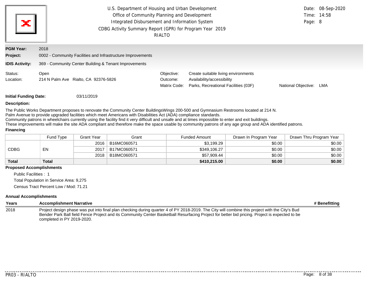| U.S. Department of Housing and Urban Development<br>Office of Community Planning and Development<br>ж<br>Integrated Disbursement and Information System<br>CDBG Activity Summary Report (GPR) for Program Year 2019<br>RIALTO |                                                                                                                              |                                        |                                                                                                           |                     | Date: 08-Sep-2020<br>Time: 14:58<br>Page: 8 |  |  |
|-------------------------------------------------------------------------------------------------------------------------------------------------------------------------------------------------------------------------------|------------------------------------------------------------------------------------------------------------------------------|----------------------------------------|-----------------------------------------------------------------------------------------------------------|---------------------|---------------------------------------------|--|--|
| <b>PGM Year:</b><br>Project:<br><b>IDIS Activity:</b>                                                                                                                                                                         | 2018<br>0002 - Community Facilities and Infrastructure Improvements<br>369 - Community Center Building & Tenant Improvements |                                        |                                                                                                           |                     |                                             |  |  |
| Status:<br>Location:                                                                                                                                                                                                          | Open<br>214 N Palm Ave Rialto, CA 92376-5826                                                                                 | Objective:<br>Outcome:<br>Matrix Code: | Create suitable living environments<br>Availability/accessibility<br>Parks, Recreational Facilities (03F) | National Objective: | LMA                                         |  |  |
|                                                                                                                                                                                                                               | <b>Initial Funding Date:</b><br>03/11/2019                                                                                   |                                        |                                                                                                           |                     |                                             |  |  |

#### **Description:**

The Public Works Department proposes to renovate the Community Center BuildingsWings 200-500 and Gymnasium Restrooms located at 214 N.

Palm Avenue to provide upgraded facilities which meet Americans with Disabilities Act (ADA) compliance standards.

Community patrons in wheelchairs currently using the facility find it very difficult and unsafe and at times impossible to enter and exit buildings.

These improvements will make the site ADA compliant and therefore make the space usable by community patrons of any age group and ADA identified patrons.

#### **Financing**

|              | Fund Type | Grant Year | Grant       | <b>Funded Amount</b> | Drawn In Program Year | Drawn Thru Program Year |
|--------------|-----------|------------|-------------|----------------------|-----------------------|-------------------------|
| CDBG         | EN        | 2016       | B16MC060571 | \$3,199.29           | \$0.00                | \$0.00                  |
|              |           | 2017       | B17MC060571 | \$349,106.27         | \$0.00                | \$0.00                  |
|              |           | 2018       | B18MC060571 | \$57,909.44          | \$0.00                | \$0.00                  |
| <b>Total</b> | Total     |            |             | \$410,215.00         | \$0.00                | \$0.00                  |

#### **Proposed Accomplishments**

Public Facilities : 1 Total Population in Service Area: 9,275 Census Tract Percent Low / Mod: 71.21

#### **Annual Accomplishments**

| Years | <b>Accomplishment Narrative</b>                                                                                                                                                                                                                                                                                                | # Benefitting |
|-------|--------------------------------------------------------------------------------------------------------------------------------------------------------------------------------------------------------------------------------------------------------------------------------------------------------------------------------|---------------|
| 2018  | Project design phase was put into final plan checking during quarter 4 of PY 2018-2019. The City will combine this project with the City's Bud<br>Bender Park Ball field Fence Project and its Community Center Basketball Resurfacing Project for better bid pricing. Project is expected to be<br>completed in PY 2019-2020. |               |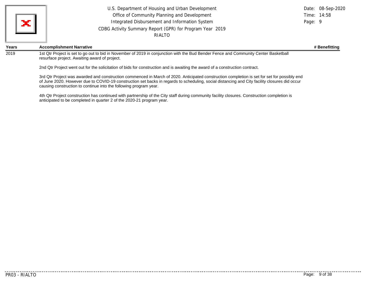|                 | U.S. Department of Housing and Urban Development         |         | Date: 08-Sep-2020 |
|-----------------|----------------------------------------------------------|---------|-------------------|
| $\vert x \vert$ | Office of Community Planning and Development             |         | Time: 14:58       |
|                 | Integrated Disbursement and Information System           | Page: 9 |                   |
|                 | CDBG Activity Summary Report (GPR) for Program Year 2019 |         |                   |
|                 | RIALTO                                                   |         |                   |
|                 |                                                          |         |                   |

#### **Years Accomplishment Narrative # Benefitting**

2019 1st Qtr Project is set to go out to bid in November of 2019 in conjunction with the Bud Bender Fence and Community Center Basketball resurface project. Awaiting award of project.

2nd Qtr Project went out for the solicitation of bids for construction and is awaiting the award of a construction contract.

3rd Qtr Project was awarded and construction commenced in March of 2020. Anticipated construction completion is set for set for possibly end of June 2020. However due to COVID-19 construction set backs in regards to scheduling, social distancing and City facility closures did occur causing construction to continue into the following program year.

4th Qtr Project construction has continued with partnership of the City staff during community facility closures. Construction completion is anticipated to be completed in quarter 2 of the 2020-21 program year.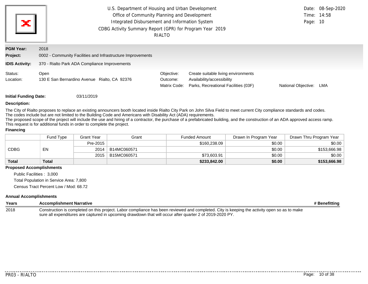| ×                            | Page: 10                                                            | Date: 08-Sep-2020<br>Time: 14:58       |                                                                                                           |                     |     |
|------------------------------|---------------------------------------------------------------------|----------------------------------------|-----------------------------------------------------------------------------------------------------------|---------------------|-----|
|                              |                                                                     | RIALTO                                 |                                                                                                           |                     |     |
| <b>PGM Year:</b><br>Project: | 2018<br>0002 - Community Facilities and Infrastructure Improvements |                                        |                                                                                                           |                     |     |
| <b>IDIS Activity:</b>        | 370 - Rialto Park ADA Compliance Improvements                       |                                        |                                                                                                           |                     |     |
| Status:<br>Location:         | Open<br>130 E San Bernardino Avenue Rialto, CA 92376                | Objective:<br>Outcome:<br>Matrix Code: | Create suitable living environments<br>Availability/accessibility<br>Parks, Recreational Facilities (03F) | National Objective: | LMA |

**Initial Funding Date:** 03/11/2019

#### **Description:**

The City of Rialto proposes to replace an existing announcers booth located inside Rialto City Park on John Silva Field to meet current City compliance standards and codes. The codes include but are not limited to the Building Code and Americans with Disability Act (ADA) requirements.

The proposed scope of the project will include the use and hiring of a contractor, the purchase of a prefabricated building, and the construction of an ADA approved access ramp. This request is for additional funds in order to complete the project.

#### **Financing**

|              | <b>Fund Type</b> | Grant Year | Grant       | <b>Funded Amount</b> | Drawn In Program Year | Drawn Thru Program Year |
|--------------|------------------|------------|-------------|----------------------|-----------------------|-------------------------|
| CDBG         | EN               | Pre-2015   |             | \$160,238.09         | \$0.00                | \$0.00                  |
|              |                  | 2014       | B14MC060571 |                      | \$0.00                | \$153,666.98            |
|              |                  | 2015       | B15MC060571 | \$73,603.91          | \$0.00                | \$0.00                  |
| <b>Total</b> | <b>Total</b>     |            |             | \$233,842.00         | \$0.00                | \$153,666.98            |

#### **Proposed Accomplishments**

Public Facilities : 3,000 Total Population in Service Area: 7,800 Census Tract Percent Low / Mod: 68.72

### **Annual Accomplishments**

| Years | <b>Accomplishment Narrative</b>                                                                                                              | # Benefitting |
|-------|----------------------------------------------------------------------------------------------------------------------------------------------|---------------|
| 2018  | Construction is completed on this project. Labor compliance has been reviewed and completed. City is keeping the activity open so as to make |               |
|       | sure all expenditures are captured in upcoming drawdown that will occur after quarter 2 of 2019-2020 PY.                                     |               |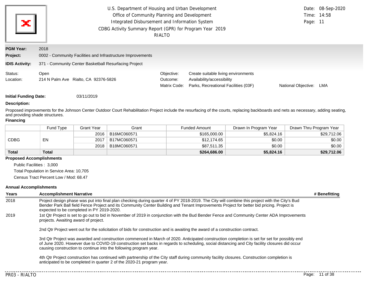| ×                                                     | Page: 11                                                                                                                     | Date: 08-Sep-2020<br>Time: 14:58       |                                                                                                           |                     |     |
|-------------------------------------------------------|------------------------------------------------------------------------------------------------------------------------------|----------------------------------------|-----------------------------------------------------------------------------------------------------------|---------------------|-----|
| <b>PGM Year:</b><br>Project:<br><b>IDIS Activity:</b> | 2018<br>0002 - Community Facilities and Infrastructure Improvements<br>371 - Community Center Basketball Resurfacing Project |                                        |                                                                                                           |                     |     |
| Status:<br>Location:                                  | Open<br>214 N Palm Ave Rialto, CA 92376-5826                                                                                 | Objective:<br>Outcome:<br>Matrix Code: | Create suitable living environments<br>Availability/accessibility<br>Parks, Recreational Facilities (03F) | National Objective: | LMA |

**Initial Funding Date:** 03/11/2019

### **Description:**

Proposed improvements for the Johnson Center Outdoor Court Rehabilitation Project include the resurfacing of the courts, replacing backboards and nets as necessary, adding seating, and providing shade structures.

#### **Financing**

|              | Fund Type    | Grant Year | Grant       | <b>Funded Amount</b> | Drawn In Program Year | Drawn Thru Program Year |
|--------------|--------------|------------|-------------|----------------------|-----------------------|-------------------------|
| CDBG         |              | 2016       | B16MC060571 | \$165,000.00         | \$5,824.16            | \$29,712.06             |
|              | EN           | 2017       | B17MC060571 | \$12,174.65          | \$0.00                | \$0.00                  |
|              |              | 2018       | B18MC060571 | \$87,511.35          | \$0.00                | \$0.00                  |
| <b>Total</b> | <b>Total</b> |            |             | \$264,686.00         | \$5,824.16            | \$29,712.06             |

### **Proposed Accomplishments**

Public Facilities : 3,000

Total Population in Service Area: 10,705

Census Tract Percent Low / Mod: 68.47

### **Annual Accomplishments**

| Years | <b>Accomplishment Narrative</b>                                                                                                                                                                                                                                                                                                                                    | # Benefitting |
|-------|--------------------------------------------------------------------------------------------------------------------------------------------------------------------------------------------------------------------------------------------------------------------------------------------------------------------------------------------------------------------|---------------|
| 2018  | Project design phase was put into final plan checking during quarter 4 of PY 2018-2019. The City will combine this project with the City's Bud<br>Bender Park Ball field Fence Project and its Community Center Building and Tenant Improvements Project for better bid pricing. Project is<br>expected to be completed in PY 2019-2020.                           |               |
| 2019  | 1st Qtr Project is set to go out to bid in November of 2019 in conjunction with the Bud Bender Fence and Community Center ADA Improvements<br>projects. Awaiting award of project.                                                                                                                                                                                 |               |
|       | 2nd Qtr Project went out for the solicitation of bids for construction and is awaiting the award of a construction contract.                                                                                                                                                                                                                                       |               |
|       | 3rd Qtr Project was awarded and construction commenced in March of 2020. Anticipated construction completion is set for set for possibly end<br>of June 2020. However due to COVID-19 construction set backs in regards to scheduling, social distancing and City facility closures did occur<br>causing construction to continue into the following program year. |               |
|       | 4th Qtr Project construction has continued with partnership of the City staff during community facility closures. Construction completion is<br>anticipated to be completed in quarter 2 of the 2020-21 program year.                                                                                                                                              |               |
|       |                                                                                                                                                                                                                                                                                                                                                                    |               |

. **. . . . . .** .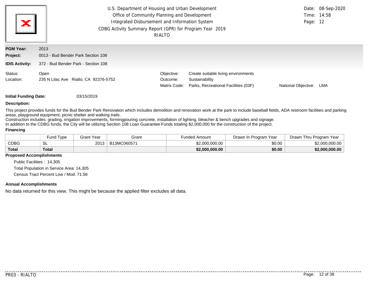| $\mathbf{x}$                 | U.S. Department of Housing and Urban Development<br>Office of Community Planning and Development<br>Integrated Disbursement and Information System<br>CDBG Activity Summary Report (GPR) for Program Year 2019 | Page: 12                               | Date: 08-Sep-2020<br>Time: 14:58                                                              |                     |     |
|------------------------------|----------------------------------------------------------------------------------------------------------------------------------------------------------------------------------------------------------------|----------------------------------------|-----------------------------------------------------------------------------------------------|---------------------|-----|
| <b>PGM Year:</b><br>Project: | 2013<br>0013 - Bud Bender Park Section 108                                                                                                                                                                     |                                        |                                                                                               |                     |     |
| <b>IDIS Activity:</b>        | 372 - Bud Bender Park - Section 108                                                                                                                                                                            |                                        |                                                                                               |                     |     |
| Status:<br>Location:         | Open<br>235 N Lilac Ave Rialto, CA 92376-5752                                                                                                                                                                  | Objective:<br>Outcome:<br>Matrix Code: | Create suitable living environments<br>Sustainability<br>Parks, Recreational Facilities (03F) | National Objective: | LMA |

**Initial Funding Date:** 03/15/2019

#### **Description:**

This project provides funds for the Bud Bender Park Renovation which includes demolition and renovation work at the park to include baseball fields, ADA restroom facilities and parking areas, playground equipment, picnic shelter and walking trails.

Construction includes: grading, irrigation improvements, formingpouring concrete, installation of lighting, bleacher & bench upgrades and signage.

In addition to the CDBG funds, the City will be utilizing Section 108 Loan Guarantee Funds totaling \$2,000,000 for the construction of the project.

### **Financing**

|             | Fund Type | <b>Grant Year</b> | Grant       | Funded Amount  | Drawn In Program Year | Drawn Thru Program Year |  |
|-------------|-----------|-------------------|-------------|----------------|-----------------------|-------------------------|--|
| <b>CDBG</b> | SL        | 2013              | B13MC060571 | \$2,000,000,00 | \$0.00                | \$2,000,000,00          |  |
| Total       | Total     |                   |             | \$2,000,000,00 | \$0.00                | \$2,000,000.00          |  |

#### **Proposed Accomplishments**

Public Facilities : 14,305 Total Population in Service Area: 14,305 Census Tract Percent Low / Mod: 71.58

#### **Annual Accomplishments**

No data returned for this view. This might be because the applied filter excludes all data.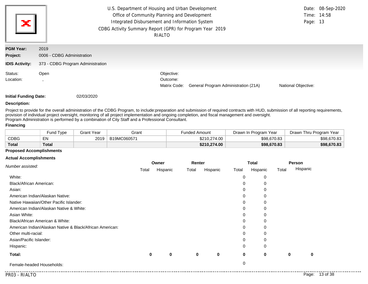| ж                            | U.S. Department of Housing and Urban Development<br>Office of Community Planning and Development<br>Integrated Disbursement and Information System<br>CDBG Activity Summary Report (GPR) for Program Year 2019<br>RIALTO |                                        |                                      |                            |  |
|------------------------------|--------------------------------------------------------------------------------------------------------------------------------------------------------------------------------------------------------------------------|----------------------------------------|--------------------------------------|----------------------------|--|
| <b>PGM Year:</b><br>Project: | 2019<br>0006 - CDBG Administration                                                                                                                                                                                       |                                        |                                      |                            |  |
| <b>IDIS Activity:</b>        | 373 - CDBG Program Administration                                                                                                                                                                                        |                                        |                                      |                            |  |
| Status:<br>Location:         | Open                                                                                                                                                                                                                     | Objective:<br>Outcome:<br>Matrix Code: | General Program Administration (21A) | <b>National Objective:</b> |  |

### **Description:**

Project to provide for the overall administration of the CDBG Program, to include:preparation and submission of required contracts with HUD, submission of all reporting requirements, provision of individual project oversight, monitoring of all project implementation and ongoing completion, and fiscal management and oversight. Program Administration is performed by a combination of City Staff and a Professional Consultant.

## **Financing**

|              | Fund Type    | Grant Year | Grant       | <b>Funded Amount</b> | Drawn In Program Year | Drawn Thru Program Year |  |
|--------------|--------------|------------|-------------|----------------------|-----------------------|-------------------------|--|
| <b>CDBG</b>  | <b>- 1</b>   | 2019       | B19MC060571 | \$210,274.00         | \$98,670.83           | \$98,670.83             |  |
| <b>Total</b> | <b>Total</b> |            |             | \$210,274.00         | \$98,670.83           | \$98,670.83             |  |

### **Proposed Accomplishments**

### **Actual Accomplishments**

|                                                          |       | Owner       |       | Renter      |             | <b>Total</b> |       | Person   |
|----------------------------------------------------------|-------|-------------|-------|-------------|-------------|--------------|-------|----------|
| Number assisted:                                         | Total | Hispanic    | Total | Hispanic    | Total       | Hispanic     | Total | Hispanic |
| White:                                                   |       |             |       |             | 0           | 0            |       |          |
| Black/African American:                                  |       |             |       |             | 0           | 0            |       |          |
| Asian:                                                   |       |             |       |             | 0           | 0            |       |          |
| American Indian/Alaskan Native:                          |       |             |       |             | 0           | 0            |       |          |
| Native Hawaiian/Other Pacific Islander:                  |       |             |       |             | 0           | 0            |       |          |
| American Indian/Alaskan Native & White:                  |       |             |       |             | 0           | 0            |       |          |
| Asian White:                                             |       |             |       |             | 0           | 0            |       |          |
| Black/African American & White:                          |       |             |       |             | 0           | 0            |       |          |
| American Indian/Alaskan Native & Black/African American: |       |             |       |             | 0           | 0            |       |          |
| Other multi-racial:                                      |       |             |       |             | 0           | 0            |       |          |
| Asian/Pacific Islander:                                  |       |             |       |             | 0           | 0            |       |          |
| Hispanic:                                                |       |             |       |             | $\Omega$    | 0            |       |          |
| Total:                                                   | 0     | $\mathbf 0$ | 0     | $\mathbf 0$ | $\mathbf 0$ | $\bf{0}$     | 0     | 0        |
| Female-headed Households:                                |       |             |       |             | 0           |              |       |          |

. . . . . . .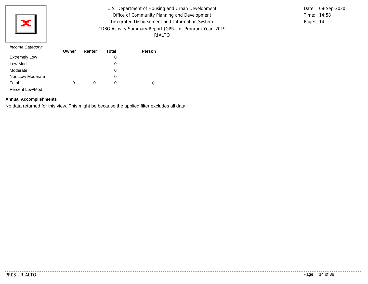

U.S. Department of Housing and Urban Development Office of Community Planning and Development Integrated Disbursement and Information System CDBG Activity Summary Report (GPR) for Program Year 2019 RIALTO

Time: 14:58 Page: 14 Date: 08-Sep-2020

#### *Income Category:*

|                      | Owner | Renter | <b>Total</b> | Person |
|----------------------|-------|--------|--------------|--------|
| <b>Extremely Low</b> |       |        | 0            |        |
| Low Mod              |       |        | 0            |        |
| Moderate             |       |        | 0            |        |
| Non Low Moderate     |       |        | 0            |        |
| Total                | 0     | 0      | $\Omega$     | 0      |
| Percent Low/Mod      |       |        |              |        |

### **Annual Accomplishments**

No data returned for this view. This might be because the applied filter excludes all data.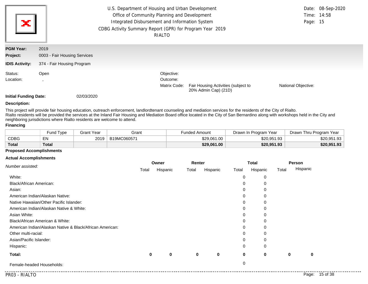| U.S. Department of Housing and Urban Development<br>Office of Community Planning and Development<br>Ж<br>Integrated Disbursement and Information System<br>CDBG Activity Summary Report (GPR) for Program Year 2019<br>RIALTO |                              |  |              |                                                             |                     |  |
|-------------------------------------------------------------------------------------------------------------------------------------------------------------------------------------------------------------------------------|------------------------------|--|--------------|-------------------------------------------------------------|---------------------|--|
| <b>PGM Year:</b>                                                                                                                                                                                                              | 2019                         |  |              |                                                             |                     |  |
| Project:                                                                                                                                                                                                                      | 0003 - Fair Housing Services |  |              |                                                             |                     |  |
| <b>IDIS Activity:</b>                                                                                                                                                                                                         | 374 - Fair Housing Program   |  |              |                                                             |                     |  |
| Status:                                                                                                                                                                                                                       | Open                         |  | Objective:   |                                                             |                     |  |
| Location:                                                                                                                                                                                                                     |                              |  | Outcome:     |                                                             |                     |  |
|                                                                                                                                                                                                                               |                              |  | Matrix Code: | Fair Housing Activities (subject to<br>20% Admin Cap) (21D) | National Objective: |  |

### **Description:**

This project will provide fair housing education, outreach enforcement, landlordtenant counseling and mediation services for the residents of the City of Rialto. Rialto residents will be provided the services at the Inland Fair Housing and Mediation Board office located in the City of San Bernardino along with workshops held in the City and neighboring jurisdictions where Rialto residents are welcome to attend.

## **Financing**

|              | Fund Type    | Grant Year | Grant       | <b>Funded Amount</b> | Drawn In Program Year | Drawn Thru Program Year |
|--------------|--------------|------------|-------------|----------------------|-----------------------|-------------------------|
| <b>CDBG</b>  | E٨           | 2019       | B19MC060571 | \$29,061,00          | \$20.951.93           | \$20.951.93             |
| <b>Total</b> | <b>Total</b> |            |             | \$29,061.00          | \$20,951.93           | \$20,951.93             |

### **Proposed Accomplishments**

#### **Actual Accomplishments**

|                                                          |       | Owner       |       | Renter      |             | <b>Total</b> |       | Person   |
|----------------------------------------------------------|-------|-------------|-------|-------------|-------------|--------------|-------|----------|
| Number assisted:                                         | Total | Hispanic    | Total | Hispanic    | Total       | Hispanic     | Total | Hispanic |
| White:                                                   |       |             |       |             | 0           | 0            |       |          |
| Black/African American:                                  |       |             |       |             | 0           | 0            |       |          |
| Asian:                                                   |       |             |       |             | 0           | 0            |       |          |
| American Indian/Alaskan Native:                          |       |             |       |             | 0           | 0            |       |          |
| Native Hawaiian/Other Pacific Islander:                  |       |             |       |             | 0           | 0            |       |          |
| American Indian/Alaskan Native & White:                  |       |             |       |             | 0           | 0            |       |          |
| Asian White:                                             |       |             |       |             | 0           | 0            |       |          |
| Black/African American & White:                          |       |             |       |             | 0           | 0            |       |          |
| American Indian/Alaskan Native & Black/African American: |       |             |       |             | 0           | 0            |       |          |
| Other multi-racial:                                      |       |             |       |             | 0           | 0            |       |          |
| Asian/Pacific Islander:                                  |       |             |       |             | 0           | 0            |       |          |
| Hispanic:                                                |       |             |       |             | $\Omega$    | 0            |       |          |
| Total:                                                   | 0     | $\mathbf 0$ | 0     | $\mathbf 0$ | $\mathbf 0$ | $\bf{0}$     | 0     | 0        |
| Female-headed Households:                                |       |             |       |             | 0           |              |       |          |

. . . . . . .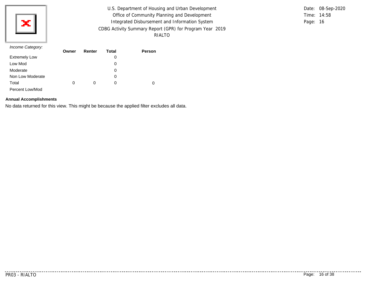

U.S. Department of Housing and Urban Development Office of Community Planning and Development Integrated Disbursement and Information System CDBG Activity Summary Report (GPR) for Program Year 2019 RIALTO

Time: 14:58 Page: 16 Date: 08-Sep-2020

#### *Income Category:*

|                      | Owner | Renter | <b>Total</b> | Person |
|----------------------|-------|--------|--------------|--------|
| <b>Extremely Low</b> |       |        | 0            |        |
| Low Mod              |       |        | 0            |        |
| Moderate             |       |        | 0            |        |
| Non Low Moderate     |       |        | 0            |        |
| Total                | 0     | 0      | $\Omega$     | 0      |
| Percent Low/Mod      |       |        |              |        |

### **Annual Accomplishments**

No data returned for this view. This might be because the applied filter excludes all data.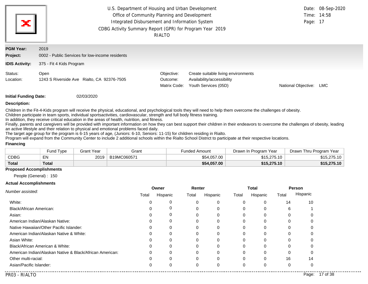| ×                            | U.S. Department of Housing and Urban Development<br>Office of Community Planning and Development<br>Integrated Disbursement and Information System<br>CDBG Activity Summary Report (GPR) for Program Year 2019 | RIALTO                                 |                                                                                           | Page: 17            | Date: 08-Sep-2020<br>Time: 14:58 |
|------------------------------|----------------------------------------------------------------------------------------------------------------------------------------------------------------------------------------------------------------|----------------------------------------|-------------------------------------------------------------------------------------------|---------------------|----------------------------------|
| <b>PGM Year:</b><br>Project: | 2019<br>0002 - Public Services for low-income residents                                                                                                                                                        |                                        |                                                                                           |                     |                                  |
| <b>IDIS Activity:</b>        | 375 - Fit 4 Kids Program                                                                                                                                                                                       |                                        |                                                                                           |                     |                                  |
| Status:<br>Location:         | Open<br>1243 S Riverside Ave Rialto, CA 92376-7505                                                                                                                                                             | Objective:<br>Outcome:<br>Matrix Code: | Create suitable living environments<br>Availability/accessibility<br>Youth Services (05D) | National Objective: | LMC                              |

#### **Description:**

Children in the Fit-4-Kids program will receive the physical, educational, and psychological tools they will need to help them overcome the challenges of obesity.

Children participate in team sports, individual sportsactivities, cardiovascular, strength and full body fitness training.

In addition, they receive critical education in the areas of health, nutrition, and fitness.

Finally, parents and caregivers will be provided with important information on how they can best support their children in their endeavors to overcome the challenges of obesity, leading an active lifestyle and their relation to physical and emotional problems faced daily.

The target age group for the program is 6-15 years of age, (Juniors: 6-10, Seniors: 11-15) for children residing in Rialto.

Program will expand from the Community Center to include 2 additional schools within the Rialto School District to participate at their respective locations.

#### **Financing**

|              | Fund Type    | Grant Year | Grant       | <b>Funded Amount</b> | Drawn In Program Year | Drawn Thru Program Year |  |
|--------------|--------------|------------|-------------|----------------------|-----------------------|-------------------------|--|
| CDBG         | ᇊ<br>ᇊ       | 2019       | B19MC060571 | \$54,057.00          | \$15,275.10           | \$15,275.10             |  |
| <b>Total</b> | <b>Total</b> |            |             | \$54,057.00          | \$15,275.10           | \$15,275.10             |  |

#### **Proposed Accomplishments**

People (General) : 150

#### **Actual Accomplishments**

|                                                          | Owner    |          | Renter |          | <b>Total</b> |          | Person |          |
|----------------------------------------------------------|----------|----------|--------|----------|--------------|----------|--------|----------|
| Number assisted:                                         | Total    | Hispanic | Total  | Hispanic | Total        | Hispanic | Total  | Hispanic |
| White:                                                   | $\Omega$ |          | 0      | 0        | 0            | 0        | 14     | 10       |
| Black/African American:                                  | 0        |          | 0      | 0        | 0            | 0        | 6      |          |
| Asian:                                                   |          |          | 0      |          | 0            |          |        |          |
| American Indian/Alaskan Native:                          |          |          | 0      | 0        | 0            |          |        |          |
| Native Hawaiian/Other Pacific Islander:                  |          | 0        | 0      | 0        | 0            |          | C      |          |
| American Indian/Alaskan Native & White:                  | 0        | 0        | 0      | 0        | 0            |          | 0      |          |
| Asian White:                                             |          |          |        |          | 0            |          |        |          |
| Black/African American & White:                          |          |          | o      |          | 0            |          |        |          |
| American Indian/Alaskan Native & Black/African American: | $\Omega$ | $\Omega$ | 0      |          | 0            |          |        |          |
| Other multi-racial:                                      | $\Omega$ | $\Omega$ | 0      | 0        | $\Omega$     | $\Omega$ | 16     | 14       |
| Asian/Pacific Islander:                                  |          |          |        | 0        | 0            |          |        |          |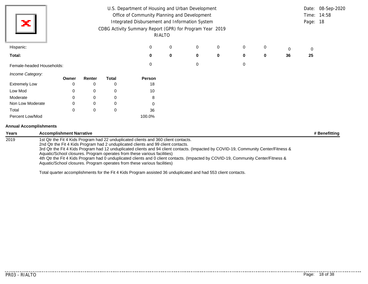|                           | U.S. Department of Housing and Urban Development |             |              |                                                          |        |   |             |   |   |    |          | Date: 08-Sep-2020 |
|---------------------------|--------------------------------------------------|-------------|--------------|----------------------------------------------------------|--------|---|-------------|---|---|----|----------|-------------------|
|                           | Office of Community Planning and Development     |             |              |                                                          |        |   |             |   |   |    |          | Time: 14:58       |
| х                         |                                                  |             |              | Integrated Disbursement and Information System           |        |   |             |   |   |    | Page: 18 |                   |
|                           |                                                  |             |              | CDBG Activity Summary Report (GPR) for Program Year 2019 |        |   |             |   |   |    |          |                   |
|                           |                                                  |             |              |                                                          | RIALTO |   |             |   |   |    |          |                   |
| Hispanic:                 |                                                  |             |              | 0                                                        | 0      | 0 | 0           | 0 | 0 | 0  | 0        |                   |
| Total:                    |                                                  |             |              | $\bf{0}$                                                 | 0      | 0 | $\mathbf 0$ | 0 | 0 | 36 | 25       |                   |
| Female-headed Households: |                                                  |             |              | 0                                                        |        | 0 |             | 0 |   |    |          |                   |
| Income Category:          | Owner                                            | Renter      | <b>Total</b> | Person                                                   |        |   |             |   |   |    |          |                   |
| <b>Extremely Low</b>      | 0                                                | 0           | 0            | 18                                                       |        |   |             |   |   |    |          |                   |
| Low Mod                   | 0                                                | 0           | 0            | 10                                                       |        |   |             |   |   |    |          |                   |
| Moderate                  | $\mathbf 0$                                      | 0           | 0            | 8                                                        |        |   |             |   |   |    |          |                   |
| Non Low Moderate          | 0                                                | $\mathbf 0$ | 0            | 0                                                        |        |   |             |   |   |    |          |                   |
| Total                     | $\mathbf 0$                                      | $\mathbf 0$ | 0            | 36                                                       |        |   |             |   |   |    |          |                   |
| Percent Low/Mod           |                                                  |             |              | 100.0%                                                   |        |   |             |   |   |    |          |                   |

# **Annual Accomplishments**

| Years | <b>Accomplishment Narrative</b>                                                                                                                                                                                                                                                                                                                                                                                                                                                                                                                                                                                | # Benefitting |
|-------|----------------------------------------------------------------------------------------------------------------------------------------------------------------------------------------------------------------------------------------------------------------------------------------------------------------------------------------------------------------------------------------------------------------------------------------------------------------------------------------------------------------------------------------------------------------------------------------------------------------|---------------|
| 2019  | 1st Qtr the Fit 4 Kids Program had 22 unduplicated clients and 360 client contacts.<br>2nd Qtr the Fit 4 Kids Program had 2 unduplicated clients and 99 client contacts.<br>3rd Qtr the Fit 4 Kids Program had 12 unduplicated clients and 94 client contacts. (Impacted by COVID-19, Community Center/Fitness &<br>Aquatic/School closures. Program operates from these various facilities)<br>4th Qtr the Fit 4 Kids Program had 0 unduplicated clients and 0 client contacts. (Impacted by COVID-19, Community Center/Fitness &<br>Aquatic/School closures. Program operates from these various facilities) |               |

Total quarter accomplishments for the Fit 4 Kids Program assisted 36 unduplicated and had 553 client contacts.

. . . . . . . . . . . .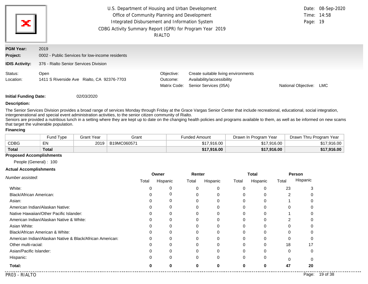| ×                                                            | U.S. Department of Housing and Urban Development<br>Office of Community Planning and Development<br>Integrated Disbursement and Information System<br>CDBG Activity Summary Report (GPR) for Program Year 2019 | RIALTO                                 |                                                                                            | Page: 19            | Date: 08-Sep-2020<br>Time: 14:58 |
|--------------------------------------------------------------|----------------------------------------------------------------------------------------------------------------------------------------------------------------------------------------------------------------|----------------------------------------|--------------------------------------------------------------------------------------------|---------------------|----------------------------------|
| <b>PGM Year:</b><br><b>Project:</b><br><b>IDIS Activity:</b> | 2019<br>0002 - Public Services for low-income residents<br>376 - Rialto Senior Services Division                                                                                                               |                                        |                                                                                            |                     |                                  |
| Status:<br>Location:                                         | Open<br>1411 S Riverside Ave Rialto, CA 92376-7703                                                                                                                                                             | Objective:<br>Outcome:<br>Matrix Code: | Create suitable living environments<br>Availability/accessibility<br>Senior Services (05A) | National Objective: | <b>LMC</b>                       |

#### **Description:**

The Senior Services Division provides a broad range of services Monday through Friday at the Grace Vargas Senior Center that include recreational, educational, social integration, intergenerational and special event administration activities, to the senior citizen community of Rialto.

Seniors are provided a nutritious lunch in a setting where they are kept up to date on the changing health policies and programs available to them, as well as be informed on new scams that target the vulnerable population.

### **Financing**

|              | <b>Fund Type</b> | 3rant Year | Grant       | Funded Amount | Drawn In Program Year | Drawn Thru Program Year |
|--------------|------------------|------------|-------------|---------------|-----------------------|-------------------------|
| CDBG         | EN               | 2019       | B19MC060571 | \$17.916.00   | \$17,916,00           | \$17,916.00             |
| <b>Total</b> | <b>Total</b>     |            |             | \$17,916.00   | \$17,916,00           | \$17,916.00             |

### **Proposed Accomplishments**

People (General) : 100

#### **Actual Accomplishments**

|                                                          |       | Owner    | Renter   |          |          | <b>Total</b> | Person |          |
|----------------------------------------------------------|-------|----------|----------|----------|----------|--------------|--------|----------|
| Number assisted:                                         | Total | Hispanic | Total    | Hispanic | Total    | Hispanic     | Total  | Hispanic |
| White:                                                   |       | 0        |          |          | 0        | 0            | 23     |          |
| Black/African American:                                  |       | O)       |          |          |          |              | 2      |          |
| Asian:                                                   |       | 0        |          |          |          |              |        |          |
| American Indian/Alaskan Native:                          |       | 0        |          |          | 0        | 0            | 0      |          |
| Native Hawaiian/Other Pacific Islander:                  |       | 0        |          |          |          | O            |        |          |
| American Indian/Alaskan Native & White:                  |       | 0        |          |          | 0        |              |        |          |
| Asian White:                                             |       | 0        |          |          |          | 0            | 0      |          |
| Black/African American & White:                          |       |          |          |          |          |              |        |          |
| American Indian/Alaskan Native & Black/African American: |       | 0        |          |          | 0        | 0            | 0      |          |
| Other multi-racial:                                      |       |          |          |          | 0        | $\Omega$     | 18     | 17       |
| Asian/Pacific Islander:                                  |       |          |          |          |          |              | 0      |          |
| Hispanic:                                                |       | 0        | $\Omega$ | $\Omega$ | $\Omega$ | 0            | 0      |          |
| Total:                                                   |       | ŋ        |          |          | 0        | 0            | 47     | 20       |

. . . . . . . . . . . . .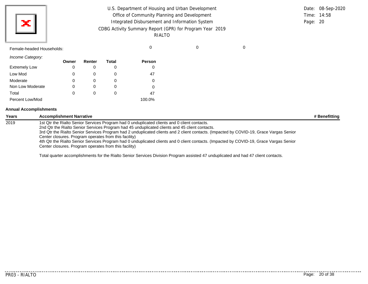| U.S. Department of Housing and Urban Development         |          | Date: 08-Sep-2020 |
|----------------------------------------------------------|----------|-------------------|
| Office of Community Planning and Development             |          | Time: 14:58       |
| Integrated Disbursement and Information System           | Page: 20 |                   |
| CDBG Activity Summary Report (GPR) for Program Year 2019 |          |                   |
| RIALTO                                                   |          |                   |

# Female-headed Households: 0 0 0

X

*Income Category:* Low Mod Moderate Extremely Low Non Low Moderate Total Percent Low/Mod **Owner** 0 0 0 0 0 **Renter** 0 0 0 0 0 **Total** 0 0 0 0 0 **Person** 0 47 0 0 47 100.0%

#### **Annual Accomplishments**

| Years | <b>Accomplishment Narrative</b>                                                                                                                                                                  | # Benefitting |
|-------|--------------------------------------------------------------------------------------------------------------------------------------------------------------------------------------------------|---------------|
| 2019  | 1st Qtr the Rialto Senior Services Program had 0 unduplicated clients and 0 client contacts.<br>2nd Qtr the Rialto Senior Services Program had 45 unduplicated clients and 45 client contacts.   |               |
|       | 3rd Qtr the Rialto Senior Services Program had 2 unduplicated clients and 2 client contacts. (Impacted by COVID-19, Grace Vargas Senior<br>Center closures. Program operates from this facility) |               |
|       | 4th Qtr the Rialto Senior Services Program had 0 unduplicated clients and 0 client contacts. (Impacted by COVID-19, Grace Vargas Senior<br>Center closures. Program operates from this facility) |               |

Total quarter accomplishments for the Rialto Senior Services Division Program assisted 47 unduplicated and had 47 client contacts.

. . . . . . . . . . .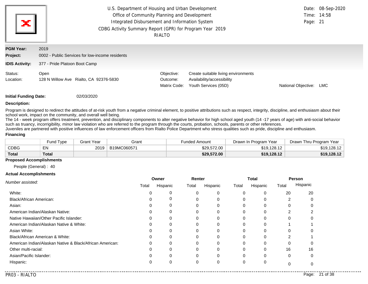| ×                            | U.S. Department of Housing and Urban Development<br>Office of Community Planning and Development<br>Integrated Disbursement and Information System<br>CDBG Activity Summary Report (GPR) for Program Year 2019 | RIALTO                                 |                                                                                           | Page: 21                   | Date: 08-Sep-2020<br>Time: 14:58 |
|------------------------------|----------------------------------------------------------------------------------------------------------------------------------------------------------------------------------------------------------------|----------------------------------------|-------------------------------------------------------------------------------------------|----------------------------|----------------------------------|
| <b>PGM Year:</b><br>Project: | 2019<br>0002 - Public Services for low-income residents                                                                                                                                                        |                                        |                                                                                           |                            |                                  |
| <b>IDIS Activity:</b>        | 377 - Pride Platoon Boot Camp                                                                                                                                                                                  |                                        |                                                                                           |                            |                                  |
| Status:<br>Location:         | Open<br>128 N Willow Ave Rialto, CA 92376-5830                                                                                                                                                                 | Objective:<br>Outcome:<br>Matrix Code: | Create suitable living environments<br>Availability/accessibility<br>Youth Services (05D) | <b>National Objective:</b> | LMC.                             |

#### **Description:**

Program is designed to redirect the attitudes of at-risk youth from a negative criminal element, to positive attributions such as respect, integrity, discipline, and enthusiasm about their school work, impact on the community, and overall well being.

The 14 - week program offers treatment, prevention, and disciplinary components to alter negative behavior for high school aged youth (14 -17 years of age) with anti-social behavior such as truancy, incorrigibility, minor law violation who are referred to the program through the courts, probation, schools, parents or other references.

Juveniles are partnered with positive influences of law enforcement officers from Rialto Police Department who stress qualities such as pride, discipline and enthusiasm. **Financing**

|              | Fund Type    | Grant Year | Grant       | <b>Funded Amount</b> | Drawn In Program Year | Drawn Thru Program Year |
|--------------|--------------|------------|-------------|----------------------|-----------------------|-------------------------|
| <b>CDBG</b>  | EN           | 2019       | B19MC060571 | \$29.572.00          | \$19.128.12           | \$19,128.12             |
| <b>Total</b> | <b>Total</b> |            |             | \$29,572.00          | \$19,128.12           | \$19,128.12             |

### **Proposed Accomplishments**

People (General) : 40

#### **Actual Accomplishments**

|                                                          |       | Owner    | Renter   |          |          | Total    | Person |          |
|----------------------------------------------------------|-------|----------|----------|----------|----------|----------|--------|----------|
| Number assisted:                                         | Total | Hispanic | Total    | Hispanic | Total    | Hispanic | Total  | Hispanic |
| White:                                                   |       | 0        |          | 0        | $\Omega$ | 0        | 20     | 20       |
| Black/African American:                                  |       | 0        | 0        | 0        | $\Omega$ | 0        | 2      |          |
| Asian:                                                   |       | 0        | 0        | $\Omega$ | $\Omega$ | $\Omega$ |        |          |
| American Indian/Alaskan Native:                          |       | 0        | 0        | 0        | $\Omega$ | $\Omega$ | 2      |          |
| Native Hawaiian/Other Pacific Islander:                  |       | $\Omega$ |          |          | $\Omega$ | $\Omega$ |        |          |
| American Indian/Alaskan Native & White:                  |       | 0        | 0        | 0        | $\Omega$ | $\Omega$ |        |          |
| Asian White:                                             |       | $\Omega$ |          |          | $\Omega$ | O        |        |          |
| Black/African American & White:                          |       | 0        | 0        | $\Omega$ | $\Omega$ | $\Omega$ | 2      |          |
| American Indian/Alaskan Native & Black/African American: |       | 0        |          |          | $\Omega$ | $\Omega$ | 0      |          |
| Other multi-racial:                                      |       | $\Omega$ | $\Omega$ | $\Omega$ | $\Omega$ | $\Omega$ | 16     | 16       |
| Asian/Pacific Islander:                                  |       | 0        | 0        | 0        | $\Omega$ | $\Omega$ | 0      |          |
| Hispanic:                                                |       | 0        | 0        | 0        | 0        | 0        | 0      |          |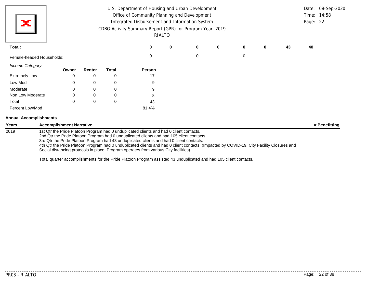| х                             |                                 |        |              | U.S. Department of Housing and Urban Development<br>Office of Community Planning and Development<br>Integrated Disbursement and Information System<br>CDBG Activity Summary Report (GPR) for Program Year 2019                                                                                                                                                                                                                                                                                                        | RIALTO |   |             |             |   |    | Page: 22 | Date: 08-Sep-2020<br>Time: 14:58 |
|-------------------------------|---------------------------------|--------|--------------|-----------------------------------------------------------------------------------------------------------------------------------------------------------------------------------------------------------------------------------------------------------------------------------------------------------------------------------------------------------------------------------------------------------------------------------------------------------------------------------------------------------------------|--------|---|-------------|-------------|---|----|----------|----------------------------------|
| Total:                        |                                 |        |              |                                                                                                                                                                                                                                                                                                                                                                                                                                                                                                                       | 0      | 0 | $\mathbf 0$ | 0           | 0 | 43 | 40       |                                  |
| Female-headed Households:     |                                 |        |              | 0                                                                                                                                                                                                                                                                                                                                                                                                                                                                                                                     |        | 0 |             | $\mathbf 0$ |   |    |          |                                  |
| Income Category:              | Owner                           | Renter | <b>Total</b> | Person                                                                                                                                                                                                                                                                                                                                                                                                                                                                                                                |        |   |             |             |   |    |          |                                  |
| <b>Extremely Low</b>          |                                 | 0      | 0            | 17                                                                                                                                                                                                                                                                                                                                                                                                                                                                                                                    |        |   |             |             |   |    |          |                                  |
| Low Mod                       | 0                               | 0      | 0            | 9                                                                                                                                                                                                                                                                                                                                                                                                                                                                                                                     |        |   |             |             |   |    |          |                                  |
| Moderate                      |                                 | 0      | 0            | 9                                                                                                                                                                                                                                                                                                                                                                                                                                                                                                                     |        |   |             |             |   |    |          |                                  |
| Non Low Moderate              |                                 | 0      | 0            | 8                                                                                                                                                                                                                                                                                                                                                                                                                                                                                                                     |        |   |             |             |   |    |          |                                  |
| Total                         |                                 | 0      | 0            | 43                                                                                                                                                                                                                                                                                                                                                                                                                                                                                                                    |        |   |             |             |   |    |          |                                  |
| Percent Low/Mod               |                                 |        |              | 81.4%                                                                                                                                                                                                                                                                                                                                                                                                                                                                                                                 |        |   |             |             |   |    |          |                                  |
| <b>Annual Accomplishments</b> |                                 |        |              |                                                                                                                                                                                                                                                                                                                                                                                                                                                                                                                       |        |   |             |             |   |    |          |                                  |
| <b>Years</b>                  | <b>Accomplishment Narrative</b> |        |              |                                                                                                                                                                                                                                                                                                                                                                                                                                                                                                                       |        |   |             |             |   |    |          | # Benefitting                    |
| 2019                          |                                 |        |              | 1st Qtr the Pride Platoon Program had 0 unduplicated clients and had 0 client contacts.<br>2nd Qtr the Pride Platoon Program had 0 unduplicated clients and had 105 client contacts.<br>3rd Qtr the Pride Platoon Program had 43 unduplicated clients and had 0 client contacts.<br>4th Qtr the Pride Platoon Program had 0 unduplicated clients and had 0 client contacts. (Impacted by COVID-19, City Facility Closures and<br>Social distancing protocols in place. Program operates from various City facilities) |        |   |             |             |   |    |          |                                  |

Total quarter accomplishments for the Pride Platoon Program assisted 43 unduplicated and had 105 client contacts.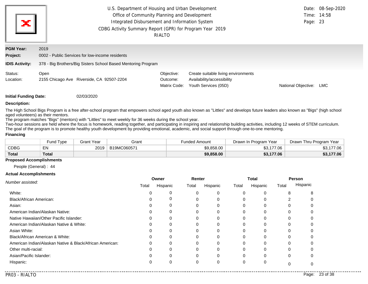| ж                            | U.S. Department of Housing and Urban Development<br>Office of Community Planning and Development<br>Integrated Disbursement and Information System<br>CDBG Activity Summary Report (GPR) for Program Year 2019<br>RIALTO |                                                               |                                        |                                                                                           |                     |     |  |  |
|------------------------------|--------------------------------------------------------------------------------------------------------------------------------------------------------------------------------------------------------------------------|---------------------------------------------------------------|----------------------------------------|-------------------------------------------------------------------------------------------|---------------------|-----|--|--|
| <b>PGM Year:</b><br>Project: | 2019                                                                                                                                                                                                                     | 0002 - Public Services for low-income residents               |                                        |                                                                                           |                     |     |  |  |
| <b>IDIS Activity:</b>        |                                                                                                                                                                                                                          | 378 - Big Brothers/Big Sisters School Based Mentoring Program |                                        |                                                                                           |                     |     |  |  |
| Status:<br>Location:         | Open                                                                                                                                                                                                                     | 2155 Chicago Ave Riverside, CA 92507-2204                     | Objective:<br>Outcome:<br>Matrix Code: | Create suitable living environments<br>Availability/accessibility<br>Youth Services (05D) | National Objective: | LMC |  |  |
| Initial Eunding Date:        |                                                                                                                                                                                                                          | USVG/SU/CU                                                    |                                        |                                                                                           |                     |     |  |  |

#### **Description:**

The High School Bigs Program is a free after-school program that empowers school aged youth also known as "Littles" and develops future leaders also known as "Bigs" (high school aged volunteers) as their mentors.

The program matches "Bigs" (mentors) with "Littles" to meet weekly for 36 weeks during the school year.

Two-hour sessions are held where the focus is homework, reading together, and participating in inspiring and relationship building activities, including 12 weeks of STEM curriculum. The goal of the program is to promote healthy youth development by providing emotional, academic, and social support through one-to-one mentoring.

### **Financing**

|              | Fund Type | Grant Year | Grant       | <b>Funded Amount</b> | Drawn In Program Year | Drawn Thru Program Year |
|--------------|-----------|------------|-------------|----------------------|-----------------------|-------------------------|
| <b>CDBG</b>  | EN        | 2019       | B19MC060571 | \$9,858.00           | ,177.06<br>ຕາ<br>,,,, | 177.06<br>ພບ.           |
| <b>Total</b> | Total     |            |             | \$9,858.00           | \$3,177.06            | \$3,177.06              |

### **Proposed Accomplishments**

People (General) : 44

#### **Actual Accomplishments**

|                                                          |       | Owner    | Renter |          |          | <b>Total</b> | Person      |          |
|----------------------------------------------------------|-------|----------|--------|----------|----------|--------------|-------------|----------|
| Number assisted:                                         | Total | Hispanic | Total  | Hispanic | Total    | Hispanic     | Total       | Hispanic |
| White:                                                   |       |          | 0      | 0        | $\Omega$ | $\Omega$     | 8           |          |
| Black/African American:                                  |       | O        | 0      | 0        | 0        | 0            |             |          |
| Asian:                                                   |       | 0        | 0      | 0        | 0        | $\Omega$     |             |          |
| American Indian/Alaskan Native:                          |       | 0        | 0      | 0        | $\Omega$ | 0            | 0           |          |
| Native Hawaiian/Other Pacific Islander:                  |       |          |        | 0        |          |              |             |          |
| American Indian/Alaskan Native & White:                  |       | 0        | 0      | 0        | $\Omega$ | $\Omega$     | $\Omega$    |          |
| Asian White:                                             |       |          |        | 0        | 0        | 0            |             |          |
| Black/African American & White:                          |       | $\Omega$ | 0      | 0        | $\Omega$ | $\Omega$     | $\Omega$    |          |
| American Indian/Alaskan Native & Black/African American: |       | 0        | 0      | 0        |          |              |             |          |
| Other multi-racial:                                      |       | ი        | 0      | 0        | $\Omega$ | $\Omega$     | $\Omega$    |          |
| Asian/Pacific Islander:                                  |       | 0        | 0      | 0        | 0        |              | $\mathbf 0$ |          |
| Hispanic:                                                |       | 0        | 0      | 0        | 0        | 0            | O           |          |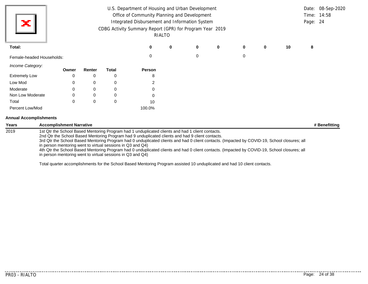| х                             |                                 |       |        |                                                                                                                          | U.S. Department of Housing and Urban Development<br>Office of Community Planning and Development<br>Integrated Disbursement and Information System<br>CDBG Activity Summary Report (GPR) for Program Year 2019                                                                                                                                                                                                                                                                                       | RIALTO |   |   |          |   |    | Page: 24 | Date: 08-Sep-2020<br>Time: 14:58 |
|-------------------------------|---------------------------------|-------|--------|--------------------------------------------------------------------------------------------------------------------------|------------------------------------------------------------------------------------------------------------------------------------------------------------------------------------------------------------------------------------------------------------------------------------------------------------------------------------------------------------------------------------------------------------------------------------------------------------------------------------------------------|--------|---|---|----------|---|----|----------|----------------------------------|
| Total:                        |                                 |       |        |                                                                                                                          | 0                                                                                                                                                                                                                                                                                                                                                                                                                                                                                                    | 0      | 0 | 0 | $\bf{0}$ | 0 | 10 | 8        |                                  |
| Female-headed Households:     |                                 |       |        |                                                                                                                          | 0                                                                                                                                                                                                                                                                                                                                                                                                                                                                                                    |        | 0 |   | 0        |   |    |          |                                  |
| Income Category:              |                                 | Owner | Renter | <b>Total</b>                                                                                                             | Person                                                                                                                                                                                                                                                                                                                                                                                                                                                                                               |        |   |   |          |   |    |          |                                  |
| <b>Extremely Low</b>          |                                 | 0     | 0      | 0                                                                                                                        | 8                                                                                                                                                                                                                                                                                                                                                                                                                                                                                                    |        |   |   |          |   |    |          |                                  |
| Low Mod                       |                                 | O     | 0      | 0                                                                                                                        | 2                                                                                                                                                                                                                                                                                                                                                                                                                                                                                                    |        |   |   |          |   |    |          |                                  |
| Moderate                      |                                 | 0     | 0      | 0                                                                                                                        |                                                                                                                                                                                                                                                                                                                                                                                                                                                                                                      |        |   |   |          |   |    |          |                                  |
| Non Low Moderate              |                                 |       | 0      | 0                                                                                                                        |                                                                                                                                                                                                                                                                                                                                                                                                                                                                                                      |        |   |   |          |   |    |          |                                  |
| Total                         |                                 | 0     | 0      | 0                                                                                                                        | 10                                                                                                                                                                                                                                                                                                                                                                                                                                                                                                   |        |   |   |          |   |    |          |                                  |
| Percent Low/Mod               |                                 |       |        |                                                                                                                          | 100.0%                                                                                                                                                                                                                                                                                                                                                                                                                                                                                               |        |   |   |          |   |    |          |                                  |
| <b>Annual Accomplishments</b> |                                 |       |        |                                                                                                                          |                                                                                                                                                                                                                                                                                                                                                                                                                                                                                                      |        |   |   |          |   |    |          |                                  |
| Years                         | <b>Accomplishment Narrative</b> |       |        |                                                                                                                          |                                                                                                                                                                                                                                                                                                                                                                                                                                                                                                      |        |   |   |          |   |    |          | # Benefitting                    |
| 2019                          |                                 |       |        | in person mentoring went to virtual sessions in Q3 and Q4)<br>in person mentoring went to virtual sessions in Q3 and Q4) | 1st Qtr the School Based Mentoring Program had 1 unduplicated clients and had 1 client contacts.<br>2nd Qtr the School Based Mentoring Program had 9 unduplicated clients and had 9 client contacts.<br>3rd Qtr the School Based Mentoring Program had 0 unduplicated clients and had 0 client contacts. (Impacted by COVID-19, School closures; all<br>4th Qtr the School Based Mentoring Program had 0 unduplicated clients and had 0 client contacts. (Impacted by COVID-19, School closures; all |        |   |   |          |   |    |          |                                  |

Total quarter accomplishments for the School Based Mentoring Program assisted 10 unduplicated and had 10 client contacts.

...........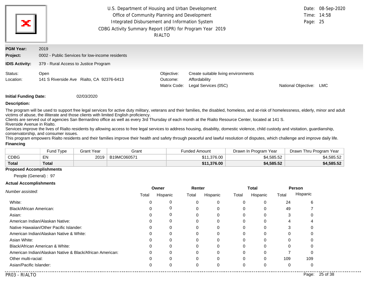| ×                                                     |                                                                                                  | U.S. Department of Housing and Urban Development<br>Date: 08-Sep-2020<br>Office of Community Planning and Development<br>Time: 14:58<br>Integrated Disbursement and Information System<br>Page: 25<br>CDBG Activity Summary Report (GPR) for Program Year 2019<br>RIALTO |                                                                              |                     |     |  |  |  |  |
|-------------------------------------------------------|--------------------------------------------------------------------------------------------------|--------------------------------------------------------------------------------------------------------------------------------------------------------------------------------------------------------------------------------------------------------------------------|------------------------------------------------------------------------------|---------------------|-----|--|--|--|--|
| <b>PGM Year:</b><br>Project:<br><b>IDIS Activity:</b> | 2019<br>0002 - Public Services for low-income residents<br>379 - Rural Access to Justice Program |                                                                                                                                                                                                                                                                          |                                                                              |                     |     |  |  |  |  |
| Status:<br>Location:                                  | Open<br>141 S Riverside Ave Rialto, CA 92376-6413                                                | Objective:<br>Outcome:<br>Matrix Code:                                                                                                                                                                                                                                   | Create suitable living environments<br>Affordability<br>Legal Services (05C) | National Objective: | LMC |  |  |  |  |

#### **Description:**

The program will be used to support free legal services for active duty military, veterans and their families, the disabled, homeless, and at-risk of homelessness, elderly, minor and adult victims of abuse, the illiterate and those clients with limited English proficiency.

Clients are served out of agencies San Bernardino office as well as every 3rd Thursday of each month at the Rialto Resource Center, located at 141 S. Riverside Avenue in Rialto.

Services improve the lives of Rialto residents by allowing access to free legal services to address housing, disability, domestic violence, child custody and visitation, guardianship, conservatorship, and consumer issues.

This program empowers Rialto residents and their families improve their health and safety through peaceful and lawful resolution of disputes, which challenge and improve daily life. **Financing**

|              | Fund Type | <b>Grant Year</b> | Grant       | <b>Funded Amount</b> | Drawn In Program Year | Drawn Thru Program Year |
|--------------|-----------|-------------------|-------------|----------------------|-----------------------|-------------------------|
| <b>CDBG</b>  | EN        | 2019              | B19MC060571 | \$11.376.00          | \$4,585.52            | \$4,585.52              |
| <b>Total</b> | Total     |                   |             | \$11.376.00          | \$4,585.52            | \$4,585.52              |

#### **Proposed Accomplishments**

People (General) : 97

#### **Actual Accomplishments**

|                                                          |          | Owner    | Renter |          |          | <b>Total</b> | <b>Person</b> |          |
|----------------------------------------------------------|----------|----------|--------|----------|----------|--------------|---------------|----------|
| Number assisted:                                         | Total    | Hispanic | Total  | Hispanic | Total    | Hispanic     | Total         | Hispanic |
| White:                                                   | 0        | 0        |        |          | 0        | 0            | 24            | 6        |
| Black/African American:                                  | 0        | 0        |        |          | 0        | 0            | 49            |          |
| Asian:                                                   |          |          |        |          | 0        |              | 3             |          |
| American Indian/Alaskan Native:                          |          | 0        |        |          | O        | C            | 4             |          |
| Native Hawaiian/Other Pacific Islander:                  | C        | $\Omega$ |        |          | 0        | C            | 3             |          |
| American Indian/Alaskan Native & White:                  | 0        | 0        |        |          | 0        | 0            | 0             |          |
| Asian White:                                             | 0        | 0        |        |          | 0        |              | 0             |          |
| Black/African American & White:                          | C        |          |        |          | 0        |              | 0             |          |
| American Indian/Alaskan Native & Black/African American: | $\Omega$ | 0        |        |          | 0        | 0            |               |          |
| Other multi-racial:                                      | $\Omega$ | $\Omega$ |        | $\Omega$ | $\Omega$ | $\Omega$     | 109           | 109      |
| Asian/Pacific Islander:                                  | $\Omega$ | 0        |        |          | 0        | 0            | 0             |          |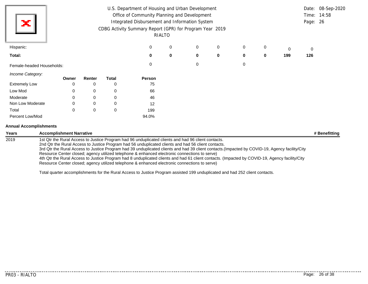| ×                             | U.S. Department of Housing and Urban Development<br>Office of Community Planning and Development<br>Integrated Disbursement and Information System<br>CDBG Activity Summary Report (GPR) for Program Year 2019<br>RIALTO |             |              |          |          |   |             |          |   |     |     |  |
|-------------------------------|--------------------------------------------------------------------------------------------------------------------------------------------------------------------------------------------------------------------------|-------------|--------------|----------|----------|---|-------------|----------|---|-----|-----|--|
| Hispanic:                     |                                                                                                                                                                                                                          |             |              | 0        | 0        | 0 | 0           | 0        | 0 | 0   | 0   |  |
| Total:                        |                                                                                                                                                                                                                          |             |              | $\bf{0}$ | $\bf{0}$ | 0 | $\mathbf 0$ | $\bf{0}$ | 0 | 199 | 126 |  |
| Female-headed Households:     |                                                                                                                                                                                                                          |             |              | $\Omega$ |          | 0 |             | 0        |   |     |     |  |
| Income Category:              | Owner                                                                                                                                                                                                                    | Renter      | <b>Total</b> | Person   |          |   |             |          |   |     |     |  |
| <b>Extremely Low</b>          | 0                                                                                                                                                                                                                        | 0           | 0            | 75       |          |   |             |          |   |     |     |  |
| Low Mod                       | 0                                                                                                                                                                                                                        | 0           | 0            | 66       |          |   |             |          |   |     |     |  |
| Moderate                      | 0                                                                                                                                                                                                                        | 0           | 0            | 46       |          |   |             |          |   |     |     |  |
| Non Low Moderate              |                                                                                                                                                                                                                          | 0           | 0            | 12       |          |   |             |          |   |     |     |  |
| Total                         | $\mathbf 0$                                                                                                                                                                                                              | $\mathbf 0$ | $\mathbf 0$  | 199      |          |   |             |          |   |     |     |  |
| Percent Low/Mod               |                                                                                                                                                                                                                          |             |              | 94.0%    |          |   |             |          |   |     |     |  |
| <b>Annual Accomplishments</b> |                                                                                                                                                                                                                          |             |              |          |          |   |             |          |   |     |     |  |

| <b>Years</b> | <b>Accomplishment Narrative</b>                                                                                                                                                                                                                                                                                                                                                                                                                                                                                                                                                                                 | # Benefitting |
|--------------|-----------------------------------------------------------------------------------------------------------------------------------------------------------------------------------------------------------------------------------------------------------------------------------------------------------------------------------------------------------------------------------------------------------------------------------------------------------------------------------------------------------------------------------------------------------------------------------------------------------------|---------------|
| 2019         | 1st Qtr the Rural Access to Justice Program had 96 unduplicated clients and had 96 client contacts.<br>2nd Qtr the Rural Access to Justice Program had 56 unduplicated clients and had 56 client contacts.<br>3rd Qtr the Rural Access to Justice Program had 39 unduplicated clients and had 39 client contacts.(Impacted by COVID-19, Agency facility/City<br>Resource Center closed; agency utilized telephone & enhanced electronic connections to serve)<br>4th Qtr the Rural Access to Justice Program had 8 unduplicated clients and had 61 client contacts. (Impacted by COVID-19, Agency facility/City |               |
|              | Resource Center closed; agency utilized telephone & enhanced electronic connections to serve)                                                                                                                                                                                                                                                                                                                                                                                                                                                                                                                   |               |

Total quarter accomplishments for the Rural Access to Justice Program assisted 199 unduplicated and had 252 client contacts.

...........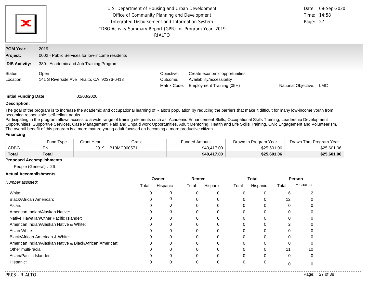| ×                                             |                                                                                              | U.S. Department of Housing and Urban Development<br>Office of Community Planning and Development<br>Integrated Disbursement and Information System<br>CDBG Activity Summary Report (GPR) for Program Year 2019<br>RIALTO |                                                                                          |                     |     |  |  |  |  |
|-----------------------------------------------|----------------------------------------------------------------------------------------------|--------------------------------------------------------------------------------------------------------------------------------------------------------------------------------------------------------------------------|------------------------------------------------------------------------------------------|---------------------|-----|--|--|--|--|
| <b>PGM Year:</b><br>Project:                  | 2019<br>0002 - Public Services for low-income residents                                      |                                                                                                                                                                                                                          |                                                                                          |                     |     |  |  |  |  |
| <b>IDIS Activity:</b><br>Status:<br>Location: | 380 - Academic and Job Training Program<br>Open<br>141 S Riverside Ave Rialto, CA 92376-6413 | Objective:<br>Outcome:<br>Matrix Code:                                                                                                                                                                                   | Create economic opportunities<br>Availability/accessibility<br>Employment Training (05H) | National Objective: | LMC |  |  |  |  |

#### **Description:**

The goal of the program is to increase the academic and occupational learning of Rialto's population by reducing the barriers that make it difficult for many low-income youth from becoming responsible, self-reliant adults.

Participating in the program allows access to a wide range of training elements such as: Academic Enhancement Skills, Occupational Skills Training, Leadership Development Opportunities, Supportive Services, Case Management, Paid and Unpaid work Opportunities, Adult Mentoring, Health and Life Skills Training, Civic Engagement and Volunteerism. The overall benefit of this program is a more mature young adult focused on becoming a more productive citizen.

#### **Financing**

|              | <b>Fund Type</b> | Grant Year | Grant       | Funded Amount | Drawn In Program Year | Drawn Thru Program Year |
|--------------|------------------|------------|-------------|---------------|-----------------------|-------------------------|
| CDBG         | EN               | 2019       | B19MC060571 | \$40,417.00   | \$25,601.06           | \$25,601.06             |
| <b>Total</b> | <b>Total</b>     |            |             | \$40,417.00   | \$25,601.06           | \$25,601.06             |

### **Proposed Accomplishments**

People (General) : 26

#### **Actual Accomplishments**

|                                                          |       | Owner    | Renter |          |          | <b>Total</b> | Person   |          |
|----------------------------------------------------------|-------|----------|--------|----------|----------|--------------|----------|----------|
| Number assisted:                                         | Total | Hispanic | Total  | Hispanic | Total    | Hispanic     | Total    | Hispanic |
| White:                                                   |       |          | 0      | 0        | $\Omega$ | $\Omega$     | 6        |          |
| Black/African American:                                  |       | 0        | 0      | 0        | 0        | 0            | 12       |          |
| Asian:                                                   |       | 0        | 0      | 0        | 0        | $\Omega$     |          |          |
| American Indian/Alaskan Native:                          |       | 0        | 0      | 0        | $\Omega$ | 0            | 0        |          |
| Native Hawaiian/Other Pacific Islander:                  |       | ი        |        | 0        |          | $\Omega$     |          |          |
| American Indian/Alaskan Native & White:                  |       | 0        | 0      | 0        | $\Omega$ | 0            | 2        |          |
| Asian White:                                             |       |          |        | 0        | 0        | $\Omega$     |          |          |
| Black/African American & White:                          |       | $\Omega$ | 0      | 0        | $\Omega$ | $\Omega$     | $\Omega$ |          |
| American Indian/Alaskan Native & Black/African American: |       | 0        | 0      | 0        |          | 0            |          |          |
| Other multi-racial:                                      |       | ი        | 0      | 0        | $\Omega$ | 0            | 11       | 10       |
| Asian/Pacific Islander:                                  |       | 0        | 0      | 0        | 0        |              | 0        |          |
| Hispanic:                                                |       | 0        | 0      | 0        | 0        | 0            | O        |          |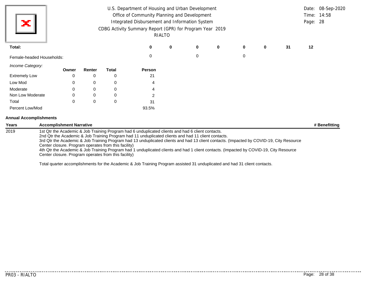| х                             | U.S. Department of Housing and Urban Development<br>Office of Community Planning and Development<br>Integrated Disbursement and Information System<br>CDBG Activity Summary Report (GPR) for Program Year 2019<br>RIALTO |       |          |                                                                                                              |                                                                                                                                                                                                                                                                                                                                                                                                                                                                                                |   |          |             |             |   |    | Page: 28 | Date: 08-Sep-2020<br>Time: 14:58 |
|-------------------------------|--------------------------------------------------------------------------------------------------------------------------------------------------------------------------------------------------------------------------|-------|----------|--------------------------------------------------------------------------------------------------------------|------------------------------------------------------------------------------------------------------------------------------------------------------------------------------------------------------------------------------------------------------------------------------------------------------------------------------------------------------------------------------------------------------------------------------------------------------------------------------------------------|---|----------|-------------|-------------|---|----|----------|----------------------------------|
| Total:                        |                                                                                                                                                                                                                          |       |          |                                                                                                              | $\bf{0}$                                                                                                                                                                                                                                                                                                                                                                                                                                                                                       | 0 | 0        | $\mathbf 0$ | $\mathbf 0$ | 0 | 31 | 12       |                                  |
| Female-headed Households:     |                                                                                                                                                                                                                          |       |          |                                                                                                              | $\Omega$                                                                                                                                                                                                                                                                                                                                                                                                                                                                                       |   | $\Omega$ |             | 0           |   |    |          |                                  |
| Income Category:              |                                                                                                                                                                                                                          | Owner | Renter   | <b>Total</b>                                                                                                 | Person                                                                                                                                                                                                                                                                                                                                                                                                                                                                                         |   |          |             |             |   |    |          |                                  |
| <b>Extremely Low</b>          |                                                                                                                                                                                                                          | 0     | 0        | 0                                                                                                            | 21                                                                                                                                                                                                                                                                                                                                                                                                                                                                                             |   |          |             |             |   |    |          |                                  |
| Low Mod                       |                                                                                                                                                                                                                          | 0     | 0        | 0                                                                                                            | 4                                                                                                                                                                                                                                                                                                                                                                                                                                                                                              |   |          |             |             |   |    |          |                                  |
| Moderate                      |                                                                                                                                                                                                                          | 0     | 0        | 0                                                                                                            | 4                                                                                                                                                                                                                                                                                                                                                                                                                                                                                              |   |          |             |             |   |    |          |                                  |
| Non Low Moderate              |                                                                                                                                                                                                                          | 0     | $\Omega$ | 0                                                                                                            | 2                                                                                                                                                                                                                                                                                                                                                                                                                                                                                              |   |          |             |             |   |    |          |                                  |
| Total                         |                                                                                                                                                                                                                          | 0     | 0        | 0                                                                                                            | 31                                                                                                                                                                                                                                                                                                                                                                                                                                                                                             |   |          |             |             |   |    |          |                                  |
| Percent Low/Mod               |                                                                                                                                                                                                                          |       |          |                                                                                                              | 93.5%                                                                                                                                                                                                                                                                                                                                                                                                                                                                                          |   |          |             |             |   |    |          |                                  |
| <b>Annual Accomplishments</b> |                                                                                                                                                                                                                          |       |          |                                                                                                              |                                                                                                                                                                                                                                                                                                                                                                                                                                                                                                |   |          |             |             |   |    |          |                                  |
| Years                         | <b>Accomplishment Narrative</b>                                                                                                                                                                                          |       |          |                                                                                                              |                                                                                                                                                                                                                                                                                                                                                                                                                                                                                                |   |          |             |             |   |    |          | # Benefitting                    |
| 2019                          |                                                                                                                                                                                                                          |       |          | Center closure. Program operates from this facility)<br>Center closure. Program operates from this facility) | 1st Qtr the Academic & Job Training Program had 6 unduplicated clients and had 6 client contacts.<br>2nd Qtr the Academic & Job Training Program had 11 unduplicated clients and had 11 client contacts.<br>3rd Qtr the Academic & Job Training Program had 13 unduplicated clients and had 13 client contacts. (Impacted by COVID-19, City Resource<br>4th Qtr the Academic & Job Training Program had 1 unduplicated clients and had 1 client contacts. (Impacted by COVID-19, City Resource |   |          |             |             |   |    |          |                                  |

Total quarter accomplishments for the Academic & Job Training Program assisted 31 unduplicated and had 31 client contacts.

. . . . . . . . .

. . . . . . . . . . . .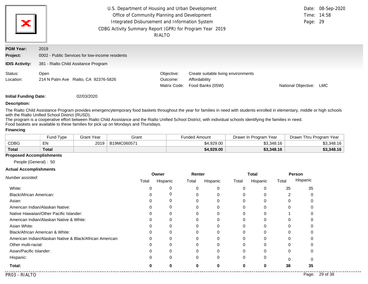| Ж                                                     | U.S. Department of Housing and Urban Development<br>Office of Community Planning and Development<br>Integrated Disbursement and Information System<br>CDBG Activity Summary Report (GPR) for Program Year 2019<br>RIALTO | Page: 29                               | Date: 08-Sep-2020<br>Time: 14:58                                         |                     |            |
|-------------------------------------------------------|--------------------------------------------------------------------------------------------------------------------------------------------------------------------------------------------------------------------------|----------------------------------------|--------------------------------------------------------------------------|---------------------|------------|
| <b>PGM Year:</b><br>Project:<br><b>IDIS Activity:</b> | 2019<br>0002 - Public Services for low-income residents<br>381 - Rialto Child Assitance Program                                                                                                                          |                                        |                                                                          |                     |            |
| Status:<br>Location:                                  | Open<br>214 N Palm Ave Rialto, CA 92376-5826                                                                                                                                                                             | Objective:<br>Outcome:<br>Matrix Code: | Create suitable living environments<br>Affordability<br>Food Banks (05W) | National Objective: | <b>LMC</b> |

### **Description:**

The Rialto Child Assistance Program provides emergencytemporary food baskets throughout the year for families in need with students enrolled in elementary, middle or high schools with the Rialto Unified School District (RUSD).

The program is a cooperative effort between Rialto Child Assistance and the Rialto Unified School District, with individual schools identifying the families in need. Food baskets are available to these families for pick up on Mondays and Thursdays.

#### **Financing**

|              | <b>Fund Type</b> | <b>Grant Year</b> | Grant       | Funded Amount | Drawn In Program Year | Drawn Thru Program Year |  |
|--------------|------------------|-------------------|-------------|---------------|-----------------------|-------------------------|--|
| <b>CDBG</b>  | EN               | 2019              | B19MC060571 | \$4.929.00    | \$3,348.16            | \$3.348.16              |  |
| <b>Total</b> | <b>Total</b>     |                   |             | \$4,929.00    | \$3,348.16            | \$3,348.16              |  |

### **Proposed Accomplishments**

People (General) : 50

#### **Actual Accomplishments**

|                                                          |       | Owner    | Renter   |          |          | Total    | Person   |          |
|----------------------------------------------------------|-------|----------|----------|----------|----------|----------|----------|----------|
| Number assisted:                                         | Total | Hispanic | Total    | Hispanic | Total    | Hispanic | Total    | Hispanic |
| White:                                                   |       | 0        |          |          | 0        | 0        | 35       | 35       |
| Black/African American:                                  |       | 0        |          |          | 0        | 0        | 2        |          |
| Asian:                                                   |       | 0        |          |          | 0        | 0        | 0        |          |
| American Indian/Alaskan Native:                          |       | 0        |          |          | 0        | 0        | $\Omega$ |          |
| Native Hawaiian/Other Pacific Islander:                  |       | ი        |          |          | 0        | 0        |          |          |
| American Indian/Alaskan Native & White:                  |       | 0        |          |          | 0        | 0        | 0        |          |
| Asian White:                                             |       | 0        |          |          | 0        | $\Omega$ | 0        |          |
| Black/African American & White:                          |       |          |          |          | 0        |          | 0        |          |
| American Indian/Alaskan Native & Black/African American: |       | 0        |          |          | 0        | 0        | 0        |          |
| Other multi-racial:                                      |       |          |          |          | 0        | $\Omega$ | 0        |          |
| Asian/Pacific Islander:                                  |       |          |          |          | 0        | 0        | 0        |          |
| Hispanic:                                                |       | $\Omega$ | $\Omega$ | 0        | 0        | 0        | $\Omega$ |          |
| Total:                                                   |       | ŋ        |          |          | $\bf{0}$ | 0        | 38       | 35       |

. . . . . . . . . . . .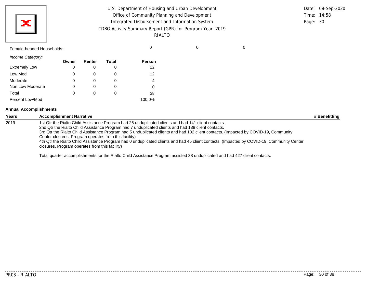| U.S. Department of Housing and Urban Development         |             | Date: 08-Sep-2020 |
|----------------------------------------------------------|-------------|-------------------|
| Office of Community Planning and Development             | Time: 14:58 |                   |
| Integrated Disbursement and Information System           | Page: 30    |                   |
| CDBG Activity Summary Report (GPR) for Program Year 2019 |             |                   |
| RIALTO                                                   |             |                   |
|                                                          |             |                   |

| Female-headed Households: |  |  |
|---------------------------|--|--|
|                           |  |  |

*Income Category:*

×

|                      | Owner | Renter | Total | <b>Person</b> |
|----------------------|-------|--------|-------|---------------|
| <b>Extremely Low</b> | 0     |        |       | 22            |
| Low Mod              | 0     |        | 0     | 12            |
| Moderate             | 0     |        |       | 4             |
| Non Low Moderate     | 0     | O)     | 0     |               |
| Total                | 0     | 0      | 0     | 38            |
| Percent Low/Mod      |       |        |       | 100.0%        |

### **Annual Accomplishments**

| <b>Years</b> | <b>Accomplishment Narrative</b>                                                                                                                                                                             | # Benefitting |
|--------------|-------------------------------------------------------------------------------------------------------------------------------------------------------------------------------------------------------------|---------------|
| 2019         | 1st Qtr the Rialto Child Assistance Program had 26 unduplicated clients and had 141 client contacts.<br>2nd Qtr the Rialto Child Assistance Program had 7 unduplicated clients and had 139 client contacts. |               |
|              | 3rd Qtr the Rialto Child Assistance Program had 5 unduplicated clients and had 102 client contacts. (Impacted by COVID-19, Community<br>Center closures. Program operates from this facility)               |               |
|              | 4th Qtr the Rialto Child Assistance Program had 0 unduplicated clients and had 45 client contacts. (Impacted by COVID-19, Community Center<br>closures. Program operates from this facility)                |               |

Total quarter accomplishments for the Rialto Child Assistance Program assisted 38 unduplicated and had 427 client contacts.

PR03 - RIALTO Page: 30 of 38

. . . . .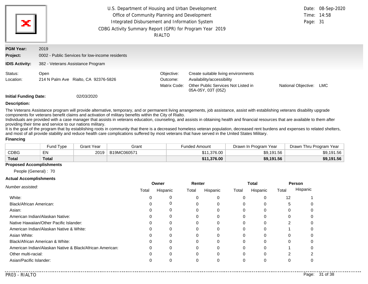| ×                            | U.S. Department of Housing and Urban Development<br>Office of Community Planning and Development<br>Integrated Disbursement and Information System<br>CDBG Activity Summary Report (GPR) for Program Year 2019 | RIALTO                                 |                                                                                                                                | Page: 31            | Date: 08-Sep-2020<br>Time: 14:58 |
|------------------------------|----------------------------------------------------------------------------------------------------------------------------------------------------------------------------------------------------------------|----------------------------------------|--------------------------------------------------------------------------------------------------------------------------------|---------------------|----------------------------------|
| <b>PGM Year:</b><br>Project: | 2019<br>0002 - Public Services for low-income residents                                                                                                                                                        |                                        |                                                                                                                                |                     |                                  |
| <b>IDIS Activity:</b>        | 382 - Veterans Assistance Program                                                                                                                                                                              |                                        |                                                                                                                                |                     |                                  |
| Status:<br>Location:         | Open<br>214 N Palm Ave Rialto, CA 92376-5826                                                                                                                                                                   | Objective:<br>Outcome:<br>Matrix Code: | Create suitable living environments<br>Availability/accessibility<br>Other Public Services Not Listed in<br>05A-05Y, 03T (05Z) | National Objective: | LMC                              |
| <b>Initial Funding Date:</b> | 02/03/2020                                                                                                                                                                                                     |                                        |                                                                                                                                |                     |                                  |

#### **Description:**

The Veterans Assistance program will provide alternative, temporary, and or permanent living arrangements, job assistance, assist with establishing veterans disability upgrade components for veterans benefit claims and activation of military benefits within the City of Rialto.

Individuals are provided with a case manager that assists in veterans education, counseling, and assists in obtaining health and financial resources that are available to them after providing their time and service to our nations military.

It is the goal of the program that by establishing roots in community that there is a decreased homeless veteran population, decreased rent burdens and expenses to related shelters, and most of all provide stability and reduce health care complications suffered by most veterans that have served in the United States Military.

#### **Financing**

|              | <b>Fund Type</b> | Grant Year | Grant       | <b>Funded Amount</b> | Drawn In Program Year | Drawn Thru Program Year |
|--------------|------------------|------------|-------------|----------------------|-----------------------|-------------------------|
| CDBG         | EN               | 2019       | B19MC060571 | \$11.376.00          | \$9,191.56            | \$9,191.56              |
| <b>Total</b> | <b>Total</b>     |            |             | \$11,376.00          | \$9,191.56            | \$9,191.56              |

#### **Proposed Accomplishments**

People (General) : 70

#### **Actual Accomplishments**

|                                                          |          | Owner    | Renter |          |          | Total    |       | <b>Person</b> |
|----------------------------------------------------------|----------|----------|--------|----------|----------|----------|-------|---------------|
| Number assisted:                                         | Total    | Hispanic | Total  | Hispanic | Total    | Hispanic | Total | Hispanic      |
| White:                                                   |          |          |        |          |          |          | 12    |               |
| Black/African American:                                  |          | 0        |        |          |          |          | :5    |               |
| Asian:                                                   |          |          |        |          |          |          |       |               |
| American Indian/Alaskan Native:                          |          | 0        |        |          |          |          | 0     | $\Omega$      |
| Native Hawaiian/Other Pacific Islander:                  | ∩        | 0        | 0      | 0        | $\Omega$ |          |       | 0             |
| American Indian/Alaskan Native & White:                  |          | 0        |        |          | C        |          |       | $\Omega$      |
| Asian White:                                             |          |          |        |          |          |          |       |               |
| Black/African American & White:                          |          | 0        |        |          |          |          | 0     | 0             |
| American Indian/Alaskan Native & Black/African American: | $\Omega$ | $\Omega$ |        |          |          |          |       | 0             |
| Other multi-racial:                                      | ∩        | $\Omega$ |        | $\Omega$ | $\Omega$ |          |       |               |
| Asian/Pacific Islander:                                  |          |          |        |          |          |          |       | C             |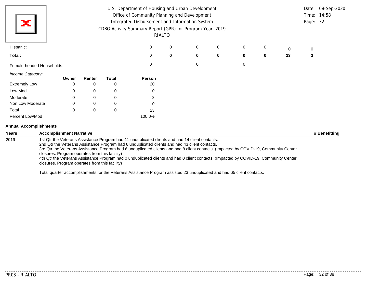| ×                         |             |             |              | U.S. Department of Housing and Urban Development<br>Office of Community Planning and Development<br>Integrated Disbursement and Information System<br>CDBG Activity Summary Report (GPR) for Program Year 2019 | RIALTO |   |             |   |          |    | Page: 32 | Date: 08-Sep-2020<br>Time: 14:58 |
|---------------------------|-------------|-------------|--------------|----------------------------------------------------------------------------------------------------------------------------------------------------------------------------------------------------------------|--------|---|-------------|---|----------|----|----------|----------------------------------|
| Hispanic:                 |             |             |              | 0                                                                                                                                                                                                              | 0      | 0 | 0           | 0 | 0        | 0  | 0        |                                  |
| Total:                    |             |             |              | $\bf{0}$                                                                                                                                                                                                       | 0      | 0 | $\mathbf 0$ | 0 | $\bf{0}$ | 23 | 3        |                                  |
| Female-headed Households: |             |             |              | 0                                                                                                                                                                                                              |        | 0 |             | 0 |          |    |          |                                  |
| Income Category:          | Owner       | Renter      | <b>Total</b> | Person                                                                                                                                                                                                         |        |   |             |   |          |    |          |                                  |
| <b>Extremely Low</b>      | 0           | 0           | 0            | 20                                                                                                                                                                                                             |        |   |             |   |          |    |          |                                  |
| Low Mod                   | $\mathbf 0$ | 0           | 0            | 0                                                                                                                                                                                                              |        |   |             |   |          |    |          |                                  |
| Moderate                  | $\mathbf 0$ | $\mathbf 0$ | 0            | 3                                                                                                                                                                                                              |        |   |             |   |          |    |          |                                  |
| Non Low Moderate          | 0           | $\mathbf 0$ | 0            | 0                                                                                                                                                                                                              |        |   |             |   |          |    |          |                                  |
| Total                     | $\mathbf 0$ | 0           | 0            | 23                                                                                                                                                                                                             |        |   |             |   |          |    |          |                                  |
| Percent Low/Mod           |             |             |              | 100.0%                                                                                                                                                                                                         |        |   |             |   |          |    |          |                                  |

# **Annual Accomplishments**

| Years | <b>Accomplishment Narrative</b>                                                                                                                                                                                                                                                                                                                                                                                                                                                                                                                                                         | # Benefitting |
|-------|-----------------------------------------------------------------------------------------------------------------------------------------------------------------------------------------------------------------------------------------------------------------------------------------------------------------------------------------------------------------------------------------------------------------------------------------------------------------------------------------------------------------------------------------------------------------------------------------|---------------|
| 2019  | 1st Qtr the Veterans Assistance Program had 11 unduplicated clients and had 14 client contacts.<br>2nd Qtr the Veterans Assistance Program had 6 unduplicated clients and had 43 client contacts.<br>3rd Qtr the Veterans Assistance Program had 6 unduplicated clients and had 8 client contacts. (Impacted by COVID-19, Community Center<br>closures. Program operates from this facility)<br>4th Qtr the Veterans Assistance Program had 0 unduplicated clients and had 0 client contacts. (Impacted by COVID-19, Community Center<br>closures. Program operates from this facility) |               |

Total quarter accomplishments for the Veterans Assistance Program assisted 23 unduplicated and had 65 client contacts.

<u>. . . . . . . . . . . .</u>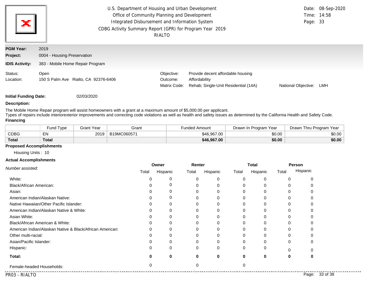| ×                            | U.S. Department of Housing and Urban Development<br>Office of Community Planning and Development<br>Integrated Disbursement and Information System<br>CDBG Activity Summary Report (GPR) for Program Year 2019 | RIALTO                                 |                                                                                            | Time: 14:58<br>Page: 33 | Date: 08-Sep-2020 |
|------------------------------|----------------------------------------------------------------------------------------------------------------------------------------------------------------------------------------------------------------|----------------------------------------|--------------------------------------------------------------------------------------------|-------------------------|-------------------|
| <b>PGM Year:</b><br>Project: | 2019<br>0004 - Housing Preservation                                                                                                                                                                            |                                        |                                                                                            |                         |                   |
| <b>IDIS Activity:</b>        | 383 - Mobile Home Repair Program                                                                                                                                                                               |                                        |                                                                                            |                         |                   |
| Status:<br>Location:         | Open<br>150 S Palm Ave Rialto, CA 92376-6406                                                                                                                                                                   | Objective:<br>Outcome:<br>Matrix Code: | Provide decent affordable housing<br>Affordability<br>Rehab; Single-Unit Residential (14A) | National Objective:     | LMH               |

### **Description:**

The Mobile Home Repair program will assist homeowners with a grant at a maximum amount of \$5,000.00 per applicant.

Types of repairs include interiorexterior improvements and correcting code violations as well as health and safety issues as determined by the California Health and Safety Code. **Financing**

|              | Fund Type | Grant Year | Grant       | Funded Amount | Program Year<br>Drawn In | Drawn Thru Program Year |
|--------------|-----------|------------|-------------|---------------|--------------------------|-------------------------|
| <b>CDBG</b>  | EN        | 2019       | B19MC060571 | \$46,967,00   | \$0.00                   | \$0.00                  |
| <b>Total</b> | Total     |            |             | \$46,967.00   | \$0.00                   | \$0.00                  |

### **Proposed Accomplishments**

Housing Units : 10

### **Actual Accomplishments**

| Number assisted:                                         |          | Owner    | Renter |          |       | Total    |       | Person   |
|----------------------------------------------------------|----------|----------|--------|----------|-------|----------|-------|----------|
|                                                          | Total    | Hispanic | Total  | Hispanic | Total | Hispanic | Total | Hispanic |
| White:                                                   |          | 0        | 0      | 0        |       |          |       |          |
| Black/African American:                                  |          | 0        |        | U        |       |          |       |          |
| Asian:                                                   |          |          |        |          |       |          |       |          |
| American Indian/Alaskan Native:                          |          |          | 0      | 0        |       |          |       |          |
| Native Hawaiian/Other Pacific Islander:                  |          | 0        | 0      | $\Omega$ |       |          |       |          |
| American Indian/Alaskan Native & White:                  |          | 0        |        | 0        |       |          |       |          |
| Asian White:                                             |          |          |        |          |       |          |       |          |
| Black/African American & White:                          | 0        |          |        | $\Omega$ |       |          |       |          |
| American Indian/Alaskan Native & Black/African American: | C        |          |        | U        |       |          |       |          |
| Other multi-racial:                                      |          |          |        |          |       |          |       |          |
| Asian/Pacific Islander:                                  |          |          | 0      | 0        |       |          | 0     |          |
| Hispanic:                                                |          | $\Omega$ | 0      | $\Omega$ | 0     | n        |       |          |
| Total:                                                   |          | 0        | 0      | 0        |       |          |       |          |
| Female-headed Households:                                | $\Omega$ |          | 0      |          |       |          |       |          |

. . . . . . . . . . . . .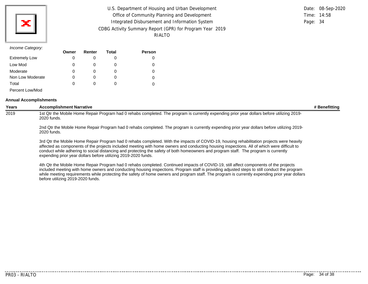| U.S. Department of Housing and Urban Development         |          | Date: 08-Sep-2020 |
|----------------------------------------------------------|----------|-------------------|
| Office of Community Planning and Development             |          | Time: 14:58       |
| Integrated Disbursement and Information System           | Page: 34 |                   |
| CDBG Activity Summary Report (GPR) for Program Year 2019 |          |                   |
| RIALTO                                                   |          |                   |

### *Income Category:*

|                      | Owner | Renter | Total | <b>Person</b> |
|----------------------|-------|--------|-------|---------------|
| <b>Extremely Low</b> | 0     |        |       |               |
| Low Mod              | 0     |        | O     |               |
| Moderate             | 0     | O)     | O     |               |
| Non Low Moderate     | 0     |        | O     |               |
| Total                | 0     |        |       |               |
| Percent Low/Mod      |       |        |       |               |

### **Annual Accomplishments**

| <b>Years</b> | <b>Accomplishment Narrative</b>                                                                                                                                                                                                                                                                                                                                                                                                                                                                    | # Benefitting |
|--------------|----------------------------------------------------------------------------------------------------------------------------------------------------------------------------------------------------------------------------------------------------------------------------------------------------------------------------------------------------------------------------------------------------------------------------------------------------------------------------------------------------|---------------|
| 2019         | 1st Qtr the Mobile Home Repair Program had 0 rehabs completed. The program is currently expending prior year dollars before utilizing 2019-<br>2020 funds.                                                                                                                                                                                                                                                                                                                                         |               |
|              | 2019-2019 2nd Qtr the Mobile Home Repair Program had 0 rehabs completed. The program is currently expending prior year dollars before utilizing 2019-<br>2020 funds.                                                                                                                                                                                                                                                                                                                               |               |
|              | 3rd Qtr the Mobile Home Repair Program had 0 rehabs completed. With the impacts of COVID-19, housing rehabilitation projects were heavily<br>affected as components of the projects included meeting with home owners and conducting housing inspections. All of which were difficult to<br>conduct while adhering to social distancing and protecting the safety of both homeowners and program staff. The program is currently<br>expending prior year dollars before utilizing 2019-2020 funds. |               |
|              | 4th Qtr the Mobile Home Repair Program had 0 rehabs completed. Continued impacts of COVID-19, still affect components of the projects<br>included meeting with home owners and conducting housing inspections. Program staff is providing adjusted steps to still conduct the program<br>while meeting requirements while protecting the safety of home owners and program staff. The program is currently expending prior year dollars                                                            |               |

before utilizing 2019-2020 funds.

. . . . . . . . . . . . . . . . . . . .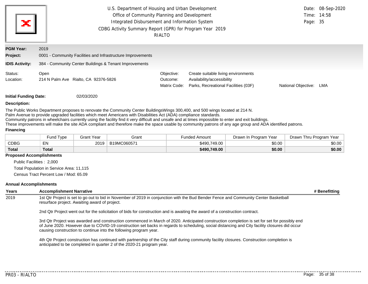| U.S. Department of Housing and Urban Development<br>Date: 08-Sep-2020<br>Office of Community Planning and Development<br>Time: 14:58<br>×<br>Integrated Disbursement and Information System<br>Page: 35<br>CDBG Activity Summary Report (GPR) for Program Year 2019<br>RIALTO |                                                                     |                                        |                                                                                                           |                     |     |  |
|-------------------------------------------------------------------------------------------------------------------------------------------------------------------------------------------------------------------------------------------------------------------------------|---------------------------------------------------------------------|----------------------------------------|-----------------------------------------------------------------------------------------------------------|---------------------|-----|--|
| <b>PGM Year:</b><br>Project:                                                                                                                                                                                                                                                  | 2019<br>0001 - Community Facilities and Infrastructure Improvements |                                        |                                                                                                           |                     |     |  |
| <b>IDIS Activity:</b>                                                                                                                                                                                                                                                         | 384 - Community Center Buildings & Tenant Improvements              |                                        |                                                                                                           |                     |     |  |
| Status:<br>Location:                                                                                                                                                                                                                                                          | Open<br>214 N Palm Ave Rialto, CA 92376-5826                        | Objective:<br>Outcome:<br>Matrix Code: | Create suitable living environments<br>Availability/accessibility<br>Parks, Recreational Facilities (03F) | National Objective: | LMA |  |
| <b>Initial Funding Date:</b>                                                                                                                                                                                                                                                  | 02/03/2020                                                          |                                        |                                                                                                           |                     |     |  |

#### **Description:**

The Public Works Department proposes to renovate the Community Center BuildingsWings 300,400, and 500 wings located at 214 N.

Palm Avenue to provide upgraded facilities which meet Americans with Disabilities Act (ADA) compliance standards.

Community patrons in wheelchairs currently using the facility find it very difficult and unsafe and at times impossible to enter and exit buildings.

These improvements will make the site ADA compliant and therefore make the space usable by community patrons of any age group and ADA identified patrons.

#### **Financing**

|              | Fund Tvpe | Grant Year | Grant      | <b>Funded Amount</b> | Drawn In Program Year | Drawn Thru Program Year |
|--------------|-----------|------------|------------|----------------------|-----------------------|-------------------------|
| <b>CDBG</b>  | EN        | 2019       | B19MC06057 | \$490,749.00         | \$0.00                | \$0.00                  |
| <b>Total</b> | Total     |            |            | \$490,749.00         | \$0.00                | \$0.00                  |

#### **Proposed Accomplishments**

Public Facilities : 2,000

Total Population in Service Area: 11,115

Census Tract Percent Low / Mod: 65.09

#### **Annual Accomplishments**

**Years Accomplishment Narrative # Benefitting** 2019 1st Qtr Project is set to go out to bid in November of 2019 in conjunction with the Bud Bender Fence and Community Center Basketball resurface project. Awaiting award of project.

2nd Qtr Project went out for the solicitation of bids for construction and is awaiting the award of a construction contract.

3rd Qtr Project was awarded and construction commenced in March of 2020. Anticipated construction completion is set for set for possibly end of June 2020. However due to COVID-19 construction set backs in regards to scheduling, social distancing and City facility closures did occur causing construction to continue into the following program year.

4th Qtr Project construction has continued with partnership of the City staff during community facility closures. Construction completion is anticipated to be completed in quarter 2 of the 2020-21 program year.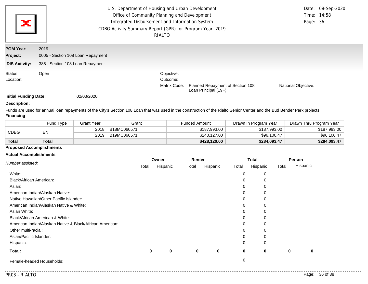| ×                     | U.S. Department of Housing and Urban Development<br>Date: 08-Sep-2020<br>Office of Community Planning and Development<br>Time: 14:58<br>Integrated Disbursement and Information System<br>Page: 36<br>CDBG Activity Summary Report (GPR) for Program Year 2019<br>RIALTO |              |                                                          |                     |  |  |  |
|-----------------------|--------------------------------------------------------------------------------------------------------------------------------------------------------------------------------------------------------------------------------------------------------------------------|--------------|----------------------------------------------------------|---------------------|--|--|--|
| <b>PGM Year:</b>      | 2019                                                                                                                                                                                                                                                                     |              |                                                          |                     |  |  |  |
| Project:              | 0005 - Section 108 Loan Repayment                                                                                                                                                                                                                                        |              |                                                          |                     |  |  |  |
| <b>IDIS Activity:</b> | 385 - Section 108 Loan Repayment                                                                                                                                                                                                                                         |              |                                                          |                     |  |  |  |
| Status:               | Open                                                                                                                                                                                                                                                                     | Objective:   |                                                          |                     |  |  |  |
| Location:             |                                                                                                                                                                                                                                                                          | Outcome:     |                                                          |                     |  |  |  |
|                       |                                                                                                                                                                                                                                                                          | Matrix Code: | Planned Repayment of Section 108<br>Loan Principal (19F) | National Objective: |  |  |  |

### **Description:**

Funds are used for annual loan repayments of the City's Section 108 Loan that was used in the construction of the Rialto Senior Center and the Bud Bender Park projects. **Financing**

|              | Fund Type | Grant Year | Grant       | Funded Amount | Drawn In Program Year | Drawn Thru Program Year |
|--------------|-----------|------------|-------------|---------------|-----------------------|-------------------------|
| CDBG         | EN        | 2018       | B18MC060571 | \$187,993.00  | \$187,993.00          | \$187,993.00            |
|              |           | 2019       | B19MC060571 | \$240,127,00  | \$96,100.47           | \$96,100.47             |
| <b>Total</b> | Total     |            |             | \$428,120.00  | \$284,093.47          | \$284,093.47            |

# **Proposed Accomplishments**

### **Actual Accomplishments**

| Number assisted:                                         |       | Owner    |       | Renter      |          | <b>Total</b> |       | Person   |  |
|----------------------------------------------------------|-------|----------|-------|-------------|----------|--------------|-------|----------|--|
|                                                          | Total | Hispanic | Total | Hispanic    | Total    | Hispanic     | Total | Hispanic |  |
| White:                                                   |       |          |       |             | 0        | 0            |       |          |  |
| Black/African American:                                  |       |          |       |             | 0        | 0            |       |          |  |
| Asian:                                                   |       |          |       |             | $\Omega$ | 0            |       |          |  |
| American Indian/Alaskan Native:                          |       |          |       |             | $\Omega$ | 0            |       |          |  |
| Native Hawaiian/Other Pacific Islander:                  |       |          |       |             | $\Omega$ | 0            |       |          |  |
| American Indian/Alaskan Native & White:                  |       |          |       |             | $\Omega$ | 0            |       |          |  |
| Asian White:                                             |       |          |       |             | $\Omega$ | 0            |       |          |  |
| Black/African American & White:                          |       |          |       |             | 0        | 0            |       |          |  |
| American Indian/Alaskan Native & Black/African American: |       |          |       |             | $\Omega$ | 0            |       |          |  |
| Other multi-racial:                                      |       |          |       |             | $\Omega$ | 0            |       |          |  |
| Asian/Pacific Islander:                                  |       |          |       |             | $\Omega$ | 0            |       |          |  |
| Hispanic:                                                |       |          |       |             | $\Omega$ | 0            |       |          |  |
| Total:                                                   | 0     | 0        | 0     | $\mathbf 0$ | $\bf{0}$ | 0            | 0     | 0        |  |
| Female-headed Households:                                |       |          |       |             | 0        |              |       |          |  |

 $- - - - - -$ 

. . . . .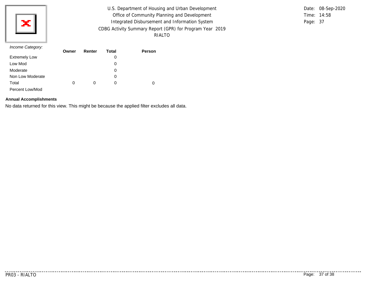

U.S. Department of Housing and Urban Development Office of Community Planning and Development Integrated Disbursement and Information System CDBG Activity Summary Report (GPR) for Program Year 2019 RIALTO

Time: 14:58 Page: 37 Date: 08-Sep-2020

### *Income Category:*

|                      | Owner | Renter | <b>Total</b> | <b>Person</b> |
|----------------------|-------|--------|--------------|---------------|
| <b>Extremely Low</b> |       |        | 0            |               |
| Low Mod              |       |        | 0            |               |
| Moderate             |       |        | 0            |               |
| Non Low Moderate     |       |        | 0            |               |
| Total                | 0     | O      | 0            | 0             |
| Percent Low/Mod      |       |        |              |               |

# **Annual Accomplishments**

No data returned for this view. This might be because the applied filter excludes all data.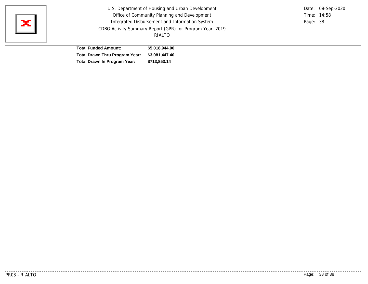

U.S. Department of Housing and Urban Development Office of Community Planning and Development Integrated Disbursement and Information System CDBG Activity Summary Report (GPR) for Program Year 2019 RIALTO

Time: 14:58 Page: 38 Date: 08-Sep-2020

| <b>Total Funded Amount:</b>         | \$5,018,944.00 |
|-------------------------------------|----------------|
| Total Drawn Thru Program Year:      | \$3,081,447.40 |
| <b>Total Drawn In Program Year:</b> | \$713,853.14   |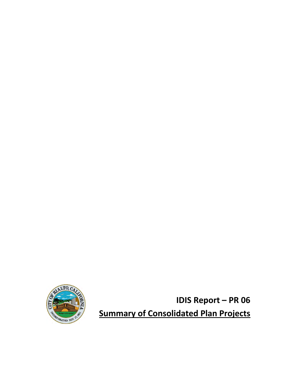

**IDIS Report – PR 06 Summary of Consolidated Plan Projects**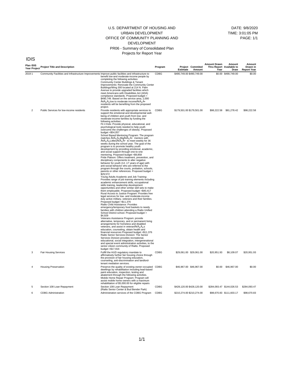#### U.S. DEPARTMENT OF HOUSING AND URBAN DEVELOPMENT OFFICE OF COMMUNITY PLANNING AND DEVELOPMENT PR06 - Summary of Consolidated Plan Projects for Report Year

| Plan IDIS      | Contribution Project Title and Description                                                           |                                                                                                                                                                                                                                                                                                                                                                                                                                                                                                                                                                                                                                                                                                                                                                                                                                                                                                                                                                                                                                                                                                                                                                                                                                                                                                                                                                                                                                                                                                                                                                                                                                                                                                                                                                                                                                                                                                                                                                                                                                                                                                                                                                                                                                                                                                        | Program | Estimate                  | Project Commited<br>Amount | <b>Amount Drawn</b><br>Thru Report Available to<br>Year | Amount<br>Draw            | Amount<br>Drawn in<br><b>Report Year</b> |
|----------------|------------------------------------------------------------------------------------------------------|--------------------------------------------------------------------------------------------------------------------------------------------------------------------------------------------------------------------------------------------------------------------------------------------------------------------------------------------------------------------------------------------------------------------------------------------------------------------------------------------------------------------------------------------------------------------------------------------------------------------------------------------------------------------------------------------------------------------------------------------------------------------------------------------------------------------------------------------------------------------------------------------------------------------------------------------------------------------------------------------------------------------------------------------------------------------------------------------------------------------------------------------------------------------------------------------------------------------------------------------------------------------------------------------------------------------------------------------------------------------------------------------------------------------------------------------------------------------------------------------------------------------------------------------------------------------------------------------------------------------------------------------------------------------------------------------------------------------------------------------------------------------------------------------------------------------------------------------------------------------------------------------------------------------------------------------------------------------------------------------------------------------------------------------------------------------------------------------------------------------------------------------------------------------------------------------------------------------------------------------------------------------------------------------------------|---------|---------------------------|----------------------------|---------------------------------------------------------|---------------------------|------------------------------------------|
| 20191          | Community Facilities and Infrastructure Improvements Improve public facilities and infrastructure to | benefit low-and moderate-income people by<br>completing the following activities:<br>Community Center Buildings & Tenant<br>Improvements: Renovate the Community Center<br>Buildings/Wing 300 located at 214 N. Palm<br>Avenue to provide upgraded facilities which<br>meet Americans with Disabilities Act (ADA)<br>compliance standards. Proposed budget =<br>\$490,749. Based on the service area, 2,000<br>-Âç¿¿low to moderate incomeâ¿Â<br>residents will be benefiting from the proposed<br>project.                                                                                                                                                                                                                                                                                                                                                                                                                                                                                                                                                                                                                                                                                                                                                                                                                                                                                                                                                                                                                                                                                                                                                                                                                                                                                                                                                                                                                                                                                                                                                                                                                                                                                                                                                                                            | CDBG    | \$490,749.00 \$490,749.00 |                            |                                                         | \$0.00 \$490,749.00       | \$0.00                                   |
| $\overline{2}$ | Public Services for low-income residents                                                             | Provide residents with appropriate services to<br>support the emotional and developmental well-<br>being of children and youth from low- and<br>moderate-income families by funding the<br>following activities:<br>Fit 4 Kids: Provide physical, educational, and<br>psychological tools needed to help youth<br>overcome the challenges of obesity. Proposed<br>budget $= $54,057$<br>School Based Mentoring Program: The program<br>matches A¢Â¿Â¿Big⿕ mentors with<br>¢¿¿Littlesâ¿Õ to meet weekly for 36<br>weeks during the school year. The goal of the<br>program is to promote healthy youth<br>development by providing emotional, academic,<br>and social support through one-to-one<br>mentoring. Proposed budget =\$9,858<br>Pride Platoon: Offers treatment, prevention, and<br>disciplinary components to alter negative<br>behavior for youth (14 -17 years of age) with<br>anti-social behavior who are referred to the<br>program through the courts, probation, schools,<br>parents or other references. Proposed budget =<br>\$29,572<br>Young Adults Academic and Job Training:<br>Provides range of job training elements including<br>academic enhancement skills, occupational<br>skills training, leadership development<br>opportunities and other similar skill sets to make<br>them employable. Proposed budget =\$40,417<br>Rural Access to Justice Program: Provides free<br>legal services for low- and moderate-income<br>duty active military, veterans and their families.<br>Proposed budget = \$11,376<br>Rialto Child Assistance: Provides<br>emergency/temporary food baskets to needy<br>families with children attending a Rialto Unified<br>School District school. Proposed budget =<br>\$4,929<br>Veterans Assistance Program: provide<br>alternative, temporary, and or permanent living<br>arrangements for homeless and disabled<br>veterans, and assist in veteranAcA ¿A ¿S<br>education, counseling, obtain health and<br>financial resources Proposed budget = \$11,376<br>Rialto Senior Services Division: The Senior<br>Services Division provides recreational,<br>educational, social integration, intergenerational<br>and special event administration activities, to the<br>senior citizen community of Rialto. Proposed<br>budget $= $17,916$ | CDBG    | \$179,501.00 \$179,501.00 |                            |                                                         | \$98,222.58 \$81,278.42   | \$98,222.58                              |
| 3              | <b>Fair Housing Services</b>                                                                         | Fulfill the HUD regulatory mandate to<br>affirmatively further fair housing choice through<br>the provision of fair housing education,<br>counseling, anti-discrimination and landlord-<br>tenant mediation services.                                                                                                                                                                                                                                                                                                                                                                                                                                                                                                                                                                                                                                                                                                                                                                                                                                                                                                                                                                                                                                                                                                                                                                                                                                                                                                                                                                                                                                                                                                                                                                                                                                                                                                                                                                                                                                                                                                                                                                                                                                                                                  | CDBG    | \$29,061.00 \$29,061.00   |                            | \$20,951.93                                             | \$8,109.07                | \$20,951.93                              |
| $\sqrt{4}$     | <b>Housing Preservation</b>                                                                          | Preserve the quality of existing owner-occupied CDBG<br>dwellings by rehabilitation including lead-based<br>paint education, inspection, testing and<br>abatement through the following activities.<br>Mobile Home Repair Program: Program will<br>assist mobile home owners with a maximum<br>rehabilitation of \$5,000.00 for eligible repairs                                                                                                                                                                                                                                                                                                                                                                                                                                                                                                                                                                                                                                                                                                                                                                                                                                                                                                                                                                                                                                                                                                                                                                                                                                                                                                                                                                                                                                                                                                                                                                                                                                                                                                                                                                                                                                                                                                                                                       |         | \$46,967.00 \$46,967.00   |                            | \$0.00                                                  | \$46,967.00               | \$0.00                                   |
| 5              | Section 108 Loan Repayment                                                                           | Section 108 Loan Repayment<br>(Rialto Senior Center & Bud Bender Park)                                                                                                                                                                                                                                                                                                                                                                                                                                                                                                                                                                                                                                                                                                                                                                                                                                                                                                                                                                                                                                                                                                                                                                                                                                                                                                                                                                                                                                                                                                                                                                                                                                                                                                                                                                                                                                                                                                                                                                                                                                                                                                                                                                                                                                 | CDBG    | \$428,120.00 \$428,120.00 |                            |                                                         | \$284,093.47 \$144,026.53 | \$284,093.47                             |
| 6              | <b>CDBG</b> Administration                                                                           | Administration services of the CDBG Program                                                                                                                                                                                                                                                                                                                                                                                                                                                                                                                                                                                                                                                                                                                                                                                                                                                                                                                                                                                                                                                                                                                                                                                                                                                                                                                                                                                                                                                                                                                                                                                                                                                                                                                                                                                                                                                                                                                                                                                                                                                                                                                                                                                                                                                            | CDBG    | \$210,274.00 \$210,274.00 |                            |                                                         | \$98,670.83 \$111,603.17  | \$98,670.83                              |

6 CDBG Administration

IDIS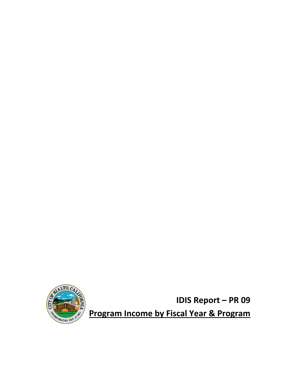

**IDIS Report – PR 09**

**Program Income by Fiscal Year & Program**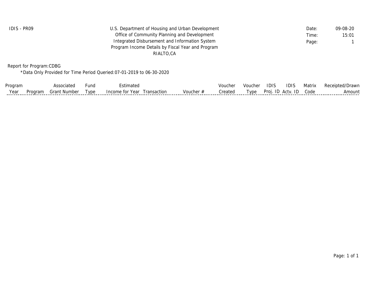| IDIS - PR09 | U.S. Department of Housing and Urban Development  | Date: | 09-08-20 |
|-------------|---------------------------------------------------|-------|----------|
|             | Office of Community Planning and Development      | Time: | 15:01    |
|             | Integrated Disbursement and Information System    | Page: |          |
|             | Program Income Details by Fiscal Year and Program |       |          |
|             | RIALTO.CA                                         |       |          |
|             |                                                   |       |          |

Report for Program:CDBG

\*Data Only Provided for Time Period Queried:07-01-2019 to 06-30-2020

| Program | ssociater            | und | mated                           |         | Voucher | Vouche | IDIS           | iDIS     | Matrix | Receipted<br>/Drawr |
|---------|----------------------|-----|---------------------------------|---------|---------|--------|----------------|----------|--------|---------------------|
| V≙ar    | `rant .<br>.r Number | vne | Income for Year<br>  ransactior | Voucher | ∵∽ateo  | Tvpe   | Proi<br>Ш<br>. | Actv. ID | Code   | Im.<br>.ounf        |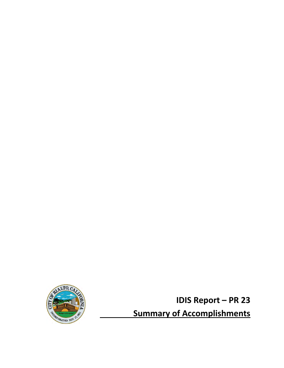

**IDIS Report – PR 23 Summary of Accomplishments**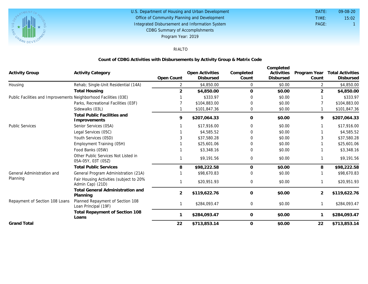

#### U.S. Department of Housing and Urban Development Office of Community Planning and Development Integrated Disbursement and Information System DATE: TIME: PAGE: 1 15:02 09-08-20 CDBG Summary of Accomplishments Program Year: 2019

# RIALTO

### **Count of CDBG Activities with Disbursements by Activity Group & Matrix Code**

| <b>Activity Group</b>                                            | <b>Activity Category</b>                                    | Open Count     | Open Activities<br>Disbursed | Completed<br>Count | Completed<br>Activities<br>Disbursed | Program Year<br>Count | <b>Total Activities</b><br>Disbursed |
|------------------------------------------------------------------|-------------------------------------------------------------|----------------|------------------------------|--------------------|--------------------------------------|-----------------------|--------------------------------------|
| Housing                                                          | Rehab; Single-Unit Residential (14A)                        | 2              | \$4,850.00                   | 0                  | \$0.00                               | 2                     | \$4,850.00                           |
|                                                                  | <b>Total Housing</b>                                        | $\overline{2}$ | \$4,850.00                   | $\Omega$           | \$0.00                               | 2                     | \$4,850.00                           |
| Public Facilities and Improvements Neighborhood Facilities (03E) |                                                             | \$333.97       | 0                            | \$0.00             |                                      | \$333.97              |                                      |
|                                                                  | Parks, Recreational Facilities (03F)                        |                | \$104,883.00                 | 0                  | \$0.00                               |                       | \$104,883.00                         |
|                                                                  | Sidewalks (03L)                                             |                | \$101,847.36                 | 0                  | \$0.00                               |                       | \$101,847.36                         |
|                                                                  | <b>Total Public Facilities and</b><br>Improvements          | 9              | \$207,064.33                 | $\circ$            | \$0.00                               | 9                     | \$207,064.33                         |
| <b>Public Services</b>                                           | Senior Services (05A)                                       |                | \$17,916.00                  | $\Omega$           | \$0.00                               |                       | \$17,916.00                          |
|                                                                  | Legal Services (05C)                                        |                | \$4,585.52                   | $\Omega$           | \$0.00                               |                       | \$4,585.52                           |
|                                                                  | Youth Services (05D)                                        |                | \$37,580.28                  | 0                  | \$0.00                               |                       | \$37,580.28                          |
|                                                                  | Employment Training (05H)                                   |                | \$25,601.06                  | $\Omega$           | \$0.00                               |                       | \$25,601.06                          |
|                                                                  | Food Banks (05W)                                            |                | \$3,348.16                   | 0                  | \$0.00                               |                       | \$3,348.16                           |
|                                                                  | Other Public Services Not Listed in<br>05A-05Y, 03T (05Z)   |                | \$9,191.56                   | 0                  | \$0.00                               |                       | \$9,191.56                           |
|                                                                  | <b>Total Public Services</b>                                | 8              | \$98,222.58                  | 0                  | \$0.00                               | 8                     | \$98,222.58                          |
| General Administration and                                       | General Program Administration (21A)                        |                | \$98,670.83                  | $\Omega$           | \$0.00                               |                       | \$98,670.83                          |
| Planning                                                         | Fair Housing Activities (subject to 20%<br>Admin Cap) (21D) |                | \$20,951.93                  | $\overline{0}$     | \$0.00                               |                       | \$20,951.93                          |
|                                                                  | <b>Total General Administration and</b><br>Planning         | 2              | \$119,622.76                 | $\circ$            | \$0.00                               | 2                     | \$119,622.76                         |
| Repayment of Section 108 Loans                                   | Planned Repayment of Section 108<br>Loan Principal (19F)    |                | \$284,093.47                 | $\mathbf{0}$       | \$0.00                               |                       | \$284,093.47                         |
|                                                                  | Total Repayment of Section 108<br>Loans                     |                | \$284,093.47                 | 0                  | \$0.00                               |                       | \$284,093.47                         |
| <b>Grand Total</b>                                               |                                                             | 22             | \$713,853.14                 | 0                  | \$0.00                               | 22                    | \$713,853.14                         |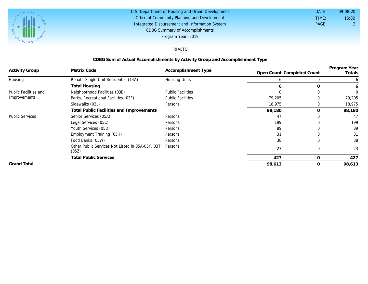

#### U.S. Department of Housing and Urban Development Office of Community Planning and Development Integrated Disbursement and Information System DATE: TIME: PAGE: 2 15:02 09-08-20 CDBG Summary of Accomplishments Program Year: 2019

### RIALTO

### **CDBG Sum of Actual Accomplishments by Activity Group and Accomplishment Type**

| <b>Activity Group</b>        | Matrix Code                                               | Accomplishment Type      |                            |              | Program Year |  |
|------------------------------|-----------------------------------------------------------|--------------------------|----------------------------|--------------|--------------|--|
|                              |                                                           |                          | Open Count Completed Count |              | Totals       |  |
| Housing                      | Rehab; Single-Unit Residential (14A)                      | Housing Units            | <sub>0</sub>               | 0            | b            |  |
|                              | <b>Total Housing</b>                                      |                          | 6                          | O            | 6            |  |
| <b>Public Facilities and</b> | Neighborhood Facilities (03E)                             | <b>Public Facilities</b> |                            |              | $\Omega$     |  |
| Improvements                 | Parks, Recreational Facilities (03F)                      | <b>Public Facilities</b> | 79,205                     | 0            | 79,205       |  |
|                              | Sidewalks (03L)                                           | Persons                  |                            | 0            | 18,975       |  |
|                              | Total Public Facilities and Improvements                  | 98,180                   | 0                          | 98,180       |              |  |
| <b>Public Services</b>       | Senior Services (05A)                                     | Persons                  | 47                         |              | 47           |  |
|                              | Legal Services (05C)                                      | Persons                  | 199                        |              | 199          |  |
|                              | Youth Services (05D)                                      | Persons                  | 89                         |              | 89           |  |
|                              | Employment Training (05H)                                 | Persons                  | 31                         |              | 31           |  |
|                              | Food Banks (05W)                                          | Persons                  | 38                         | 0            | 38           |  |
|                              | Other Public Services Not Listed in 05A-05Y, 03T<br>(05Z) | Persons                  | 23                         | $\Omega$     | 23           |  |
|                              | <b>Total Public Services</b>                              |                          | 427                        | 0            | 427          |  |
| <b>Grand Total</b>           |                                                           |                          | 98,613                     | $\mathbf{O}$ | 98,613       |  |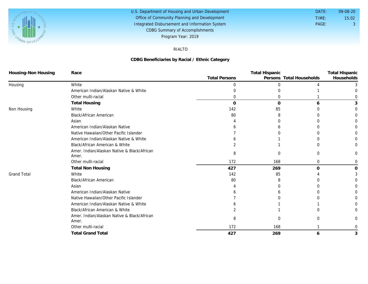

#### U.S. Department of Housing and Urban Development Office of Community Planning and Development Integrated Disbursement and Information System DATE: TIME: PAGE: 3 15:02 09-08-20 CDBG Summary of Accomplishments Program Year: 2019

### RIALTO

### **CDBG Beneficiaries by Racial / Ethnic Category**

| Housing-Non Housing | Race                                                 |                      | <b>Total Hispanic</b> |                          |            |
|---------------------|------------------------------------------------------|----------------------|-----------------------|--------------------------|------------|
|                     |                                                      | <b>Total Persons</b> |                       | Persons Total Households | Households |
| Housing             | White                                                | 0                    | 0                     |                          |            |
|                     | American Indian/Alaskan Native & White               |                      |                       |                          |            |
|                     | Other multi-racial                                   | 0                    | O                     |                          |            |
|                     | <b>Total Housing</b>                                 | $\mathbf 0$          | $\Omega$              | h                        |            |
| Non Housing         | White                                                | 142                  | 85                    |                          |            |
|                     | Black/African American                               | 80                   | 8                     |                          |            |
|                     | Asian                                                |                      |                       |                          |            |
|                     | American Indian/Alaskan Native                       |                      |                       |                          |            |
|                     | Native Hawaiian/Other Pacific Islander               |                      |                       |                          |            |
|                     | American Indian/Alaskan Native & White               |                      |                       |                          |            |
|                     | Black/African American & White                       |                      |                       |                          |            |
|                     | Amer. Indian/Alaskan Native & Black/African<br>Amer. | 8                    | 0                     | $\Omega$                 |            |
|                     | Other multi-racial                                   | 172                  | 168                   | 0                        | O          |
|                     | <b>Total Non Housing</b>                             | 427                  | 269                   | $\Omega$                 | O          |
| <b>Grand Total</b>  | White                                                | 142                  | 85                    |                          |            |
|                     | Black/African American                               | 80                   | 8                     |                          |            |
|                     | Asian                                                |                      |                       |                          |            |
|                     | American Indian/Alaskan Native                       |                      |                       |                          |            |
|                     | Native Hawaiian/Other Pacific Islander               |                      |                       |                          |            |
|                     | American Indian/Alaskan Native & White               |                      |                       |                          |            |
|                     | Black/African American & White                       |                      |                       |                          |            |
|                     | Amer. Indian/Alaskan Native & Black/African<br>Amer. | 8                    | $\Omega$              |                          |            |
|                     | Other multi-racial                                   | 172                  | 168                   |                          |            |
|                     | <b>Total Grand Total</b>                             | 427                  | 269                   | 6                        | 3          |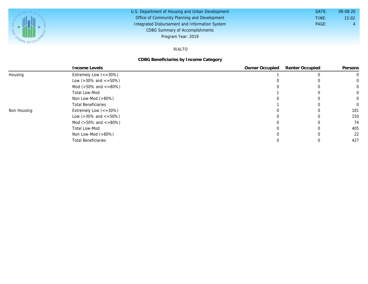

#### U.S. Department of Housing and Urban Development Office of Community Planning and Development Integrated Disbursement and Information System DATE: TIME: PAGE: 4 15:02 09-08-20 CDBG Summary of Accomplishments Program Year: 2019

### RIALTO

### **CDBG Beneficiaries by Income Category**

|             | Income Levels                        | Owner Occupied | Renter Occupied | Persons |
|-------------|--------------------------------------|----------------|-----------------|---------|
| Housing     | Extremely Low $\left(<=30\% \right)$ |                |                 |         |
|             | Low ( $>30\%$ and $\lt$ =50%)        |                |                 |         |
|             | Mod ( $>50\%$ and $\lt$ =80%)        |                |                 |         |
|             | Total Low-Mod                        |                |                 |         |
|             | Non Low-Mod $(>80\%)$                |                |                 |         |
|             | <b>Total Beneficiaries</b>           |                |                 |         |
| Non Housing | Extremely Low $\left(<=30\% \right)$ |                |                 | 181     |
|             | Low ( $>30\%$ and $\lt$ =50%)        |                |                 | 150     |
|             | Mod ( $>50\%$ and $\lt$ =80%)        |                |                 | 74      |
|             | Total Low-Mod                        |                |                 | 405     |
|             | Non Low-Mod $(>80\%)$                |                |                 | 22      |
|             | <b>Total Beneficiaries</b>           |                |                 | 427     |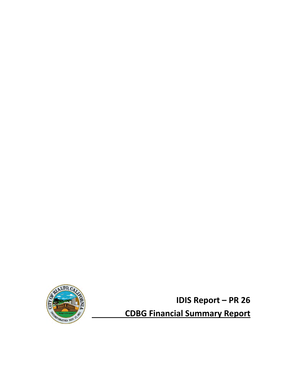

**IDIS Report – PR 26 CDBG Financial Summary Report**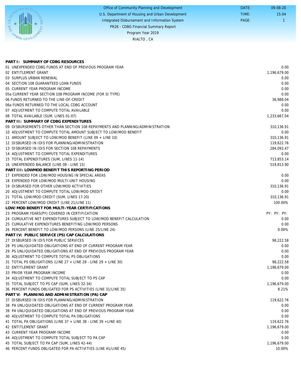|      | Office of Community Planning and Development     | DATE: | $09 - 08 - 20$ |
|------|--------------------------------------------------|-------|----------------|
| UPP. | U.S. Department of Housing and Urban Development | TIME: | 15:04          |
|      | Integrated Disbursement and Information System   | PAGE: |                |
|      | PR26 - CDBG Financial Summary Report             |       |                |
|      | Program Year 2019                                |       |                |
|      | RIALTO, CA                                       |       |                |
|      |                                                  |       |                |

| PART I: SUMMARY OF CDBG RESOURCES                                              |              |
|--------------------------------------------------------------------------------|--------------|
| 01 UNEXPENDED CDBG FUNDS AT END OF PREVIOUS PROGRAM YEAR                       | 0.00         |
| 02 ENTITLEMENT GRANT                                                           | 1,196,679.00 |
| 03 SURPLUS URBAN RENEWAL                                                       | 0.00         |
| 04 SECTION 108 GUARANTEED LOAN FUNDS                                           | 0.00         |
| 05 CURRENT YEAR PROGRAM INCOME                                                 | 0.00         |
| 05a CURRENT YEAR SECTION 108 PROGRAM INCOME (FOR SI TYPE)                      | 0.00         |
| 06 FUNDS RETURNED TO THE LINE-OF-CREDIT                                        | 36,988.04    |
| 06a FUNDS RETURNED TO THE LOCAL CDBG ACCOUNT                                   | 0.00         |
| 07 ADJUSTMENT TO COMPUTE TOTAL AVAILABLE                                       | 0.00         |
| 08 TOTAL AVAILABLE (SUM, LINES 01-07)                                          | 1,233,667.04 |
| PART II: SUMMARY OF CDBG EXPENDITURES                                          |              |
| 09 DISBURSEMENTS OTHER THAN SECTION 108 REPAYMENTS AND PLANNING/ADMINISTRATION | 310,136.91   |
| 10 ADJUSTMENT TO COMPUTE TOTAL AMOUNT SUBJECT TO LOW/MOD BENEFIT               | 0.00         |
| 11 AMOUNT SUBJECT TO LOW/MOD BENEFIT (LINE 09 + LINE 10)                       | 310,136.91   |
| 12 DISBURSED IN IDIS FOR PLANNING/ADMINISTRATION                               | 119,622.76   |
| 13 DISBURSED IN IDIS FOR SECTION 108 REPAYMENTS                                | 284,093.47   |
| 14 ADJUSTMENT TO COMPUTE TOTAL EXPENDITURES                                    | 0.00         |
| 15 TOTAL EXPENDITURES (SUM, LINES 11-14)                                       | 713,853.14   |
| 16 UNEXPENDED BALANCE (LINE 08 - LINE 15)                                      | 519,813.90   |
| PART III: LOWMOD BENEFIT THIS REPORTING PERIOD                                 |              |
| 17 EXPENDED FOR LOW/MOD HOUSING IN SPECIAL AREAS                               | 0.00         |
| 18 EXPENDED FOR LOW/MOD MULTI-UNIT HOUSING                                     | 0.00         |
| 19 DISBURSED FOR OTHER LOW/MOD ACTIVITIES                                      | 310,136.91   |
| 20 ADJUSTMENT TO COMPUTE TOTAL LOW/MOD CREDIT                                  | 0.00         |
| 21 TOTAL LOW/MOD CREDIT (SUM, LINES 17-20)                                     | 310,136.91   |
| 22 PERCENT LOW/MOD CREDIT (LINE 21/LINE 11)                                    | 100.00%      |
| LOW/MOD BENEFIT FOR MULTI-YEAR CERTIFICATIONS                                  |              |
| 23 PROGRAM YEARS(PY) COVERED IN CERTIFICATION                                  | PY: PY: PY:  |
| 24 CUMULATIVE NET EXPENDITURES SUBJECT TO LOW/MOD BENEFIT CALCULATION          | 0.00         |
| 25 CUMULATIVE EXPENDITURES BENEFITING LOW/MOD PERSONS                          | 0.00         |
| 26 PERCENT BENEFIT TO LOW/MOD PERSONS (LINE 25/LINE 24)                        | 0.00%        |
| PART IV: PUBLIC SERVICE (PS) CAP CALCULATIONS                                  |              |
| 27 DISBURSED IN IDIS FOR PUBLIC SERVICES                                       | 98,222.58    |
| 28 PS UNLIQUIDATED OBLIGATIONS AT END OF CURRENT PROGRAM YEAR                  | 0.00         |
| 29 PS UNLIQUIDATED OBLIGATIONS AT END OF PREVIOUS PROGRAM YEAR                 | 0.00         |
| 30 ADJUSTMENT TO COMPUTE TOTAL PS OBLIGATIONS                                  | 0.00         |
| 31 TOTAL PS OBLIGATIONS (LINE 27 + LINE 28 - LINE 29 + LINE 30)                | 98.222.58    |
| 32 ENTITLEMENT GRANT                                                           | 1,196,679.00 |
| 33 PRIOR YEAR PROGRAM INCOME                                                   | 0.00         |
| 34 ADJUSTMENT TO COMPUTE TOTAL SUBJECT TO PS CAP                               | 0.00         |
| 35 TOTAL SUBJECT TO PS CAP (SUM, LINES 32-34)                                  | 1,196,679.00 |
| 36 PERCENT FUNDS OBLIGATED FOR PS ACTIVITIES (LINE 31/LINE 35)                 | 8.21%        |
| PART V: PLANNING AND ADMINISTRATION (PA) CAP                                   |              |
| 37 DISBURSED IN IDIS FOR PLANNING/ADMINISTRATION                               | 119,622.76   |
| 38 PA UNLIQUIDATED OBLIGATIONS AT END OF CURRENT PROGRAM YEAR                  | 0.00         |
| 39 PA UNLIQUIDATED OBLIGATIONS AT END OF PREVIOUS PROGRAM YEAR                 | 0.00         |
| 40 ADJUSTMENT TO COMPUTE TOTAL PA OBLIGATIONS                                  | 0.00         |
| 41 TOTAL PA OBLIGATIONS (LINE 37 + LINE 38 - LINE 39 + LINE 40)                | 119,622.76   |
| 42 ENTITLEMENT GRANT                                                           | 1,196,679.00 |
| 43 CURRENT YEAR PROGRAM INCOME                                                 | 0.00         |
| 44 ADJUSTMENT TO COMPUTE TOTAL SUBJECT TO PA CAP                               | 0.00         |
|                                                                                | 1,196,679.00 |
| 45 TOTAL SUBJECT TO PA CAP (SUM, LINES 42-44)                                  |              |
| 46 PERCENT FUNDS OBLIGATED FOR PA ACTIVITIES (LINE 41/LINE 45)                 | 10.00%       |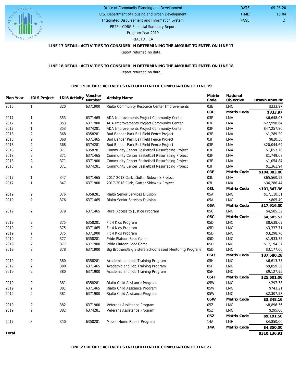

### U.S. Department of Housing and Urban Development Office of Community Planning and Development

Integrated Disbursement and Information System

PAGE: 2 15:04 09-08-20

 DATE: TIME:

PR26 - CDBG Financial Summary Report

Program Year 2019

RIALTO , CA

## **LINE 17 DETAIL: ACTIVITIES TO CONSIDER IN DETERMINING THE AMOUNT TO ENTER ON LINE 17**

Report returned no data.

#### **LINE 18 DETAIL: ACTIVITIES TO CONSIDER IN DETERMINING THE AMOUNT TO ENTER ON LINE 18** Report returned no data.

#### **LINE 19 DETAIL: ACTIVITIES INCLUDED IN THE COMPUTATION OF LINE 19**

| Plan Year | <b>IDIS Project</b> | <b>IDIS Activity</b> | Voucher<br>Number | <b>Activity Name</b>                                    | Matrix<br>Code  | National<br>Objective | Drawn Amount |
|-----------|---------------------|----------------------|-------------------|---------------------------------------------------------|-----------------|-----------------------|--------------|
|           |                     |                      |                   |                                                         |                 |                       |              |
| 2015      | $\mathbf{1}$        | 320                  | 6371900           | Rialto Community Resource Center Improvements           | 03E             | <b>LMC</b>            | \$333.97     |
|           |                     |                      |                   |                                                         | 03E             | Matrix Code           | \$333.97     |
| 2017      | $\mathbf{1}$        | 353                  | 6371465           | ADA Improvements Project Community Center               | 03F             | LMA                   | \$6,648.07   |
| 2017      | $\mathbf{1}$        | 353                  | 6371900           | ADA Improvements Project Community Center               | 03F             | LMA                   | \$22,998.64  |
| 2017      | $\mathbf{1}$        | 353                  | 6374281           | ADA Improvements Project Community Center               | 03F             | LMA                   | \$47,257.86  |
| 2018      | $\sqrt{2}$          | 368                  | 6358281           | Bud Bender Park Ball Field Fence Project                | 03F             | LMA                   | \$1,289.20   |
| 2018      | $\overline{2}$      | 368                  | 6371465           | Bud Bender Park Ball Field Fence Project                | 03F             | LMA                   | \$820.38     |
| 2018      | $\sqrt{2}$          | 368                  | 6374281           | Bud Bender Park Ball Field Fence Project                | 03F             | LMA                   | \$20,044.69  |
| 2018      | $\overline{2}$      | 371                  | 6358281           | Community Center Basketball Resurfacing Project         | 03F             | <b>LMA</b>            | \$1,657.70   |
| 2018      | $\overline{2}$      | 371                  | 6371465           | Community Center Basketball Resurfacing Project         | 03F             | LMA                   | \$1,749.68   |
| 2018      | $\sqrt{2}$          | 371                  | 6371900           | Community Center Basketball Resurfacing Project         | 03F             | LMA                   | \$1,054.84   |
| 2018      | $\overline{2}$      | 371                  | 6374281           | Community Center Basketball Resurfacing Project         | 03F             | LMA                   | \$1,361.94   |
|           |                     |                      |                   |                                                         | 03F             | Matrix Code           | \$104,883.00 |
| 2017      | $\mathbf{1}$        | 347                  | 6371465           | 2017-2018 Curb, Gutter Sidewalk Project                 | 03L             | <b>LMA</b>            | \$65,560.92  |
| 2017      | $\mathbf{1}$        | 347                  | 6371900           | 2017-2018 Curb, Gutter Sidewalk Project                 | 03L             | <b>LMA</b>            | \$36,286.44  |
|           |                     |                      |                   |                                                         | O3L             | Matrix Code           | \$101,847.36 |
| 2019      | $\overline{2}$      | 376                  | 6358281           | Rialto Senior Services Division                         | 05A             | <b>LMC</b>            | \$17,110.51  |
| 2019      | $\overline{2}$      | 376                  | 6371465           | Rialto Senior Services Division                         | 05A             | <b>LMC</b>            | \$805.49     |
|           |                     |                      |                   |                                                         | 05A             | Matrix Code           | \$17,916.00  |
| 2019      | $\overline{2}$      | 379                  | 6371465           | Rural Access to Justice Program                         | 05C             | <b>LMC</b>            | \$4,585.52   |
|           |                     |                      |                   |                                                         | 05C             | Matrix Code           | \$4,585.52   |
| 2019      | $\overline{2}$      | 375                  | 6358281           | Fit 4 Kids Program                                      | 05D             | <b>LMC</b>            | \$8,638.69   |
| 2019      | $\overline{2}$      | 375                  | 6371465           | Fit 4 Kids Program                                      | 05D             | <b>LMC</b>            | \$3,337.71   |
| 2019      | $\overline{2}$      | 375                  | 6371900           | Fit 4 Kids Program                                      | 05 <sub>D</sub> | <b>LMC</b>            | \$3,298.70   |
| 2019      | $\overline{2}$      | 377                  | 6358281           | Pride Platoon Boot Camp                                 | 05D             | <b>LMC</b>            | \$1,933.75   |
| 2019      | $\sqrt{2}$          | 377                  | 6371900           | Pride Platoon Boot Camp                                 | 05D             | <b>LMC</b>            | \$17,194.37  |
| 2019      | $\overline{2}$      | 378                  | 6371900           | Big Brothers/Big Sisters School Based Mentoring Program | 05D             | <b>LMC</b>            | \$3,177.06   |
|           |                     |                      |                   |                                                         | 05D             | Matrix Code           | \$37,580.28  |
| 2019      | $\overline{2}$      | 380                  | 6358281           | Academic and Job Training Program                       | 05H             | <b>LMC</b>            | \$6,613.75   |
| 2019      | $\sqrt{2}$          | 380                  | 6371465           | Academic and Job Training Program                       | 05H             | <b>LMC</b>            | \$9,859.36   |
| 2019      | $\overline{2}$      | 380                  | 6371900           | Academic and Job Training Program                       | 05H             | <b>LMC</b>            | \$9,127.95   |
|           |                     |                      |                   |                                                         | 05H             | Matrix Code           | \$25,601.06  |
| 2019      | $\overline{2}$      | 381                  | 6358281           | Rialto Child Assitance Program                          | 05W             | <b>LMC</b>            | \$297.38     |
| 2019      | $\sqrt{2}$          | 381                  | 6371465           | Rialto Child Assitance Program                          | 05W             | <b>LMC</b>            | \$743.21     |
| 2019      | $\sqrt{2}$          | 381                  | 6371900           | Rialto Child Assitance Program                          | 05W             | <b>LMC</b>            | \$2,307.57   |
|           |                     |                      |                   |                                                         | 05W             |                       |              |
|           |                     |                      |                   |                                                         |                 | Matrix Code           | \$3,348.16   |
| 2019      | $\sqrt{2}$          | 382                  | 6371900           | Veterans Assistance Program                             | 05Z             | <b>LMC</b>            | \$8,896.56   |
| 2019      | $\overline{2}$      | 382                  | 6374281           | Veterans Assistance Program                             | 05Z             | <b>LMC</b>            | \$295.00     |
|           |                     |                      |                   |                                                         | 05Z             | Matrix Code           | \$9,191.56   |
| 2017      | 3                   | 350                  | 6358281           | Mobile Home Repair Program                              | 14A             | LMH                   | \$4,850.00   |
|           |                     |                      |                   |                                                         | 14A             | Matrix Code           | \$4,850.00   |
| Total     |                     |                      |                   |                                                         |                 |                       | \$310,136.91 |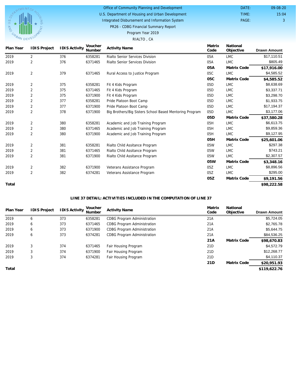

#### Office of Community Planning and Development DATE: TIME:

U.S. Department of Housing and Urban Development

Integrated Disbursement and Information System

PAGE: 3 15:04 09-08-20

PR26 - CDBG Financial Summary Report

## Program Year 2019

#### RIALTO , CA

| Plan Year | <b>IDIS Project</b> | <b>IDIS Activity</b> | Voucher<br>Number | <b>Activity Name</b>                                    | Matrix<br>Code  | National<br>Objective | <b>Drawn Amount</b> |
|-----------|---------------------|----------------------|-------------------|---------------------------------------------------------|-----------------|-----------------------|---------------------|
| 2019      | 2                   | 376                  | 6358281           | <b>Rialto Senior Services Division</b>                  | 05A             | <b>LMC</b>            | \$17,110.51         |
| 2019      | 2                   | 376                  | 6371465           | Rialto Senior Services Division                         | 05A             | LMC                   | \$805.49            |
|           |                     |                      |                   |                                                         | 05A             | Matrix Code           | \$17,916.00         |
| 2019      | $\overline{2}$      | 379                  | 6371465           | Rural Access to Justice Program                         | 05C             | <b>LMC</b>            | \$4,585.52          |
|           |                     |                      |                   |                                                         | 05C             | Matrix Code           | \$4,585.52          |
| 2019      | 2                   | 375                  | 6358281           | Fit 4 Kids Program                                      | 05D             | <b>LMC</b>            | \$8,638.69          |
| 2019      | $\overline{2}$      | 375                  | 6371465           | Fit 4 Kids Program                                      | 05D             | <b>LMC</b>            | \$3,337.71          |
| 2019      | $\overline{2}$      | 375                  | 6371900           | Fit 4 Kids Program                                      | 05 <sub>D</sub> | <b>LMC</b>            | \$3,298.70          |
| 2019      | $\overline{2}$      | 377                  | 6358281           | Pride Platoon Boot Camp                                 | 05D             | <b>LMC</b>            | \$1,933.75          |
| 2019      | $\overline{2}$      | 377                  | 6371900           | Pride Platoon Boot Camp                                 | 05 <sub>D</sub> | <b>LMC</b>            | \$17,194.37         |
| 2019      | $\overline{2}$      | 378                  | 6371900           | Big Brothers/Big Sisters School Based Mentoring Program | 05D             | <b>LMC</b>            | \$3,177.06          |
|           |                     |                      |                   |                                                         | 05 <sub>D</sub> | Matrix Code           | \$37,580.28         |
| 2019      | 2                   | 380                  | 6358281           | Academic and Job Training Program                       | 05H             | <b>LMC</b>            | \$6,613.75          |
| 2019      | $\overline{2}$      | 380                  | 6371465           | Academic and Job Training Program                       | 05H             | <b>LMC</b>            | \$9,859.36          |
| 2019      | $\overline{2}$      | 380                  | 6371900           | Academic and Job Training Program                       | 05H             | <b>LMC</b>            | \$9,127.95          |
|           |                     |                      |                   |                                                         | 05H             | Matrix Code           | \$25,601.06         |
| 2019      | $\overline{2}$      | 381                  | 6358281           | Rialto Child Assitance Program                          | 05W             | <b>LMC</b>            | \$297.38            |
| 2019      | $\overline{2}$      | 381                  | 6371465           | Rialto Child Assitance Program                          | 05W             | <b>LMC</b>            | \$743.21            |
| 2019      | $\overline{2}$      | 381                  | 6371900           | Rialto Child Assitance Program                          | 05W             | <b>LMC</b>            | \$2,307.57          |
|           |                     |                      |                   |                                                         | 05W             | Matrix Code           | \$3,348.16          |
| 2019      | $\overline{2}$      | 382                  | 6371900           | Veterans Assistance Program                             | 05Z             | <b>LMC</b>            | \$8,896.56          |
| 2019      | $\overline{2}$      | 382                  | 6374281           | Veterans Assistance Program                             | 05Z             | <b>LMC</b>            | \$295.00            |
|           |                     |                      |                   |                                                         | 05Z             | Matrix Code           | \$9,191.56          |
| Total     |                     |                      |                   |                                                         |                 |                       | \$98,222.58         |

### **LINE 37 DETAIL: ACTIVITIES INCLUDED IN THE COMPUTATION OF LINE 37**

| Plan Year | <b>IDIS Project</b> | <b>IDIS Activity</b> | Voucher<br>Number | <b>Activity Name</b>               | Matrix<br>Code  | National<br>Objective | <b>Drawn Amount</b> |
|-----------|---------------------|----------------------|-------------------|------------------------------------|-----------------|-----------------------|---------------------|
| 2019      | b                   | 373                  | 6358281           | <b>CDBG Program Administration</b> | 21A             |                       | \$5,724.05          |
| 2019      | 6                   | 373                  | 6371465           | <b>CDBG Program Administration</b> | 21A             |                       | \$2,765.78          |
| 2019      | 6                   | 373                  | 6371900           | <b>CDBG Program Administration</b> | 21A             |                       | \$5,644.75          |
| 2019      | b                   | 373                  | 6374281           | <b>CDBG Program Administration</b> | 21A             |                       | \$84,536.25         |
|           |                     |                      |                   |                                    | 21A             | Matrix Code           | \$98,670.83         |
| 2019      | 3                   | 374                  | 6371465           | Fair Housing Program               | 21D             |                       | \$4,572.79          |
| 2019      |                     | 374                  | 6371900           | Fair Housing Program               | 21 <sub>D</sub> |                       | \$12,268.77         |
| 2019      | 3                   | 374                  | 6374281           | Fair Housing Program               | 21 <sub>D</sub> |                       | \$4,110.37          |
|           |                     |                      |                   |                                    | 21D             | Matrix Code           | \$20,951.93         |
| Total     |                     |                      |                   |                                    |                 |                       | \$119,622.76        |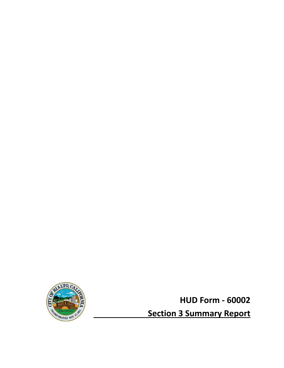

**HUD Form ‐ 60002 Section 3 Summary Report**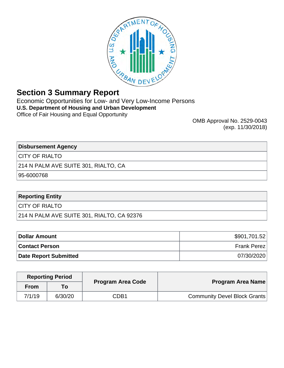

# **Section 3 Summary Report**

Economic Opportunities for Low- and Very Low-Income Persons **U.S. Department of Housing and Urban Development** Office of Fair Housing and Equal Opportunity

OMB Approval No. 2529-0043 (exp. 11/30/2018)

**Disbursement Agency**

CITY OF RIALTO

214 N PALM AVE SUITE 301, RIALTO, CA

95-6000768

## **Reporting Entity**

CITY OF RIALTO

214 N PALM AVE SUITE 301, RIALTO, CA 92376

| Dollar Amount                | \$901,701.52 |
|------------------------------|--------------|
| <b>Contact Person</b>        | Frank Perez  |
| <b>Date Report Submitted</b> | 07/30/2020   |

|                                     | <b>Program Area Code</b> | <b>Reporting Period</b><br>To .<br><b>From</b> |        |
|-------------------------------------|--------------------------|------------------------------------------------|--------|
| Program Area Name                   |                          |                                                |        |
| <b>Community Devel Block Grants</b> | CDB1                     | 6/30/20                                        | 7/1/19 |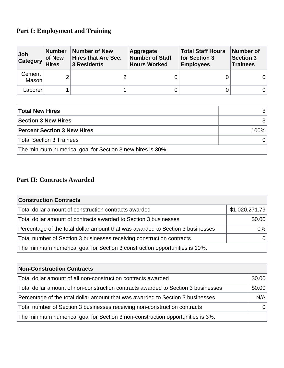# **Part I: Employment and Training**

| Job<br><b>Category</b> | <b>Number</b><br>of New<br><b>Hires</b> | Number of New<br><b>Hires that Are Sec.</b><br><b>3 Residents</b> | Aggregate<br><b>Number of Staff</b><br><b>Hours Worked</b> | <b>Total Staff Hours</b><br>for Section 3<br><b>Employees</b> | Number of<br><b>Section 3</b><br><b>Trainees</b> |
|------------------------|-----------------------------------------|-------------------------------------------------------------------|------------------------------------------------------------|---------------------------------------------------------------|--------------------------------------------------|
| Cement<br>Mason        | ⌒                                       | $\overline{2}$                                                    |                                                            |                                                               |                                                  |
| Laborer                |                                         |                                                                   |                                                            |                                                               |                                                  |

| <b>Total New Hires</b>                                     |      |
|------------------------------------------------------------|------|
| <b>Section 3 New Hires</b>                                 |      |
| <b>Percent Section 3 New Hires</b>                         | 100% |
| <b>Total Section 3 Trainees</b>                            |      |
| The minimum numerical goal for Section 3 new hires is 30%. |      |

# **Part II: Contracts Awarded**

| <b>Construction Contracts</b>                                                  |                |
|--------------------------------------------------------------------------------|----------------|
| Total dollar amount of construction contracts awarded                          | \$1,020,271.79 |
| Total dollar amount of contracts awarded to Section 3 businesses               | \$0.00         |
| Percentage of the total dollar amount that was awarded to Section 3 businesses | $0\%$          |
| Total number of Section 3 businesses receiving construction contracts          |                |
| The minimum numerical goal for Section 3 construction opportunities is 10%.    |                |

| <b>Non-Construction Contracts</b>                                                 |        |
|-----------------------------------------------------------------------------------|--------|
| Total dollar amount of all non-construction contracts awarded                     | \$0.00 |
| Total dollar amount of non-construction contracts awarded to Section 3 businesses | \$0.00 |
| Percentage of the total dollar amount that was awarded to Section 3 businesses    | N/A    |
| Total number of Section 3 businesses receiving non-construction contracts         |        |
| The minimum numerical goal for Section 3 non-construction opportunities is 3%.    |        |